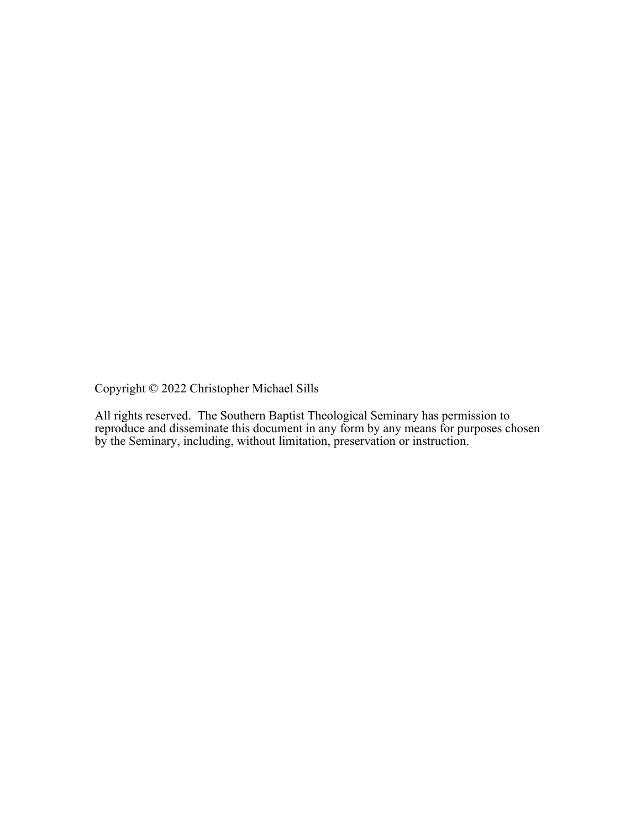Copyright © 2022 Christopher Michael Sills

All rights reserved. The Southern Baptist Theological Seminary has permission to reproduce and disseminate this document in any form by any means for purposes chosen by the Seminary, including, without limitation, preservation or instruction.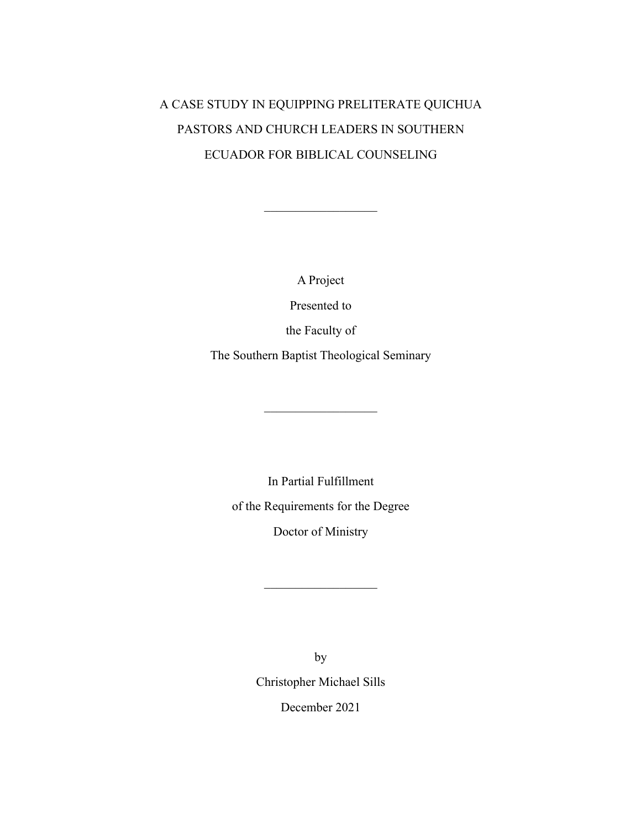# A CASE STUDY IN EQUIPPING PRELITERATE QUICHUA PASTORS AND CHURCH LEADERS IN SOUTHERN ECUADOR FOR BIBLICAL COUNSELING

A Project

Presented to

the Faculty of

The Southern Baptist Theological Seminary

In Partial Fulfillment of the Requirements for the Degree Doctor of Ministry

> by Christopher Michael Sills December 2021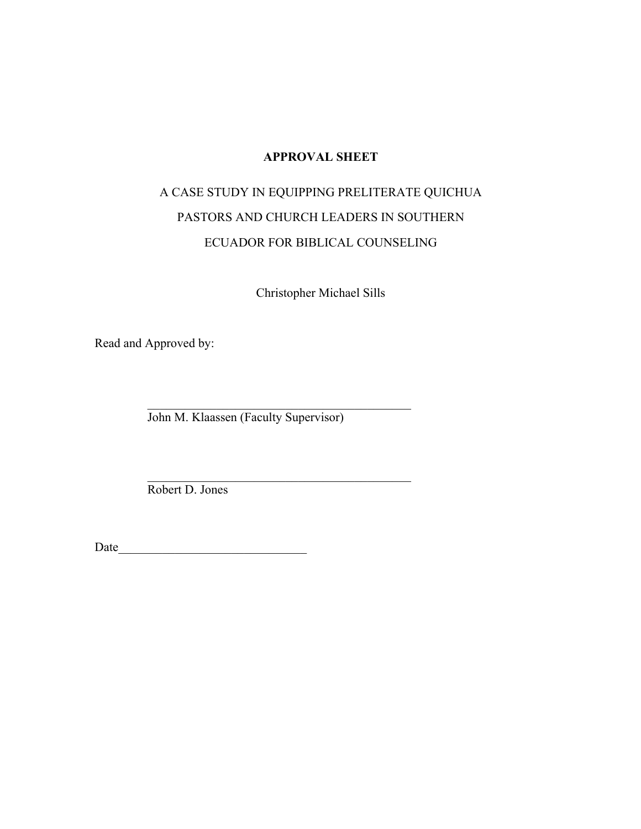# **APPROVAL SHEET**

# A CASE STUDY IN EQUIPPING PRELITERATE QUICHUA PASTORS AND CHURCH LEADERS IN SOUTHERN ECUADOR FOR BIBLICAL COUNSELING

Christopher Michael Sills

Read and Approved by:

John M. Klaassen (Faculty Supervisor)

\_\_\_\_\_\_\_\_\_\_\_\_\_\_\_\_\_\_\_\_\_\_\_\_\_\_\_\_\_\_\_\_\_\_\_\_\_\_\_\_\_\_

Robert D. Jones

Date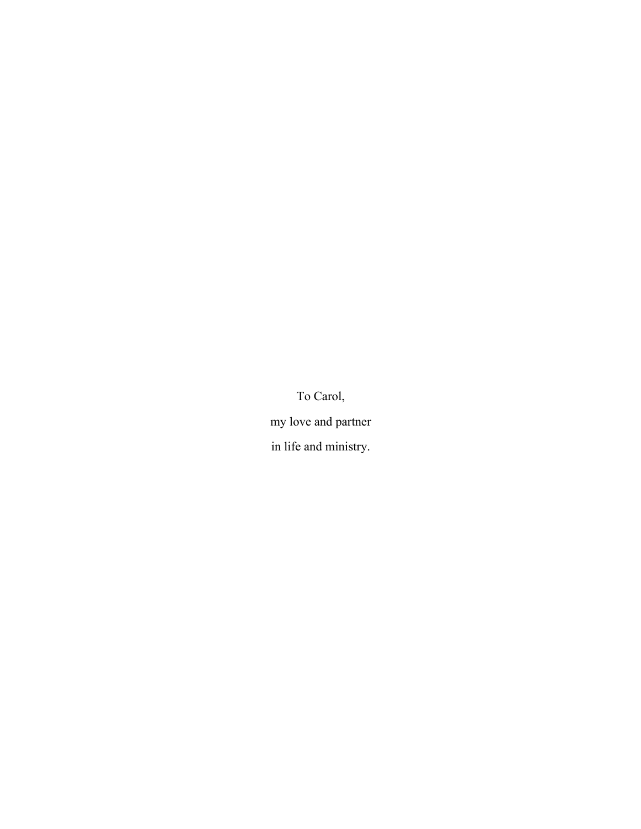To Carol, my love and partner in life and ministry.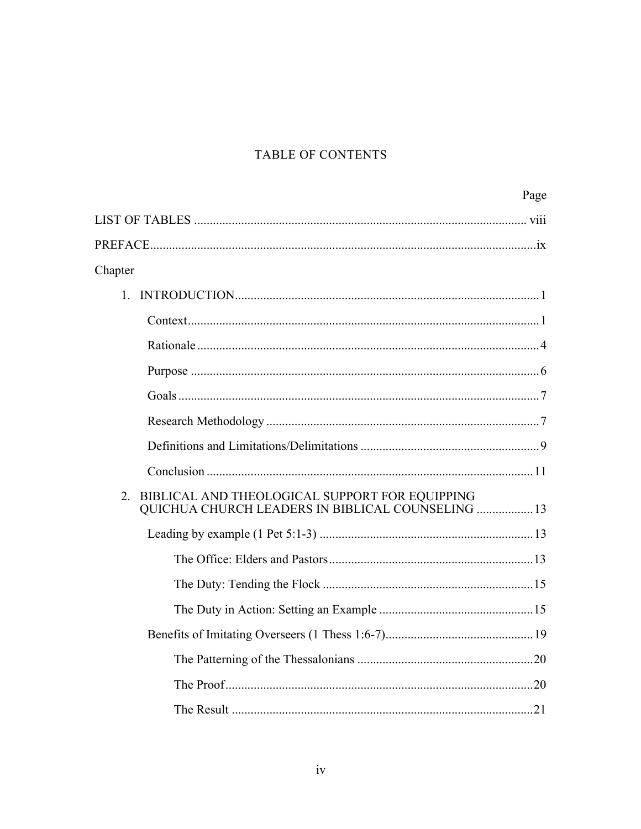# TABLE OF CONTENTS

|                                                                                                           | Page |
|-----------------------------------------------------------------------------------------------------------|------|
|                                                                                                           |      |
|                                                                                                           |      |
| Chapter                                                                                                   |      |
| 1.                                                                                                        |      |
|                                                                                                           |      |
|                                                                                                           |      |
|                                                                                                           |      |
|                                                                                                           |      |
|                                                                                                           |      |
|                                                                                                           |      |
|                                                                                                           |      |
| BIBLICAL AND THEOLOGICAL SUPPORT FOR EQUIPPING<br>2.<br>QUICHUA CHURCH LEADERS IN BIBLICAL COUNSELING  13 |      |
|                                                                                                           |      |
|                                                                                                           |      |
|                                                                                                           |      |
|                                                                                                           |      |
|                                                                                                           |      |
|                                                                                                           |      |
|                                                                                                           |      |
|                                                                                                           |      |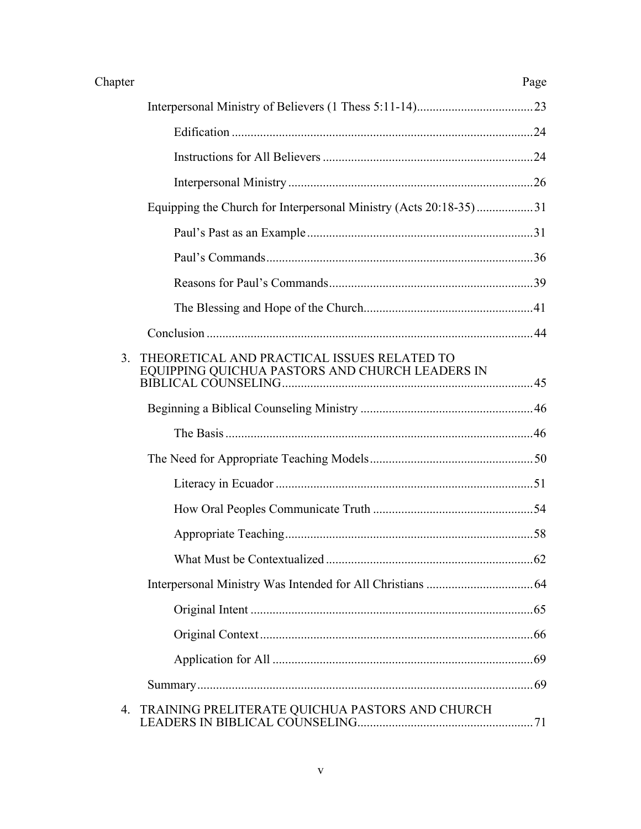| Chapter | Page |
|---------|------|
|         |      |

|    | Equipping the Church for Interpersonal Ministry (Acts 20:18-35)31                              |  |
|----|------------------------------------------------------------------------------------------------|--|
|    |                                                                                                |  |
|    |                                                                                                |  |
|    |                                                                                                |  |
|    |                                                                                                |  |
|    |                                                                                                |  |
| 3. | THEORETICAL AND PRACTICAL ISSUES RELATED TO<br>EQUIPPING QUICHUA PASTORS AND CHURCH LEADERS IN |  |
|    |                                                                                                |  |
|    |                                                                                                |  |
|    |                                                                                                |  |
|    |                                                                                                |  |
|    |                                                                                                |  |
|    |                                                                                                |  |
|    |                                                                                                |  |
|    |                                                                                                |  |
|    |                                                                                                |  |
|    |                                                                                                |  |
|    |                                                                                                |  |
|    |                                                                                                |  |
|    | 4. TRAINING PRELITERATE QUICHUA PASTORS AND CHURCH                                             |  |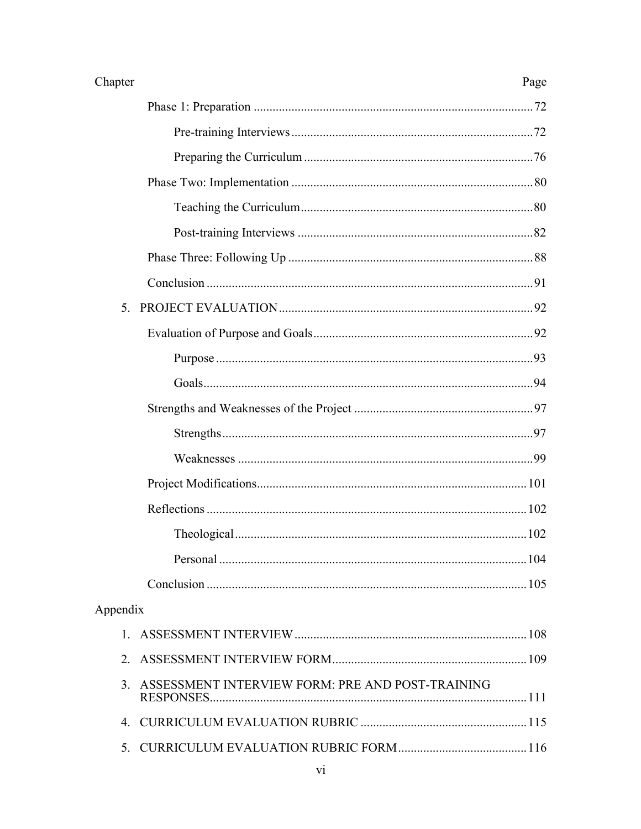| Chapter<br>Page                                     |
|-----------------------------------------------------|
|                                                     |
|                                                     |
|                                                     |
|                                                     |
|                                                     |
|                                                     |
|                                                     |
|                                                     |
|                                                     |
|                                                     |
|                                                     |
|                                                     |
|                                                     |
|                                                     |
|                                                     |
|                                                     |
|                                                     |
|                                                     |
|                                                     |
|                                                     |
| Appendix                                            |
|                                                     |
| 2.                                                  |
| 3. ASSESSMENT INTERVIEW FORM: PRE AND POST-TRAINING |
|                                                     |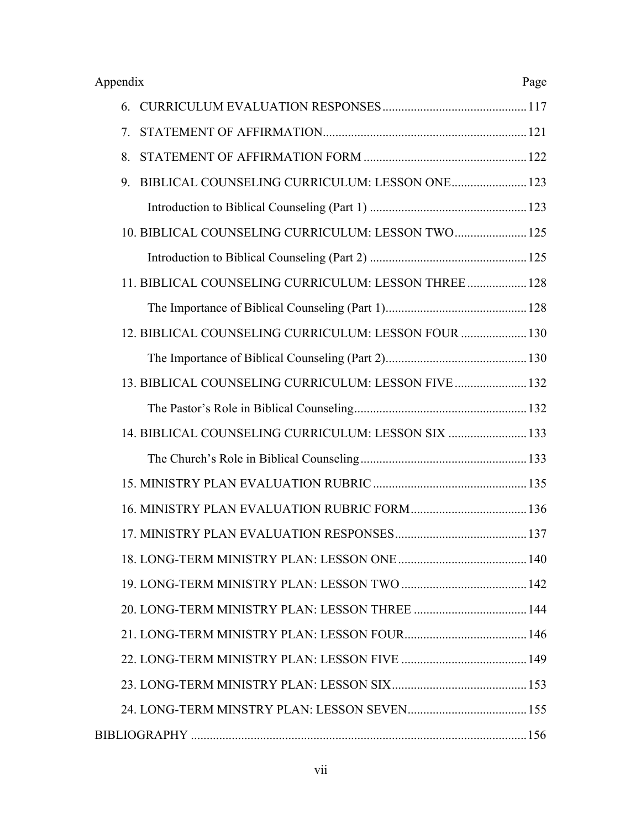| Appendix<br>Page                                     |  |  |
|------------------------------------------------------|--|--|
|                                                      |  |  |
| 7.                                                   |  |  |
| 8.                                                   |  |  |
| BIBLICAL COUNSELING CURRICULUM: LESSON ONE 123<br>9. |  |  |
|                                                      |  |  |
| 10. BIBLICAL COUNSELING CURRICULUM: LESSON TWO 125   |  |  |
|                                                      |  |  |
| 11. BIBLICAL COUNSELING CURRICULUM: LESSON THREE 128 |  |  |
|                                                      |  |  |
| 12. BIBLICAL COUNSELING CURRICULUM: LESSON FOUR  130 |  |  |
|                                                      |  |  |
| 13. BIBLICAL COUNSELING CURRICULUM: LESSON FIVE  132 |  |  |
|                                                      |  |  |
| 14. BIBLICAL COUNSELING CURRICULUM: LESSON SIX  133  |  |  |
|                                                      |  |  |
|                                                      |  |  |
|                                                      |  |  |
|                                                      |  |  |
|                                                      |  |  |
|                                                      |  |  |
|                                                      |  |  |
|                                                      |  |  |
|                                                      |  |  |
|                                                      |  |  |
|                                                      |  |  |
|                                                      |  |  |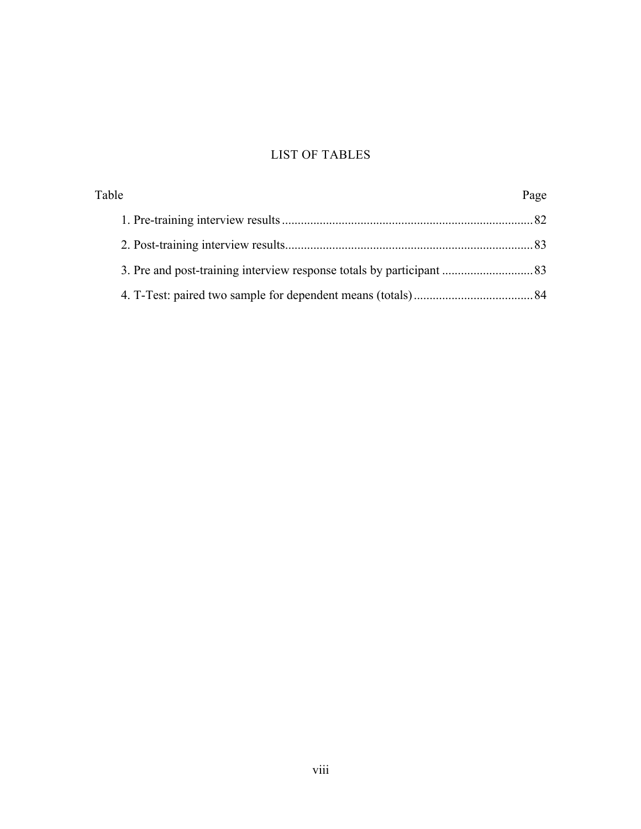# LIST OF TABLES

| Table |  |
|-------|--|
|       |  |
|       |  |
|       |  |
|       |  |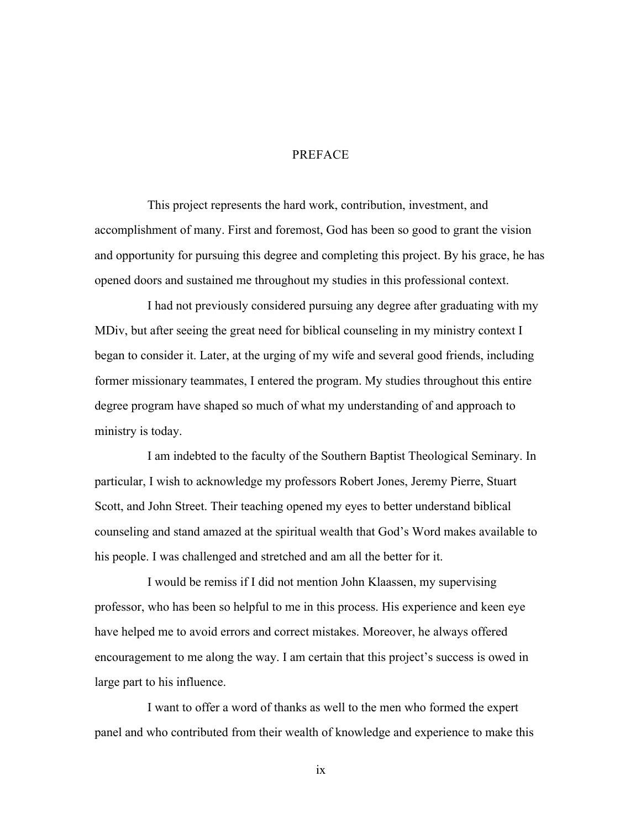# PREFACE

This project represents the hard work, contribution, investment, and accomplishment of many. First and foremost, God has been so good to grant the vision and opportunity for pursuing this degree and completing this project. By his grace, he has opened doors and sustained me throughout my studies in this professional context.

I had not previously considered pursuing any degree after graduating with my MDiv, but after seeing the great need for biblical counseling in my ministry context I began to consider it. Later, at the urging of my wife and several good friends, including former missionary teammates, I entered the program. My studies throughout this entire degree program have shaped so much of what my understanding of and approach to ministry is today.

I am indebted to the faculty of the Southern Baptist Theological Seminary. In particular, I wish to acknowledge my professors Robert Jones, Jeremy Pierre, Stuart Scott, and John Street. Their teaching opened my eyes to better understand biblical counseling and stand amazed at the spiritual wealth that God's Word makes available to his people. I was challenged and stretched and am all the better for it.

I would be remiss if I did not mention John Klaassen, my supervising professor, who has been so helpful to me in this process. His experience and keen eye have helped me to avoid errors and correct mistakes. Moreover, he always offered encouragement to me along the way. I am certain that this project's success is owed in large part to his influence.

I want to offer a word of thanks as well to the men who formed the expert panel and who contributed from their wealth of knowledge and experience to make this

ix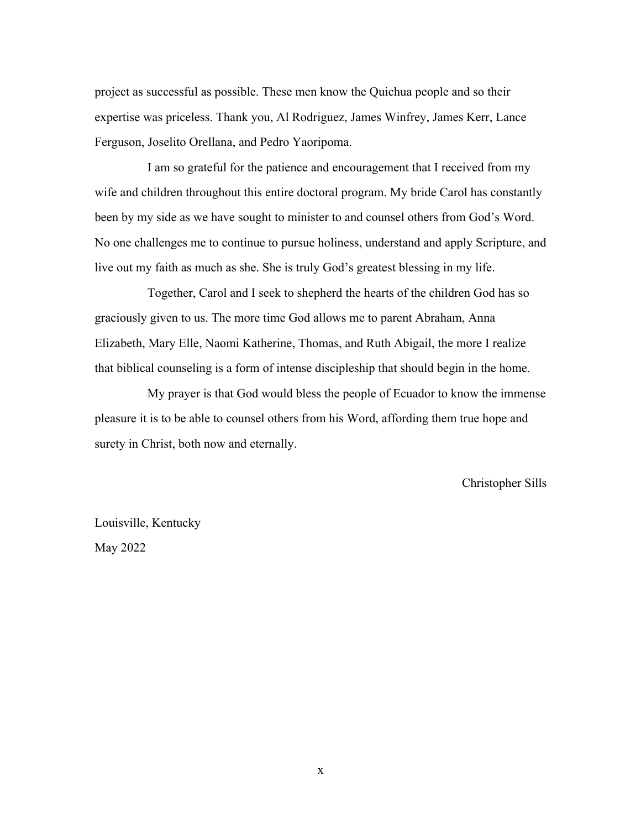project as successful as possible. These men know the Quichua people and so their expertise was priceless. Thank you, Al Rodriguez, James Winfrey, James Kerr, Lance Ferguson, Joselito Orellana, and Pedro Yaoripoma.

I am so grateful for the patience and encouragement that I received from my wife and children throughout this entire doctoral program. My bride Carol has constantly been by my side as we have sought to minister to and counsel others from God's Word. No one challenges me to continue to pursue holiness, understand and apply Scripture, and live out my faith as much as she. She is truly God's greatest blessing in my life.

Together, Carol and I seek to shepherd the hearts of the children God has so graciously given to us. The more time God allows me to parent Abraham, Anna Elizabeth, Mary Elle, Naomi Katherine, Thomas, and Ruth Abigail, the more I realize that biblical counseling is a form of intense discipleship that should begin in the home.

My prayer is that God would bless the people of Ecuador to know the immense pleasure it is to be able to counsel others from his Word, affording them true hope and surety in Christ, both now and eternally.

Christopher Sills

Louisville, Kentucky May 2022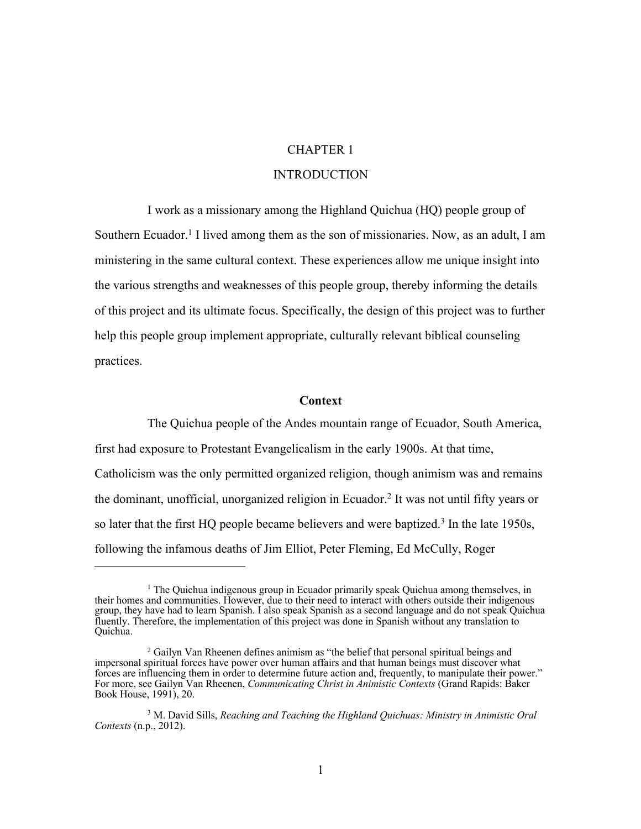# CHAPTER 1

# INTRODUCTION

I work as a missionary among the Highland Quichua (HQ) people group of Southern Ecuador.<sup>1</sup> I lived among them as the son of missionaries. Now, as an adult, I am ministering in the same cultural context. These experiences allow me unique insight into the various strengths and weaknesses of this people group, thereby informing the details of this project and its ultimate focus. Specifically, the design of this project was to further help this people group implement appropriate, culturally relevant biblical counseling practices.

#### **Context**

The Quichua people of the Andes mountain range of Ecuador, South America, first had exposure to Protestant Evangelicalism in the early 1900s. At that time, Catholicism was the only permitted organized religion, though animism was and remains the dominant, unofficial, unorganized religion in Ecuador.2 It was not until fifty years or so later that the first HQ people became believers and were baptized.<sup>3</sup> In the late 1950s, following the infamous deaths of Jim Elliot, Peter Fleming, Ed McCully, Roger

 $1$  The Quichua indigenous group in Ecuador primarily speak Quichua among themselves, in their homes and communities. However, due to their need to interact with others outside their indigenous group, they have had to learn Spanish. I also speak Spanish as a second language and do not speak Quichua fluently. Therefore, the implementation of this project was done in Spanish without any translation to Quichua.

 $2$  Gailyn Van Rheenen defines animism as "the belief that personal spiritual beings and impersonal spiritual forces have power over human affairs and that human beings must discover what forces are influencing them in order to determine future action and, frequently, to manipulate their power." For more, see Gailyn Van Rheenen, *Communicating Christ in Animistic Contexts* (Grand Rapids: Baker Book House, 1991), 20.

<sup>3</sup> M. David Sills, *Reaching and Teaching the Highland Quichuas: Ministry in Animistic Oral Contexts* (n.p., 2012).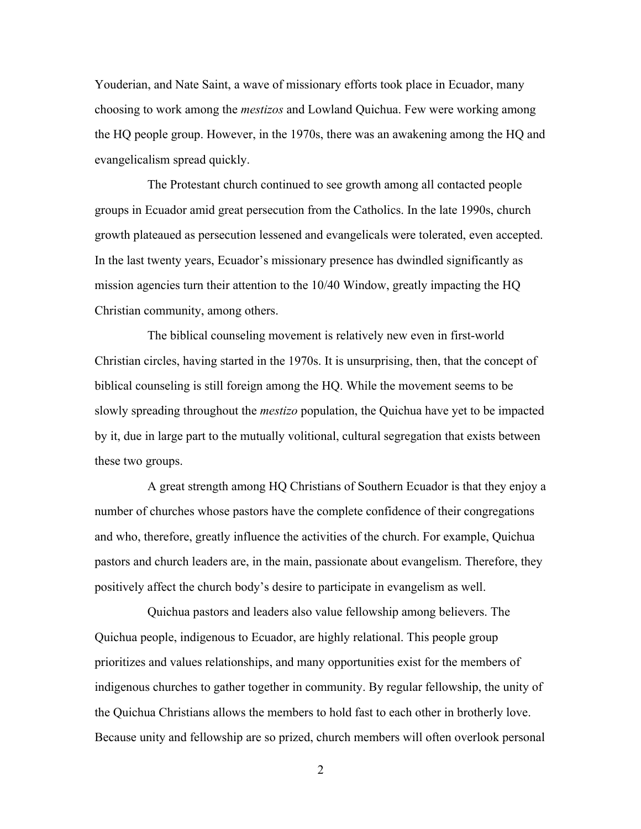Youderian, and Nate Saint, a wave of missionary efforts took place in Ecuador, many choosing to work among the *mestizos* and Lowland Quichua. Few were working among the HQ people group. However, in the 1970s, there was an awakening among the HQ and evangelicalism spread quickly.

The Protestant church continued to see growth among all contacted people groups in Ecuador amid great persecution from the Catholics. In the late 1990s, church growth plateaued as persecution lessened and evangelicals were tolerated, even accepted. In the last twenty years, Ecuador's missionary presence has dwindled significantly as mission agencies turn their attention to the 10/40 Window, greatly impacting the HQ Christian community, among others.

The biblical counseling movement is relatively new even in first-world Christian circles, having started in the 1970s. It is unsurprising, then, that the concept of biblical counseling is still foreign among the HQ. While the movement seems to be slowly spreading throughout the *mestizo* population, the Quichua have yet to be impacted by it, due in large part to the mutually volitional, cultural segregation that exists between these two groups.

A great strength among HQ Christians of Southern Ecuador is that they enjoy a number of churches whose pastors have the complete confidence of their congregations and who, therefore, greatly influence the activities of the church. For example, Quichua pastors and church leaders are, in the main, passionate about evangelism. Therefore, they positively affect the church body's desire to participate in evangelism as well.

Quichua pastors and leaders also value fellowship among believers. The Quichua people, indigenous to Ecuador, are highly relational. This people group prioritizes and values relationships, and many opportunities exist for the members of indigenous churches to gather together in community. By regular fellowship, the unity of the Quichua Christians allows the members to hold fast to each other in brotherly love. Because unity and fellowship are so prized, church members will often overlook personal

2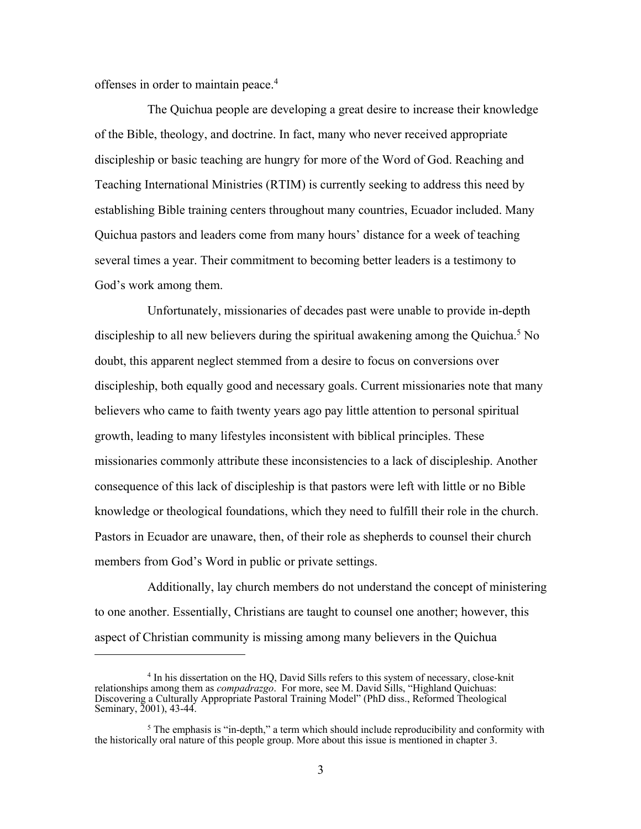offenses in order to maintain peace.4

The Quichua people are developing a great desire to increase their knowledge of the Bible, theology, and doctrine. In fact, many who never received appropriate discipleship or basic teaching are hungry for more of the Word of God. Reaching and Teaching International Ministries (RTIM) is currently seeking to address this need by establishing Bible training centers throughout many countries, Ecuador included. Many Quichua pastors and leaders come from many hours' distance for a week of teaching several times a year. Their commitment to becoming better leaders is a testimony to God's work among them.

Unfortunately, missionaries of decades past were unable to provide in-depth discipleship to all new believers during the spiritual awakening among the Quichua.<sup>5</sup> No doubt, this apparent neglect stemmed from a desire to focus on conversions over discipleship, both equally good and necessary goals. Current missionaries note that many believers who came to faith twenty years ago pay little attention to personal spiritual growth, leading to many lifestyles inconsistent with biblical principles. These missionaries commonly attribute these inconsistencies to a lack of discipleship. Another consequence of this lack of discipleship is that pastors were left with little or no Bible knowledge or theological foundations, which they need to fulfill their role in the church. Pastors in Ecuador are unaware, then, of their role as shepherds to counsel their church members from God's Word in public or private settings.

Additionally, lay church members do not understand the concept of ministering to one another. Essentially, Christians are taught to counsel one another; however, this aspect of Christian community is missing among many believers in the Quichua

<sup>&</sup>lt;sup>4</sup> In his dissertation on the HQ, David Sills refers to this system of necessary, close-knit relationships among them as *compadrazgo*. For more, see M. David Sills, "Highland Quichuas: Discovering a Culturally Appropriate Pastoral Training Model" (PhD diss., Reformed Theological Seminary, 2001), 43-44.

 $5$  The emphasis is "in-depth," a term which should include reproducibility and conformity with the historically oral nature of this people group. More about this issue is mentioned in chapter 3.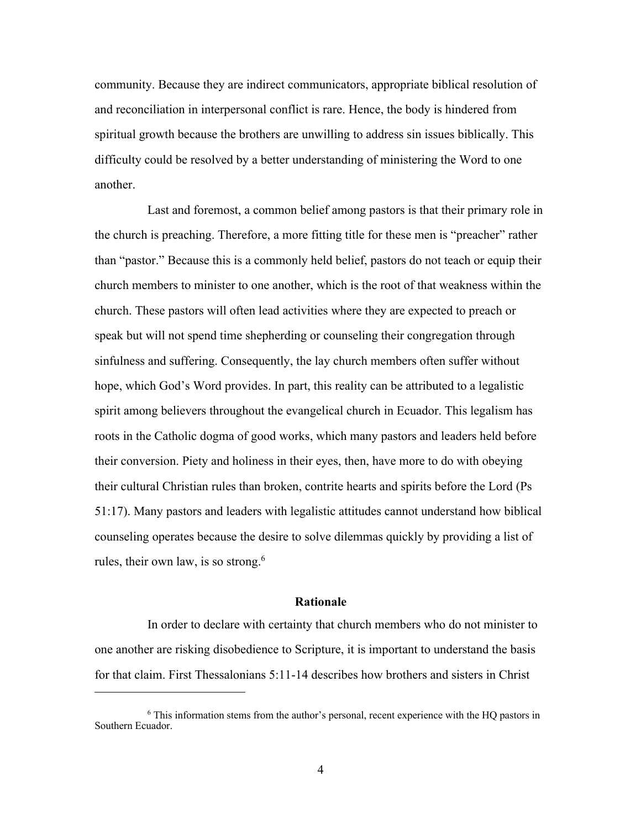community. Because they are indirect communicators, appropriate biblical resolution of and reconciliation in interpersonal conflict is rare. Hence, the body is hindered from spiritual growth because the brothers are unwilling to address sin issues biblically. This difficulty could be resolved by a better understanding of ministering the Word to one another.

Last and foremost, a common belief among pastors is that their primary role in the church is preaching. Therefore, a more fitting title for these men is "preacher" rather than "pastor." Because this is a commonly held belief, pastors do not teach or equip their church members to minister to one another, which is the root of that weakness within the church. These pastors will often lead activities where they are expected to preach or speak but will not spend time shepherding or counseling their congregation through sinfulness and suffering. Consequently, the lay church members often suffer without hope, which God's Word provides. In part, this reality can be attributed to a legalistic spirit among believers throughout the evangelical church in Ecuador. This legalism has roots in the Catholic dogma of good works, which many pastors and leaders held before their conversion. Piety and holiness in their eyes, then, have more to do with obeying their cultural Christian rules than broken, contrite hearts and spirits before the Lord (Ps 51:17). Many pastors and leaders with legalistic attitudes cannot understand how biblical counseling operates because the desire to solve dilemmas quickly by providing a list of rules, their own law, is so strong.<sup>6</sup>

### **Rationale**

In order to declare with certainty that church members who do not minister to one another are risking disobedience to Scripture, it is important to understand the basis for that claim. First Thessalonians 5:11-14 describes how brothers and sisters in Christ

 $6$  This information stems from the author's personal, recent experience with the HQ pastors in Southern Ecuador.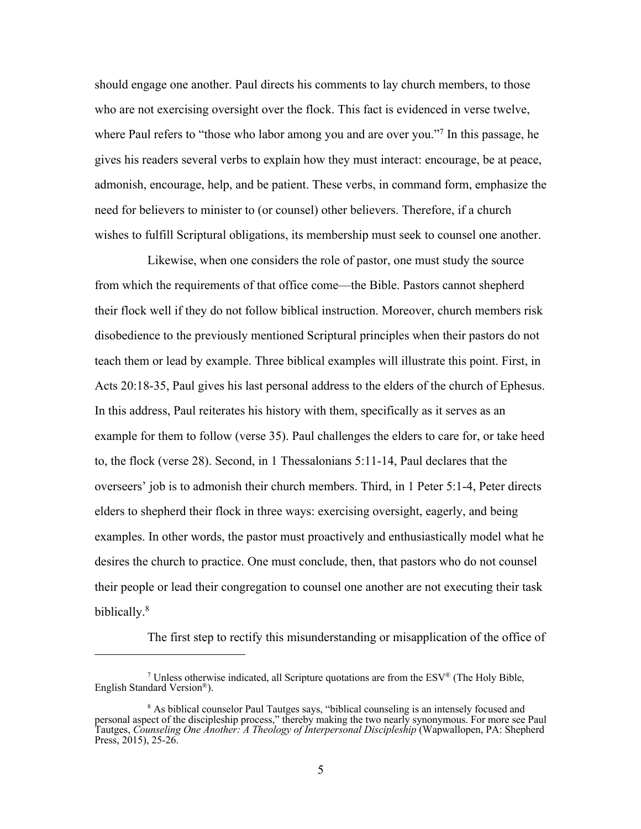should engage one another. Paul directs his comments to lay church members, to those who are not exercising oversight over the flock. This fact is evidenced in verse twelve, where Paul refers to "those who labor among you and are over you."<sup>7</sup> In this passage, he gives his readers several verbs to explain how they must interact: encourage, be at peace, admonish, encourage, help, and be patient. These verbs, in command form, emphasize the need for believers to minister to (or counsel) other believers. Therefore, if a church wishes to fulfill Scriptural obligations, its membership must seek to counsel one another.

Likewise, when one considers the role of pastor, one must study the source from which the requirements of that office come—the Bible. Pastors cannot shepherd their flock well if they do not follow biblical instruction. Moreover, church members risk disobedience to the previously mentioned Scriptural principles when their pastors do not teach them or lead by example. Three biblical examples will illustrate this point. First, in Acts 20:18-35, Paul gives his last personal address to the elders of the church of Ephesus. In this address, Paul reiterates his history with them, specifically as it serves as an example for them to follow (verse 35). Paul challenges the elders to care for, or take heed to, the flock (verse 28). Second, in 1 Thessalonians 5:11-14, Paul declares that the overseers' job is to admonish their church members. Third, in 1 Peter 5:1-4, Peter directs elders to shepherd their flock in three ways: exercising oversight, eagerly, and being examples. In other words, the pastor must proactively and enthusiastically model what he desires the church to practice. One must conclude, then, that pastors who do not counsel their people or lead their congregation to counsel one another are not executing their task biblically.8

The first step to rectify this misunderstanding or misapplication of the office of

<sup>&</sup>lt;sup>7</sup> Unless otherwise indicated, all Scripture quotations are from the  $ESV^{\circledast}$  (The Holy Bible, English Standard Version®).

<sup>&</sup>lt;sup>8</sup> As biblical counselor Paul Tautges says, "biblical counseling is an intensely focused and personal aspect of the discipleship process," thereby making the two nearly synonymous. For more see Paul Tautges, *Counseling One Another: A Theology of Interpersonal Discipleship* (Wapwallopen, PA: Shepherd Press, 2015), 25-26.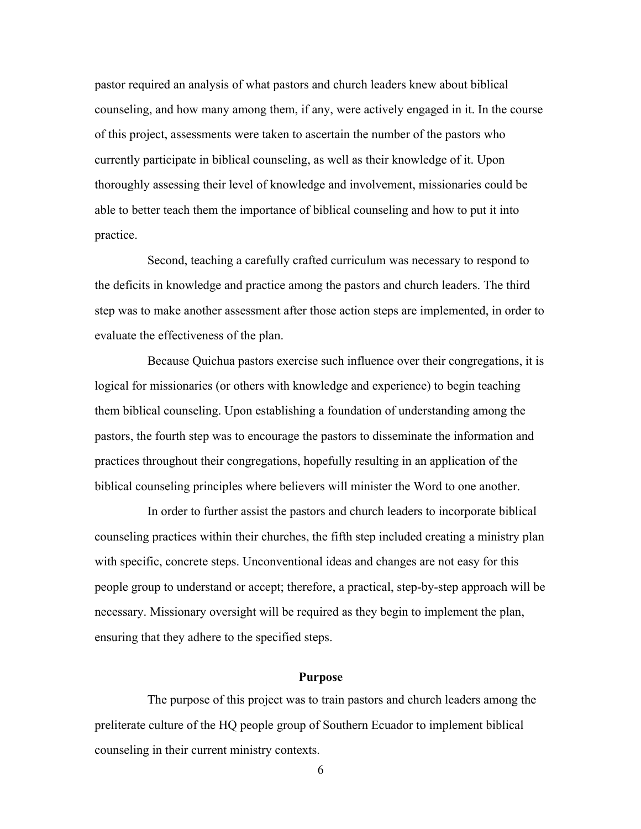pastor required an analysis of what pastors and church leaders knew about biblical counseling, and how many among them, if any, were actively engaged in it. In the course of this project, assessments were taken to ascertain the number of the pastors who currently participate in biblical counseling, as well as their knowledge of it. Upon thoroughly assessing their level of knowledge and involvement, missionaries could be able to better teach them the importance of biblical counseling and how to put it into practice.

Second, teaching a carefully crafted curriculum was necessary to respond to the deficits in knowledge and practice among the pastors and church leaders. The third step was to make another assessment after those action steps are implemented, in order to evaluate the effectiveness of the plan.

Because Quichua pastors exercise such influence over their congregations, it is logical for missionaries (or others with knowledge and experience) to begin teaching them biblical counseling. Upon establishing a foundation of understanding among the pastors, the fourth step was to encourage the pastors to disseminate the information and practices throughout their congregations, hopefully resulting in an application of the biblical counseling principles where believers will minister the Word to one another.

In order to further assist the pastors and church leaders to incorporate biblical counseling practices within their churches, the fifth step included creating a ministry plan with specific, concrete steps. Unconventional ideas and changes are not easy for this people group to understand or accept; therefore, a practical, step-by-step approach will be necessary. Missionary oversight will be required as they begin to implement the plan, ensuring that they adhere to the specified steps.

#### **Purpose**

The purpose of this project was to train pastors and church leaders among the preliterate culture of the HQ people group of Southern Ecuador to implement biblical counseling in their current ministry contexts.

6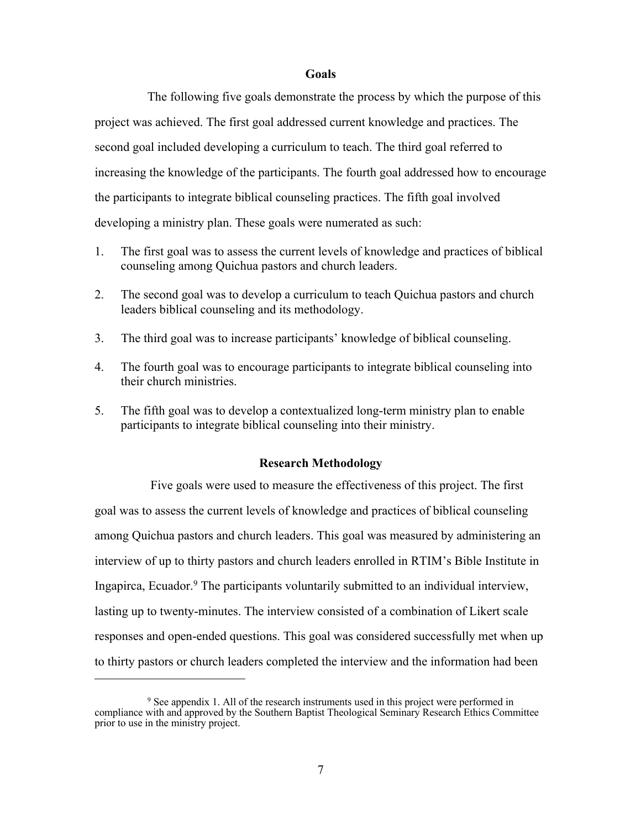#### **Goals**

The following five goals demonstrate the process by which the purpose of this project was achieved. The first goal addressed current knowledge and practices. The second goal included developing a curriculum to teach. The third goal referred to increasing the knowledge of the participants. The fourth goal addressed how to encourage the participants to integrate biblical counseling practices. The fifth goal involved developing a ministry plan. These goals were numerated as such:

- 1. The first goal was to assess the current levels of knowledge and practices of biblical counseling among Quichua pastors and church leaders.
- 2. The second goal was to develop a curriculum to teach Quichua pastors and church leaders biblical counseling and its methodology.
- 3. The third goal was to increase participants' knowledge of biblical counseling.
- 4. The fourth goal was to encourage participants to integrate biblical counseling into their church ministries.
- 5. The fifth goal was to develop a contextualized long-term ministry plan to enable participants to integrate biblical counseling into their ministry.

# **Research Methodology**

Five goals were used to measure the effectiveness of this project. The first goal was to assess the current levels of knowledge and practices of biblical counseling among Quichua pastors and church leaders. This goal was measured by administering an interview of up to thirty pastors and church leaders enrolled in RTIM's Bible Institute in Ingapirca, Ecuador.9 The participants voluntarily submitted to an individual interview, lasting up to twenty-minutes. The interview consisted of a combination of Likert scale responses and open-ended questions. This goal was considered successfully met when up to thirty pastors or church leaders completed the interview and the information had been

 $9^9$  See appendix 1. All of the research instruments used in this project were performed in compliance with and approved by the Southern Baptist Theological Seminary Research Ethics Committee prior to use in the ministry project.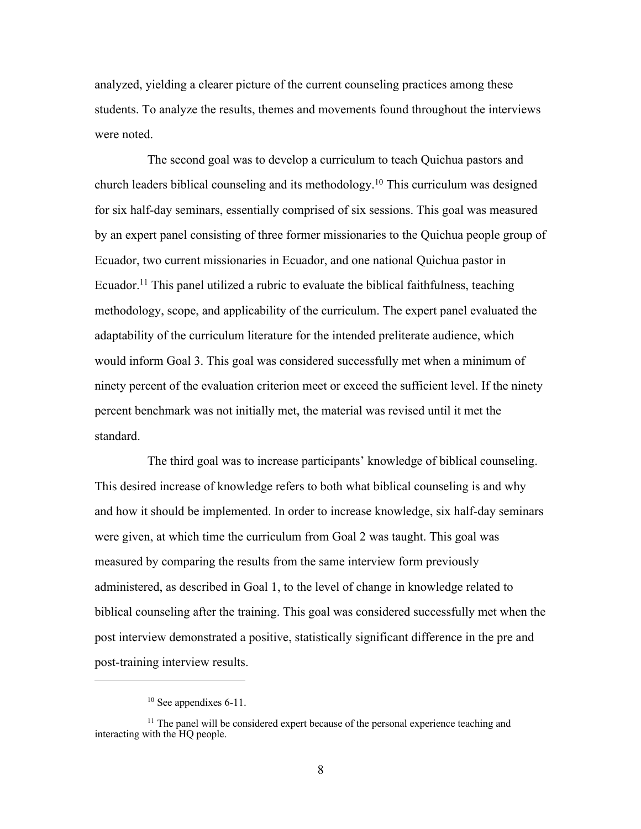analyzed, yielding a clearer picture of the current counseling practices among these students. To analyze the results, themes and movements found throughout the interviews were noted.

The second goal was to develop a curriculum to teach Quichua pastors and church leaders biblical counseling and its methodology.10 This curriculum was designed for six half-day seminars, essentially comprised of six sessions. This goal was measured by an expert panel consisting of three former missionaries to the Quichua people group of Ecuador, two current missionaries in Ecuador, and one national Quichua pastor in Ecuador.<sup>11</sup> This panel utilized a rubric to evaluate the biblical faithfulness, teaching methodology, scope, and applicability of the curriculum. The expert panel evaluated the adaptability of the curriculum literature for the intended preliterate audience, which would inform Goal 3. This goal was considered successfully met when a minimum of ninety percent of the evaluation criterion meet or exceed the sufficient level. If the ninety percent benchmark was not initially met, the material was revised until it met the standard.

The third goal was to increase participants' knowledge of biblical counseling. This desired increase of knowledge refers to both what biblical counseling is and why and how it should be implemented. In order to increase knowledge, six half-day seminars were given, at which time the curriculum from Goal 2 was taught. This goal was measured by comparing the results from the same interview form previously administered, as described in Goal 1, to the level of change in knowledge related to biblical counseling after the training. This goal was considered successfully met when the post interview demonstrated a positive, statistically significant difference in the pre and post-training interview results.

 $10$  See appendixes 6-11.

<sup>&</sup>lt;sup>11</sup> The panel will be considered expert because of the personal experience teaching and interacting with the HQ people.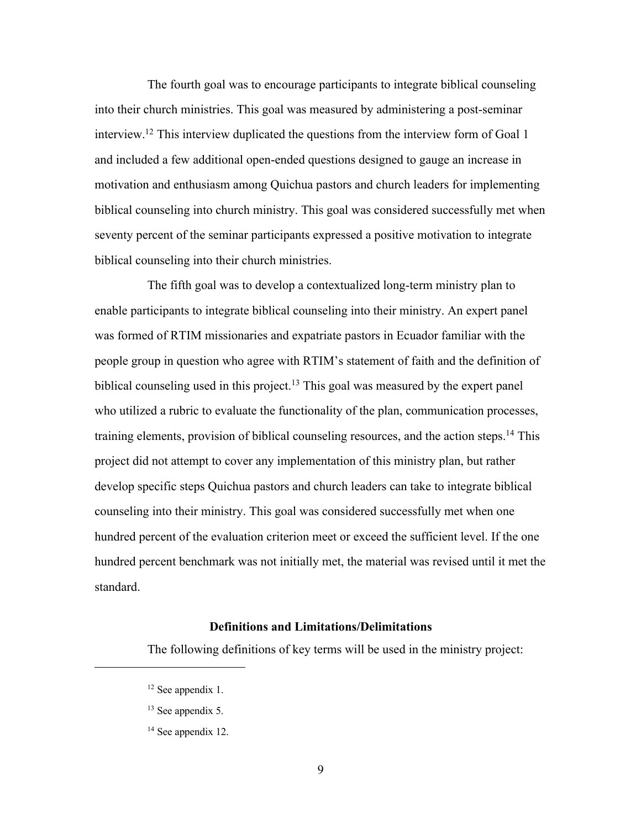The fourth goal was to encourage participants to integrate biblical counseling into their church ministries. This goal was measured by administering a post-seminar interview. <sup>12</sup> This interview duplicated the questions from the interview form of Goal 1 and included a few additional open-ended questions designed to gauge an increase in motivation and enthusiasm among Quichua pastors and church leaders for implementing biblical counseling into church ministry. This goal was considered successfully met when seventy percent of the seminar participants expressed a positive motivation to integrate biblical counseling into their church ministries.

The fifth goal was to develop a contextualized long-term ministry plan to enable participants to integrate biblical counseling into their ministry. An expert panel was formed of RTIM missionaries and expatriate pastors in Ecuador familiar with the people group in question who agree with RTIM's statement of faith and the definition of biblical counseling used in this project.<sup>13</sup> This goal was measured by the expert panel who utilized a rubric to evaluate the functionality of the plan, communication processes, training elements, provision of biblical counseling resources, and the action steps.<sup>14</sup> This project did not attempt to cover any implementation of this ministry plan, but rather develop specific steps Quichua pastors and church leaders can take to integrate biblical counseling into their ministry. This goal was considered successfully met when one hundred percent of the evaluation criterion meet or exceed the sufficient level. If the one hundred percent benchmark was not initially met, the material was revised until it met the standard.

### **Definitions and Limitations/Delimitations**

The following definitions of key terms will be used in the ministry project:

<sup>&</sup>lt;sup>12</sup> See appendix 1.

<sup>&</sup>lt;sup>13</sup> See appendix 5.

<sup>&</sup>lt;sup>14</sup> See appendix 12.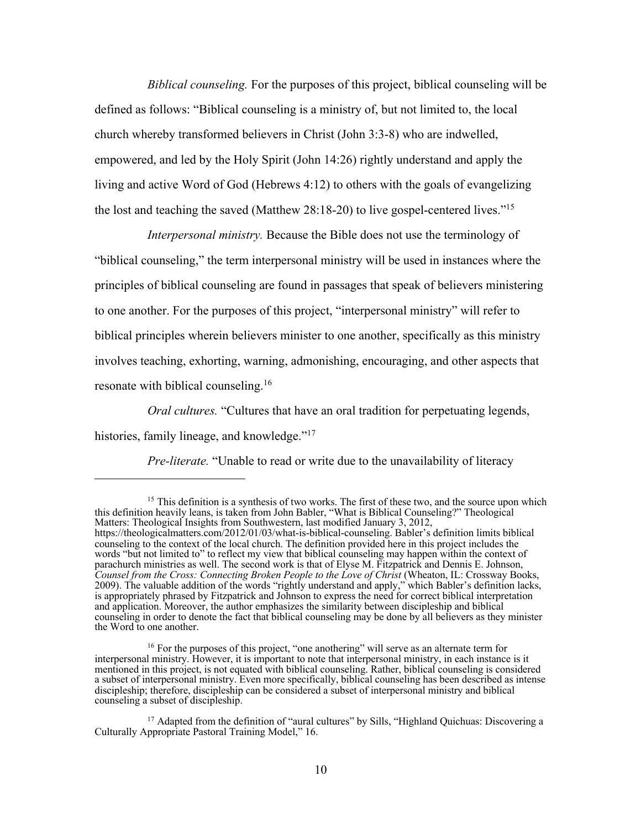*Biblical counseling.* For the purposes of this project, biblical counseling will be defined as follows: "Biblical counseling is a ministry of, but not limited to, the local church whereby transformed believers in Christ (John 3:3-8) who are indwelled, empowered, and led by the Holy Spirit (John 14:26) rightly understand and apply the living and active Word of God (Hebrews 4:12) to others with the goals of evangelizing the lost and teaching the saved (Matthew 28:18-20) to live gospel-centered lives."15

*Interpersonal ministry.* Because the Bible does not use the terminology of "biblical counseling," the term interpersonal ministry will be used in instances where the principles of biblical counseling are found in passages that speak of believers ministering to one another. For the purposes of this project, "interpersonal ministry" will refer to biblical principles wherein believers minister to one another, specifically as this ministry involves teaching, exhorting, warning, admonishing, encouraging, and other aspects that resonate with biblical counseling.16

*Oral cultures.* "Cultures that have an oral tradition for perpetuating legends, histories, family lineage, and knowledge."<sup>17</sup>

*Pre-literate.* "Unable to read or write due to the unavailability of literacy

 $15$  This definition is a synthesis of two works. The first of these two, and the source upon which this definition heavily leans, is taken from John Babler, "What is Biblical Counseling?" Theological Matters: Theological Insights from Southwestern, last modified January 3, 2012, https://theologicalmatters.com/2012/01/03/what-is-biblical-counseling. Babler's definition limits biblical counseling to the context of the local church. The definition provided here in this project includes the words "but not limited to" to reflect my view that biblical counseling may happen within the context of parachurch ministries as well. The second work is that of Elyse M. Fitzpatrick and Dennis E. Johnson, *Counsel from the Cross: Connecting Broken People to the Love of Christ* (Wheaton, IL: Crossway Books, 2009). The valuable addition of the words "rightly understand and apply," which Babler's definition lacks, is appropriately phrased by Fitzpatrick and Johnson to express the need for correct biblical interpretation and application. Moreover, the author emphasizes the similarity between discipleship and biblical counseling in order to denote the fact that biblical counseling may be done by all believers as they minister the Word to one another.

<sup>&</sup>lt;sup>16</sup> For the purposes of this project, "one anothering" will serve as an alternate term for interpersonal ministry. However, it is important to note that interpersonal ministry, in each instance is it mentioned in this project, is not equated with biblical counseling. Rather, biblical counseling is considered a subset of interpersonal ministry. Even more specifically, biblical counseling has been described as intense discipleship; therefore, discipleship can be considered a subset of interpersonal ministry and biblical counseling a subset of discipleship.

<sup>&</sup>lt;sup>17</sup> Adapted from the definition of "aural cultures" by Sills, "Highland Quichuas: Discovering a Culturally Appropriate Pastoral Training Model," 16.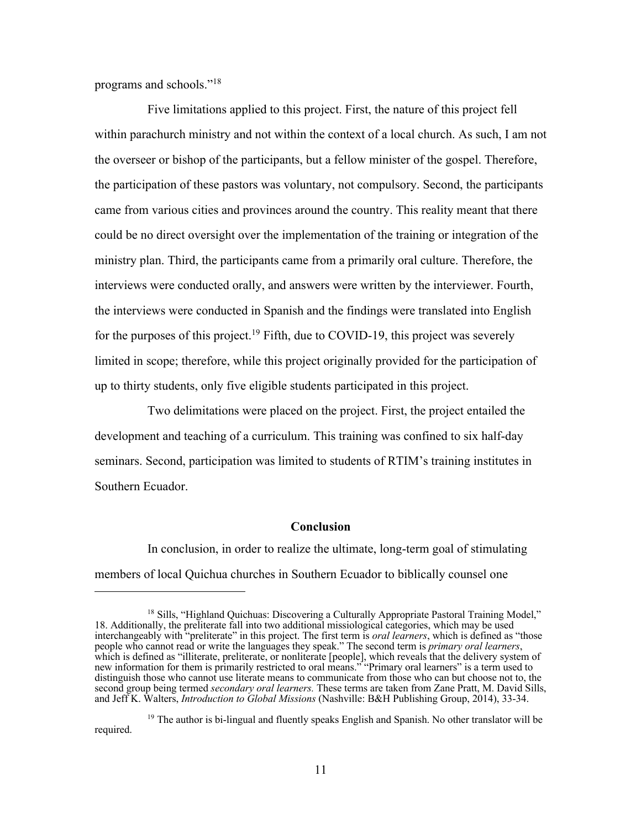programs and schools."18

Five limitations applied to this project. First, the nature of this project fell within parachurch ministry and not within the context of a local church. As such, I am not the overseer or bishop of the participants, but a fellow minister of the gospel. Therefore, the participation of these pastors was voluntary, not compulsory. Second, the participants came from various cities and provinces around the country. This reality meant that there could be no direct oversight over the implementation of the training or integration of the ministry plan. Third, the participants came from a primarily oral culture. Therefore, the interviews were conducted orally, and answers were written by the interviewer. Fourth, the interviews were conducted in Spanish and the findings were translated into English for the purposes of this project.<sup>19</sup> Fifth, due to COVID-19, this project was severely limited in scope; therefore, while this project originally provided for the participation of up to thirty students, only five eligible students participated in this project.

Two delimitations were placed on the project. First, the project entailed the development and teaching of a curriculum. This training was confined to six half-day seminars. Second, participation was limited to students of RTIM's training institutes in Southern Ecuador.

#### **Conclusion**

In conclusion, in order to realize the ultimate, long-term goal of stimulating members of local Quichua churches in Southern Ecuador to biblically counsel one

<sup>&</sup>lt;sup>18</sup> Sills, "Highland Quichuas: Discovering a Culturally Appropriate Pastoral Training Model," 18. Additionally, the preliterate fall into two additional missiological categories, which may be used interchangeably with "preliterate" in this project. The first term is *oral learners*, which is defined as "those people who cannot read or write the languages they speak." The second term is *primary oral learners*, which is defined as "illiterate, preliterate, or nonliterate [people], which reveals that the delivery system of new information for them is primarily restricted to oral means." "Primary oral learners" is a term used to distinguish those who cannot use literate means to communicate from those who can but choose not to, the second group being termed *secondary oral learners.* These terms are taken from Zane Pratt, M. David Sills, and Jeff K. Walters, *Introduction to Global Missions* (Nashville: B&H Publishing Group, 2014), 33-34.

 $19$  The author is bi-lingual and fluently speaks English and Spanish. No other translator will be required.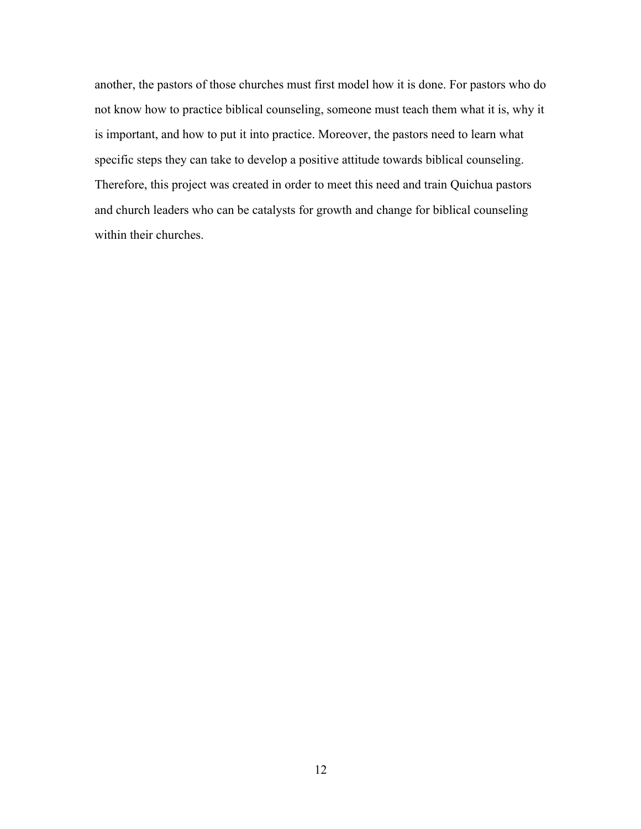another, the pastors of those churches must first model how it is done. For pastors who do not know how to practice biblical counseling, someone must teach them what it is, why it is important, and how to put it into practice. Moreover, the pastors need to learn what specific steps they can take to develop a positive attitude towards biblical counseling. Therefore, this project was created in order to meet this need and train Quichua pastors and church leaders who can be catalysts for growth and change for biblical counseling within their churches.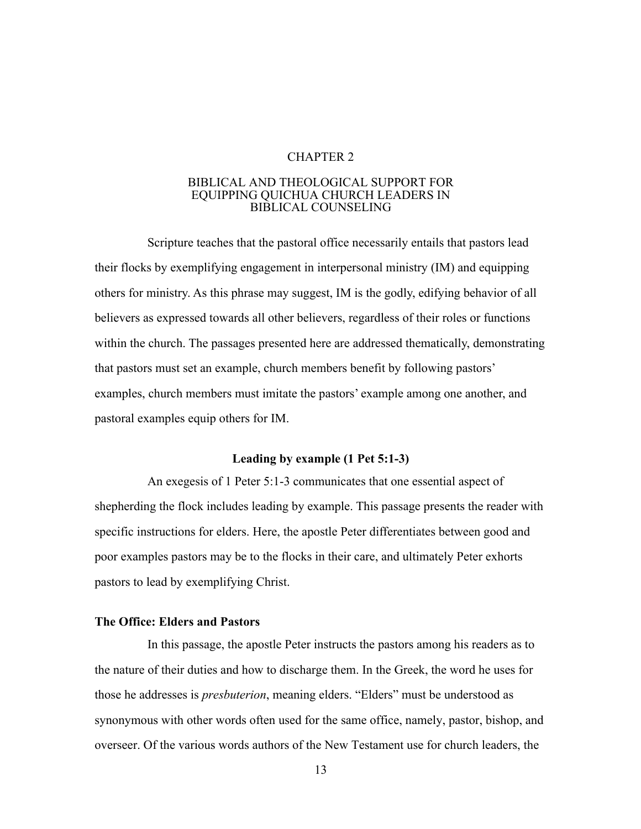# CHAPTER 2

#### BIBLICAL AND THEOLOGICAL SUPPORT FOR EQUIPPING QUICHUA CHURCH LEADERS IN BIBLICAL COUNSELING

Scripture teaches that the pastoral office necessarily entails that pastors lead their flocks by exemplifying engagement in interpersonal ministry (IM) and equipping others for ministry. As this phrase may suggest, IM is the godly, edifying behavior of all believers as expressed towards all other believers, regardless of their roles or functions within the church. The passages presented here are addressed thematically, demonstrating that pastors must set an example, church members benefit by following pastors' examples, church members must imitate the pastors' example among one another, and pastoral examples equip others for IM.

#### **Leading by example (1 Pet 5:1-3)**

An exegesis of 1 Peter 5:1-3 communicates that one essential aspect of shepherding the flock includes leading by example. This passage presents the reader with specific instructions for elders. Here, the apostle Peter differentiates between good and poor examples pastors may be to the flocks in their care, and ultimately Peter exhorts pastors to lead by exemplifying Christ.

# **The Office: Elders and Pastors**

In this passage, the apostle Peter instructs the pastors among his readers as to the nature of their duties and how to discharge them. In the Greek, the word he uses for those he addresses is *presbuterion*, meaning elders. "Elders" must be understood as synonymous with other words often used for the same office, namely, pastor, bishop, and overseer. Of the various words authors of the New Testament use for church leaders, the

13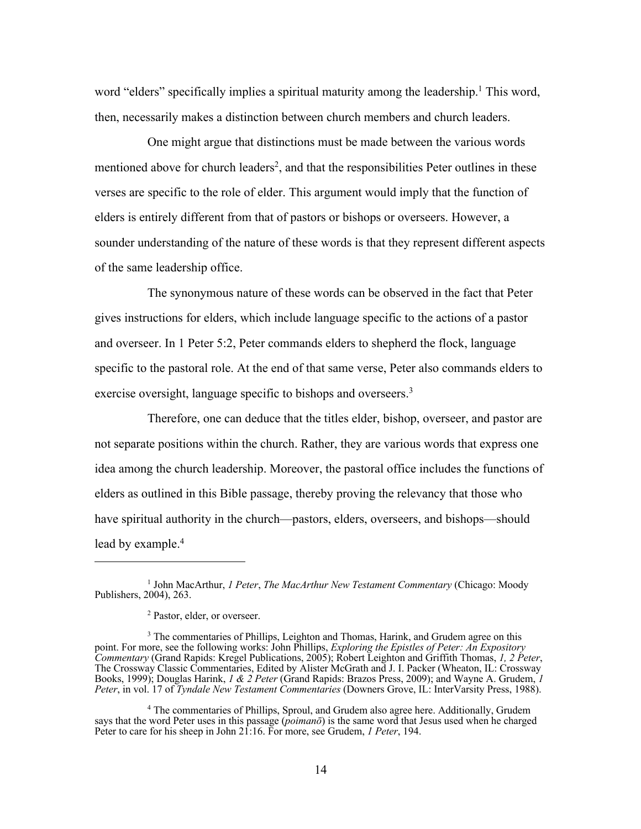word "elders" specifically implies a spiritual maturity among the leadership.<sup>1</sup> This word, then, necessarily makes a distinction between church members and church leaders.

One might argue that distinctions must be made between the various words mentioned above for church leaders<sup>2</sup>, and that the responsibilities Peter outlines in these verses are specific to the role of elder. This argument would imply that the function of elders is entirely different from that of pastors or bishops or overseers. However, a sounder understanding of the nature of these words is that they represent different aspects of the same leadership office.

The synonymous nature of these words can be observed in the fact that Peter gives instructions for elders, which include language specific to the actions of a pastor and overseer. In 1 Peter 5:2, Peter commands elders to shepherd the flock, language specific to the pastoral role. At the end of that same verse, Peter also commands elders to exercise oversight, language specific to bishops and overseers.<sup>3</sup>

Therefore, one can deduce that the titles elder, bishop, overseer, and pastor are not separate positions within the church. Rather, they are various words that express one idea among the church leadership. Moreover, the pastoral office includes the functions of elders as outlined in this Bible passage, thereby proving the relevancy that those who have spiritual authority in the church—pastors, elders, overseers, and bishops—should lead by example.<sup>4</sup>

<sup>1</sup> John MacArthur, *1 Peter*, *The MacArthur New Testament Commentary* (Chicago: Moody Publishers, 2004), 263.

<sup>2</sup> Pastor, elder, or overseer.

<sup>&</sup>lt;sup>3</sup> The commentaries of Phillips, Leighton and Thomas, Harink, and Grudem agree on this point. For more, see the following works: John Phillips, *Exploring the Epistles of Peter: An Expository Commentary* (Grand Rapids: Kregel Publications, 2005); Robert Leighton and Griffith Thomas, *1, 2 Peter*, The Crossway Classic Commentaries, Edited by Alister McGrath and J. I. Packer (Wheaton, IL: Crossway Books, 1999); Douglas Harink, *1 & 2 Peter* (Grand Rapids: Brazos Press, 2009); and Wayne A. Grudem, *1 Peter*, in vol. 17 of *Tyndale New Testament Commentaries* (Downers Grove, IL: InterVarsity Press, 1988).

<sup>4</sup> The commentaries of Phillips, Sproul, and Grudem also agree here. Additionally, Grudem says that the word Peter uses in this passage (*poimanō*) is the same word that Jesus used when he charged Peter to care for his sheep in John 21:16. For more, see Grudem, *1 Peter*, 194.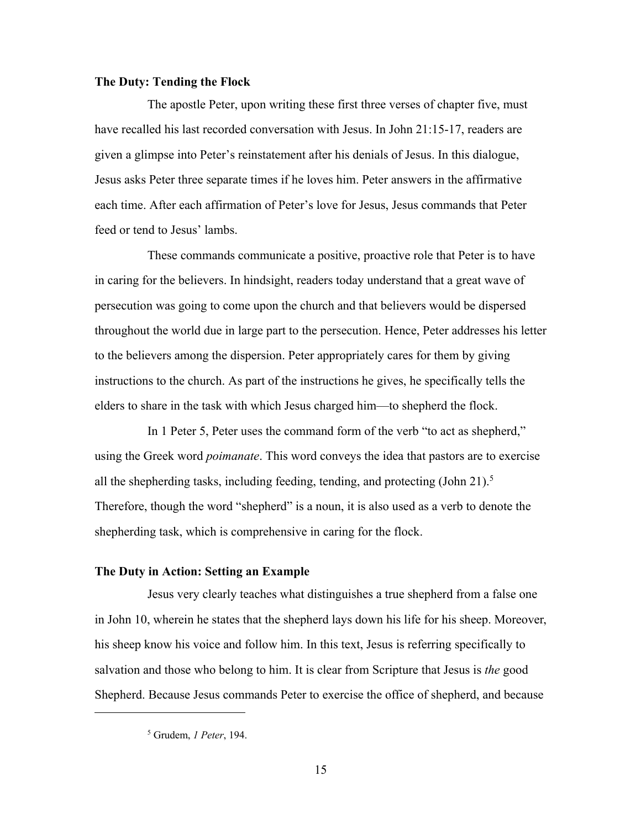# **The Duty: Tending the Flock**

The apostle Peter, upon writing these first three verses of chapter five, must have recalled his last recorded conversation with Jesus. In John 21:15-17, readers are given a glimpse into Peter's reinstatement after his denials of Jesus. In this dialogue, Jesus asks Peter three separate times if he loves him. Peter answers in the affirmative each time. After each affirmation of Peter's love for Jesus, Jesus commands that Peter feed or tend to Jesus' lambs.

These commands communicate a positive, proactive role that Peter is to have in caring for the believers. In hindsight, readers today understand that a great wave of persecution was going to come upon the church and that believers would be dispersed throughout the world due in large part to the persecution. Hence, Peter addresses his letter to the believers among the dispersion. Peter appropriately cares for them by giving instructions to the church. As part of the instructions he gives, he specifically tells the elders to share in the task with which Jesus charged him—to shepherd the flock.

In 1 Peter 5, Peter uses the command form of the verb "to act as shepherd," using the Greek word *poimanate*. This word conveys the idea that pastors are to exercise all the shepherding tasks, including feeding, tending, and protecting  $(John 21).<sup>5</sup>$ Therefore, though the word "shepherd" is a noun, it is also used as a verb to denote the shepherding task, which is comprehensive in caring for the flock.

# **The Duty in Action: Setting an Example**

Jesus very clearly teaches what distinguishes a true shepherd from a false one in John 10, wherein he states that the shepherd lays down his life for his sheep. Moreover, his sheep know his voice and follow him. In this text, Jesus is referring specifically to salvation and those who belong to him. It is clear from Scripture that Jesus is *the* good Shepherd. Because Jesus commands Peter to exercise the office of shepherd, and because

<sup>5</sup> Grudem, *1 Peter*, 194.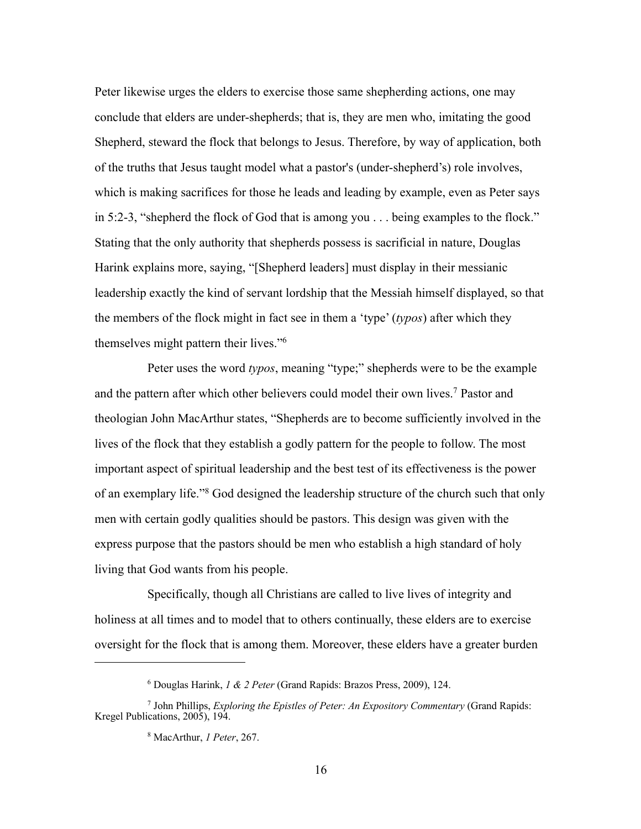Peter likewise urges the elders to exercise those same shepherding actions, one may conclude that elders are under-shepherds; that is, they are men who, imitating the good Shepherd, steward the flock that belongs to Jesus. Therefore, by way of application, both of the truths that Jesus taught model what a pastor's (under-shepherd's) role involves, which is making sacrifices for those he leads and leading by example, even as Peter says in 5:2-3, "shepherd the flock of God that is among you . . . being examples to the flock." Stating that the only authority that shepherds possess is sacrificial in nature, Douglas Harink explains more, saying, "[Shepherd leaders] must display in their messianic leadership exactly the kind of servant lordship that the Messiah himself displayed, so that the members of the flock might in fact see in them a 'type' (*typos*) after which they themselves might pattern their lives."6

Peter uses the word *typos*, meaning "type;" shepherds were to be the example and the pattern after which other believers could model their own lives.7 Pastor and theologian John MacArthur states, "Shepherds are to become sufficiently involved in the lives of the flock that they establish a godly pattern for the people to follow. The most important aspect of spiritual leadership and the best test of its effectiveness is the power of an exemplary life."8 God designed the leadership structure of the church such that only men with certain godly qualities should be pastors. This design was given with the express purpose that the pastors should be men who establish a high standard of holy living that God wants from his people.

Specifically, though all Christians are called to live lives of integrity and holiness at all times and to model that to others continually, these elders are to exercise oversight for the flock that is among them. Moreover, these elders have a greater burden

<sup>6</sup> Douglas Harink, *1 & 2 Peter* (Grand Rapids: Brazos Press, 2009), 124.

<sup>7</sup> John Phillips, *Exploring the Epistles of Peter: An Expository Commentary* (Grand Rapids: Kregel Publications, 2005), 194.

<sup>8</sup> MacArthur, *1 Peter*, 267.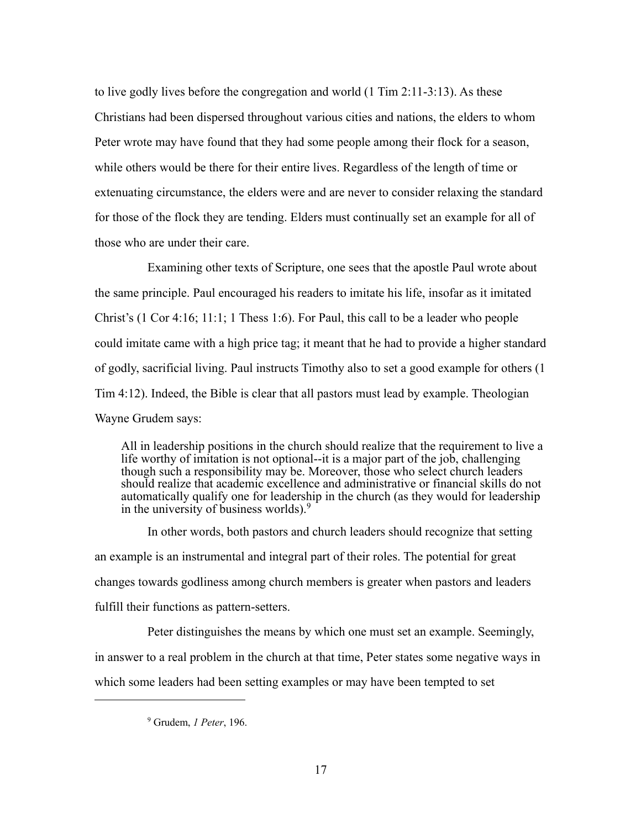to live godly lives before the congregation and world (1 Tim 2:11-3:13). As these Christians had been dispersed throughout various cities and nations, the elders to whom Peter wrote may have found that they had some people among their flock for a season, while others would be there for their entire lives. Regardless of the length of time or extenuating circumstance, the elders were and are never to consider relaxing the standard for those of the flock they are tending. Elders must continually set an example for all of those who are under their care.

Examining other texts of Scripture, one sees that the apostle Paul wrote about the same principle. Paul encouraged his readers to imitate his life, insofar as it imitated Christ's (1 Cor 4:16; 11:1; 1 Thess 1:6). For Paul, this call to be a leader who people could imitate came with a high price tag; it meant that he had to provide a higher standard of godly, sacrificial living. Paul instructs Timothy also to set a good example for others (1 Tim 4:12). Indeed, the Bible is clear that all pastors must lead by example. Theologian Wayne Grudem says:

All in leadership positions in the church should realize that the requirement to live a life worthy of imitation is not optional--it is a major part of the job, challenging though such a responsibility may be. Moreover, those who select church leaders should realize that academic excellence and administrative or financial skills do not automatically qualify one for leadership in the church (as they would for leadership in the university of business worlds).9

In other words, both pastors and church leaders should recognize that setting an example is an instrumental and integral part of their roles. The potential for great changes towards godliness among church members is greater when pastors and leaders fulfill their functions as pattern-setters.

Peter distinguishes the means by which one must set an example. Seemingly, in answer to a real problem in the church at that time, Peter states some negative ways in which some leaders had been setting examples or may have been tempted to set

<sup>9</sup> Grudem, *1 Peter*, 196.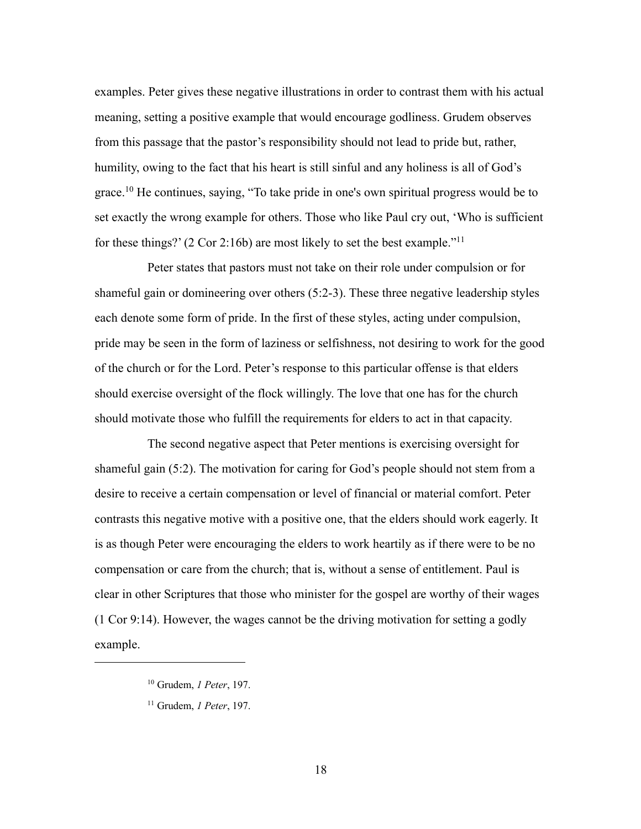examples. Peter gives these negative illustrations in order to contrast them with his actual meaning, setting a positive example that would encourage godliness. Grudem observes from this passage that the pastor's responsibility should not lead to pride but, rather, humility, owing to the fact that his heart is still sinful and any holiness is all of God's grace.10 He continues, saying, "To take pride in one's own spiritual progress would be to set exactly the wrong example for others. Those who like Paul cry out, 'Who is sufficient for these things?' (2 Cor 2:16b) are most likely to set the best example."11

Peter states that pastors must not take on their role under compulsion or for shameful gain or domineering over others (5:2-3). These three negative leadership styles each denote some form of pride. In the first of these styles, acting under compulsion, pride may be seen in the form of laziness or selfishness, not desiring to work for the good of the church or for the Lord. Peter's response to this particular offense is that elders should exercise oversight of the flock willingly. The love that one has for the church should motivate those who fulfill the requirements for elders to act in that capacity.

The second negative aspect that Peter mentions is exercising oversight for shameful gain (5:2). The motivation for caring for God's people should not stem from a desire to receive a certain compensation or level of financial or material comfort. Peter contrasts this negative motive with a positive one, that the elders should work eagerly. It is as though Peter were encouraging the elders to work heartily as if there were to be no compensation or care from the church; that is, without a sense of entitlement. Paul is clear in other Scriptures that those who minister for the gospel are worthy of their wages (1 Cor 9:14). However, the wages cannot be the driving motivation for setting a godly example.

<sup>10</sup> Grudem, *1 Peter*, 197.

<sup>11</sup> Grudem, *1 Peter*, 197.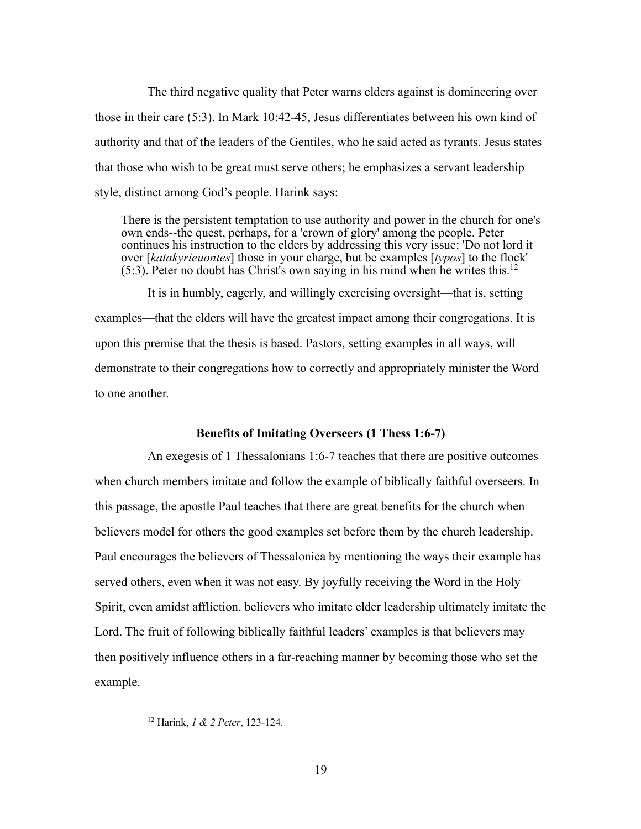The third negative quality that Peter warns elders against is domineering over those in their care (5:3). In Mark 10:42-45, Jesus differentiates between his own kind of authority and that of the leaders of the Gentiles, who he said acted as tyrants. Jesus states that those who wish to be great must serve others; he emphasizes a servant leadership style, distinct among God's people. Harink says:

There is the persistent temptation to use authority and power in the church for one's own ends--the quest, perhaps, for a 'crown of glory' among the people. Peter continues his instruction to the elders by addressing this very issue: 'Do not lord it over [*katakyrieuontes*] those in your charge, but be examples [*typos*] to the flock'  $(5:3)$ . Peter no doubt has Christ's own saying in his mind when he writes this.<sup>12</sup>

It is in humbly, eagerly, and willingly exercising oversight—that is, setting examples—that the elders will have the greatest impact among their congregations. It is upon this premise that the thesis is based. Pastors, setting examples in all ways, will demonstrate to their congregations how to correctly and appropriately minister the Word to one another.

# **Benefits of Imitating Overseers (1 Thess 1:6-7)**

An exegesis of 1 Thessalonians 1:6-7 teaches that there are positive outcomes when church members imitate and follow the example of biblically faithful overseers. In this passage, the apostle Paul teaches that there are great benefits for the church when believers model for others the good examples set before them by the church leadership. Paul encourages the believers of Thessalonica by mentioning the ways their example has served others, even when it was not easy. By joyfully receiving the Word in the Holy Spirit, even amidst affliction, believers who imitate elder leadership ultimately imitate the Lord. The fruit of following biblically faithful leaders' examples is that believers may then positively influence others in a far-reaching manner by becoming those who set the example.

<sup>12</sup> Harink, *1 & 2 Peter*, 123-124.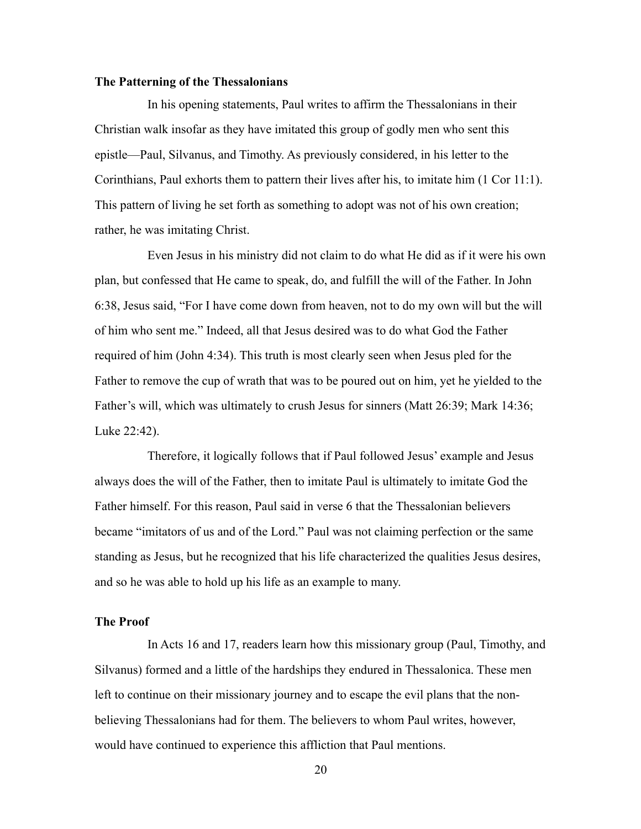### **The Patterning of the Thessalonians**

In his opening statements, Paul writes to affirm the Thessalonians in their Christian walk insofar as they have imitated this group of godly men who sent this epistle—Paul, Silvanus, and Timothy. As previously considered, in his letter to the Corinthians, Paul exhorts them to pattern their lives after his, to imitate him (1 Cor 11:1). This pattern of living he set forth as something to adopt was not of his own creation; rather, he was imitating Christ.

Even Jesus in his ministry did not claim to do what He did as if it were his own plan, but confessed that He came to speak, do, and fulfill the will of the Father. In John 6:38, Jesus said, "For I have come down from heaven, not to do my own will but the will of him who sent me." Indeed, all that Jesus desired was to do what God the Father required of him (John 4:34). This truth is most clearly seen when Jesus pled for the Father to remove the cup of wrath that was to be poured out on him, yet he yielded to the Father's will, which was ultimately to crush Jesus for sinners (Matt 26:39; Mark 14:36; Luke 22:42).

Therefore, it logically follows that if Paul followed Jesus' example and Jesus always does the will of the Father, then to imitate Paul is ultimately to imitate God the Father himself. For this reason, Paul said in verse 6 that the Thessalonian believers became "imitators of us and of the Lord." Paul was not claiming perfection or the same standing as Jesus, but he recognized that his life characterized the qualities Jesus desires, and so he was able to hold up his life as an example to many.

# **The Proof**

In Acts 16 and 17, readers learn how this missionary group (Paul, Timothy, and Silvanus) formed and a little of the hardships they endured in Thessalonica. These men left to continue on their missionary journey and to escape the evil plans that the nonbelieving Thessalonians had for them. The believers to whom Paul writes, however, would have continued to experience this affliction that Paul mentions.

20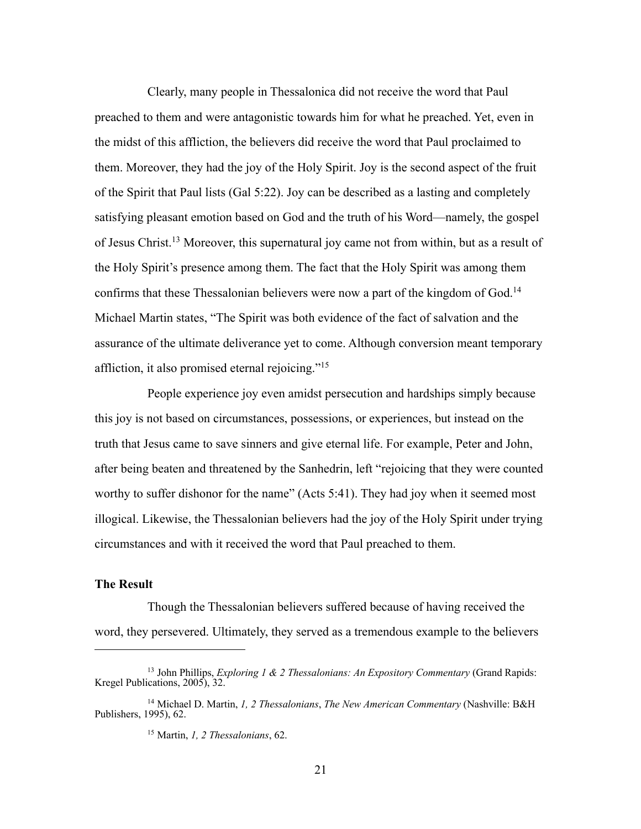Clearly, many people in Thessalonica did not receive the word that Paul preached to them and were antagonistic towards him for what he preached. Yet, even in the midst of this affliction, the believers did receive the word that Paul proclaimed to them. Moreover, they had the joy of the Holy Spirit. Joy is the second aspect of the fruit of the Spirit that Paul lists (Gal 5:22). Joy can be described as a lasting and completely satisfying pleasant emotion based on God and the truth of his Word—namely, the gospel of Jesus Christ.13 Moreover, this supernatural joy came not from within, but as a result of the Holy Spirit's presence among them. The fact that the Holy Spirit was among them confirms that these Thessalonian believers were now a part of the kingdom of God.14 Michael Martin states, "The Spirit was both evidence of the fact of salvation and the assurance of the ultimate deliverance yet to come. Although conversion meant temporary affliction, it also promised eternal rejoicing."15

People experience joy even amidst persecution and hardships simply because this joy is not based on circumstances, possessions, or experiences, but instead on the truth that Jesus came to save sinners and give eternal life. For example, Peter and John, after being beaten and threatened by the Sanhedrin, left "rejoicing that they were counted worthy to suffer dishonor for the name" (Acts 5:41). They had joy when it seemed most illogical. Likewise, the Thessalonian believers had the joy of the Holy Spirit under trying circumstances and with it received the word that Paul preached to them.

#### **The Result**

Though the Thessalonian believers suffered because of having received the word, they persevered. Ultimately, they served as a tremendous example to the believers

<sup>13</sup> John Phillips, *Exploring 1 & 2 Thessalonians: An Expository Commentary* (Grand Rapids: Kregel Publications, 2005), 32.

<sup>14</sup> Michael D. Martin, *1, 2 Thessalonians*, *The New American Commentary* (Nashville: B&H Publishers, 1995), 62.

<sup>15</sup> Martin, *1, 2 Thessalonians*, 62.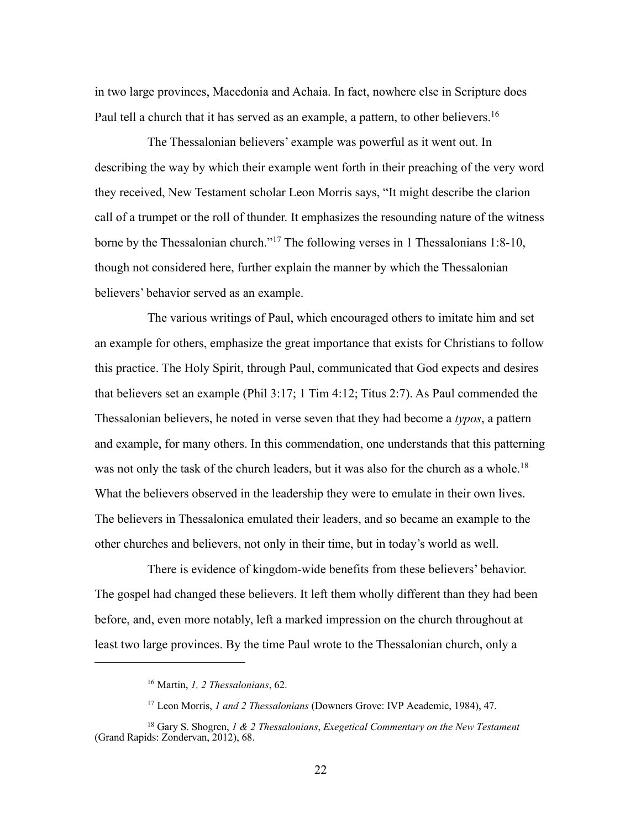in two large provinces, Macedonia and Achaia. In fact, nowhere else in Scripture does Paul tell a church that it has served as an example, a pattern, to other believers.<sup>16</sup>

The Thessalonian believers' example was powerful as it went out. In describing the way by which their example went forth in their preaching of the very word they received, New Testament scholar Leon Morris says, "It might describe the clarion call of a trumpet or the roll of thunder. It emphasizes the resounding nature of the witness borne by the Thessalonian church."17 The following verses in 1 Thessalonians 1:8-10, though not considered here, further explain the manner by which the Thessalonian believers' behavior served as an example.

The various writings of Paul, which encouraged others to imitate him and set an example for others, emphasize the great importance that exists for Christians to follow this practice. The Holy Spirit, through Paul, communicated that God expects and desires that believers set an example (Phil 3:17; 1 Tim 4:12; Titus 2:7). As Paul commended the Thessalonian believers, he noted in verse seven that they had become a *typos*, a pattern and example, for many others. In this commendation, one understands that this patterning was not only the task of the church leaders, but it was also for the church as a whole.18 What the believers observed in the leadership they were to emulate in their own lives. The believers in Thessalonica emulated their leaders, and so became an example to the other churches and believers, not only in their time, but in today's world as well.

There is evidence of kingdom-wide benefits from these believers' behavior. The gospel had changed these believers. It left them wholly different than they had been before, and, even more notably, left a marked impression on the church throughout at least two large provinces. By the time Paul wrote to the Thessalonian church, only a

<sup>16</sup> Martin, *1, 2 Thessalonians*, 62.

<sup>17</sup> Leon Morris, *1 and 2 Thessalonians* (Downers Grove: IVP Academic, 1984), 47.

<sup>18</sup> Gary S. Shogren, *1 & 2 Thessalonians*, *Exegetical Commentary on the New Testament* (Grand Rapids: Zondervan, 2012), 68.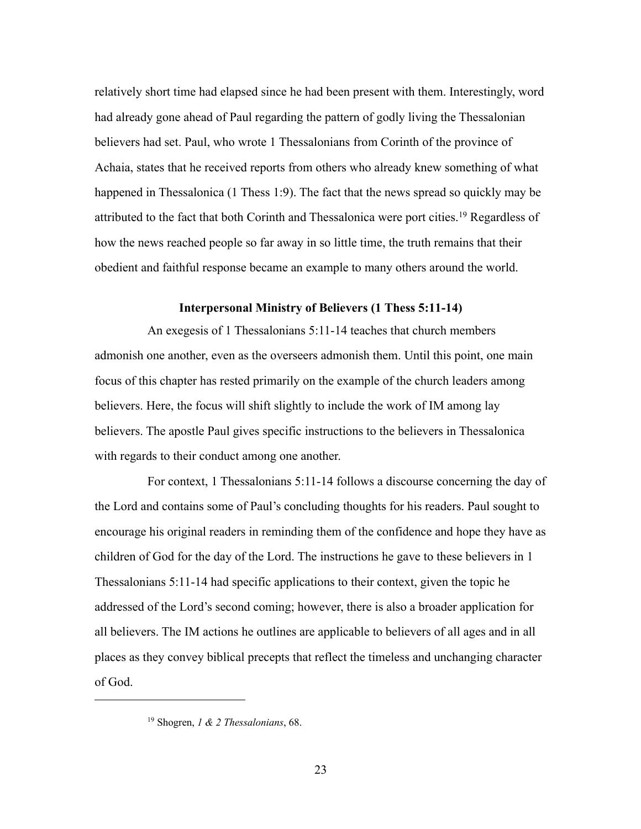relatively short time had elapsed since he had been present with them. Interestingly, word had already gone ahead of Paul regarding the pattern of godly living the Thessalonian believers had set. Paul, who wrote 1 Thessalonians from Corinth of the province of Achaia, states that he received reports from others who already knew something of what happened in Thessalonica (1 Thess 1:9). The fact that the news spread so quickly may be attributed to the fact that both Corinth and Thessalonica were port cities.<sup>19</sup> Regardless of how the news reached people so far away in so little time, the truth remains that their obedient and faithful response became an example to many others around the world.

### **Interpersonal Ministry of Believers (1 Thess 5:11-14)**

An exegesis of 1 Thessalonians 5:11-14 teaches that church members admonish one another, even as the overseers admonish them. Until this point, one main focus of this chapter has rested primarily on the example of the church leaders among believers. Here, the focus will shift slightly to include the work of IM among lay believers. The apostle Paul gives specific instructions to the believers in Thessalonica with regards to their conduct among one another.

For context, 1 Thessalonians 5:11-14 follows a discourse concerning the day of the Lord and contains some of Paul's concluding thoughts for his readers. Paul sought to encourage his original readers in reminding them of the confidence and hope they have as children of God for the day of the Lord. The instructions he gave to these believers in 1 Thessalonians 5:11-14 had specific applications to their context, given the topic he addressed of the Lord's second coming; however, there is also a broader application for all believers. The IM actions he outlines are applicable to believers of all ages and in all places as they convey biblical precepts that reflect the timeless and unchanging character of God.

<sup>19</sup> Shogren, *1 & 2 Thessalonians*, 68.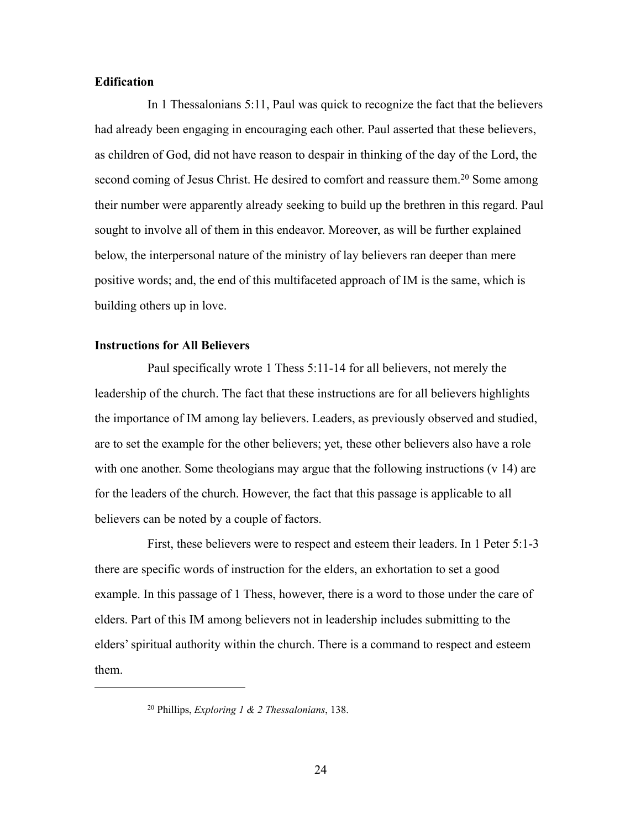# **Edification**

In 1 Thessalonians 5:11, Paul was quick to recognize the fact that the believers had already been engaging in encouraging each other. Paul asserted that these believers, as children of God, did not have reason to despair in thinking of the day of the Lord, the second coming of Jesus Christ. He desired to comfort and reassure them.<sup>20</sup> Some among their number were apparently already seeking to build up the brethren in this regard. Paul sought to involve all of them in this endeavor. Moreover, as will be further explained below, the interpersonal nature of the ministry of lay believers ran deeper than mere positive words; and, the end of this multifaceted approach of IM is the same, which is building others up in love.

# **Instructions for All Believers**

Paul specifically wrote 1 Thess 5:11-14 for all believers, not merely the leadership of the church. The fact that these instructions are for all believers highlights the importance of IM among lay believers. Leaders, as previously observed and studied, are to set the example for the other believers; yet, these other believers also have a role with one another. Some theologians may argue that the following instructions (v 14) are for the leaders of the church. However, the fact that this passage is applicable to all believers can be noted by a couple of factors.

First, these believers were to respect and esteem their leaders. In 1 Peter 5:1-3 there are specific words of instruction for the elders, an exhortation to set a good example. In this passage of 1 Thess, however, there is a word to those under the care of elders. Part of this IM among believers not in leadership includes submitting to the elders' spiritual authority within the church. There is a command to respect and esteem them.

<sup>20</sup> Phillips, *Exploring 1 & 2 Thessalonians*, 138.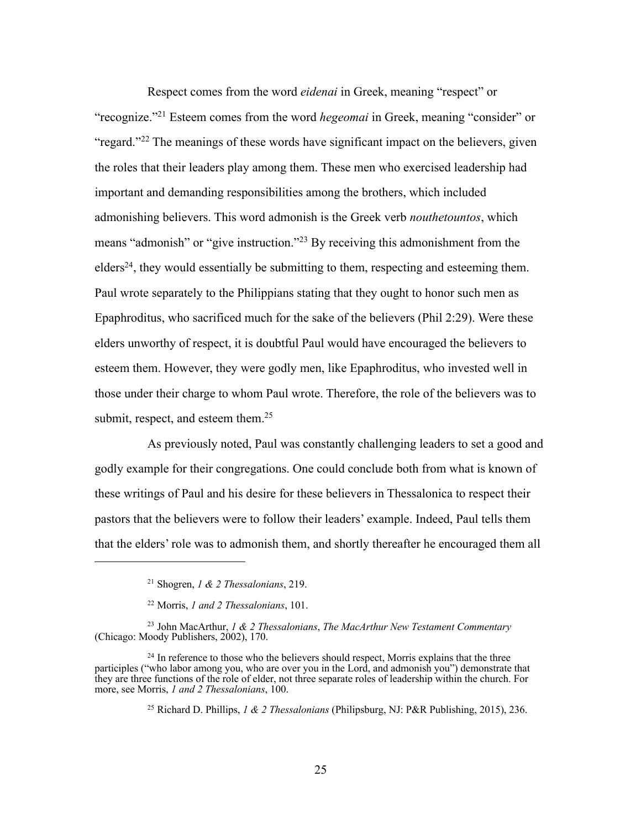Respect comes from the word *eidenai* in Greek, meaning "respect" or "recognize."21 Esteem comes from the word *hegeomai* in Greek, meaning "consider" or "regard."<sup>22</sup> The meanings of these words have significant impact on the believers, given the roles that their leaders play among them. These men who exercised leadership had important and demanding responsibilities among the brothers, which included admonishing believers. This word admonish is the Greek verb *nouthetountos*, which means "admonish" or "give instruction."23 By receiving this admonishment from the  $\text{edges}^{24}$ , they would essentially be submitting to them, respecting and esteeming them. Paul wrote separately to the Philippians stating that they ought to honor such men as Epaphroditus, who sacrificed much for the sake of the believers (Phil 2:29). Were these elders unworthy of respect, it is doubtful Paul would have encouraged the believers to esteem them. However, they were godly men, like Epaphroditus, who invested well in those under their charge to whom Paul wrote. Therefore, the role of the believers was to submit, respect, and esteem them.<sup>25</sup>

As previously noted, Paul was constantly challenging leaders to set a good and godly example for their congregations. One could conclude both from what is known of these writings of Paul and his desire for these believers in Thessalonica to respect their pastors that the believers were to follow their leaders' example. Indeed, Paul tells them that the elders' role was to admonish them, and shortly thereafter he encouraged them all

<sup>25</sup> Richard D. Phillips, *1 & 2 Thessalonians* (Philipsburg, NJ: P&R Publishing, 2015), 236.

<sup>21</sup> Shogren, *1 & 2 Thessalonians*, 219.

<sup>22</sup> Morris, *1 and 2 Thessalonians*, 101.

<sup>23</sup> John MacArthur, *1 & 2 Thessalonians*, *The MacArthur New Testament Commentary*  (Chicago: Moody Publishers, 2002), 170.

 $24$  In reference to those who the believers should respect, Morris explains that the three participles ("who labor among you, who are over you in the Lord, and admonish you") demonstrate that they are three functions of the role of elder, not three separate roles of leadership within the church. For more, see Morris, *1 and 2 Thessalonians*, 100.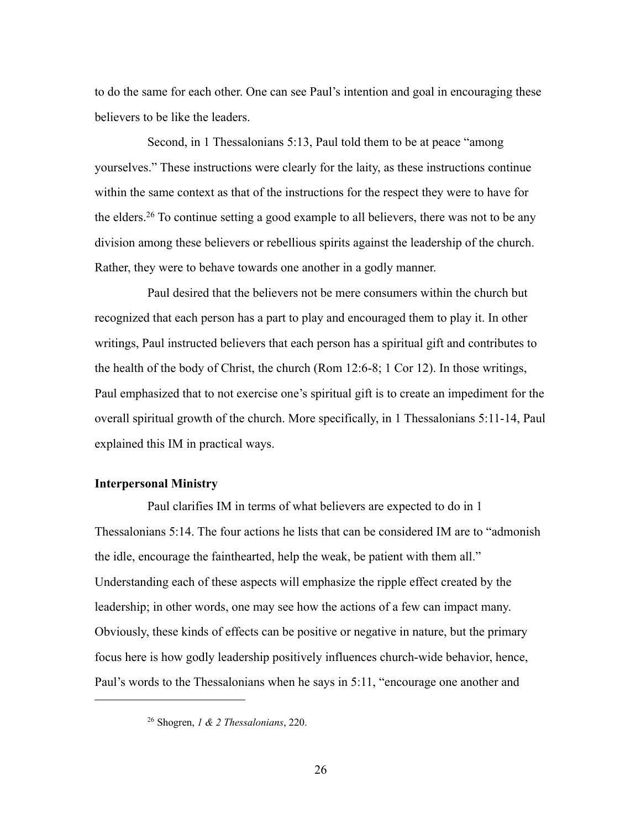to do the same for each other. One can see Paul's intention and goal in encouraging these believers to be like the leaders.

Second, in 1 Thessalonians 5:13, Paul told them to be at peace "among yourselves." These instructions were clearly for the laity, as these instructions continue within the same context as that of the instructions for the respect they were to have for the elders.26 To continue setting a good example to all believers, there was not to be any division among these believers or rebellious spirits against the leadership of the church. Rather, they were to behave towards one another in a godly manner.

Paul desired that the believers not be mere consumers within the church but recognized that each person has a part to play and encouraged them to play it. In other writings, Paul instructed believers that each person has a spiritual gift and contributes to the health of the body of Christ, the church (Rom 12:6-8; 1 Cor 12). In those writings, Paul emphasized that to not exercise one's spiritual gift is to create an impediment for the overall spiritual growth of the church. More specifically, in 1 Thessalonians 5:11-14, Paul explained this IM in practical ways.

## **Interpersonal Ministry**

Paul clarifies IM in terms of what believers are expected to do in 1 Thessalonians 5:14. The four actions he lists that can be considered IM are to "admonish the idle, encourage the fainthearted, help the weak, be patient with them all." Understanding each of these aspects will emphasize the ripple effect created by the leadership; in other words, one may see how the actions of a few can impact many. Obviously, these kinds of effects can be positive or negative in nature, but the primary focus here is how godly leadership positively influences church-wide behavior, hence, Paul's words to the Thessalonians when he says in 5:11, "encourage one another and

<sup>26</sup> Shogren, *1 & 2 Thessalonians*, 220.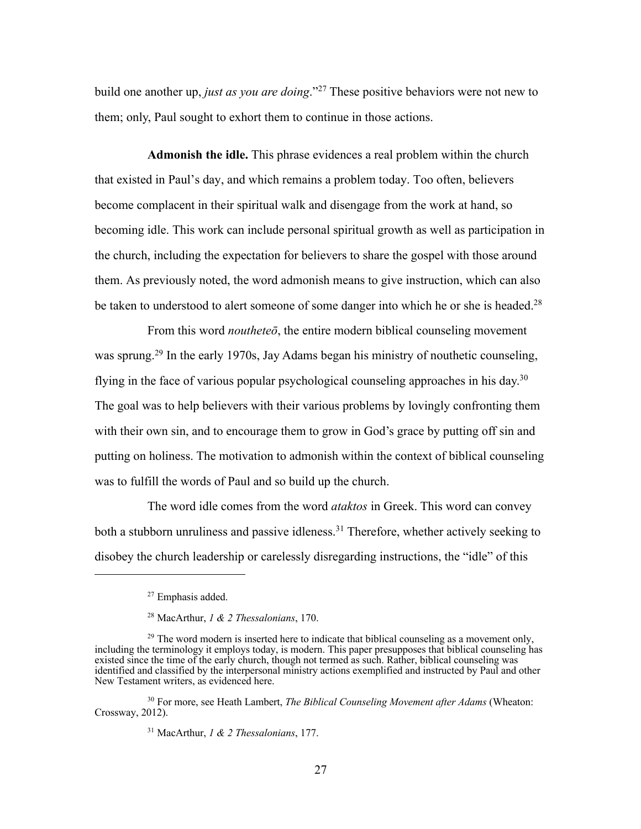build one another up, *just as you are doing*."27 These positive behaviors were not new to them; only, Paul sought to exhort them to continue in those actions.

**Admonish the idle.** This phrase evidences a real problem within the church that existed in Paul's day, and which remains a problem today. Too often, believers become complacent in their spiritual walk and disengage from the work at hand, so becoming idle. This work can include personal spiritual growth as well as participation in the church, including the expectation for believers to share the gospel with those around them. As previously noted, the word admonish means to give instruction, which can also be taken to understood to alert someone of some danger into which he or she is headed.<sup>28</sup>

From this word *noutheteō*, the entire modern biblical counseling movement was sprung.<sup>29</sup> In the early 1970s, Jay Adams began his ministry of nouthetic counseling, flying in the face of various popular psychological counseling approaches in his day.30 The goal was to help believers with their various problems by lovingly confronting them with their own sin, and to encourage them to grow in God's grace by putting off sin and putting on holiness. The motivation to admonish within the context of biblical counseling was to fulfill the words of Paul and so build up the church.

The word idle comes from the word *ataktos* in Greek. This word can convey both a stubborn unruliness and passive idleness.<sup>31</sup> Therefore, whether actively seeking to disobey the church leadership or carelessly disregarding instructions, the "idle" of this

<sup>27</sup> Emphasis added.

<sup>28</sup> MacArthur, *1 & 2 Thessalonians*, 170.

<sup>&</sup>lt;sup>29</sup> The word modern is inserted here to indicate that biblical counseling as a movement only, including the terminology it employs today, is modern. This paper presupposes that biblical counseling has existed since the time of the early church, though not termed as such. Rather, biblical counseling was identified and classified by the interpersonal ministry actions exemplified and instructed by Paul and other New Testament writers, as evidenced here.

<sup>30</sup> For more, see Heath Lambert, *The Biblical Counseling Movement after Adams* (Wheaton: Crossway, 2012).

<sup>31</sup> MacArthur, *1 & 2 Thessalonians*, 177.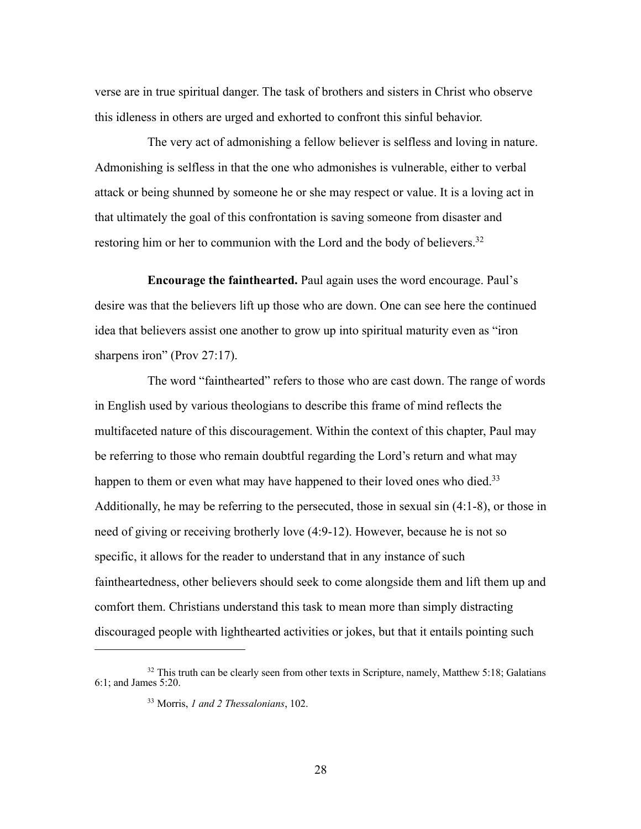verse are in true spiritual danger. The task of brothers and sisters in Christ who observe this idleness in others are urged and exhorted to confront this sinful behavior.

The very act of admonishing a fellow believer is selfless and loving in nature. Admonishing is selfless in that the one who admonishes is vulnerable, either to verbal attack or being shunned by someone he or she may respect or value. It is a loving act in that ultimately the goal of this confrontation is saving someone from disaster and restoring him or her to communion with the Lord and the body of believers.<sup>32</sup>

**Encourage the fainthearted.** Paul again uses the word encourage. Paul's desire was that the believers lift up those who are down. One can see here the continued idea that believers assist one another to grow up into spiritual maturity even as "iron sharpens iron" (Prov 27:17).

The word "fainthearted" refers to those who are cast down. The range of words in English used by various theologians to describe this frame of mind reflects the multifaceted nature of this discouragement. Within the context of this chapter, Paul may be referring to those who remain doubtful regarding the Lord's return and what may happen to them or even what may have happened to their loved ones who died.<sup>33</sup> Additionally, he may be referring to the persecuted, those in sexual sin (4:1-8), or those in need of giving or receiving brotherly love (4:9-12). However, because he is not so specific, it allows for the reader to understand that in any instance of such faintheartedness, other believers should seek to come alongside them and lift them up and comfort them. Christians understand this task to mean more than simply distracting discouraged people with lighthearted activities or jokes, but that it entails pointing such

<sup>&</sup>lt;sup>32</sup> This truth can be clearly seen from other texts in Scripture, namely, Matthew 5:18; Galatians 6:1; and James 5:20.

<sup>33</sup> Morris, *1 and 2 Thessalonians*, 102.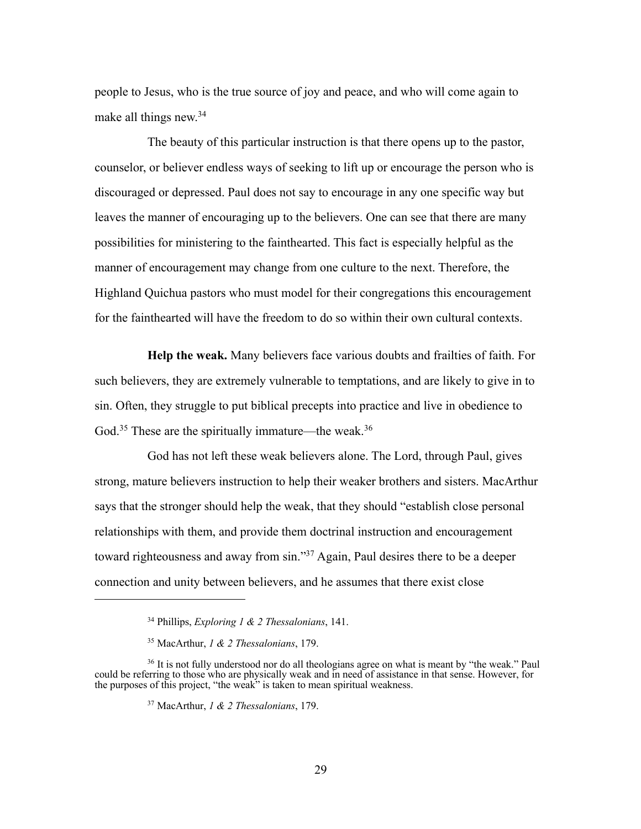people to Jesus, who is the true source of joy and peace, and who will come again to make all things new.34

The beauty of this particular instruction is that there opens up to the pastor, counselor, or believer endless ways of seeking to lift up or encourage the person who is discouraged or depressed. Paul does not say to encourage in any one specific way but leaves the manner of encouraging up to the believers. One can see that there are many possibilities for ministering to the fainthearted. This fact is especially helpful as the manner of encouragement may change from one culture to the next. Therefore, the Highland Quichua pastors who must model for their congregations this encouragement for the fainthearted will have the freedom to do so within their own cultural contexts.

**Help the weak.** Many believers face various doubts and frailties of faith. For such believers, they are extremely vulnerable to temptations, and are likely to give in to sin. Often, they struggle to put biblical precepts into practice and live in obedience to God.<sup>35</sup> These are the spiritually immature—the weak.<sup>36</sup>

God has not left these weak believers alone. The Lord, through Paul, gives strong, mature believers instruction to help their weaker brothers and sisters. MacArthur says that the stronger should help the weak, that they should "establish close personal relationships with them, and provide them doctrinal instruction and encouragement toward righteousness and away from sin."37 Again, Paul desires there to be a deeper connection and unity between believers, and he assumes that there exist close

<sup>34</sup> Phillips, *Exploring 1 & 2 Thessalonians*, 141.

<sup>35</sup> MacArthur, *1 & 2 Thessalonians*, 179.

<sup>&</sup>lt;sup>36</sup> It is not fully understood nor do all theologians agree on what is meant by "the weak." Paul could be referring to those who are physically weak and in need of assistance in that sense. However, for the purposes of this project, "the weak" is taken to mean spiritual weakness.

<sup>37</sup> MacArthur, *1 & 2 Thessalonians*, 179.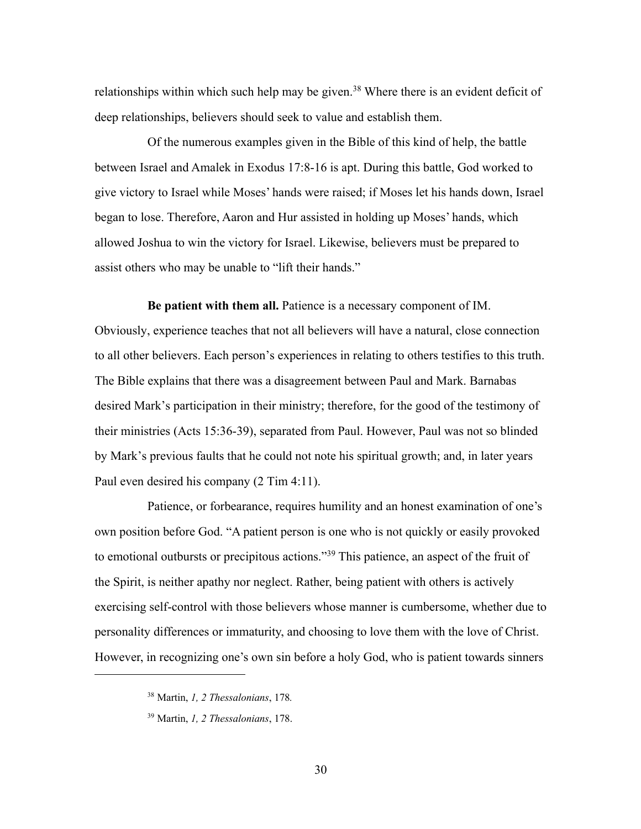relationships within which such help may be given.<sup>38</sup> Where there is an evident deficit of deep relationships, believers should seek to value and establish them.

Of the numerous examples given in the Bible of this kind of help, the battle between Israel and Amalek in Exodus 17:8-16 is apt. During this battle, God worked to give victory to Israel while Moses' hands were raised; if Moses let his hands down, Israel began to lose. Therefore, Aaron and Hur assisted in holding up Moses' hands, which allowed Joshua to win the victory for Israel. Likewise, believers must be prepared to assist others who may be unable to "lift their hands."

**Be patient with them all.** Patience is a necessary component of IM. Obviously, experience teaches that not all believers will have a natural, close connection to all other believers. Each person's experiences in relating to others testifies to this truth. The Bible explains that there was a disagreement between Paul and Mark. Barnabas desired Mark's participation in their ministry; therefore, for the good of the testimony of their ministries (Acts 15:36-39), separated from Paul. However, Paul was not so blinded by Mark's previous faults that he could not note his spiritual growth; and, in later years Paul even desired his company (2 Tim 4:11).

Patience, or forbearance, requires humility and an honest examination of one's own position before God. "A patient person is one who is not quickly or easily provoked to emotional outbursts or precipitous actions."39 This patience, an aspect of the fruit of the Spirit, is neither apathy nor neglect. Rather, being patient with others is actively exercising self-control with those believers whose manner is cumbersome, whether due to personality differences or immaturity, and choosing to love them with the love of Christ. However, in recognizing one's own sin before a holy God, who is patient towards sinners

<sup>38</sup> Martin, *1, 2 Thessalonians*, 178*.*

<sup>39</sup> Martin, *1, 2 Thessalonians*, 178.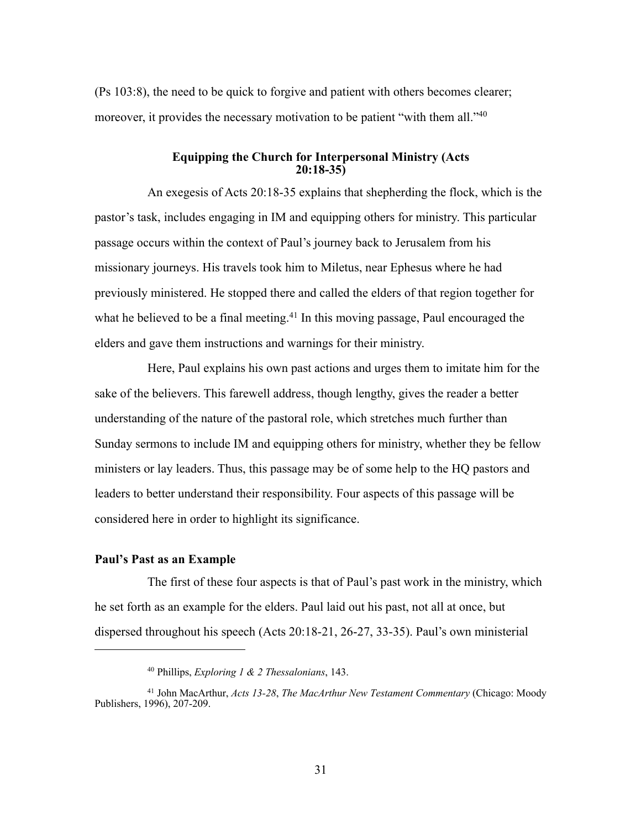(Ps 103:8), the need to be quick to forgive and patient with others becomes clearer; moreover, it provides the necessary motivation to be patient "with them all."<sup>40</sup>

### **Equipping the Church for Interpersonal Ministry (Acts 20:18-35)**

An exegesis of Acts 20:18-35 explains that shepherding the flock, which is the pastor's task, includes engaging in IM and equipping others for ministry. This particular passage occurs within the context of Paul's journey back to Jerusalem from his missionary journeys. His travels took him to Miletus, near Ephesus where he had previously ministered. He stopped there and called the elders of that region together for what he believed to be a final meeting.<sup>41</sup> In this moving passage, Paul encouraged the elders and gave them instructions and warnings for their ministry.

Here, Paul explains his own past actions and urges them to imitate him for the sake of the believers. This farewell address, though lengthy, gives the reader a better understanding of the nature of the pastoral role, which stretches much further than Sunday sermons to include IM and equipping others for ministry, whether they be fellow ministers or lay leaders. Thus, this passage may be of some help to the HQ pastors and leaders to better understand their responsibility. Four aspects of this passage will be considered here in order to highlight its significance.

## **Paul's Past as an Example**

The first of these four aspects is that of Paul's past work in the ministry, which he set forth as an example for the elders. Paul laid out his past, not all at once, but dispersed throughout his speech (Acts 20:18-21, 26-27, 33-35). Paul's own ministerial

<sup>40</sup> Phillips, *Exploring 1 & 2 Thessalonians*, 143.

<sup>41</sup> John MacArthur, *Acts 13-28*, *The MacArthur New Testament Commentary* (Chicago: Moody Publishers, 1996), 207-209.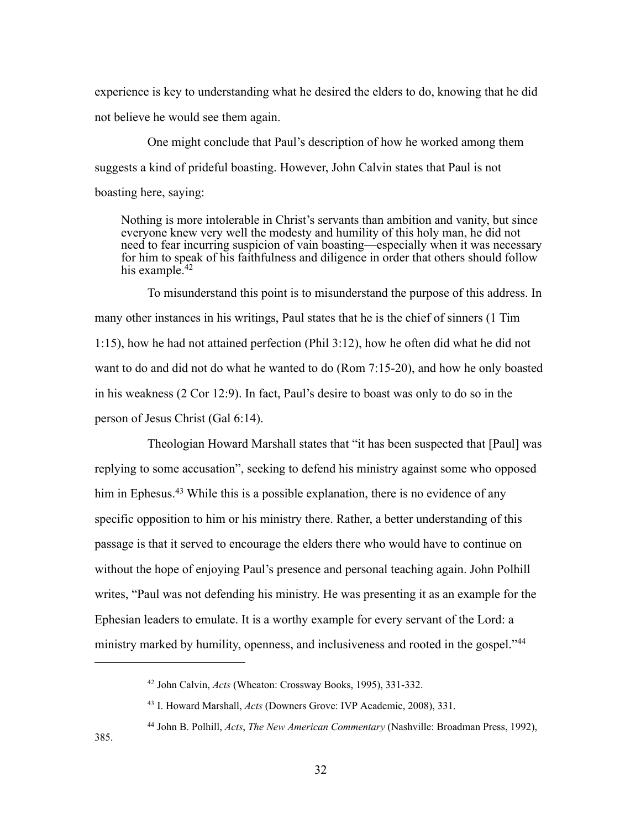experience is key to understanding what he desired the elders to do, knowing that he did not believe he would see them again.

One might conclude that Paul's description of how he worked among them suggests a kind of prideful boasting. However, John Calvin states that Paul is not boasting here, saying:

Nothing is more intolerable in Christ's servants than ambition and vanity, but since everyone knew very well the modesty and humility of this holy man, he did not need to fear incurring suspicion of vain boasting—especially when it was necessary for him to speak of his faithfulness and diligence in order that others should follow his example.<sup>42</sup>

To misunderstand this point is to misunderstand the purpose of this address. In many other instances in his writings, Paul states that he is the chief of sinners (1 Tim 1:15), how he had not attained perfection (Phil 3:12), how he often did what he did not want to do and did not do what he wanted to do (Rom 7:15-20), and how he only boasted in his weakness (2 Cor 12:9). In fact, Paul's desire to boast was only to do so in the person of Jesus Christ (Gal 6:14).

Theologian Howard Marshall states that "it has been suspected that [Paul] was replying to some accusation", seeking to defend his ministry against some who opposed him in Ephesus.<sup>43</sup> While this is a possible explanation, there is no evidence of any specific opposition to him or his ministry there. Rather, a better understanding of this passage is that it served to encourage the elders there who would have to continue on without the hope of enjoying Paul's presence and personal teaching again. John Polhill writes, "Paul was not defending his ministry. He was presenting it as an example for the Ephesian leaders to emulate. It is a worthy example for every servant of the Lord: a ministry marked by humility, openness, and inclusiveness and rooted in the gospel."44

<sup>42</sup> John Calvin, *Acts* (Wheaton: Crossway Books, 1995), 331-332.

<sup>43</sup> I. Howard Marshall, *Acts* (Downers Grove: IVP Academic, 2008), 331.

<sup>44</sup> John B. Polhill, *Acts*, *The New American Commentary* (Nashville: Broadman Press, 1992), 385.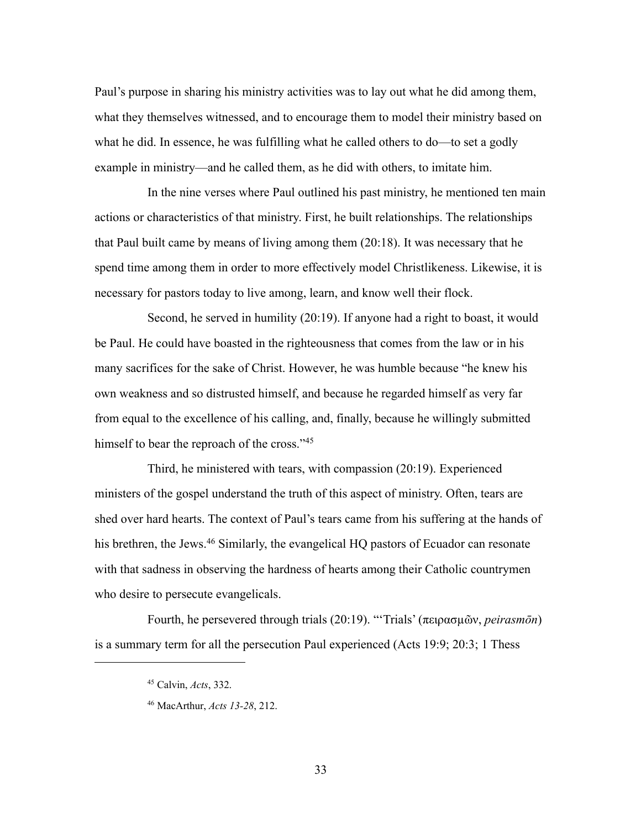Paul's purpose in sharing his ministry activities was to lay out what he did among them, what they themselves witnessed, and to encourage them to model their ministry based on what he did. In essence, he was fulfilling what he called others to do—to set a godly example in ministry—and he called them, as he did with others, to imitate him.

In the nine verses where Paul outlined his past ministry, he mentioned ten main actions or characteristics of that ministry. First, he built relationships. The relationships that Paul built came by means of living among them (20:18). It was necessary that he spend time among them in order to more effectively model Christlikeness. Likewise, it is necessary for pastors today to live among, learn, and know well their flock.

Second, he served in humility (20:19). If anyone had a right to boast, it would be Paul. He could have boasted in the righteousness that comes from the law or in his many sacrifices for the sake of Christ. However, he was humble because "he knew his own weakness and so distrusted himself, and because he regarded himself as very far from equal to the excellence of his calling, and, finally, because he willingly submitted himself to bear the reproach of the cross."<sup>45</sup>

Third, he ministered with tears, with compassion (20:19). Experienced ministers of the gospel understand the truth of this aspect of ministry. Often, tears are shed over hard hearts. The context of Paul's tears came from his suffering at the hands of his brethren, the Jews.<sup>46</sup> Similarly, the evangelical HQ pastors of Ecuador can resonate with that sadness in observing the hardness of hearts among their Catholic countrymen who desire to persecute evangelicals.

Fourth, he persevered through trials (20:19). "'Trials' (πειρασµῶν, *peirasmōn*) is a summary term for all the persecution Paul experienced (Acts 19:9; 20:3; 1 Thess

<sup>45</sup> Calvin, *Acts*, 332.

<sup>46</sup> MacArthur, *Acts 13-28*, 212.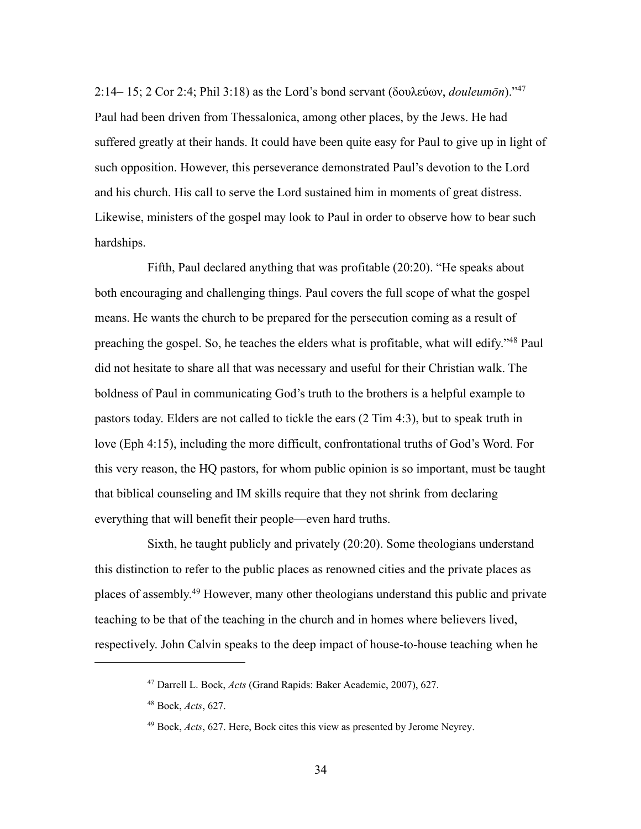2:14– 15; 2 Cor 2:4; Phil 3:18) as the Lord's bond servant (δουλεύων, *douleumōn*)."47 Paul had been driven from Thessalonica, among other places, by the Jews. He had suffered greatly at their hands. It could have been quite easy for Paul to give up in light of such opposition. However, this perseverance demonstrated Paul's devotion to the Lord and his church. His call to serve the Lord sustained him in moments of great distress. Likewise, ministers of the gospel may look to Paul in order to observe how to bear such hardships.

Fifth, Paul declared anything that was profitable (20:20). "He speaks about both encouraging and challenging things. Paul covers the full scope of what the gospel means. He wants the church to be prepared for the persecution coming as a result of preaching the gospel. So, he teaches the elders what is profitable, what will edify."48 Paul did not hesitate to share all that was necessary and useful for their Christian walk. The boldness of Paul in communicating God's truth to the brothers is a helpful example to pastors today. Elders are not called to tickle the ears (2 Tim 4:3), but to speak truth in love (Eph 4:15), including the more difficult, confrontational truths of God's Word. For this very reason, the HQ pastors, for whom public opinion is so important, must be taught that biblical counseling and IM skills require that they not shrink from declaring everything that will benefit their people—even hard truths.

Sixth, he taught publicly and privately (20:20). Some theologians understand this distinction to refer to the public places as renowned cities and the private places as places of assembly.49 However, many other theologians understand this public and private teaching to be that of the teaching in the church and in homes where believers lived, respectively. John Calvin speaks to the deep impact of house-to-house teaching when he

<sup>47</sup> Darrell L. Bock, *Acts* (Grand Rapids: Baker Academic, 2007), 627.

<sup>48</sup> Bock, *Acts*, 627.

<sup>49</sup> Bock, *Acts*, 627. Here, Bock cites this view as presented by Jerome Neyrey.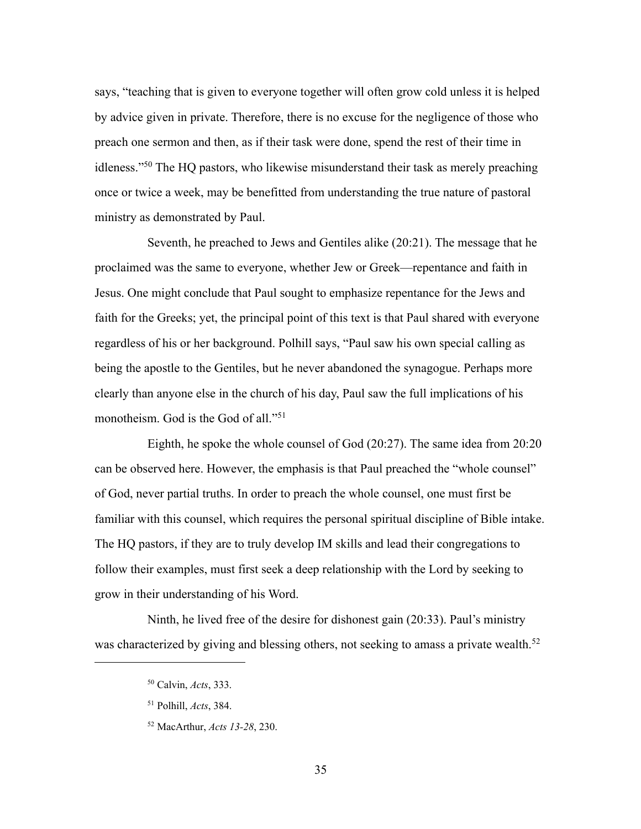says, "teaching that is given to everyone together will often grow cold unless it is helped by advice given in private. Therefore, there is no excuse for the negligence of those who preach one sermon and then, as if their task were done, spend the rest of their time in idleness."50 The HQ pastors, who likewise misunderstand their task as merely preaching once or twice a week, may be benefitted from understanding the true nature of pastoral ministry as demonstrated by Paul.

Seventh, he preached to Jews and Gentiles alike (20:21). The message that he proclaimed was the same to everyone, whether Jew or Greek—repentance and faith in Jesus. One might conclude that Paul sought to emphasize repentance for the Jews and faith for the Greeks; yet, the principal point of this text is that Paul shared with everyone regardless of his or her background. Polhill says, "Paul saw his own special calling as being the apostle to the Gentiles, but he never abandoned the synagogue. Perhaps more clearly than anyone else in the church of his day, Paul saw the full implications of his monotheism. God is the God of all."<sup>51</sup>

Eighth, he spoke the whole counsel of God (20:27). The same idea from 20:20 can be observed here. However, the emphasis is that Paul preached the "whole counsel" of God, never partial truths. In order to preach the whole counsel, one must first be familiar with this counsel, which requires the personal spiritual discipline of Bible intake. The HQ pastors, if they are to truly develop IM skills and lead their congregations to follow their examples, must first seek a deep relationship with the Lord by seeking to grow in their understanding of his Word.

Ninth, he lived free of the desire for dishonest gain (20:33). Paul's ministry was characterized by giving and blessing others, not seeking to amass a private wealth.<sup>52</sup>

<sup>50</sup> Calvin, *Acts*, 333.

<sup>51</sup> Polhill, *Acts*, 384.

<sup>52</sup> MacArthur, *Acts 13-28*, 230.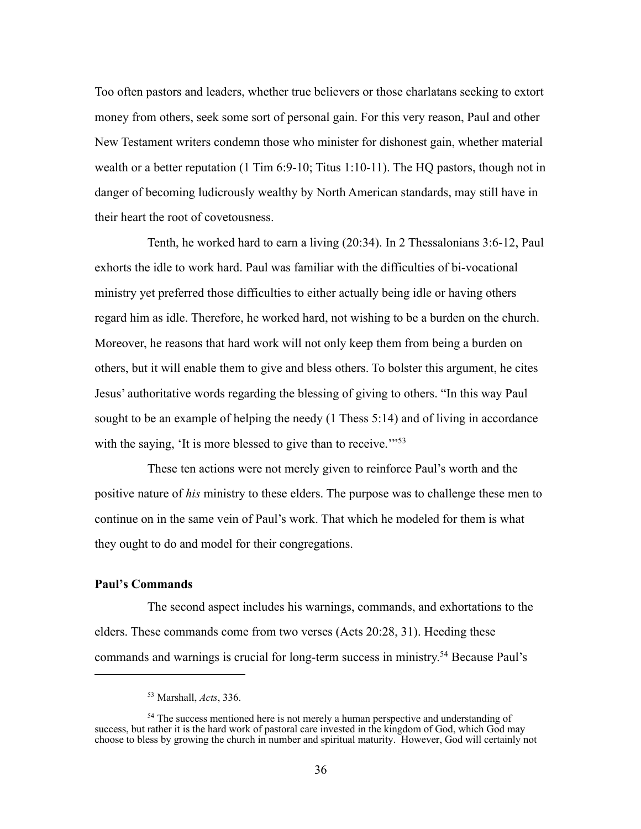Too often pastors and leaders, whether true believers or those charlatans seeking to extort money from others, seek some sort of personal gain. For this very reason, Paul and other New Testament writers condemn those who minister for dishonest gain, whether material wealth or a better reputation (1 Tim 6:9-10; Titus 1:10-11). The HQ pastors, though not in danger of becoming ludicrously wealthy by North American standards, may still have in their heart the root of covetousness.

Tenth, he worked hard to earn a living (20:34). In 2 Thessalonians 3:6-12, Paul exhorts the idle to work hard. Paul was familiar with the difficulties of bi-vocational ministry yet preferred those difficulties to either actually being idle or having others regard him as idle. Therefore, he worked hard, not wishing to be a burden on the church. Moreover, he reasons that hard work will not only keep them from being a burden on others, but it will enable them to give and bless others. To bolster this argument, he cites Jesus' authoritative words regarding the blessing of giving to others. "In this way Paul sought to be an example of helping the needy (1 Thess 5:14) and of living in accordance with the saying, 'It is more blessed to give than to receive.'"<sup>53</sup>

These ten actions were not merely given to reinforce Paul's worth and the positive nature of *his* ministry to these elders. The purpose was to challenge these men to continue on in the same vein of Paul's work. That which he modeled for them is what they ought to do and model for their congregations.

## **Paul's Commands**

The second aspect includes his warnings, commands, and exhortations to the elders. These commands come from two verses (Acts 20:28, 31). Heeding these commands and warnings is crucial for long-term success in ministry.54 Because Paul's

<sup>53</sup> Marshall, *Acts*, 336.

<sup>&</sup>lt;sup>54</sup> The success mentioned here is not merely a human perspective and understanding of success, but rather it is the hard work of pastoral care invested in the kingdom of God, which God may choose to bless by growing the church in number and spiritual maturity. However, God will certainly not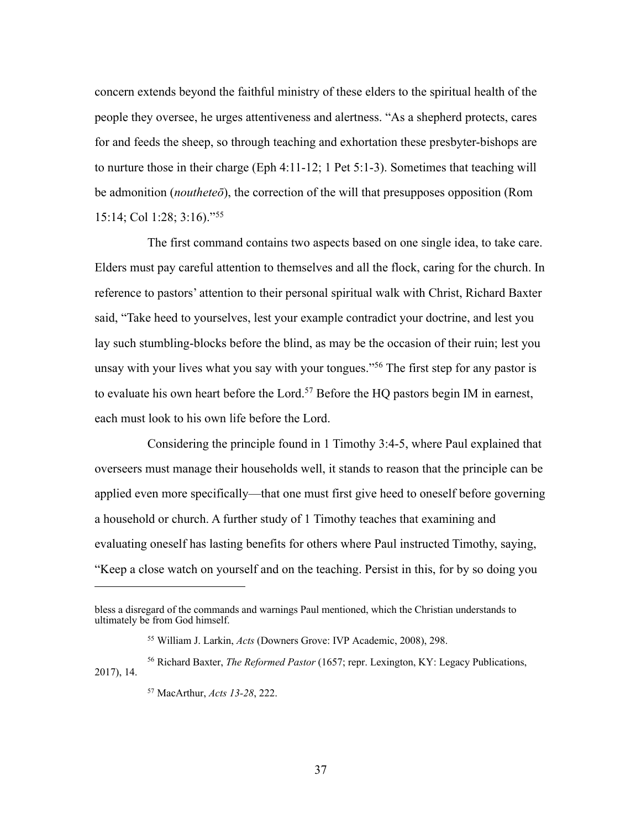concern extends beyond the faithful ministry of these elders to the spiritual health of the people they oversee, he urges attentiveness and alertness. "As a shepherd protects, cares for and feeds the sheep, so through teaching and exhortation these presbyter-bishops are to nurture those in their charge (Eph 4:11-12; 1 Pet 5:1-3). Sometimes that teaching will be admonition (*noutheteō*), the correction of the will that presupposes opposition (Rom 15:14; Col 1:28; 3:16)."55

The first command contains two aspects based on one single idea, to take care. Elders must pay careful attention to themselves and all the flock, caring for the church. In reference to pastors' attention to their personal spiritual walk with Christ, Richard Baxter said, "Take heed to yourselves, lest your example contradict your doctrine, and lest you lay such stumbling-blocks before the blind, as may be the occasion of their ruin; lest you unsay with your lives what you say with your tongues."<sup>56</sup> The first step for any pastor is to evaluate his own heart before the Lord.<sup>57</sup> Before the HQ pastors begin IM in earnest, each must look to his own life before the Lord.

Considering the principle found in 1 Timothy 3:4-5, where Paul explained that overseers must manage their households well, it stands to reason that the principle can be applied even more specifically—that one must first give heed to oneself before governing a household or church. A further study of 1 Timothy teaches that examining and evaluating oneself has lasting benefits for others where Paul instructed Timothy, saying, "Keep a close watch on yourself and on the teaching. Persist in this, for by so doing you

bless a disregard of the commands and warnings Paul mentioned, which the Christian understands to ultimately be from God himself.

<sup>55</sup> William J. Larkin, *Acts* (Downers Grove: IVP Academic, 2008), 298.

<sup>56</sup> Richard Baxter, *The Reformed Pastor* (1657; repr. Lexington, KY: Legacy Publications, 2017), 14.

<sup>57</sup> MacArthur, *Acts 13-28*, 222.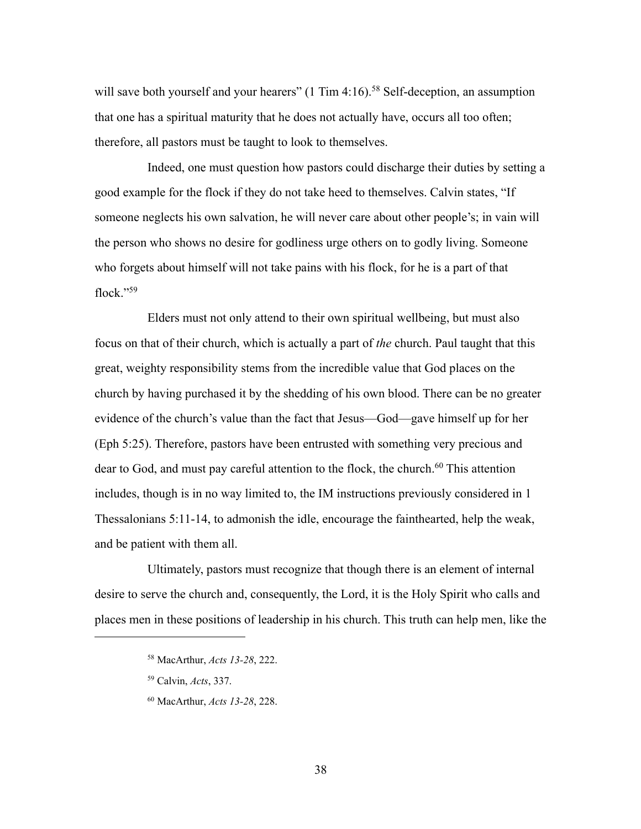will save both yourself and your hearers" (1 Tim 4:16).<sup>58</sup> Self-deception, an assumption that one has a spiritual maturity that he does not actually have, occurs all too often; therefore, all pastors must be taught to look to themselves.

Indeed, one must question how pastors could discharge their duties by setting a good example for the flock if they do not take heed to themselves. Calvin states, "If someone neglects his own salvation, he will never care about other people's; in vain will the person who shows no desire for godliness urge others on to godly living. Someone who forgets about himself will not take pains with his flock, for he is a part of that flock."59

Elders must not only attend to their own spiritual wellbeing, but must also focus on that of their church, which is actually a part of *the* church. Paul taught that this great, weighty responsibility stems from the incredible value that God places on the church by having purchased it by the shedding of his own blood. There can be no greater evidence of the church's value than the fact that Jesus—God—gave himself up for her (Eph 5:25). Therefore, pastors have been entrusted with something very precious and dear to God, and must pay careful attention to the flock, the church.<sup>60</sup> This attention includes, though is in no way limited to, the IM instructions previously considered in 1 Thessalonians 5:11-14, to admonish the idle, encourage the fainthearted, help the weak, and be patient with them all.

Ultimately, pastors must recognize that though there is an element of internal desire to serve the church and, consequently, the Lord, it is the Holy Spirit who calls and places men in these positions of leadership in his church. This truth can help men, like the

- <sup>59</sup> Calvin, *Acts*, 337.
- <sup>60</sup> MacArthur, *Acts 13-28*, 228.

38

<sup>58</sup> MacArthur, *Acts 13-28*, 222.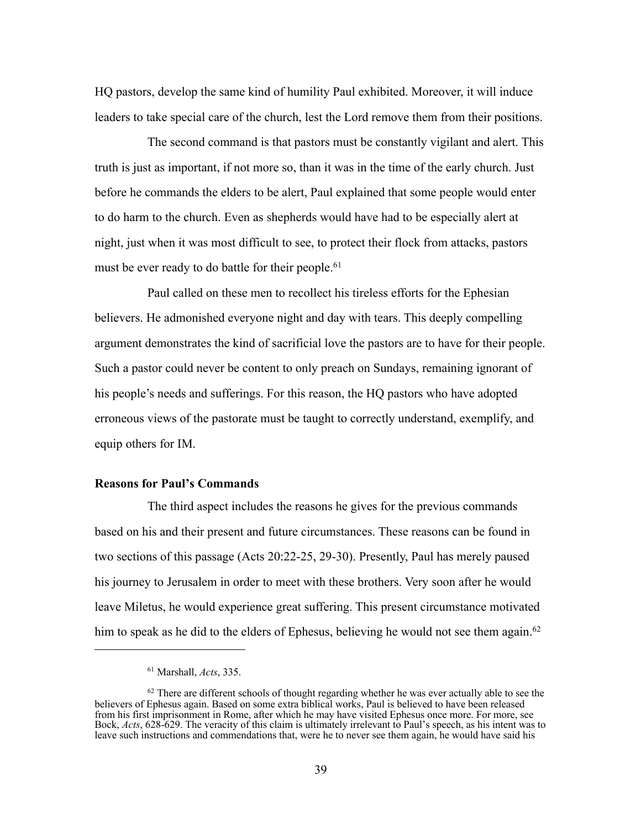HQ pastors, develop the same kind of humility Paul exhibited. Moreover, it will induce leaders to take special care of the church, lest the Lord remove them from their positions.

The second command is that pastors must be constantly vigilant and alert. This truth is just as important, if not more so, than it was in the time of the early church. Just before he commands the elders to be alert, Paul explained that some people would enter to do harm to the church. Even as shepherds would have had to be especially alert at night, just when it was most difficult to see, to protect their flock from attacks, pastors must be ever ready to do battle for their people.<sup>61</sup>

Paul called on these men to recollect his tireless efforts for the Ephesian believers. He admonished everyone night and day with tears. This deeply compelling argument demonstrates the kind of sacrificial love the pastors are to have for their people. Such a pastor could never be content to only preach on Sundays, remaining ignorant of his people's needs and sufferings. For this reason, the HQ pastors who have adopted erroneous views of the pastorate must be taught to correctly understand, exemplify, and equip others for IM.

## **Reasons for Paul's Commands**

The third aspect includes the reasons he gives for the previous commands based on his and their present and future circumstances. These reasons can be found in two sections of this passage (Acts 20:22-25, 29-30). Presently, Paul has merely paused his journey to Jerusalem in order to meet with these brothers. Very soon after he would leave Miletus, he would experience great suffering. This present circumstance motivated him to speak as he did to the elders of Ephesus, believing he would not see them again.<sup>62</sup>

<sup>61</sup> Marshall, *Acts*, 335.

 $62$  There are different schools of thought regarding whether he was ever actually able to see the believers of Ephesus again. Based on some extra biblical works, Paul is believed to have been released from his first imprisonment in Rome, after which he may have visited Ephesus once more. For more, see Bock, *Acts*, 628-629. The veracity of this claim is ultimately irrelevant to Paul's speech, as his intent was to leave such instructions and commendations that, were he to never see them again, he would have said his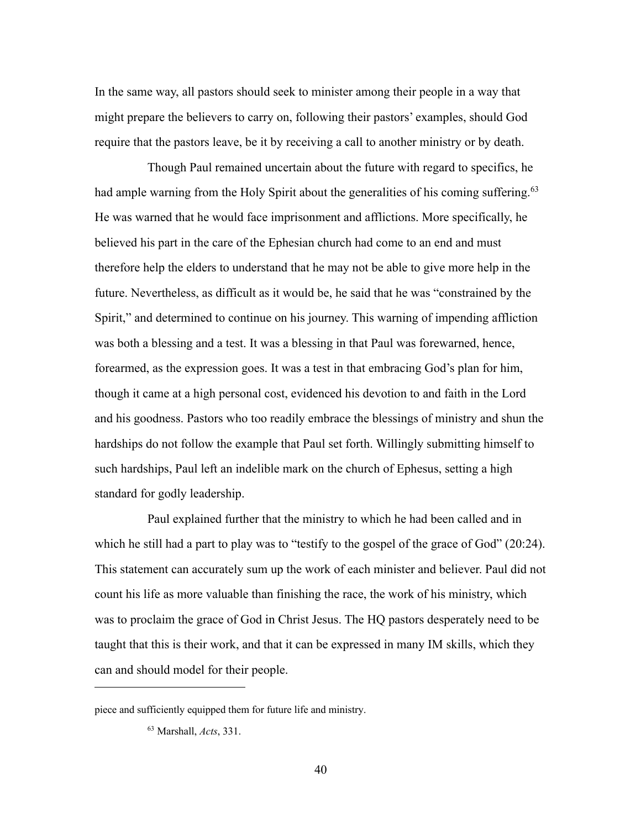In the same way, all pastors should seek to minister among their people in a way that might prepare the believers to carry on, following their pastors' examples, should God require that the pastors leave, be it by receiving a call to another ministry or by death.

Though Paul remained uncertain about the future with regard to specifics, he had ample warning from the Holy Spirit about the generalities of his coming suffering.<sup>63</sup> He was warned that he would face imprisonment and afflictions. More specifically, he believed his part in the care of the Ephesian church had come to an end and must therefore help the elders to understand that he may not be able to give more help in the future. Nevertheless, as difficult as it would be, he said that he was "constrained by the Spirit," and determined to continue on his journey. This warning of impending affliction was both a blessing and a test. It was a blessing in that Paul was forewarned, hence, forearmed, as the expression goes. It was a test in that embracing God's plan for him, though it came at a high personal cost, evidenced his devotion to and faith in the Lord and his goodness. Pastors who too readily embrace the blessings of ministry and shun the hardships do not follow the example that Paul set forth. Willingly submitting himself to such hardships, Paul left an indelible mark on the church of Ephesus, setting a high standard for godly leadership.

Paul explained further that the ministry to which he had been called and in which he still had a part to play was to "testify to the gospel of the grace of God" (20:24). This statement can accurately sum up the work of each minister and believer. Paul did not count his life as more valuable than finishing the race, the work of his ministry, which was to proclaim the grace of God in Christ Jesus. The HQ pastors desperately need to be taught that this is their work, and that it can be expressed in many IM skills, which they can and should model for their people.

piece and sufficiently equipped them for future life and ministry.

<sup>63</sup> Marshall, *Acts*, 331.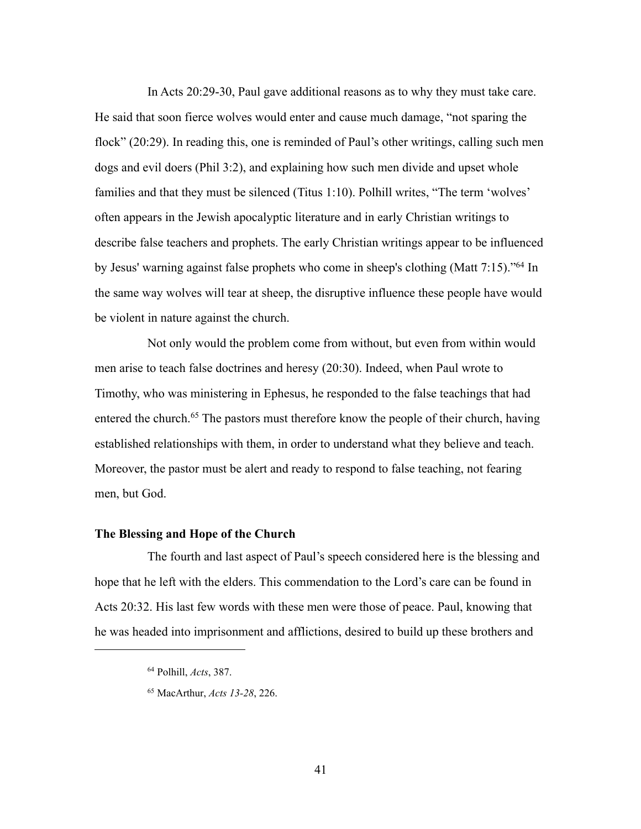In Acts 20:29-30, Paul gave additional reasons as to why they must take care. He said that soon fierce wolves would enter and cause much damage, "not sparing the flock" (20:29). In reading this, one is reminded of Paul's other writings, calling such men dogs and evil doers (Phil 3:2), and explaining how such men divide and upset whole families and that they must be silenced (Titus 1:10). Polhill writes, "The term 'wolves' often appears in the Jewish apocalyptic literature and in early Christian writings to describe false teachers and prophets. The early Christian writings appear to be influenced by Jesus' warning against false prophets who come in sheep's clothing (Matt 7:15)."64 In the same way wolves will tear at sheep, the disruptive influence these people have would be violent in nature against the church.

Not only would the problem come from without, but even from within would men arise to teach false doctrines and heresy (20:30). Indeed, when Paul wrote to Timothy, who was ministering in Ephesus, he responded to the false teachings that had entered the church.<sup>65</sup> The pastors must therefore know the people of their church, having established relationships with them, in order to understand what they believe and teach. Moreover, the pastor must be alert and ready to respond to false teaching, not fearing men, but God.

#### **The Blessing and Hope of the Church**

The fourth and last aspect of Paul's speech considered here is the blessing and hope that he left with the elders. This commendation to the Lord's care can be found in Acts 20:32. His last few words with these men were those of peace. Paul, knowing that he was headed into imprisonment and afflictions, desired to build up these brothers and

<sup>64</sup> Polhill, *Acts*, 387.

<sup>65</sup> MacArthur, *Acts 13-28*, 226.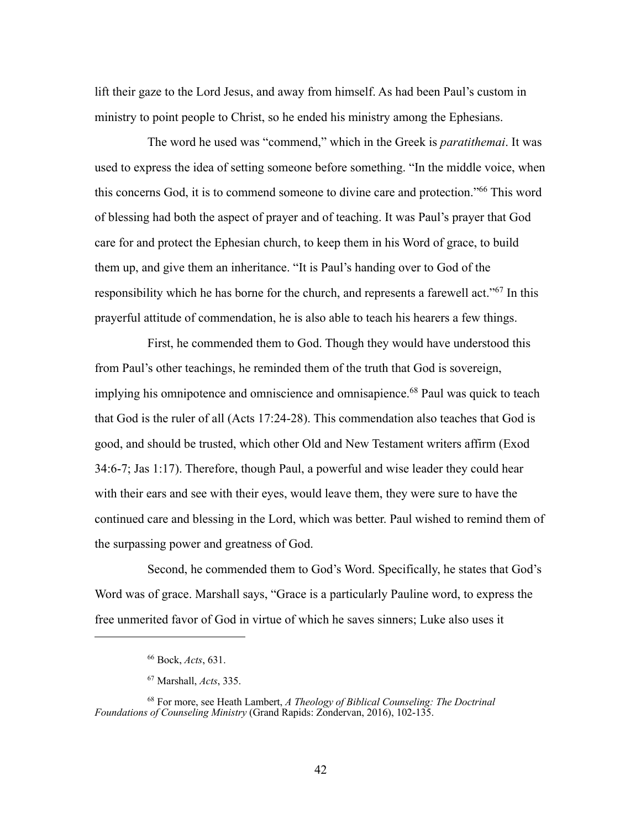lift their gaze to the Lord Jesus, and away from himself. As had been Paul's custom in ministry to point people to Christ, so he ended his ministry among the Ephesians.

The word he used was "commend," which in the Greek is *paratithemai*. It was used to express the idea of setting someone before something. "In the middle voice, when this concerns God, it is to commend someone to divine care and protection."66 This word of blessing had both the aspect of prayer and of teaching. It was Paul's prayer that God care for and protect the Ephesian church, to keep them in his Word of grace, to build them up, and give them an inheritance. "It is Paul's handing over to God of the responsibility which he has borne for the church, and represents a farewell act."67 In this prayerful attitude of commendation, he is also able to teach his hearers a few things.

First, he commended them to God. Though they would have understood this from Paul's other teachings, he reminded them of the truth that God is sovereign, implying his omnipotence and omniscience and omnisapience. <sup>68</sup> Paul was quick to teach that God is the ruler of all (Acts 17:24-28). This commendation also teaches that God is good, and should be trusted, which other Old and New Testament writers affirm (Exod 34:6-7; Jas 1:17). Therefore, though Paul, a powerful and wise leader they could hear with their ears and see with their eyes, would leave them, they were sure to have the continued care and blessing in the Lord, which was better. Paul wished to remind them of the surpassing power and greatness of God.

Second, he commended them to God's Word. Specifically, he states that God's Word was of grace. Marshall says, "Grace is a particularly Pauline word, to express the free unmerited favor of God in virtue of which he saves sinners; Luke also uses it

<sup>66</sup> Bock, *Acts*, 631.

<sup>67</sup> Marshall, *Acts*, 335.

<sup>68</sup> For more, see Heath Lambert, *A Theology of Biblical Counseling: The Doctrinal Foundations of Counseling Ministry* (Grand Rapids: Zondervan, 2016), 102-135.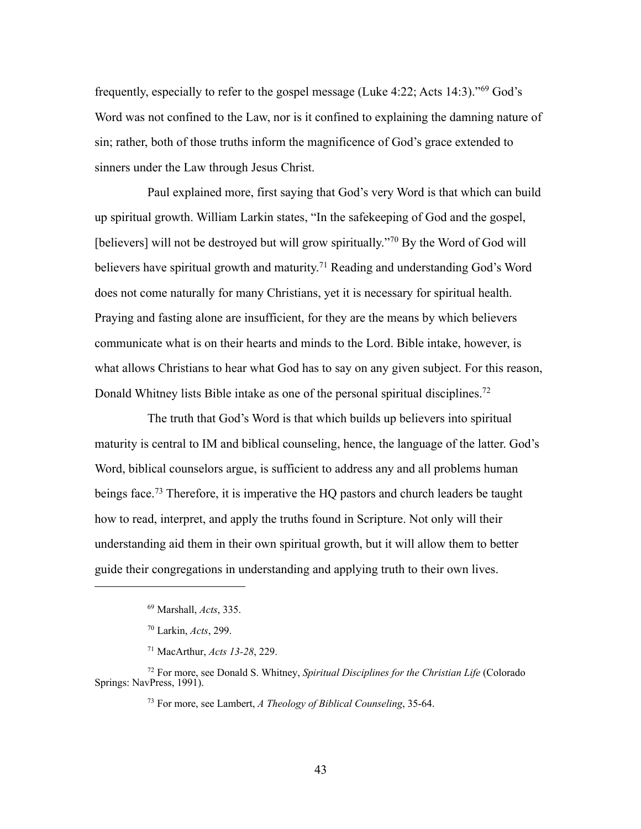frequently, especially to refer to the gospel message (Luke 4:22; Acts 14:3)."69 God's Word was not confined to the Law, nor is it confined to explaining the damning nature of sin; rather, both of those truths inform the magnificence of God's grace extended to sinners under the Law through Jesus Christ.

Paul explained more, first saying that God's very Word is that which can build up spiritual growth. William Larkin states, "In the safekeeping of God and the gospel, [believers] will not be destroyed but will grow spiritually."<sup>70</sup> By the Word of God will believers have spiritual growth and maturity.<sup>71</sup> Reading and understanding God's Word does not come naturally for many Christians, yet it is necessary for spiritual health. Praying and fasting alone are insufficient, for they are the means by which believers communicate what is on their hearts and minds to the Lord. Bible intake, however, is what allows Christians to hear what God has to say on any given subject. For this reason, Donald Whitney lists Bible intake as one of the personal spiritual disciplines.<sup>72</sup>

The truth that God's Word is that which builds up believers into spiritual maturity is central to IM and biblical counseling, hence, the language of the latter. God's Word, biblical counselors argue, is sufficient to address any and all problems human beings face. <sup>73</sup> Therefore, it is imperative the HQ pastors and church leaders be taught how to read, interpret, and apply the truths found in Scripture. Not only will their understanding aid them in their own spiritual growth, but it will allow them to better guide their congregations in understanding and applying truth to their own lives.

<sup>69</sup> Marshall, *Acts*, 335.

<sup>70</sup> Larkin, *Acts*, 299.

<sup>71</sup> MacArthur, *Acts 13-28*, 229.

<sup>72</sup> For more, see Donald S. Whitney, *Spiritual Disciplines for the Christian Life* (Colorado Springs: NavPress, 1991).

<sup>73</sup> For more, see Lambert, *A Theology of Biblical Counseling*, 35-64.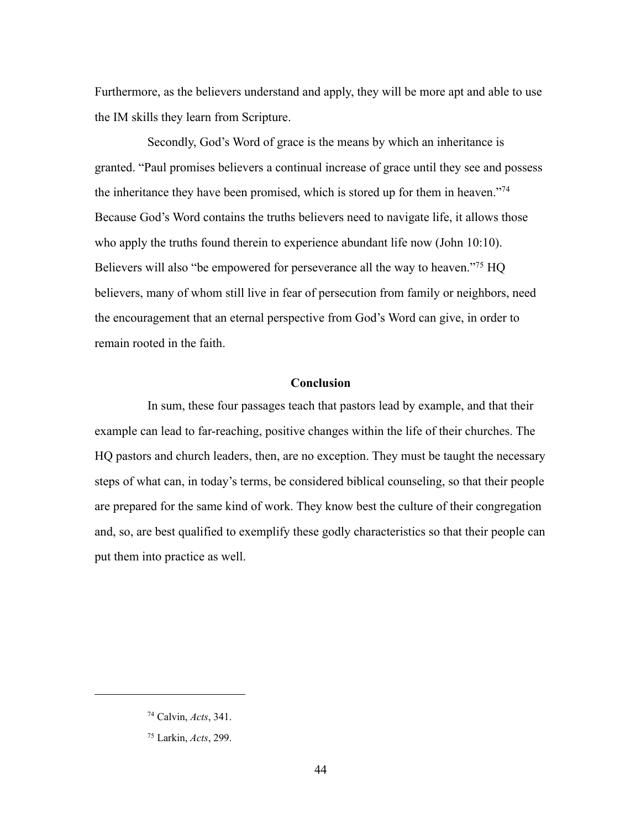Furthermore, as the believers understand and apply, they will be more apt and able to use the IM skills they learn from Scripture.

Secondly, God's Word of grace is the means by which an inheritance is granted. "Paul promises believers a continual increase of grace until they see and possess the inheritance they have been promised, which is stored up for them in heaven."74 Because God's Word contains the truths believers need to navigate life, it allows those who apply the truths found therein to experience abundant life now (John 10:10). Believers will also "be empowered for perseverance all the way to heaven."75 HQ believers, many of whom still live in fear of persecution from family or neighbors, need the encouragement that an eternal perspective from God's Word can give, in order to remain rooted in the faith.

# **Conclusion**

In sum, these four passages teach that pastors lead by example, and that their example can lead to far-reaching, positive changes within the life of their churches. The HQ pastors and church leaders, then, are no exception. They must be taught the necessary steps of what can, in today's terms, be considered biblical counseling, so that their people are prepared for the same kind of work. They know best the culture of their congregation and, so, are best qualified to exemplify these godly characteristics so that their people can put them into practice as well.

<sup>74</sup> Calvin, *Acts*, 341.

<sup>75</sup> Larkin, *Acts*, 299.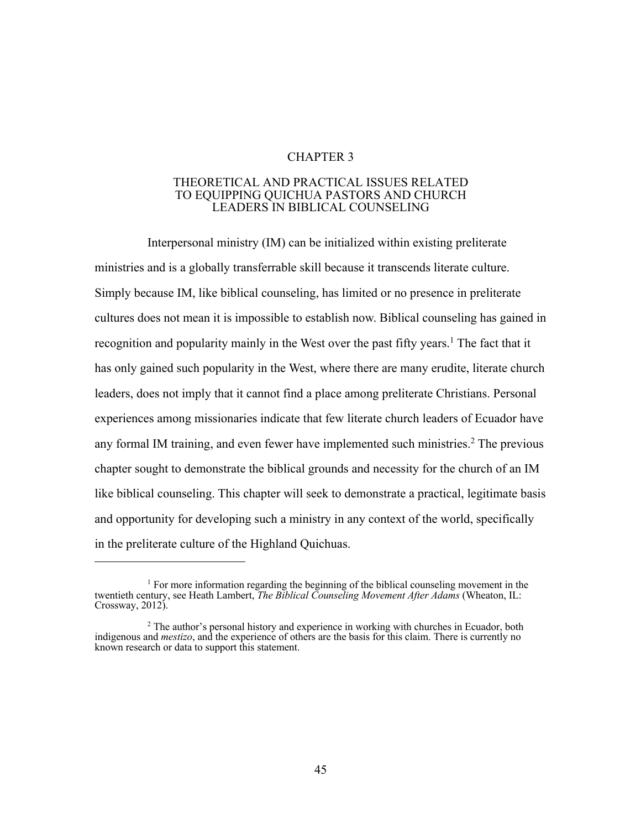# CHAPTER 3

#### THEORETICAL AND PRACTICAL ISSUES RELATED TO EQUIPPING QUICHUA PASTORS AND CHURCH LEADERS IN BIBLICAL COUNSELING

Interpersonal ministry (IM) can be initialized within existing preliterate ministries and is a globally transferrable skill because it transcends literate culture. Simply because IM, like biblical counseling, has limited or no presence in preliterate cultures does not mean it is impossible to establish now. Biblical counseling has gained in recognition and popularity mainly in the West over the past fifty years.<sup>1</sup> The fact that it has only gained such popularity in the West, where there are many erudite, literate church leaders, does not imply that it cannot find a place among preliterate Christians. Personal experiences among missionaries indicate that few literate church leaders of Ecuador have any formal IM training, and even fewer have implemented such ministries.<sup>2</sup> The previous chapter sought to demonstrate the biblical grounds and necessity for the church of an IM like biblical counseling. This chapter will seek to demonstrate a practical, legitimate basis and opportunity for developing such a ministry in any context of the world, specifically in the preliterate culture of the Highland Quichuas.

<sup>&</sup>lt;sup>1</sup> For more information regarding the beginning of the biblical counseling movement in the twentieth century, see Heath Lambert, *The Biblical Counseling Movement After Adams* (Wheaton, IL: Crossway, 2012).

<sup>2</sup> The author's personal history and experience in working with churches in Ecuador, both indigenous and *mestizo*, and the experience of others are the basis for this claim. There is currently no known research or data to support this statement.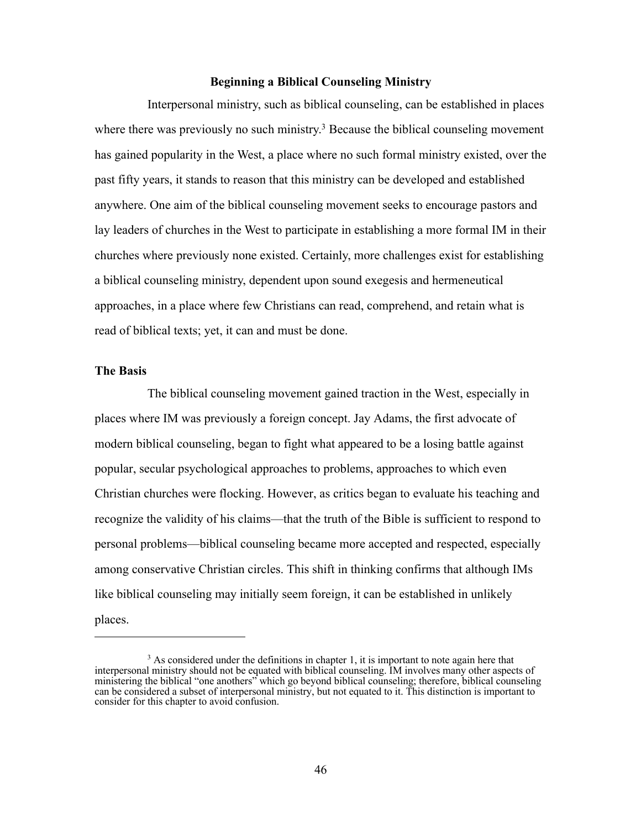#### **Beginning a Biblical Counseling Ministry**

Interpersonal ministry, such as biblical counseling, can be established in places where there was previously no such ministry.<sup>3</sup> Because the biblical counseling movement has gained popularity in the West, a place where no such formal ministry existed, over the past fifty years, it stands to reason that this ministry can be developed and established anywhere. One aim of the biblical counseling movement seeks to encourage pastors and lay leaders of churches in the West to participate in establishing a more formal IM in their churches where previously none existed. Certainly, more challenges exist for establishing a biblical counseling ministry, dependent upon sound exegesis and hermeneutical approaches, in a place where few Christians can read, comprehend, and retain what is read of biblical texts; yet, it can and must be done.

#### **The Basis**

The biblical counseling movement gained traction in the West, especially in places where IM was previously a foreign concept. Jay Adams, the first advocate of modern biblical counseling, began to fight what appeared to be a losing battle against popular, secular psychological approaches to problems, approaches to which even Christian churches were flocking. However, as critics began to evaluate his teaching and recognize the validity of his claims—that the truth of the Bible is sufficient to respond to personal problems—biblical counseling became more accepted and respected, especially among conservative Christian circles. This shift in thinking confirms that although IMs like biblical counseling may initially seem foreign, it can be established in unlikely places.

 $3$  As considered under the definitions in chapter 1, it is important to note again here that interpersonal ministry should not be equated with biblical counseling. IM involves many other aspects of ministering the biblical "one anothers" which go beyond biblical counseling; therefore, biblical counseling can be considered a subset of interpersonal ministry, but not equated to it. This distinction is important to consider for this chapter to avoid confusion.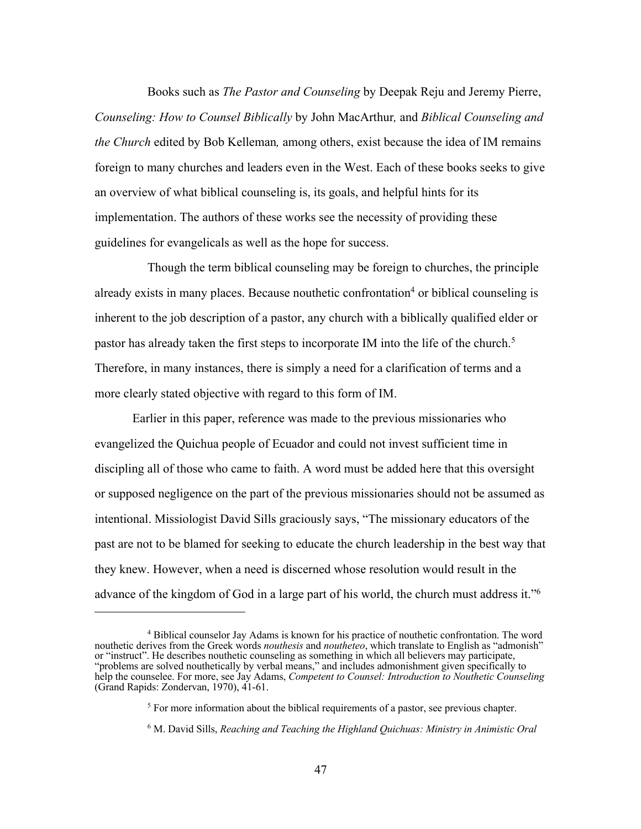Books such as *The Pastor and Counseling* by Deepak Reju and Jeremy Pierre, *Counseling: How to Counsel Biblically* by John MacArthur*,* and *Biblical Counseling and the Church* edited by Bob Kelleman*,* among others, exist because the idea of IM remains foreign to many churches and leaders even in the West. Each of these books seeks to give an overview of what biblical counseling is, its goals, and helpful hints for its implementation. The authors of these works see the necessity of providing these guidelines for evangelicals as well as the hope for success.

Though the term biblical counseling may be foreign to churches, the principle already exists in many places. Because nouthetic confrontation<sup>4</sup> or biblical counseling is inherent to the job description of a pastor, any church with a biblically qualified elder or pastor has already taken the first steps to incorporate IM into the life of the church.<sup>5</sup> Therefore, in many instances, there is simply a need for a clarification of terms and a more clearly stated objective with regard to this form of IM.

Earlier in this paper, reference was made to the previous missionaries who evangelized the Quichua people of Ecuador and could not invest sufficient time in discipling all of those who came to faith. A word must be added here that this oversight or supposed negligence on the part of the previous missionaries should not be assumed as intentional. Missiologist David Sills graciously says, "The missionary educators of the past are not to be blamed for seeking to educate the church leadership in the best way that they knew. However, when a need is discerned whose resolution would result in the advance of the kingdom of God in a large part of his world, the church must address it."6

<sup>4</sup> Biblical counselor Jay Adams is known for his practice of nouthetic confrontation. The word nouthetic derives from the Greek words *nouthesis* and *noutheteo*, which translate to English as "admonish" or "instruct". He describes nouthetic counseling as something in which all believers may participate, "problems are solved nouthetically by verbal means," and includes admonishment given specifically to help the counselee. For more, see Jay Adams, *Competent to Counsel: Introduction to Nouthetic Counseling* (Grand Rapids: Zondervan, 1970), 41-61.

 $<sup>5</sup>$  For more information about the biblical requirements of a pastor, see previous chapter.</sup>

<sup>6</sup> M. David Sills, *Reaching and Teaching the Highland Quichuas: Ministry in Animistic Oral*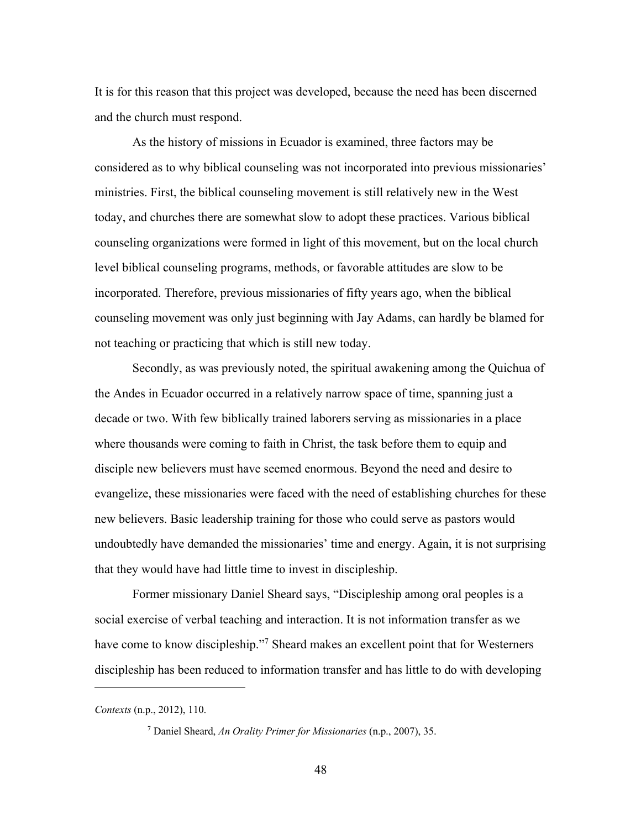It is for this reason that this project was developed, because the need has been discerned and the church must respond.

As the history of missions in Ecuador is examined, three factors may be considered as to why biblical counseling was not incorporated into previous missionaries' ministries. First, the biblical counseling movement is still relatively new in the West today, and churches there are somewhat slow to adopt these practices. Various biblical counseling organizations were formed in light of this movement, but on the local church level biblical counseling programs, methods, or favorable attitudes are slow to be incorporated. Therefore, previous missionaries of fifty years ago, when the biblical counseling movement was only just beginning with Jay Adams, can hardly be blamed for not teaching or practicing that which is still new today.

Secondly, as was previously noted, the spiritual awakening among the Quichua of the Andes in Ecuador occurred in a relatively narrow space of time, spanning just a decade or two. With few biblically trained laborers serving as missionaries in a place where thousands were coming to faith in Christ, the task before them to equip and disciple new believers must have seemed enormous. Beyond the need and desire to evangelize, these missionaries were faced with the need of establishing churches for these new believers. Basic leadership training for those who could serve as pastors would undoubtedly have demanded the missionaries' time and energy. Again, it is not surprising that they would have had little time to invest in discipleship.

Former missionary Daniel Sheard says, "Discipleship among oral peoples is a social exercise of verbal teaching and interaction. It is not information transfer as we have come to know discipleship."<sup>7</sup> Sheard makes an excellent point that for Westerners discipleship has been reduced to information transfer and has little to do with developing

*Contexts* (n.p., 2012), 110.

<sup>7</sup> Daniel Sheard, *An Orality Primer for Missionaries* (n.p., 2007), 35.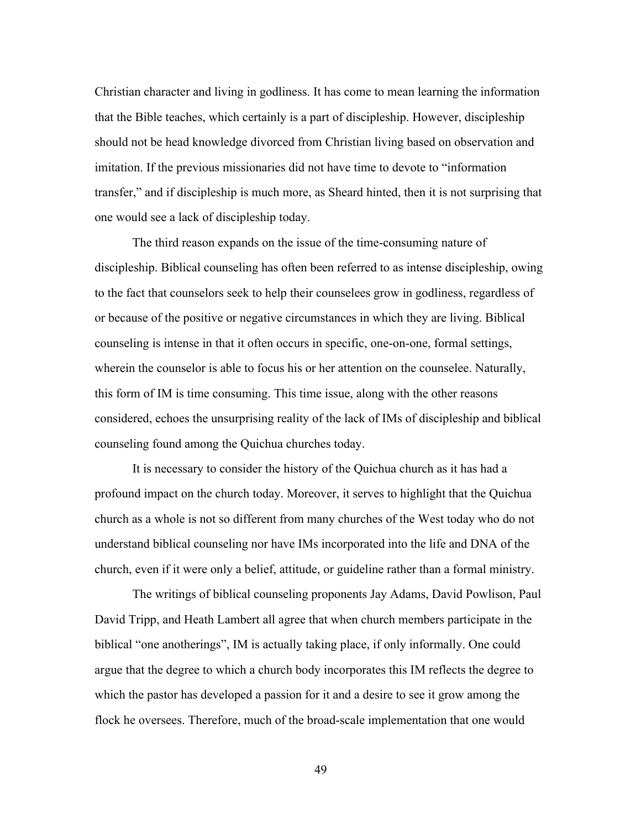Christian character and living in godliness. It has come to mean learning the information that the Bible teaches, which certainly is a part of discipleship. However, discipleship should not be head knowledge divorced from Christian living based on observation and imitation. If the previous missionaries did not have time to devote to "information transfer," and if discipleship is much more, as Sheard hinted, then it is not surprising that one would see a lack of discipleship today.

The third reason expands on the issue of the time-consuming nature of discipleship. Biblical counseling has often been referred to as intense discipleship, owing to the fact that counselors seek to help their counselees grow in godliness, regardless of or because of the positive or negative circumstances in which they are living. Biblical counseling is intense in that it often occurs in specific, one-on-one, formal settings, wherein the counselor is able to focus his or her attention on the counselee. Naturally, this form of IM is time consuming. This time issue, along with the other reasons considered, echoes the unsurprising reality of the lack of IMs of discipleship and biblical counseling found among the Quichua churches today.

It is necessary to consider the history of the Quichua church as it has had a profound impact on the church today. Moreover, it serves to highlight that the Quichua church as a whole is not so different from many churches of the West today who do not understand biblical counseling nor have IMs incorporated into the life and DNA of the church, even if it were only a belief, attitude, or guideline rather than a formal ministry.

The writings of biblical counseling proponents Jay Adams, David Powlison, Paul David Tripp, and Heath Lambert all agree that when church members participate in the biblical "one anotherings", IM is actually taking place, if only informally. One could argue that the degree to which a church body incorporates this IM reflects the degree to which the pastor has developed a passion for it and a desire to see it grow among the flock he oversees. Therefore, much of the broad-scale implementation that one would

49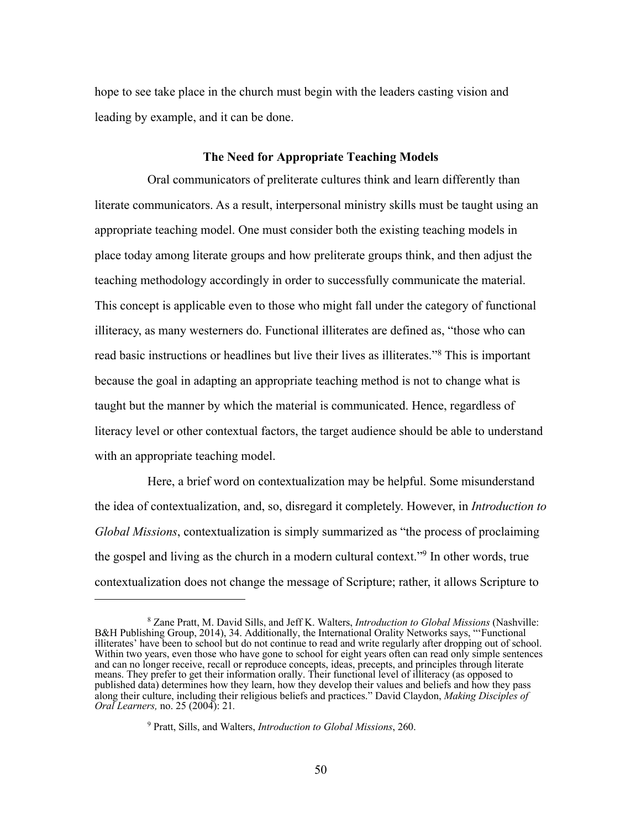hope to see take place in the church must begin with the leaders casting vision and leading by example, and it can be done.

#### **The Need for Appropriate Teaching Models**

Oral communicators of preliterate cultures think and learn differently than literate communicators. As a result, interpersonal ministry skills must be taught using an appropriate teaching model. One must consider both the existing teaching models in place today among literate groups and how preliterate groups think, and then adjust the teaching methodology accordingly in order to successfully communicate the material. This concept is applicable even to those who might fall under the category of functional illiteracy, as many westerners do. Functional illiterates are defined as, "those who can read basic instructions or headlines but live their lives as illiterates."8 This is important because the goal in adapting an appropriate teaching method is not to change what is taught but the manner by which the material is communicated. Hence, regardless of literacy level or other contextual factors, the target audience should be able to understand with an appropriate teaching model.

Here, a brief word on contextualization may be helpful. Some misunderstand the idea of contextualization, and, so, disregard it completely. However, in *Introduction to Global Missions*, contextualization is simply summarized as "the process of proclaiming the gospel and living as the church in a modern cultural context."9 In other words, true contextualization does not change the message of Scripture; rather, it allows Scripture to

<sup>9</sup> Pratt, Sills, and Walters, *Introduction to Global Missions*, 260.

<sup>8</sup> Zane Pratt, M. David Sills, and Jeff K. Walters, *Introduction to Global Missions* (Nashville: B&H Publishing Group, 2014), 34. Additionally, the International Orality Networks says, "'Functional illiterates' have been to school but do not continue to read and write regularly after dropping out of school. Within two years, even those who have gone to school for eight years often can read only simple sentences and can no longer receive, recall or reproduce concepts, ideas, precepts, and principles through literate means. They prefer to get their information orally. Their functional level of illiteracy (as opposed to published data) determines how they learn, how they develop their values and beliefs and how they pass along their culture, including their religious beliefs and practices." David Claydon, *Making Disciples of Oral Learners,* no. 25 (2004): 21*.*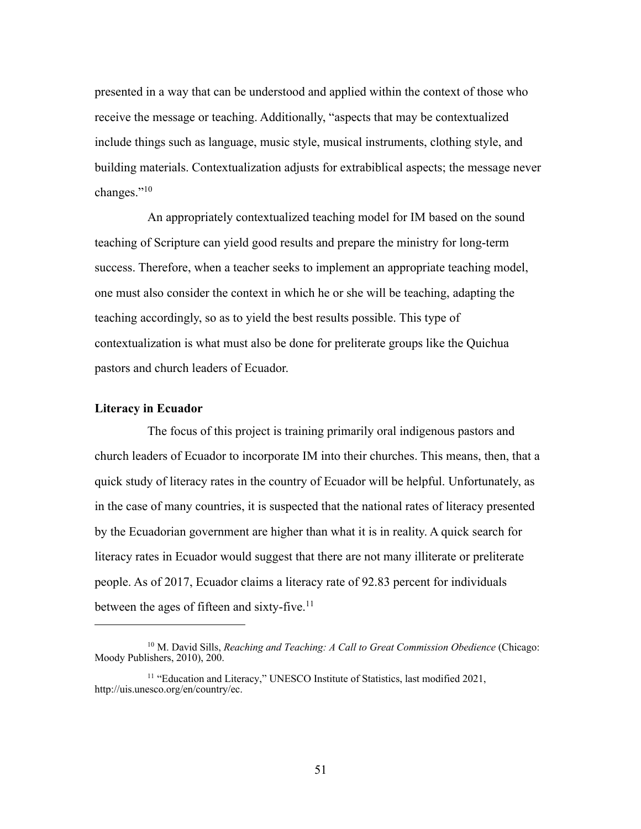presented in a way that can be understood and applied within the context of those who receive the message or teaching. Additionally, "aspects that may be contextualized include things such as language, music style, musical instruments, clothing style, and building materials. Contextualization adjusts for extrabiblical aspects; the message never changes."10

An appropriately contextualized teaching model for IM based on the sound teaching of Scripture can yield good results and prepare the ministry for long-term success. Therefore, when a teacher seeks to implement an appropriate teaching model, one must also consider the context in which he or she will be teaching, adapting the teaching accordingly, so as to yield the best results possible. This type of contextualization is what must also be done for preliterate groups like the Quichua pastors and church leaders of Ecuador.

### **Literacy in Ecuador**

The focus of this project is training primarily oral indigenous pastors and church leaders of Ecuador to incorporate IM into their churches. This means, then, that a quick study of literacy rates in the country of Ecuador will be helpful. Unfortunately, as in the case of many countries, it is suspected that the national rates of literacy presented by the Ecuadorian government are higher than what it is in reality. A quick search for literacy rates in Ecuador would suggest that there are not many illiterate or preliterate people. As of 2017, Ecuador claims a literacy rate of 92.83 percent for individuals between the ages of fifteen and sixty-five.<sup>11</sup>

51

<sup>10</sup> M. David Sills, *Reaching and Teaching: A Call to Great Commission Obedience* (Chicago: Moody Publishers, 2010), 200.

<sup>&</sup>lt;sup>11</sup> "Education and Literacy," UNESCO Institute of Statistics, last modified 2021, http://uis.unesco.org/en/country/ec.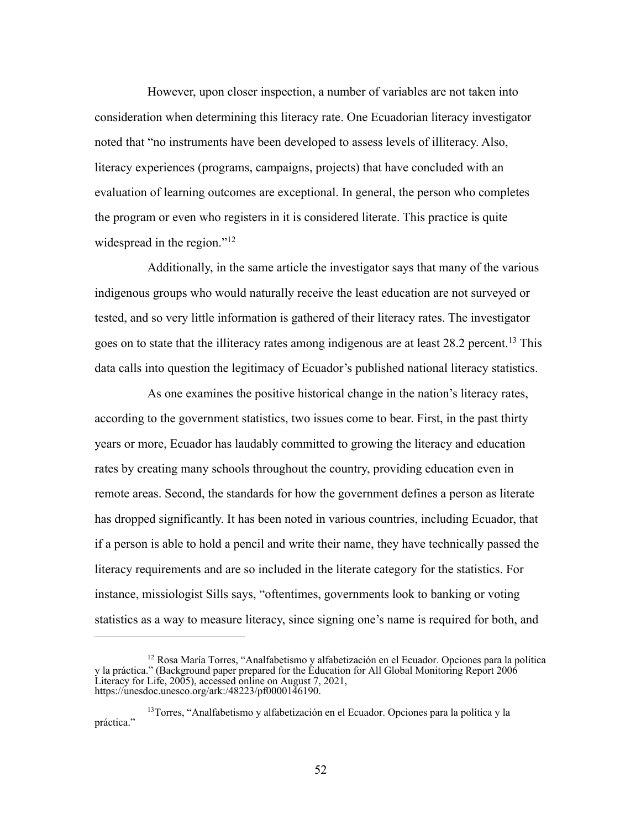However, upon closer inspection, a number of variables are not taken into consideration when determining this literacy rate. One Ecuadorian literacy investigator noted that "no instruments have been developed to assess levels of illiteracy. Also, literacy experiences (programs, campaigns, projects) that have concluded with an evaluation of learning outcomes are exceptional. In general, the person who completes the program or even who registers in it is considered literate. This practice is quite widespread in the region."<sup>12</sup>

Additionally, in the same article the investigator says that many of the various indigenous groups who would naturally receive the least education are not surveyed or tested, and so very little information is gathered of their literacy rates. The investigator goes on to state that the illiteracy rates among indigenous are at least 28.2 percent. <sup>13</sup> This data calls into question the legitimacy of Ecuador's published national literacy statistics.

As one examines the positive historical change in the nation's literacy rates, according to the government statistics, two issues come to bear. First, in the past thirty years or more, Ecuador has laudably committed to growing the literacy and education rates by creating many schools throughout the country, providing education even in remote areas. Second, the standards for how the government defines a person as literate has dropped significantly. It has been noted in various countries, including Ecuador, that if a person is able to hold a pencil and write their name, they have technically passed the literacy requirements and are so included in the literate category for the statistics. For instance, missiologist Sills says, "oftentimes, governments look to banking or voting statistics as a way to measure literacy, since signing one's name is required for both, and

<sup>12</sup> Rosa María Torres, "Analfabetismo y alfabetización en el Ecuador. Opciones para la política y la práctica." (Background paper prepared for the Education for All Global Monitoring Report 2006 Literacy for Life, 2005), accessed online on August 7, 2021, https://unesdoc.unesco.org/ark:/48223/pf0000146190.

<sup>13</sup>Torres, "Analfabetismo y alfabetización en el Ecuador. Opciones para la política y la práctica."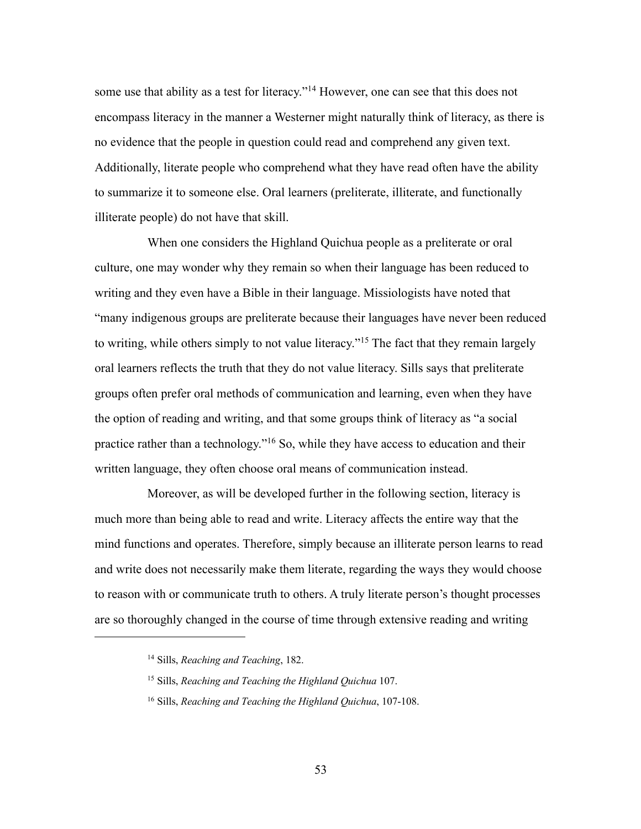some use that ability as a test for literacy."<sup>14</sup> However, one can see that this does not encompass literacy in the manner a Westerner might naturally think of literacy, as there is no evidence that the people in question could read and comprehend any given text. Additionally, literate people who comprehend what they have read often have the ability to summarize it to someone else. Oral learners (preliterate, illiterate, and functionally illiterate people) do not have that skill.

When one considers the Highland Quichua people as a preliterate or oral culture, one may wonder why they remain so when their language has been reduced to writing and they even have a Bible in their language. Missiologists have noted that "many indigenous groups are preliterate because their languages have never been reduced to writing, while others simply to not value literacy."15 The fact that they remain largely oral learners reflects the truth that they do not value literacy. Sills says that preliterate groups often prefer oral methods of communication and learning, even when they have the option of reading and writing, and that some groups think of literacy as "a social practice rather than a technology."16 So, while they have access to education and their written language, they often choose oral means of communication instead.

Moreover, as will be developed further in the following section, literacy is much more than being able to read and write. Literacy affects the entire way that the mind functions and operates. Therefore, simply because an illiterate person learns to read and write does not necessarily make them literate, regarding the ways they would choose to reason with or communicate truth to others. A truly literate person's thought processes are so thoroughly changed in the course of time through extensive reading and writing

<sup>14</sup> Sills, *Reaching and Teaching*, 182.

<sup>15</sup> Sills, *Reaching and Teaching the Highland Quichua* 107.

<sup>16</sup> Sills, *Reaching and Teaching the Highland Quichua*, 107-108.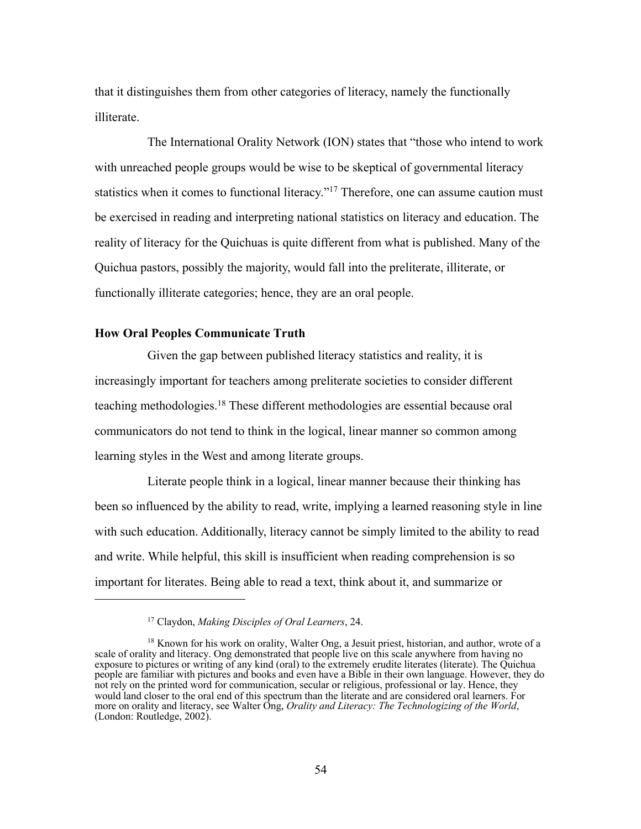that it distinguishes them from other categories of literacy, namely the functionally illiterate.

The International Orality Network (ION) states that "those who intend to work with unreached people groups would be wise to be skeptical of governmental literacy statistics when it comes to functional literacy."<sup>17</sup> Therefore, one can assume caution must be exercised in reading and interpreting national statistics on literacy and education. The reality of literacy for the Quichuas is quite different from what is published. Many of the Quichua pastors, possibly the majority, would fall into the preliterate, illiterate, or functionally illiterate categories; hence, they are an oral people.

#### **How Oral Peoples Communicate Truth**

Given the gap between published literacy statistics and reality, it is increasingly important for teachers among preliterate societies to consider different teaching methodologies. <sup>18</sup> These different methodologies are essential because oral communicators do not tend to think in the logical, linear manner so common among learning styles in the West and among literate groups.

Literate people think in a logical, linear manner because their thinking has been so influenced by the ability to read, write, implying a learned reasoning style in line with such education. Additionally, literacy cannot be simply limited to the ability to read and write. While helpful, this skill is insufficient when reading comprehension is so important for literates. Being able to read a text, think about it, and summarize or

<sup>17</sup> Claydon, *Making Disciples of Oral Learners*, 24.

<sup>&</sup>lt;sup>18</sup> Known for his work on orality, Walter Ong, a Jesuit priest, historian, and author, wrote of a scale of orality and literacy. Ong demonstrated that people live on this scale anywhere from having no exposure to pictures or writing of any kind (oral) to the extremely erudite literates (literate). The Quichua people are familiar with pictures and books and even have a Bible in their own language. However, they do not rely on the printed word for communication, secular or religious, professional or lay. Hence, they would land closer to the oral end of this spectrum than the literate and are considered oral learners. For more on orality and literacy, see Walter Ong, *Orality and Literacy: The Technologizing of the World*, (London: Routledge, 2002).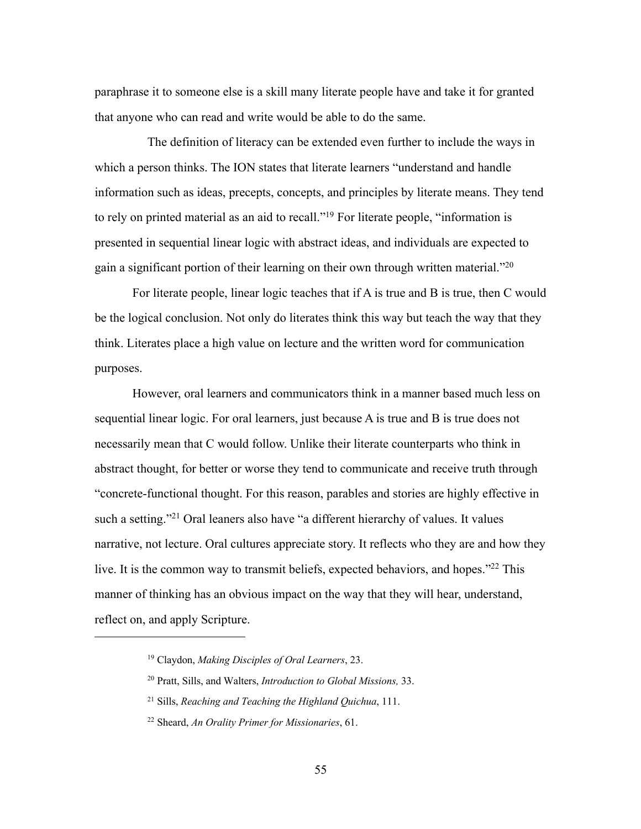paraphrase it to someone else is a skill many literate people have and take it for granted that anyone who can read and write would be able to do the same.

The definition of literacy can be extended even further to include the ways in which a person thinks. The ION states that literate learners "understand and handle information such as ideas, precepts, concepts, and principles by literate means. They tend to rely on printed material as an aid to recall."19 For literate people, "information is presented in sequential linear logic with abstract ideas, and individuals are expected to gain a significant portion of their learning on their own through written material."<sup>20</sup>

For literate people, linear logic teaches that if A is true and B is true, then C would be the logical conclusion. Not only do literates think this way but teach the way that they think. Literates place a high value on lecture and the written word for communication purposes.

However, oral learners and communicators think in a manner based much less on sequential linear logic. For oral learners, just because A is true and B is true does not necessarily mean that C would follow. Unlike their literate counterparts who think in abstract thought, for better or worse they tend to communicate and receive truth through "concrete-functional thought. For this reason, parables and stories are highly effective in such a setting."<sup>21</sup> Oral leaners also have "a different hierarchy of values. It values narrative, not lecture. Oral cultures appreciate story. It reflects who they are and how they live. It is the common way to transmit beliefs, expected behaviors, and hopes."<sup>22</sup> This manner of thinking has an obvious impact on the way that they will hear, understand, reflect on, and apply Scripture.

<sup>19</sup> Claydon, *Making Disciples of Oral Learners*, 23.

<sup>20</sup> Pratt, Sills, and Walters, *Introduction to Global Missions,* 33.

<sup>21</sup> Sills, *Reaching and Teaching the Highland Quichua*, 111.

<sup>22</sup> Sheard, *An Orality Primer for Missionaries*, 61.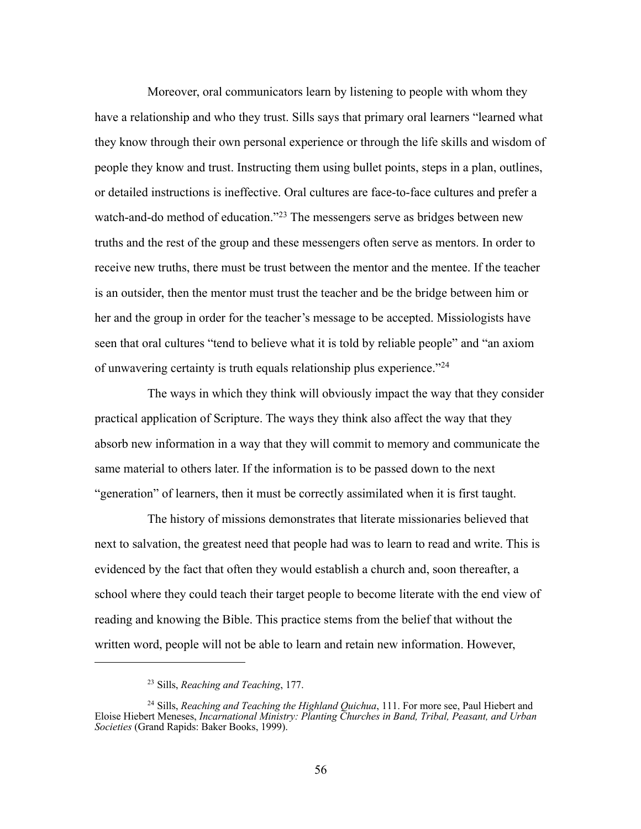Moreover, oral communicators learn by listening to people with whom they have a relationship and who they trust. Sills says that primary oral learners "learned what they know through their own personal experience or through the life skills and wisdom of people they know and trust. Instructing them using bullet points, steps in a plan, outlines, or detailed instructions is ineffective. Oral cultures are face-to-face cultures and prefer a watch-and-do method of education."<sup>23</sup> The messengers serve as bridges between new truths and the rest of the group and these messengers often serve as mentors. In order to receive new truths, there must be trust between the mentor and the mentee. If the teacher is an outsider, then the mentor must trust the teacher and be the bridge between him or her and the group in order for the teacher's message to be accepted. Missiologists have seen that oral cultures "tend to believe what it is told by reliable people" and "an axiom of unwavering certainty is truth equals relationship plus experience."24

The ways in which they think will obviously impact the way that they consider practical application of Scripture. The ways they think also affect the way that they absorb new information in a way that they will commit to memory and communicate the same material to others later. If the information is to be passed down to the next "generation" of learners, then it must be correctly assimilated when it is first taught.

The history of missions demonstrates that literate missionaries believed that next to salvation, the greatest need that people had was to learn to read and write. This is evidenced by the fact that often they would establish a church and, soon thereafter, a school where they could teach their target people to become literate with the end view of reading and knowing the Bible. This practice stems from the belief that without the written word, people will not be able to learn and retain new information. However,

<sup>23</sup> Sills, *Reaching and Teaching*, 177.

<sup>24</sup> Sills, *Reaching and Teaching the Highland Quichua*, 111. For more see, Paul Hiebert and Eloise Hiebert Meneses, *Incarnational Ministry: Planting Churches in Band, Tribal, Peasant, and Urban Societies* (Grand Rapids: Baker Books, 1999).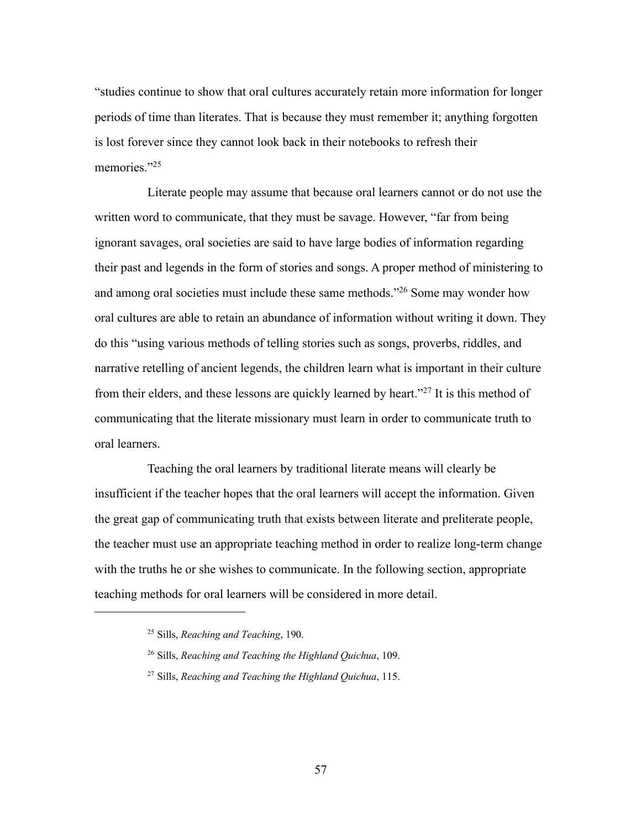"studies continue to show that oral cultures accurately retain more information for longer periods of time than literates. That is because they must remember it; anything forgotten is lost forever since they cannot look back in their notebooks to refresh their memories."25

Literate people may assume that because oral learners cannot or do not use the written word to communicate, that they must be savage. However, "far from being ignorant savages, oral societies are said to have large bodies of information regarding their past and legends in the form of stories and songs. A proper method of ministering to and among oral societies must include these same methods."26 Some may wonder how oral cultures are able to retain an abundance of information without writing it down. They do this "using various methods of telling stories such as songs, proverbs, riddles, and narrative retelling of ancient legends, the children learn what is important in their culture from their elders, and these lessons are quickly learned by heart."27 It is this method of communicating that the literate missionary must learn in order to communicate truth to oral learners.

Teaching the oral learners by traditional literate means will clearly be insufficient if the teacher hopes that the oral learners will accept the information. Given the great gap of communicating truth that exists between literate and preliterate people, the teacher must use an appropriate teaching method in order to realize long-term change with the truths he or she wishes to communicate. In the following section, appropriate teaching methods for oral learners will be considered in more detail.

57

<sup>25</sup> Sills, *Reaching and Teaching*, 190.

<sup>26</sup> Sills, *Reaching and Teaching the Highland Quichua*, 109.

<sup>27</sup> Sills, *Reaching and Teaching the Highland Quichua*, 115.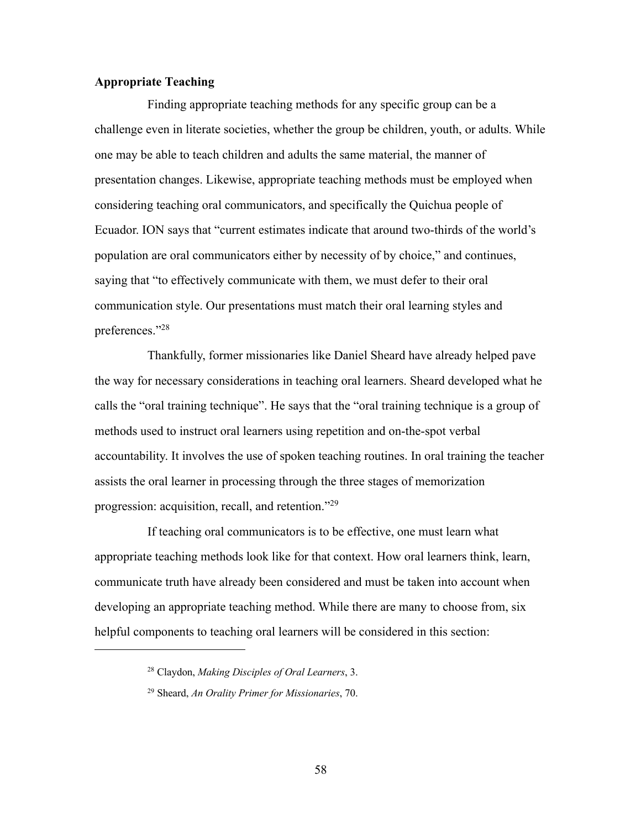## **Appropriate Teaching**

Finding appropriate teaching methods for any specific group can be a challenge even in literate societies, whether the group be children, youth, or adults. While one may be able to teach children and adults the same material, the manner of presentation changes. Likewise, appropriate teaching methods must be employed when considering teaching oral communicators, and specifically the Quichua people of Ecuador. ION says that "current estimates indicate that around two-thirds of the world's population are oral communicators either by necessity of by choice," and continues, saying that "to effectively communicate with them, we must defer to their oral communication style. Our presentations must match their oral learning styles and preferences."28

Thankfully, former missionaries like Daniel Sheard have already helped pave the way for necessary considerations in teaching oral learners. Sheard developed what he calls the "oral training technique". He says that the "oral training technique is a group of methods used to instruct oral learners using repetition and on-the-spot verbal accountability. It involves the use of spoken teaching routines. In oral training the teacher assists the oral learner in processing through the three stages of memorization progression: acquisition, recall, and retention."29

If teaching oral communicators is to be effective, one must learn what appropriate teaching methods look like for that context. How oral learners think, learn, communicate truth have already been considered and must be taken into account when developing an appropriate teaching method. While there are many to choose from, six helpful components to teaching oral learners will be considered in this section:

<sup>28</sup> Claydon, *Making Disciples of Oral Learners*, 3.

<sup>29</sup> Sheard, *An Orality Primer for Missionaries*, 70.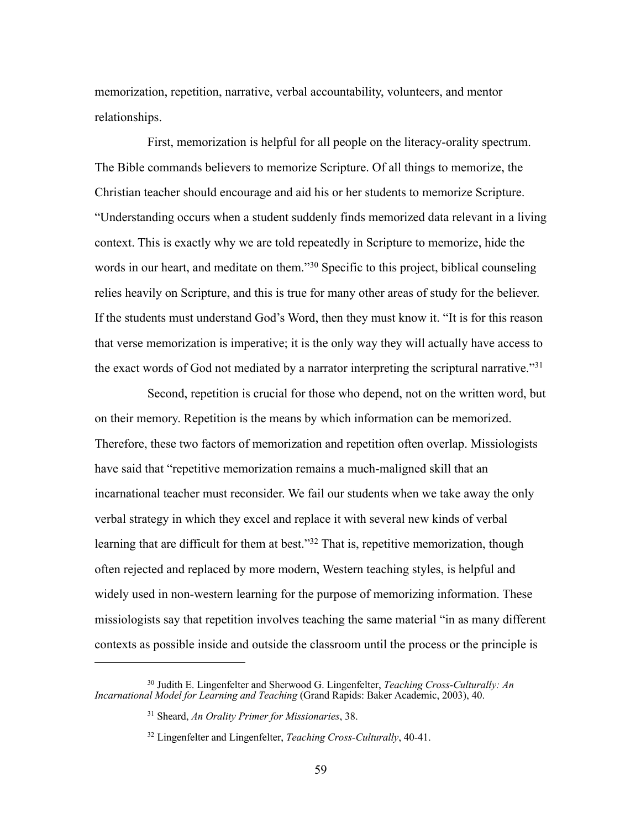memorization, repetition, narrative, verbal accountability, volunteers, and mentor relationships.

First, memorization is helpful for all people on the literacy-orality spectrum. The Bible commands believers to memorize Scripture. Of all things to memorize, the Christian teacher should encourage and aid his or her students to memorize Scripture. "Understanding occurs when a student suddenly finds memorized data relevant in a living context. This is exactly why we are told repeatedly in Scripture to memorize, hide the words in our heart, and meditate on them."<sup>30</sup> Specific to this project, biblical counseling relies heavily on Scripture, and this is true for many other areas of study for the believer. If the students must understand God's Word, then they must know it. "It is for this reason that verse memorization is imperative; it is the only way they will actually have access to the exact words of God not mediated by a narrator interpreting the scriptural narrative."31

Second, repetition is crucial for those who depend, not on the written word, but on their memory. Repetition is the means by which information can be memorized. Therefore, these two factors of memorization and repetition often overlap. Missiologists have said that "repetitive memorization remains a much-maligned skill that an incarnational teacher must reconsider. We fail our students when we take away the only verbal strategy in which they excel and replace it with several new kinds of verbal learning that are difficult for them at best."<sup>32</sup> That is, repetitive memorization, though often rejected and replaced by more modern, Western teaching styles, is helpful and widely used in non-western learning for the purpose of memorizing information. These missiologists say that repetition involves teaching the same material "in as many different contexts as possible inside and outside the classroom until the process or the principle is

<sup>30</sup> Judith E. Lingenfelter and Sherwood G. Lingenfelter, *Teaching Cross-Culturally: An Incarnational Model for Learning and Teaching* (Grand Rapids: Baker Academic, 2003), 40.

<sup>31</sup> Sheard, *An Orality Primer for Missionaries*, 38.

<sup>32</sup> Lingenfelter and Lingenfelter, *Teaching Cross-Culturally*, 40-41.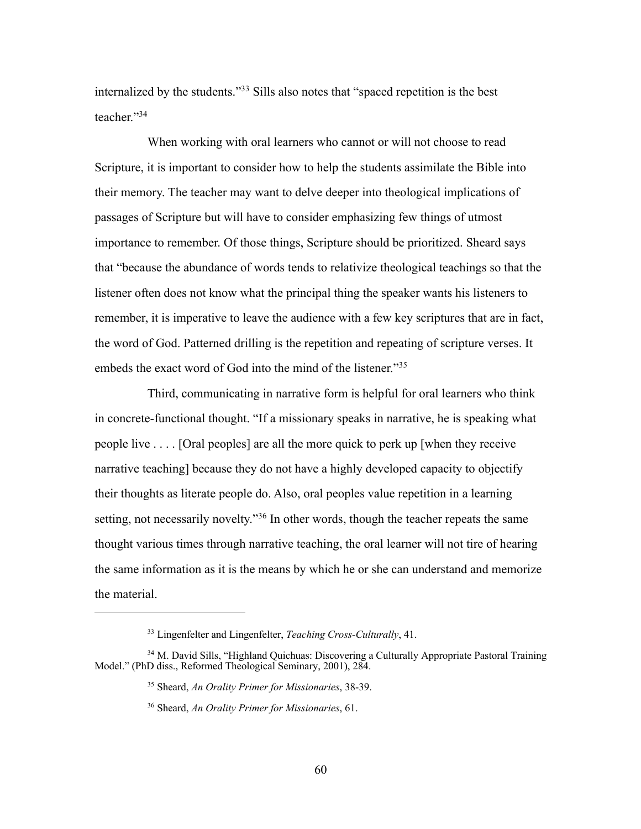internalized by the students."33 Sills also notes that "spaced repetition is the best teacher."34

When working with oral learners who cannot or will not choose to read Scripture, it is important to consider how to help the students assimilate the Bible into their memory. The teacher may want to delve deeper into theological implications of passages of Scripture but will have to consider emphasizing few things of utmost importance to remember. Of those things, Scripture should be prioritized. Sheard says that "because the abundance of words tends to relativize theological teachings so that the listener often does not know what the principal thing the speaker wants his listeners to remember, it is imperative to leave the audience with a few key scriptures that are in fact, the word of God. Patterned drilling is the repetition and repeating of scripture verses. It embeds the exact word of God into the mind of the listener."35

Third, communicating in narrative form is helpful for oral learners who think in concrete-functional thought. "If a missionary speaks in narrative, he is speaking what people live . . . . [Oral peoples] are all the more quick to perk up [when they receive narrative teaching] because they do not have a highly developed capacity to objectify their thoughts as literate people do. Also, oral peoples value repetition in a learning setting, not necessarily novelty."36 In other words, though the teacher repeats the same thought various times through narrative teaching, the oral learner will not tire of hearing the same information as it is the means by which he or she can understand and memorize the material.

<sup>33</sup> Lingenfelter and Lingenfelter, *Teaching Cross-Culturally*, 41.

<sup>&</sup>lt;sup>34</sup> M. David Sills, "Highland Quichuas: Discovering a Culturally Appropriate Pastoral Training Model." (PhD diss., Reformed Theological Seminary, 2001), 284.

<sup>35</sup> Sheard, *An Orality Primer for Missionaries*, 38-39.

<sup>36</sup> Sheard, *An Orality Primer for Missionaries*, 61.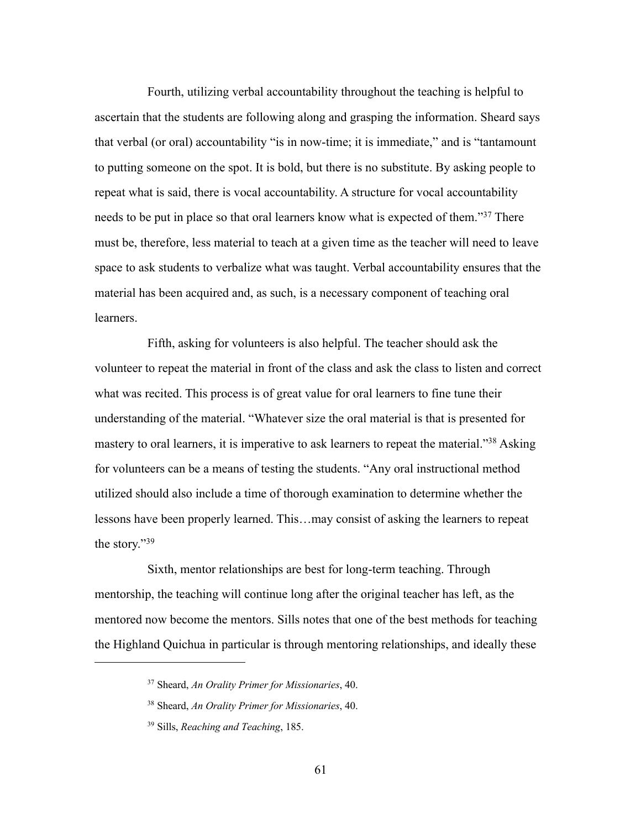Fourth, utilizing verbal accountability throughout the teaching is helpful to ascertain that the students are following along and grasping the information. Sheard says that verbal (or oral) accountability "is in now-time; it is immediate," and is "tantamount to putting someone on the spot. It is bold, but there is no substitute. By asking people to repeat what is said, there is vocal accountability. A structure for vocal accountability needs to be put in place so that oral learners know what is expected of them."37 There must be, therefore, less material to teach at a given time as the teacher will need to leave space to ask students to verbalize what was taught. Verbal accountability ensures that the material has been acquired and, as such, is a necessary component of teaching oral learners.

Fifth, asking for volunteers is also helpful. The teacher should ask the volunteer to repeat the material in front of the class and ask the class to listen and correct what was recited. This process is of great value for oral learners to fine tune their understanding of the material. "Whatever size the oral material is that is presented for mastery to oral learners, it is imperative to ask learners to repeat the material."<sup>38</sup> Asking for volunteers can be a means of testing the students. "Any oral instructional method utilized should also include a time of thorough examination to determine whether the lessons have been properly learned. This…may consist of asking the learners to repeat the story."39

Sixth, mentor relationships are best for long-term teaching. Through mentorship, the teaching will continue long after the original teacher has left, as the mentored now become the mentors. Sills notes that one of the best methods for teaching the Highland Quichua in particular is through mentoring relationships, and ideally these

61

<sup>37</sup> Sheard, *An Orality Primer for Missionaries*, 40.

<sup>38</sup> Sheard, *An Orality Primer for Missionaries*, 40.

<sup>39</sup> Sills, *Reaching and Teaching*, 185.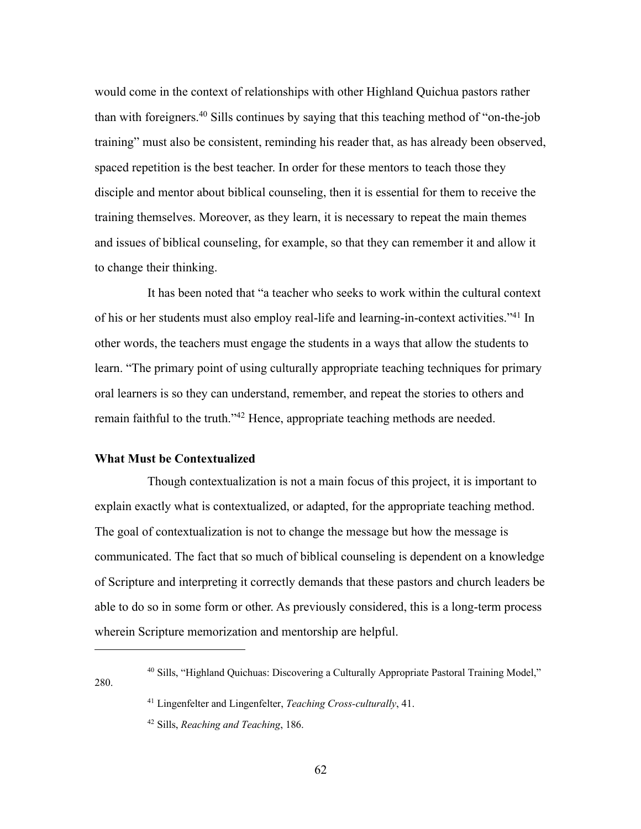would come in the context of relationships with other Highland Quichua pastors rather than with foreigners.40 Sills continues by saying that this teaching method of "on-the-job training" must also be consistent, reminding his reader that, as has already been observed, spaced repetition is the best teacher. In order for these mentors to teach those they disciple and mentor about biblical counseling, then it is essential for them to receive the training themselves. Moreover, as they learn, it is necessary to repeat the main themes and issues of biblical counseling, for example, so that they can remember it and allow it to change their thinking.

It has been noted that "a teacher who seeks to work within the cultural context of his or her students must also employ real-life and learning-in-context activities."41 In other words, the teachers must engage the students in a ways that allow the students to learn. "The primary point of using culturally appropriate teaching techniques for primary oral learners is so they can understand, remember, and repeat the stories to others and remain faithful to the truth."42 Hence, appropriate teaching methods are needed.

### **What Must be Contextualized**

280.

Though contextualization is not a main focus of this project, it is important to explain exactly what is contextualized, or adapted, for the appropriate teaching method. The goal of contextualization is not to change the message but how the message is communicated. The fact that so much of biblical counseling is dependent on a knowledge of Scripture and interpreting it correctly demands that these pastors and church leaders be able to do so in some form or other. As previously considered, this is a long-term process wherein Scripture memorization and mentorship are helpful.

<sup>40</sup> Sills, "Highland Quichuas: Discovering a Culturally Appropriate Pastoral Training Model,"

<sup>41</sup> Lingenfelter and Lingenfelter, *Teaching Cross-culturally*, 41.

<sup>42</sup> Sills, *Reaching and Teaching*, 186.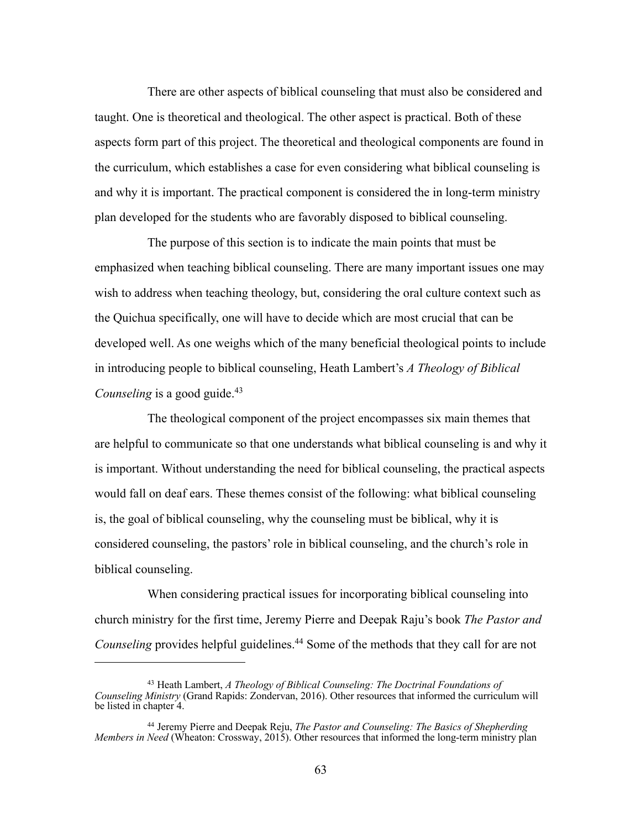There are other aspects of biblical counseling that must also be considered and taught. One is theoretical and theological. The other aspect is practical. Both of these aspects form part of this project. The theoretical and theological components are found in the curriculum, which establishes a case for even considering what biblical counseling is and why it is important. The practical component is considered the in long-term ministry plan developed for the students who are favorably disposed to biblical counseling.

The purpose of this section is to indicate the main points that must be emphasized when teaching biblical counseling. There are many important issues one may wish to address when teaching theology, but, considering the oral culture context such as the Quichua specifically, one will have to decide which are most crucial that can be developed well. As one weighs which of the many beneficial theological points to include in introducing people to biblical counseling, Heath Lambert's *A Theology of Biblical Counseling* is a good guide. 43

The theological component of the project encompasses six main themes that are helpful to communicate so that one understands what biblical counseling is and why it is important. Without understanding the need for biblical counseling, the practical aspects would fall on deaf ears. These themes consist of the following: what biblical counseling is, the goal of biblical counseling, why the counseling must be biblical, why it is considered counseling, the pastors' role in biblical counseling, and the church's role in biblical counseling.

When considering practical issues for incorporating biblical counseling into church ministry for the first time, Jeremy Pierre and Deepak Raju's book *The Pastor and Counseling* provides helpful guidelines.<sup>44</sup> Some of the methods that they call for are not

<sup>43</sup> Heath Lambert, *A Theology of Biblical Counseling: The Doctrinal Foundations of Counseling Ministry* (Grand Rapids: Zondervan, 2016). Other resources that informed the curriculum will be listed in chapter 4.

<sup>44</sup> Jeremy Pierre and Deepak Reju, *The Pastor and Counseling: The Basics of Shepherding Members in Need* (Wheaton: Crossway, 2015). Other resources that informed the long-term ministry plan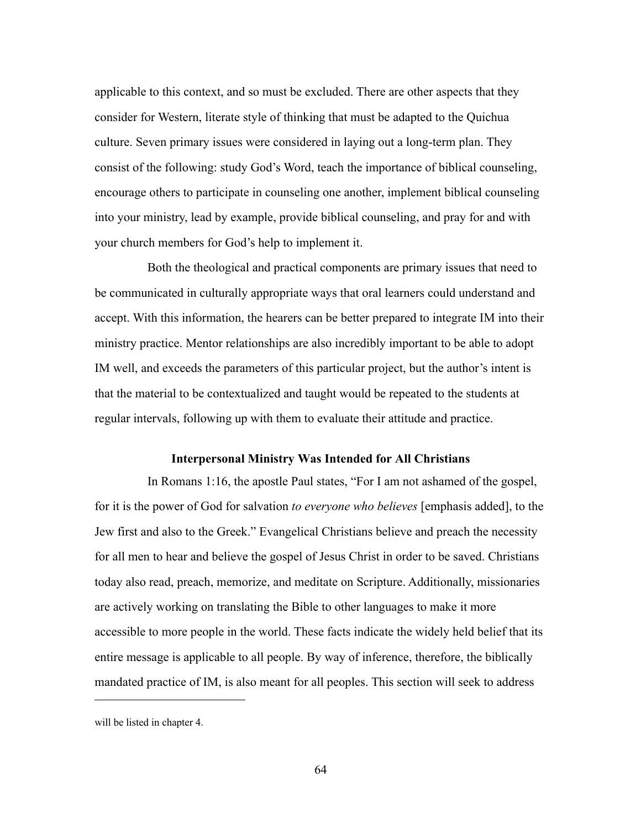applicable to this context, and so must be excluded. There are other aspects that they consider for Western, literate style of thinking that must be adapted to the Quichua culture. Seven primary issues were considered in laying out a long-term plan. They consist of the following: study God's Word, teach the importance of biblical counseling, encourage others to participate in counseling one another, implement biblical counseling into your ministry, lead by example, provide biblical counseling, and pray for and with your church members for God's help to implement it.

Both the theological and practical components are primary issues that need to be communicated in culturally appropriate ways that oral learners could understand and accept. With this information, the hearers can be better prepared to integrate IM into their ministry practice. Mentor relationships are also incredibly important to be able to adopt IM well, and exceeds the parameters of this particular project, but the author's intent is that the material to be contextualized and taught would be repeated to the students at regular intervals, following up with them to evaluate their attitude and practice.

#### **Interpersonal Ministry Was Intended for All Christians**

In Romans 1:16, the apostle Paul states, "For I am not ashamed of the gospel, for it is the power of God for salvation *to everyone who believes* [emphasis added], to the Jew first and also to the Greek." Evangelical Christians believe and preach the necessity for all men to hear and believe the gospel of Jesus Christ in order to be saved. Christians today also read, preach, memorize, and meditate on Scripture. Additionally, missionaries are actively working on translating the Bible to other languages to make it more accessible to more people in the world. These facts indicate the widely held belief that its entire message is applicable to all people. By way of inference, therefore, the biblically mandated practice of IM, is also meant for all peoples. This section will seek to address

will be listed in chapter 4.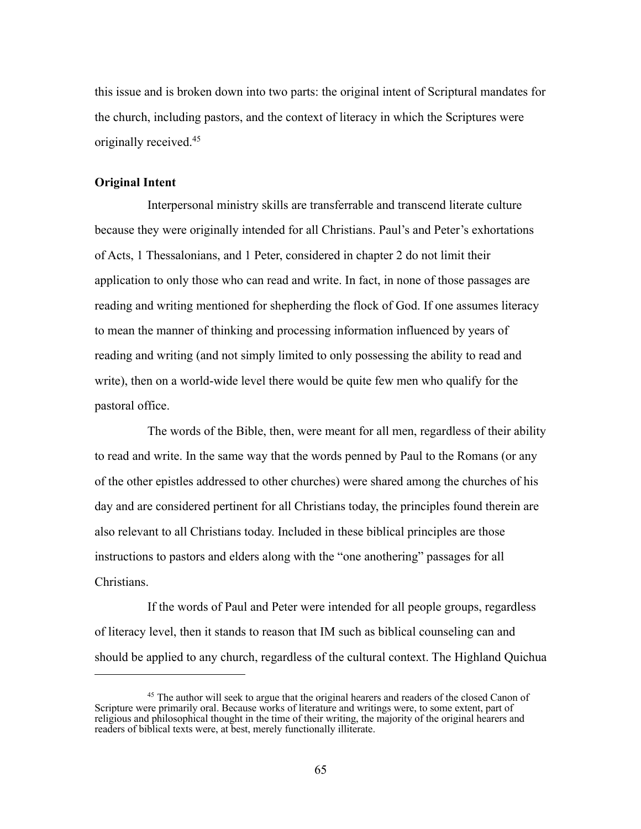this issue and is broken down into two parts: the original intent of Scriptural mandates for the church, including pastors, and the context of literacy in which the Scriptures were originally received.45

# **Original Intent**

Interpersonal ministry skills are transferrable and transcend literate culture because they were originally intended for all Christians. Paul's and Peter's exhortations of Acts, 1 Thessalonians, and 1 Peter, considered in chapter 2 do not limit their application to only those who can read and write. In fact, in none of those passages are reading and writing mentioned for shepherding the flock of God. If one assumes literacy to mean the manner of thinking and processing information influenced by years of reading and writing (and not simply limited to only possessing the ability to read and write), then on a world-wide level there would be quite few men who qualify for the pastoral office.

The words of the Bible, then, were meant for all men, regardless of their ability to read and write. In the same way that the words penned by Paul to the Romans (or any of the other epistles addressed to other churches) were shared among the churches of his day and are considered pertinent for all Christians today, the principles found therein are also relevant to all Christians today. Included in these biblical principles are those instructions to pastors and elders along with the "one anothering" passages for all Christians.

If the words of Paul and Peter were intended for all people groups, regardless of literacy level, then it stands to reason that IM such as biblical counseling can and should be applied to any church, regardless of the cultural context. The Highland Quichua

<sup>&</sup>lt;sup>45</sup> The author will seek to argue that the original hearers and readers of the closed Canon of Scripture were primarily oral. Because works of literature and writings were, to some extent, part of religious and philosophical thought in the time of their writing, the majority of the original hearers and readers of biblical texts were, at best, merely functionally illiterate.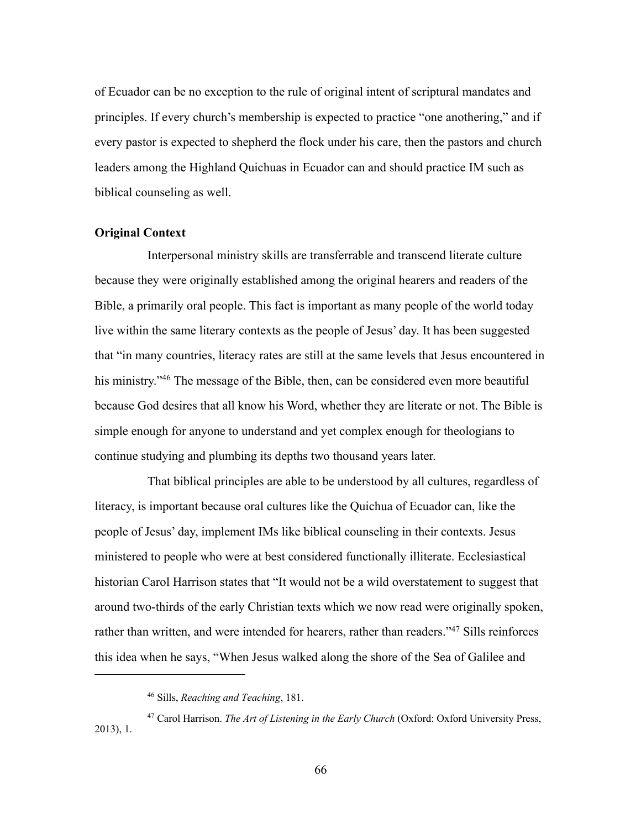of Ecuador can be no exception to the rule of original intent of scriptural mandates and principles. If every church's membership is expected to practice "one anothering," and if every pastor is expected to shepherd the flock under his care, then the pastors and church leaders among the Highland Quichuas in Ecuador can and should practice IM such as biblical counseling as well.

# **Original Context**

Interpersonal ministry skills are transferrable and transcend literate culture because they were originally established among the original hearers and readers of the Bible, a primarily oral people. This fact is important as many people of the world today live within the same literary contexts as the people of Jesus' day. It has been suggested that "in many countries, literacy rates are still at the same levels that Jesus encountered in his ministry."<sup>46</sup> The message of the Bible, then, can be considered even more beautiful because God desires that all know his Word, whether they are literate or not. The Bible is simple enough for anyone to understand and yet complex enough for theologians to continue studying and plumbing its depths two thousand years later.

That biblical principles are able to be understood by all cultures, regardless of literacy, is important because oral cultures like the Quichua of Ecuador can, like the people of Jesus' day, implement IMs like biblical counseling in their contexts. Jesus ministered to people who were at best considered functionally illiterate. Ecclesiastical historian Carol Harrison states that "It would not be a wild overstatement to suggest that around two-thirds of the early Christian texts which we now read were originally spoken, rather than written, and were intended for hearers, rather than readers."<sup>47</sup> Sills reinforces this idea when he says, "When Jesus walked along the shore of the Sea of Galilee and

<sup>46</sup> Sills, *Reaching and Teaching*, 181.

<sup>47</sup> Carol Harrison. *The Art of Listening in the Early Church* (Oxford: Oxford University Press, 2013), 1.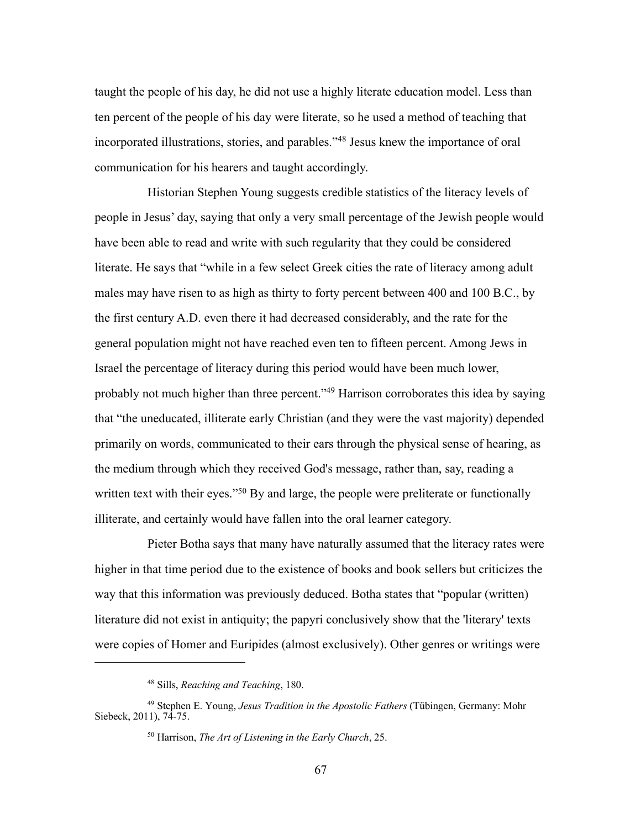taught the people of his day, he did not use a highly literate education model. Less than ten percent of the people of his day were literate, so he used a method of teaching that incorporated illustrations, stories, and parables."48 Jesus knew the importance of oral communication for his hearers and taught accordingly.

Historian Stephen Young suggests credible statistics of the literacy levels of people in Jesus' day, saying that only a very small percentage of the Jewish people would have been able to read and write with such regularity that they could be considered literate. He says that "while in a few select Greek cities the rate of literacy among adult males may have risen to as high as thirty to forty percent between 400 and 100 B.C., by the first century A.D. even there it had decreased considerably, and the rate for the general population might not have reached even ten to fifteen percent. Among Jews in Israel the percentage of literacy during this period would have been much lower, probably not much higher than three percent."49 Harrison corroborates this idea by saying that "the uneducated, illiterate early Christian (and they were the vast majority) depended primarily on words, communicated to their ears through the physical sense of hearing, as the medium through which they received God's message, rather than, say, reading a written text with their eyes."<sup>50</sup> By and large, the people were preliterate or functionally illiterate, and certainly would have fallen into the oral learner category.

Pieter Botha says that many have naturally assumed that the literacy rates were higher in that time period due to the existence of books and book sellers but criticizes the way that this information was previously deduced. Botha states that "popular (written) literature did not exist in antiquity; the papyri conclusively show that the 'literary' texts were copies of Homer and Euripides (almost exclusively). Other genres or writings were

<sup>48</sup> Sills, *Reaching and Teaching*, 180.

<sup>49</sup> Stephen E. Young, *Jesus Tradition in the Apostolic Fathers* (Tübingen, Germany: Mohr Siebeck, 2011), 74-75.

<sup>50</sup> Harrison, *The Art of Listening in the Early Church*, 25.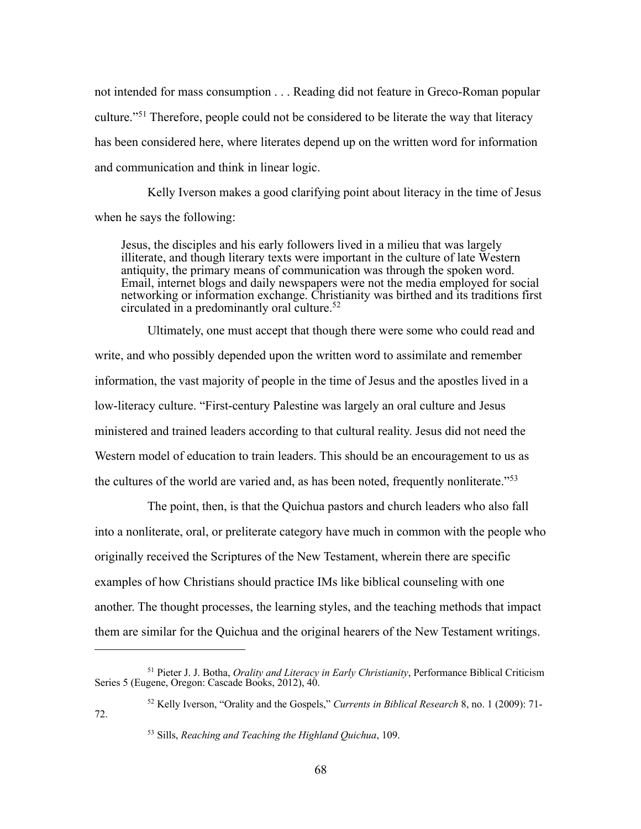not intended for mass consumption . . . Reading did not feature in Greco-Roman popular culture."51 Therefore, people could not be considered to be literate the way that literacy has been considered here, where literates depend up on the written word for information and communication and think in linear logic.

Kelly Iverson makes a good clarifying point about literacy in the time of Jesus when he says the following:

Jesus, the disciples and his early followers lived in a milieu that was largely illiterate, and though literary texts were important in the culture of late Western antiquity, the primary means of communication was through the spoken word. Email, internet blogs and daily newspapers were not the media employed for social networking or information exchange. Christianity was birthed and its traditions first circulated in a predominantly oral culture. 52

Ultimately, one must accept that though there were some who could read and write, and who possibly depended upon the written word to assimilate and remember information, the vast majority of people in the time of Jesus and the apostles lived in a low-literacy culture. "First-century Palestine was largely an oral culture and Jesus ministered and trained leaders according to that cultural reality. Jesus did not need the Western model of education to train leaders. This should be an encouragement to us as the cultures of the world are varied and, as has been noted, frequently nonliterate."53

The point, then, is that the Quichua pastors and church leaders who also fall into a nonliterate, oral, or preliterate category have much in common with the people who originally received the Scriptures of the New Testament, wherein there are specific examples of how Christians should practice IMs like biblical counseling with one another. The thought processes, the learning styles, and the teaching methods that impact them are similar for the Quichua and the original hearers of the New Testament writings.

<sup>51</sup> Pieter J. J. Botha, *Orality and Literacy in Early Christianity*, Performance Biblical Criticism Series 5 (Eugene, Oregon: Cascade Books, 2012), 40.

<sup>52</sup> Kelly Iverson, "Orality and the Gospels," *Currents in Biblical Research* 8, no. 1 (2009): 71- 72.

<sup>53</sup> Sills, *Reaching and Teaching the Highland Quichua*, 109.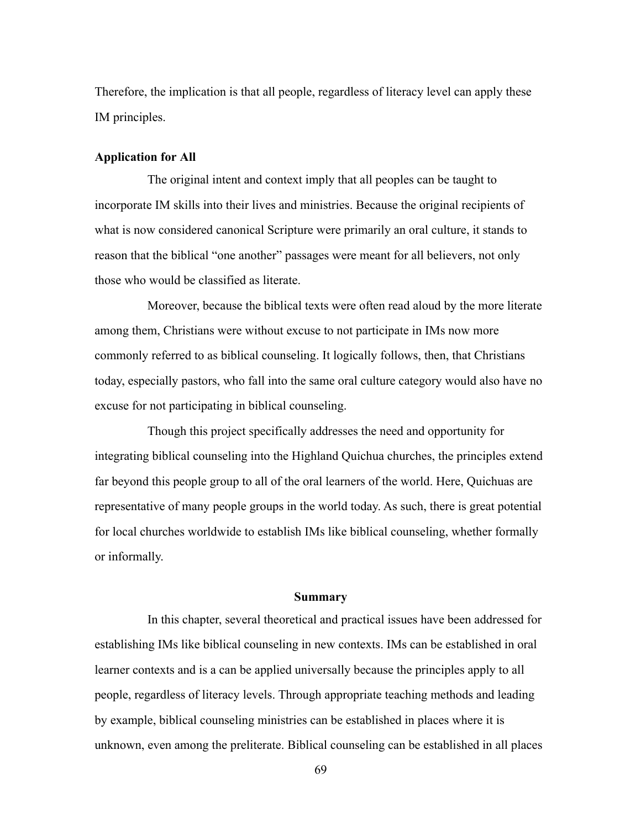Therefore, the implication is that all people, regardless of literacy level can apply these IM principles.

## **Application for All**

The original intent and context imply that all peoples can be taught to incorporate IM skills into their lives and ministries. Because the original recipients of what is now considered canonical Scripture were primarily an oral culture, it stands to reason that the biblical "one another" passages were meant for all believers, not only those who would be classified as literate.

Moreover, because the biblical texts were often read aloud by the more literate among them, Christians were without excuse to not participate in IMs now more commonly referred to as biblical counseling. It logically follows, then, that Christians today, especially pastors, who fall into the same oral culture category would also have no excuse for not participating in biblical counseling.

Though this project specifically addresses the need and opportunity for integrating biblical counseling into the Highland Quichua churches, the principles extend far beyond this people group to all of the oral learners of the world. Here, Quichuas are representative of many people groups in the world today. As such, there is great potential for local churches worldwide to establish IMs like biblical counseling, whether formally or informally.

#### **Summary**

In this chapter, several theoretical and practical issues have been addressed for establishing IMs like biblical counseling in new contexts. IMs can be established in oral learner contexts and is a can be applied universally because the principles apply to all people, regardless of literacy levels. Through appropriate teaching methods and leading by example, biblical counseling ministries can be established in places where it is unknown, even among the preliterate. Biblical counseling can be established in all places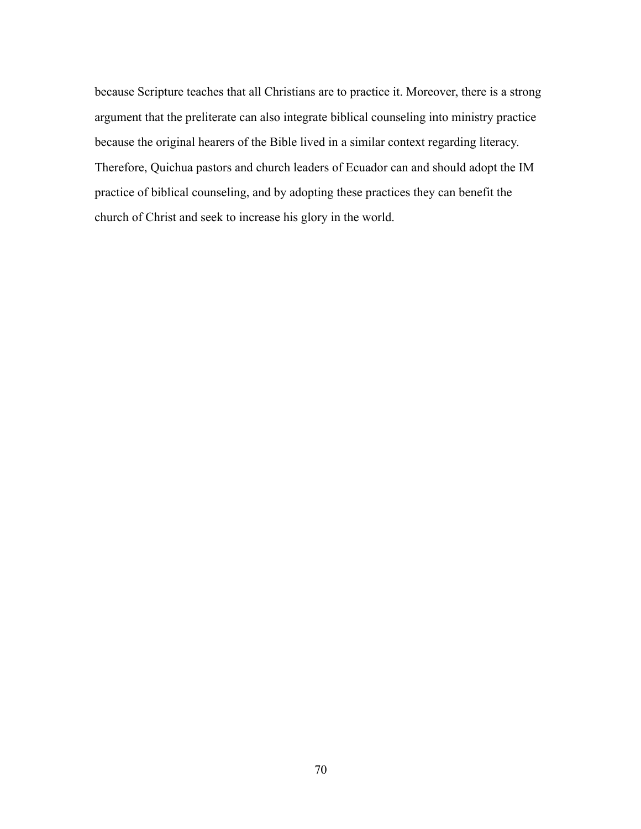because Scripture teaches that all Christians are to practice it. Moreover, there is a strong argument that the preliterate can also integrate biblical counseling into ministry practice because the original hearers of the Bible lived in a similar context regarding literacy. Therefore, Quichua pastors and church leaders of Ecuador can and should adopt the IM practice of biblical counseling, and by adopting these practices they can benefit the church of Christ and seek to increase his glory in the world.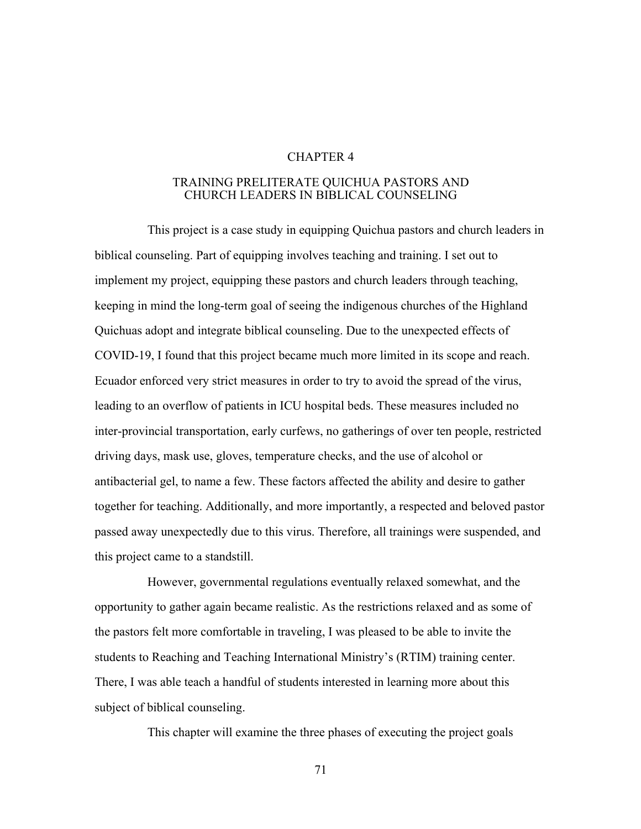# CHAPTER 4

# TRAINING PRELITERATE QUICHUA PASTORS AND CHURCH LEADERS IN BIBLICAL COUNSELING

This project is a case study in equipping Quichua pastors and church leaders in biblical counseling. Part of equipping involves teaching and training. I set out to implement my project, equipping these pastors and church leaders through teaching, keeping in mind the long-term goal of seeing the indigenous churches of the Highland Quichuas adopt and integrate biblical counseling. Due to the unexpected effects of COVID-19, I found that this project became much more limited in its scope and reach. Ecuador enforced very strict measures in order to try to avoid the spread of the virus, leading to an overflow of patients in ICU hospital beds. These measures included no inter-provincial transportation, early curfews, no gatherings of over ten people, restricted driving days, mask use, gloves, temperature checks, and the use of alcohol or antibacterial gel, to name a few. These factors affected the ability and desire to gather together for teaching. Additionally, and more importantly, a respected and beloved pastor passed away unexpectedly due to this virus. Therefore, all trainings were suspended, and this project came to a standstill.

However, governmental regulations eventually relaxed somewhat, and the opportunity to gather again became realistic. As the restrictions relaxed and as some of the pastors felt more comfortable in traveling, I was pleased to be able to invite the students to Reaching and Teaching International Ministry's (RTIM) training center. There, I was able teach a handful of students interested in learning more about this subject of biblical counseling.

This chapter will examine the three phases of executing the project goals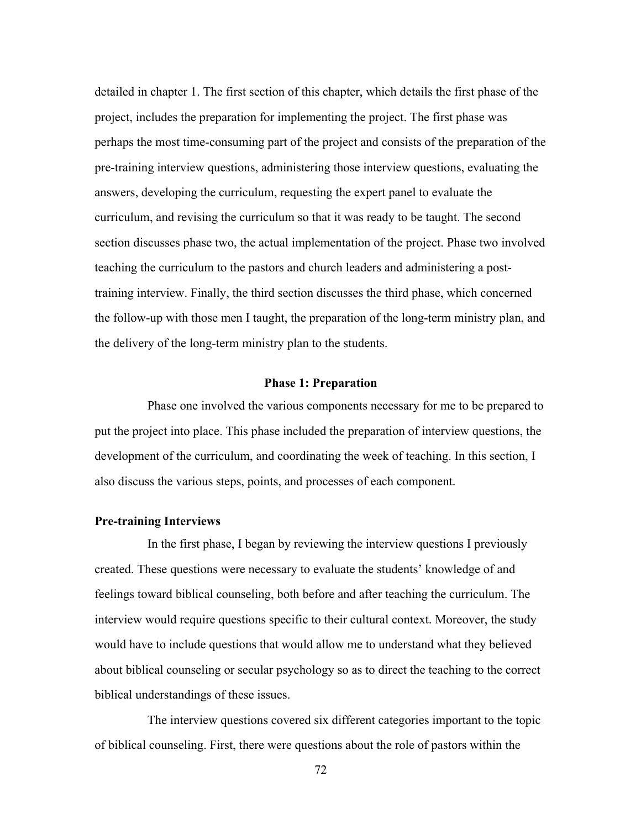detailed in chapter 1. The first section of this chapter, which details the first phase of the project, includes the preparation for implementing the project. The first phase was perhaps the most time-consuming part of the project and consists of the preparation of the pre-training interview questions, administering those interview questions, evaluating the answers, developing the curriculum, requesting the expert panel to evaluate the curriculum, and revising the curriculum so that it was ready to be taught. The second section discusses phase two, the actual implementation of the project. Phase two involved teaching the curriculum to the pastors and church leaders and administering a posttraining interview. Finally, the third section discusses the third phase, which concerned the follow-up with those men I taught, the preparation of the long-term ministry plan, and the delivery of the long-term ministry plan to the students.

### **Phase 1: Preparation**

Phase one involved the various components necessary for me to be prepared to put the project into place. This phase included the preparation of interview questions, the development of the curriculum, and coordinating the week of teaching. In this section, I also discuss the various steps, points, and processes of each component.

# **Pre-training Interviews**

In the first phase, I began by reviewing the interview questions I previously created. These questions were necessary to evaluate the students' knowledge of and feelings toward biblical counseling, both before and after teaching the curriculum. The interview would require questions specific to their cultural context. Moreover, the study would have to include questions that would allow me to understand what they believed about biblical counseling or secular psychology so as to direct the teaching to the correct biblical understandings of these issues.

The interview questions covered six different categories important to the topic of biblical counseling. First, there were questions about the role of pastors within the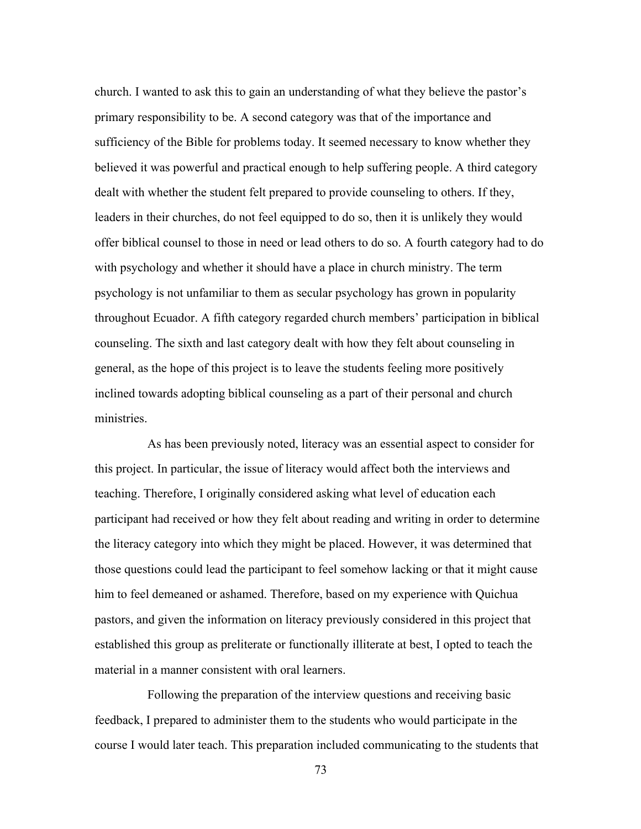church. I wanted to ask this to gain an understanding of what they believe the pastor's primary responsibility to be. A second category was that of the importance and sufficiency of the Bible for problems today. It seemed necessary to know whether they believed it was powerful and practical enough to help suffering people. A third category dealt with whether the student felt prepared to provide counseling to others. If they, leaders in their churches, do not feel equipped to do so, then it is unlikely they would offer biblical counsel to those in need or lead others to do so. A fourth category had to do with psychology and whether it should have a place in church ministry. The term psychology is not unfamiliar to them as secular psychology has grown in popularity throughout Ecuador. A fifth category regarded church members' participation in biblical counseling. The sixth and last category dealt with how they felt about counseling in general, as the hope of this project is to leave the students feeling more positively inclined towards adopting biblical counseling as a part of their personal and church ministries.

As has been previously noted, literacy was an essential aspect to consider for this project. In particular, the issue of literacy would affect both the interviews and teaching. Therefore, I originally considered asking what level of education each participant had received or how they felt about reading and writing in order to determine the literacy category into which they might be placed. However, it was determined that those questions could lead the participant to feel somehow lacking or that it might cause him to feel demeaned or ashamed. Therefore, based on my experience with Quichua pastors, and given the information on literacy previously considered in this project that established this group as preliterate or functionally illiterate at best, I opted to teach the material in a manner consistent with oral learners.

Following the preparation of the interview questions and receiving basic feedback, I prepared to administer them to the students who would participate in the course I would later teach. This preparation included communicating to the students that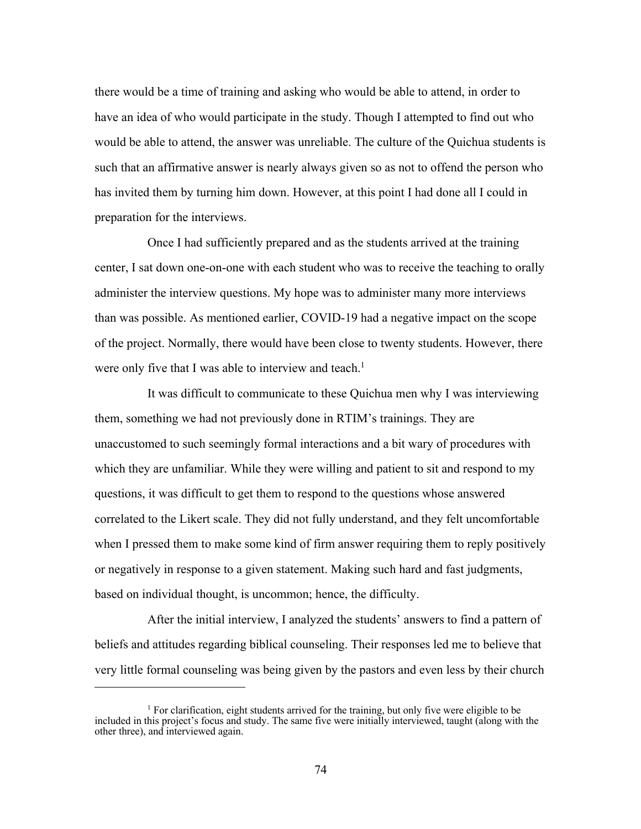there would be a time of training and asking who would be able to attend, in order to have an idea of who would participate in the study. Though I attempted to find out who would be able to attend, the answer was unreliable. The culture of the Quichua students is such that an affirmative answer is nearly always given so as not to offend the person who has invited them by turning him down. However, at this point I had done all I could in preparation for the interviews.

Once I had sufficiently prepared and as the students arrived at the training center, I sat down one-on-one with each student who was to receive the teaching to orally administer the interview questions. My hope was to administer many more interviews than was possible. As mentioned earlier, COVID-19 had a negative impact on the scope of the project. Normally, there would have been close to twenty students. However, there were only five that I was able to interview and teach.<sup>1</sup>

It was difficult to communicate to these Quichua men why I was interviewing them, something we had not previously done in RTIM's trainings. They are unaccustomed to such seemingly formal interactions and a bit wary of procedures with which they are unfamiliar. While they were willing and patient to sit and respond to my questions, it was difficult to get them to respond to the questions whose answered correlated to the Likert scale. They did not fully understand, and they felt uncomfortable when I pressed them to make some kind of firm answer requiring them to reply positively or negatively in response to a given statement. Making such hard and fast judgments, based on individual thought, is uncommon; hence, the difficulty.

After the initial interview, I analyzed the students' answers to find a pattern of beliefs and attitudes regarding biblical counseling. Their responses led me to believe that very little formal counseling was being given by the pastors and even less by their church

<sup>&</sup>lt;sup>1</sup> For clarification, eight students arrived for the training, but only five were eligible to be included in this project's focus and study. The same five were initially interviewed, taught (along with the other three), and interviewed again.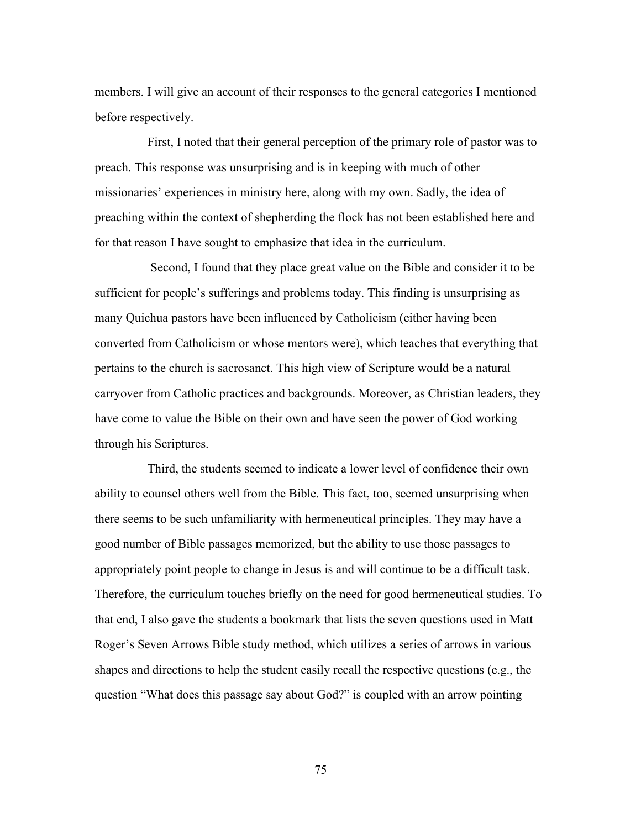members. I will give an account of their responses to the general categories I mentioned before respectively.

First, I noted that their general perception of the primary role of pastor was to preach. This response was unsurprising and is in keeping with much of other missionaries' experiences in ministry here, along with my own. Sadly, the idea of preaching within the context of shepherding the flock has not been established here and for that reason I have sought to emphasize that idea in the curriculum.

Second, I found that they place great value on the Bible and consider it to be sufficient for people's sufferings and problems today. This finding is unsurprising as many Quichua pastors have been influenced by Catholicism (either having been converted from Catholicism or whose mentors were), which teaches that everything that pertains to the church is sacrosanct. This high view of Scripture would be a natural carryover from Catholic practices and backgrounds. Moreover, as Christian leaders, they have come to value the Bible on their own and have seen the power of God working through his Scriptures.

Third, the students seemed to indicate a lower level of confidence their own ability to counsel others well from the Bible. This fact, too, seemed unsurprising when there seems to be such unfamiliarity with hermeneutical principles. They may have a good number of Bible passages memorized, but the ability to use those passages to appropriately point people to change in Jesus is and will continue to be a difficult task. Therefore, the curriculum touches briefly on the need for good hermeneutical studies. To that end, I also gave the students a bookmark that lists the seven questions used in Matt Roger's Seven Arrows Bible study method, which utilizes a series of arrows in various shapes and directions to help the student easily recall the respective questions (e.g., the question "What does this passage say about God?" is coupled with an arrow pointing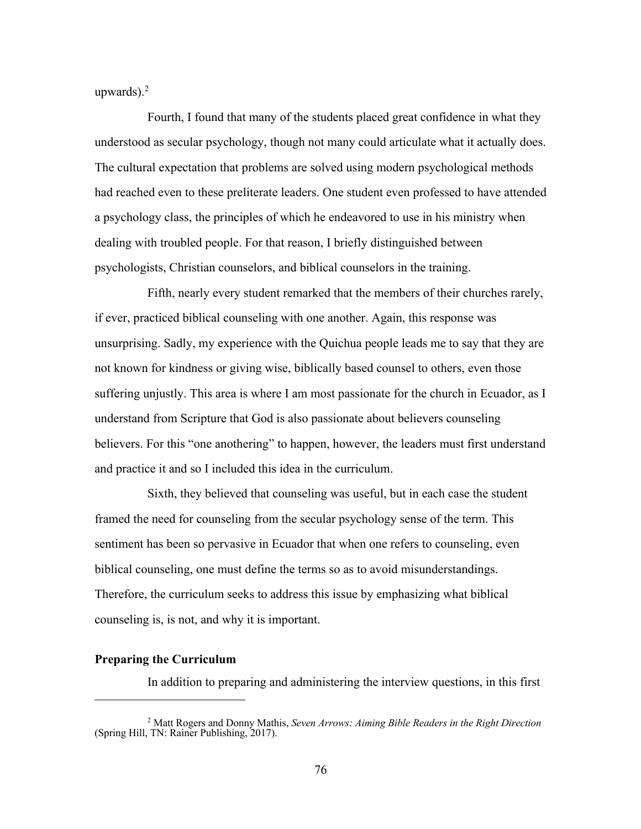upwards).2

Fourth, I found that many of the students placed great confidence in what they understood as secular psychology, though not many could articulate what it actually does. The cultural expectation that problems are solved using modern psychological methods had reached even to these preliterate leaders. One student even professed to have attended a psychology class, the principles of which he endeavored to use in his ministry when dealing with troubled people. For that reason, I briefly distinguished between psychologists, Christian counselors, and biblical counselors in the training.

Fifth, nearly every student remarked that the members of their churches rarely, if ever, practiced biblical counseling with one another. Again, this response was unsurprising. Sadly, my experience with the Quichua people leads me to say that they are not known for kindness or giving wise, biblically based counsel to others, even those suffering unjustly. This area is where I am most passionate for the church in Ecuador, as I understand from Scripture that God is also passionate about believers counseling believers. For this "one anothering" to happen, however, the leaders must first understand and practice it and so I included this idea in the curriculum.

Sixth, they believed that counseling was useful, but in each case the student framed the need for counseling from the secular psychology sense of the term. This sentiment has been so pervasive in Ecuador that when one refers to counseling, even biblical counseling, one must define the terms so as to avoid misunderstandings. Therefore, the curriculum seeks to address this issue by emphasizing what biblical counseling is, is not, and why it is important.

## **Preparing the Curriculum**

In addition to preparing and administering the interview questions, in this first

<sup>2</sup> Matt Rogers and Donny Mathis, *Seven Arrows: Aiming Bible Readers in the Right Direction*  (Spring Hill, TN: Rainer Publishing, 2017).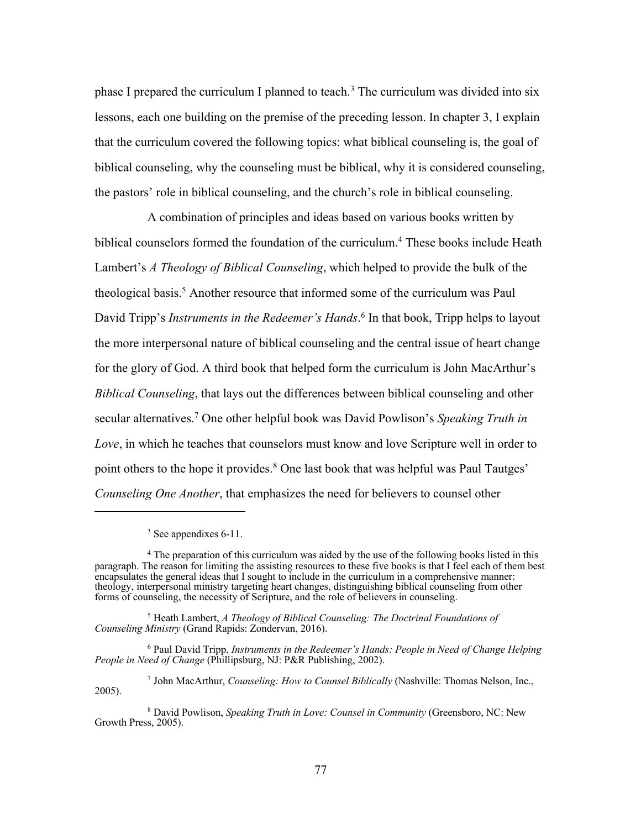phase I prepared the curriculum I planned to teach.<sup>3</sup> The curriculum was divided into six lessons, each one building on the premise of the preceding lesson. In chapter 3, I explain that the curriculum covered the following topics: what biblical counseling is, the goal of biblical counseling, why the counseling must be biblical, why it is considered counseling, the pastors' role in biblical counseling, and the church's role in biblical counseling.

A combination of principles and ideas based on various books written by biblical counselors formed the foundation of the curriculum.<sup>4</sup> These books include Heath Lambert's *A Theology of Biblical Counseling*, which helped to provide the bulk of the theological basis.5 Another resource that informed some of the curriculum was Paul David Tripp's *Instruments in the Redeemer's Hands*. <sup>6</sup> In that book, Tripp helps to layout the more interpersonal nature of biblical counseling and the central issue of heart change for the glory of God. A third book that helped form the curriculum is John MacArthur's *Biblical Counseling*, that lays out the differences between biblical counseling and other secular alternatives.7 One other helpful book was David Powlison's *Speaking Truth in Love*, in which he teaches that counselors must know and love Scripture well in order to point others to the hope it provides.<sup>8</sup> One last book that was helpful was Paul Tautges' *Counseling One Another*, that emphasizes the need for believers to counsel other

<sup>5</sup> Heath Lambert, *A Theology of Biblical Counseling: The Doctrinal Foundations of Counseling Ministry* (Grand Rapids: Zondervan, 2016).

<sup>6</sup> Paul David Tripp, *Instruments in the Redeemer's Hands: People in Need of Change Helping People in Need of Change* (Phillipsburg, NJ: P&R Publishing, 2002).

<sup>7</sup> John MacArthur, *Counseling: How to Counsel Biblically* (Nashville: Thomas Nelson, Inc., 2005).

 $3$  See appendixes 6-11.

<sup>4</sup> The preparation of this curriculum was aided by the use of the following books listed in this paragraph. The reason for limiting the assisting resources to these five books is that I feel each of them best encapsulates the general ideas that I sought to include in the curriculum in a comprehensive manner: theology, interpersonal ministry targeting heart changes, distinguishing biblical counseling from other forms of counseling, the necessity of Scripture, and the role of believers in counseling.

<sup>8</sup> David Powlison, *Speaking Truth in Love: Counsel in Community* (Greensboro, NC: New Growth Press, 2005).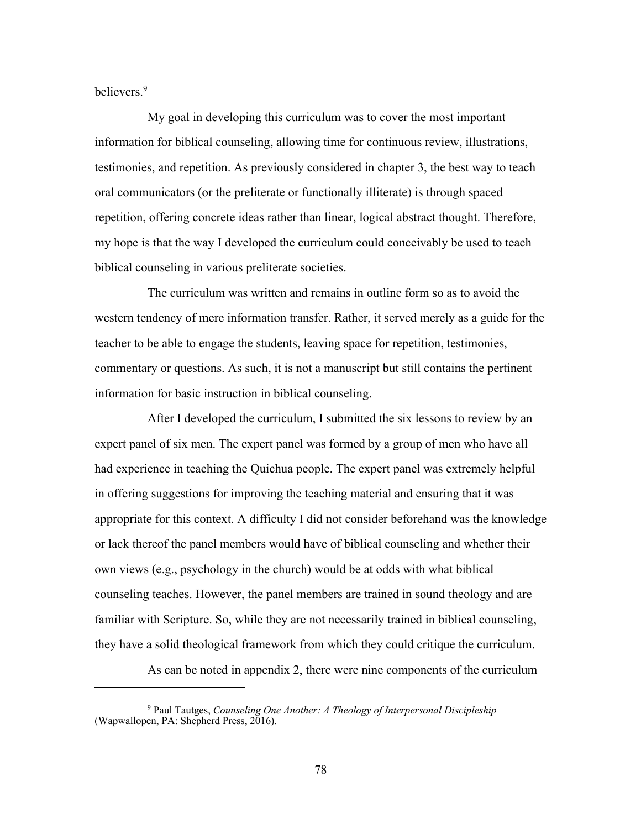believers.9

My goal in developing this curriculum was to cover the most important information for biblical counseling, allowing time for continuous review, illustrations, testimonies, and repetition. As previously considered in chapter 3, the best way to teach oral communicators (or the preliterate or functionally illiterate) is through spaced repetition, offering concrete ideas rather than linear, logical abstract thought. Therefore, my hope is that the way I developed the curriculum could conceivably be used to teach biblical counseling in various preliterate societies.

The curriculum was written and remains in outline form so as to avoid the western tendency of mere information transfer. Rather, it served merely as a guide for the teacher to be able to engage the students, leaving space for repetition, testimonies, commentary or questions. As such, it is not a manuscript but still contains the pertinent information for basic instruction in biblical counseling.

After I developed the curriculum, I submitted the six lessons to review by an expert panel of six men. The expert panel was formed by a group of men who have all had experience in teaching the Quichua people. The expert panel was extremely helpful in offering suggestions for improving the teaching material and ensuring that it was appropriate for this context. A difficulty I did not consider beforehand was the knowledge or lack thereof the panel members would have of biblical counseling and whether their own views (e.g., psychology in the church) would be at odds with what biblical counseling teaches. However, the panel members are trained in sound theology and are familiar with Scripture. So, while they are not necessarily trained in biblical counseling, they have a solid theological framework from which they could critique the curriculum.

As can be noted in appendix 2, there were nine components of the curriculum

<sup>9</sup> Paul Tautges, *Counseling One Another: A Theology of Interpersonal Discipleship*  (Wapwallopen, PA: Shepherd Press, 2016).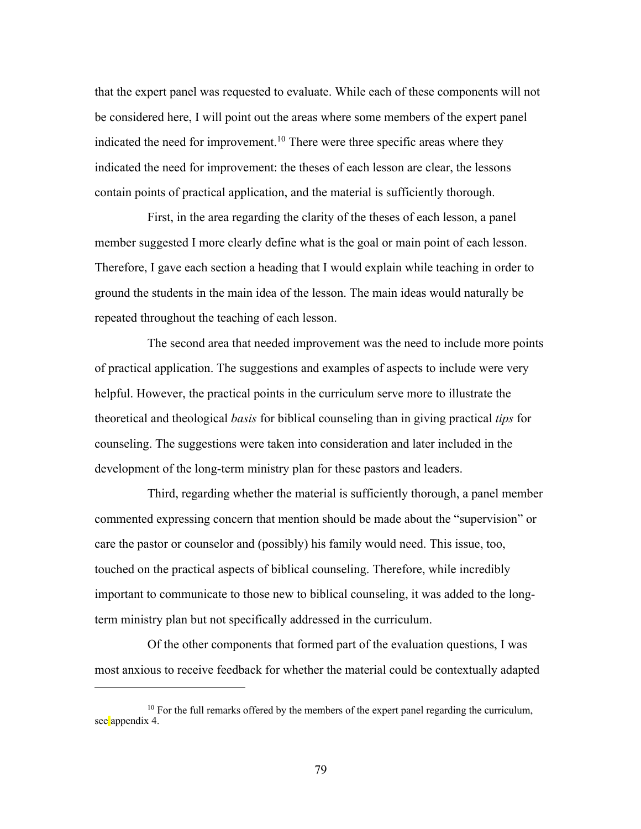that the expert panel was requested to evaluate. While each of these components will not be considered here, I will point out the areas where some members of the expert panel indicated the need for improvement.<sup>10</sup> There were three specific areas where they indicated the need for improvement: the theses of each lesson are clear, the lessons contain points of practical application, and the material is sufficiently thorough.

First, in the area regarding the clarity of the theses of each lesson, a panel member suggested I more clearly define what is the goal or main point of each lesson. Therefore, I gave each section a heading that I would explain while teaching in order to ground the students in the main idea of the lesson. The main ideas would naturally be repeated throughout the teaching of each lesson.

The second area that needed improvement was the need to include more points of practical application. The suggestions and examples of aspects to include were very helpful. However, the practical points in the curriculum serve more to illustrate the theoretical and theological *basis* for biblical counseling than in giving practical *tips* for counseling. The suggestions were taken into consideration and later included in the development of the long-term ministry plan for these pastors and leaders.

Third, regarding whether the material is sufficiently thorough, a panel member commented expressing concern that mention should be made about the "supervision" or care the pastor or counselor and (possibly) his family would need. This issue, too, touched on the practical aspects of biblical counseling. Therefore, while incredibly important to communicate to those new to biblical counseling, it was added to the longterm ministry plan but not specifically addressed in the curriculum.

Of the other components that formed part of the evaluation questions, I was most anxious to receive feedback for whether the material could be contextually adapted

<sup>&</sup>lt;sup>10</sup> For the full remarks offered by the members of the expert panel regarding the curriculum, see appendix 4.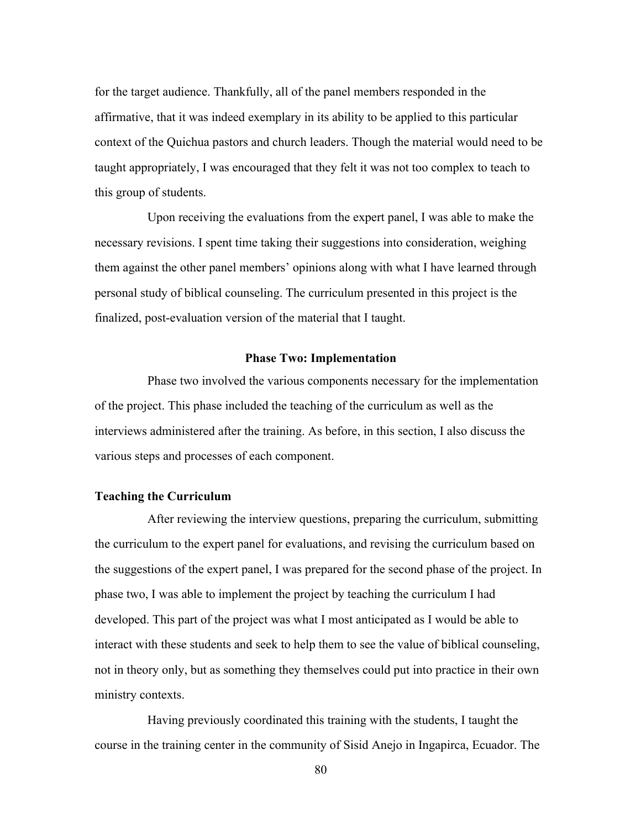for the target audience. Thankfully, all of the panel members responded in the affirmative, that it was indeed exemplary in its ability to be applied to this particular context of the Quichua pastors and church leaders. Though the material would need to be taught appropriately, I was encouraged that they felt it was not too complex to teach to this group of students.

Upon receiving the evaluations from the expert panel, I was able to make the necessary revisions. I spent time taking their suggestions into consideration, weighing them against the other panel members' opinions along with what I have learned through personal study of biblical counseling. The curriculum presented in this project is the finalized, post-evaluation version of the material that I taught.

# **Phase Two: Implementation**

Phase two involved the various components necessary for the implementation of the project. This phase included the teaching of the curriculum as well as the interviews administered after the training. As before, in this section, I also discuss the various steps and processes of each component.

#### **Teaching the Curriculum**

After reviewing the interview questions, preparing the curriculum, submitting the curriculum to the expert panel for evaluations, and revising the curriculum based on the suggestions of the expert panel, I was prepared for the second phase of the project. In phase two, I was able to implement the project by teaching the curriculum I had developed. This part of the project was what I most anticipated as I would be able to interact with these students and seek to help them to see the value of biblical counseling, not in theory only, but as something they themselves could put into practice in their own ministry contexts.

Having previously coordinated this training with the students, I taught the course in the training center in the community of Sisid Anejo in Ingapirca, Ecuador. The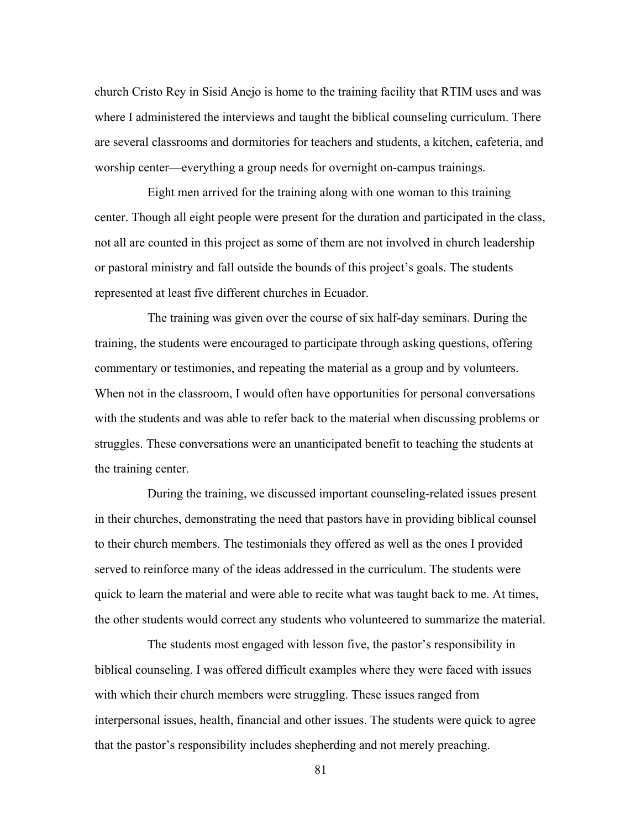church Cristo Rey in Sisid Anejo is home to the training facility that RTIM uses and was where I administered the interviews and taught the biblical counseling curriculum. There are several classrooms and dormitories for teachers and students, a kitchen, cafeteria, and worship center—everything a group needs for overnight on-campus trainings.

Eight men arrived for the training along with one woman to this training center. Though all eight people were present for the duration and participated in the class, not all are counted in this project as some of them are not involved in church leadership or pastoral ministry and fall outside the bounds of this project's goals. The students represented at least five different churches in Ecuador.

The training was given over the course of six half-day seminars. During the training, the students were encouraged to participate through asking questions, offering commentary or testimonies, and repeating the material as a group and by volunteers. When not in the classroom, I would often have opportunities for personal conversations with the students and was able to refer back to the material when discussing problems or struggles. These conversations were an unanticipated benefit to teaching the students at the training center.

During the training, we discussed important counseling-related issues present in their churches, demonstrating the need that pastors have in providing biblical counsel to their church members. The testimonials they offered as well as the ones I provided served to reinforce many of the ideas addressed in the curriculum. The students were quick to learn the material and were able to recite what was taught back to me. At times, the other students would correct any students who volunteered to summarize the material.

The students most engaged with lesson five, the pastor's responsibility in biblical counseling. I was offered difficult examples where they were faced with issues with which their church members were struggling. These issues ranged from interpersonal issues, health, financial and other issues. The students were quick to agree that the pastor's responsibility includes shepherding and not merely preaching.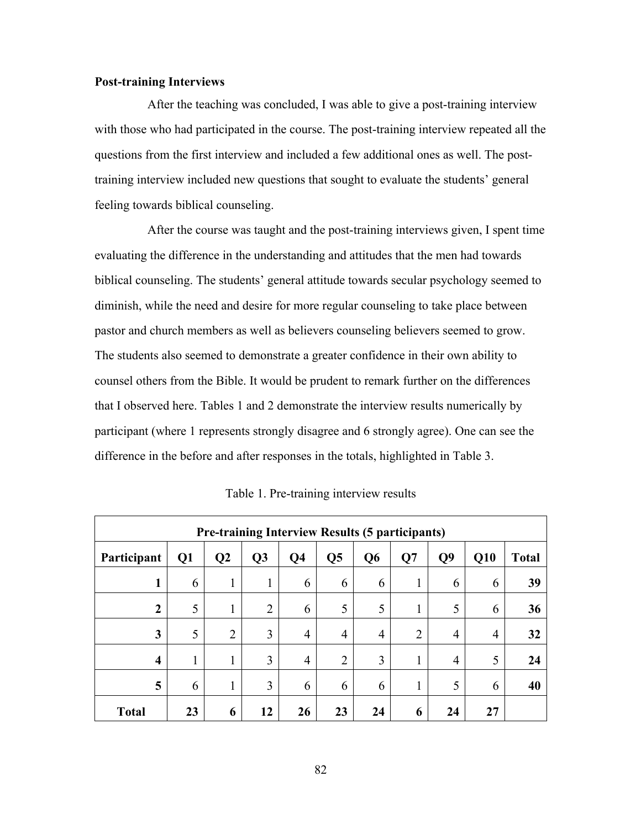# **Post-training Interviews**

After the teaching was concluded, I was able to give a post-training interview with those who had participated in the course. The post-training interview repeated all the questions from the first interview and included a few additional ones as well. The posttraining interview included new questions that sought to evaluate the students' general feeling towards biblical counseling.

After the course was taught and the post-training interviews given, I spent time evaluating the difference in the understanding and attitudes that the men had towards biblical counseling. The students' general attitude towards secular psychology seemed to diminish, while the need and desire for more regular counseling to take place between pastor and church members as well as believers counseling believers seemed to grow. The students also seemed to demonstrate a greater confidence in their own ability to counsel others from the Bible. It would be prudent to remark further on the differences that I observed here. Tables 1 and 2 demonstrate the interview results numerically by participant (where 1 represents strongly disagree and 6 strongly agree). One can see the difference in the before and after responses in the totals, highlighted in Table 3.

| <b>Pre-training Interview Results (5 participants)</b> |    |                |                |                |                |                |    |                |                |              |
|--------------------------------------------------------|----|----------------|----------------|----------------|----------------|----------------|----|----------------|----------------|--------------|
| Participant                                            | Q1 | Q <sub>2</sub> | Q3             | Q4             | Q <sub>5</sub> | Q <sub>6</sub> | Q7 | Q <sub>9</sub> | Q10            | <b>Total</b> |
| 1                                                      | 6  | T              | 1<br>1         | 6              | 6              | 6              | 1  | 6              | 6              | 39           |
| $\boldsymbol{2}$                                       | 5  |                | $\overline{2}$ | 6              | 5              | 5              | 1  | 5              | 6              | 36           |
| 3                                                      | 5  | $\overline{2}$ | 3              | $\overline{4}$ | 4              | $\overline{4}$ | 2  | $\overline{4}$ | $\overline{4}$ | 32           |
| $\overline{\mathbf{4}}$                                | 1  | T              | 3              | 4              | $\overline{2}$ | 3              | 1  | $\overline{4}$ | 5              | 24           |
| 5                                                      | 6  |                | $\overline{3}$ | 6              | 6              | 6              | 1  | 5              | 6              | 40           |
| <b>Total</b>                                           | 23 | 6              | 12             | 26             | 23             | 24             | 6  | 24             | 27             |              |

Table 1. Pre-training interview results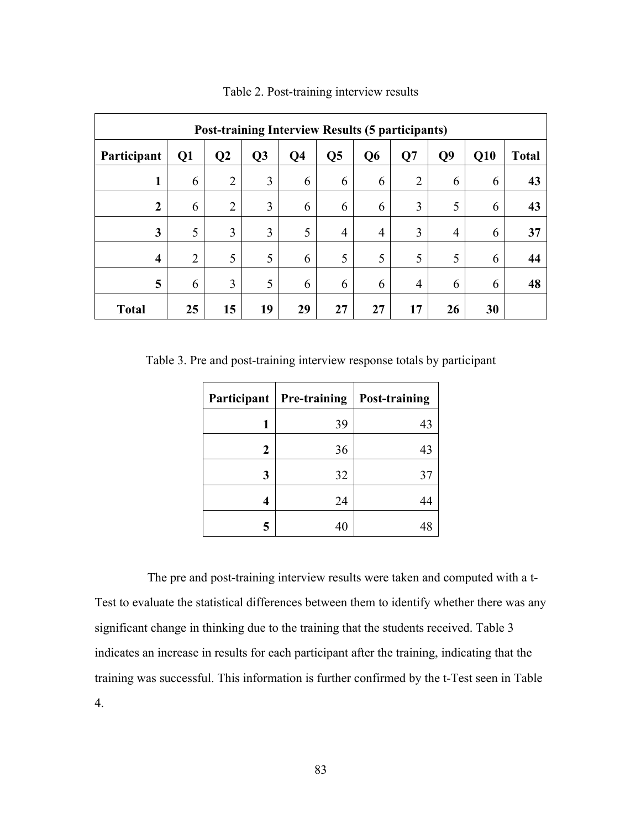| <b>Post-training Interview Results (5 participants)</b> |                |                |    |                |                |                |                |                |     |              |
|---------------------------------------------------------|----------------|----------------|----|----------------|----------------|----------------|----------------|----------------|-----|--------------|
| Participant                                             | Q1             | Q <sub>2</sub> | Q3 | Q <sub>4</sub> | Q <sub>5</sub> | Q <sub>6</sub> | Q7             | Q <sub>9</sub> | Q10 | <b>Total</b> |
| 1                                                       | 6              | $\overline{2}$ | 3  | 6              | 6              | 6              | $\overline{2}$ | 6              | 6   | 43           |
| $\boldsymbol{2}$                                        | 6              | $\overline{2}$ | 3  | 6              | 6              | 6              | 3              | 5              | 6   | 43           |
| 3                                                       | 5              | 3              | 3  | 5              | $\overline{4}$ | 4              | 3              | 4              | 6   | 37           |
| $\overline{\mathbf{4}}$                                 | $\overline{2}$ | 5              | 5  | 6              | 5              | 5              | 5              | 5              | 6   | 44           |
| 5                                                       | 6              | 3              | 5  | 6              | 6              | 6              | $\overline{4}$ | 6              | 6   | 48           |
| <b>Total</b>                                            | 25             | 15             | 19 | 29             | 27             | 27             | 17             | 26             | 30  |              |

Table 2. Post-training interview results

Table 3. Pre and post-training interview response totals by participant

| Participant | Pre-training | <b>Post-training</b> |
|-------------|--------------|----------------------|
| 1           | 39           | 43                   |
| 2           | 36           | 43                   |
| 3           | 32           | 37                   |
| 4           | 24           |                      |
| 5           | 40           |                      |

The pre and post-training interview results were taken and computed with a t-Test to evaluate the statistical differences between them to identify whether there was any significant change in thinking due to the training that the students received. Table 3 indicates an increase in results for each participant after the training, indicating that the training was successful. This information is further confirmed by the t-Test seen in Table 4.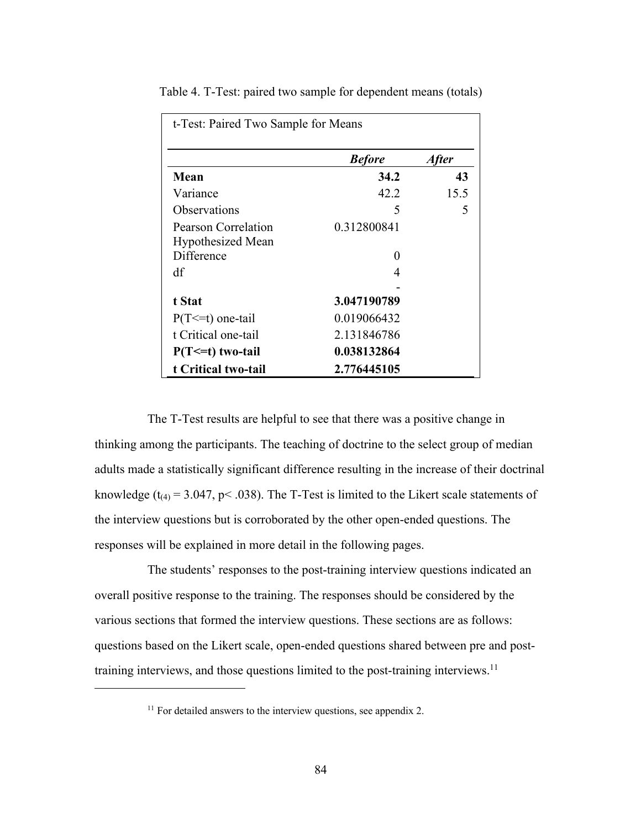| t-Test: Paired Two Sample for Means             |               |       |  |  |  |  |  |
|-------------------------------------------------|---------------|-------|--|--|--|--|--|
|                                                 | <b>Before</b> | After |  |  |  |  |  |
| Mean                                            | 34.2          | 43    |  |  |  |  |  |
| Variance                                        | 42.2          | 15.5  |  |  |  |  |  |
| <b>Observations</b>                             | 5             | 5     |  |  |  |  |  |
| Pearson Correlation<br><b>Hypothesized Mean</b> | 0.312800841   |       |  |  |  |  |  |
| Difference                                      | $\theta$      |       |  |  |  |  |  |
| df                                              | 4             |       |  |  |  |  |  |
| t Stat                                          | 3.047190789   |       |  |  |  |  |  |
| $P(T \le t)$ one-tail                           | 0.019066432   |       |  |  |  |  |  |
| t Critical one-tail                             | 2.131846786   |       |  |  |  |  |  |
| $P(T \le t)$ two-tail                           | 0.038132864   |       |  |  |  |  |  |
| t Critical two-tail                             | 2.776445105   |       |  |  |  |  |  |

Table 4. T-Test: paired two sample for dependent means (totals)

The T-Test results are helpful to see that there was a positive change in thinking among the participants. The teaching of doctrine to the select group of median adults made a statistically significant difference resulting in the increase of their doctrinal knowledge ( $t_{(4)}$  = 3.047, p < .038). The T-Test is limited to the Likert scale statements of the interview questions but is corroborated by the other open-ended questions. The responses will be explained in more detail in the following pages.

The students' responses to the post-training interview questions indicated an overall positive response to the training. The responses should be considered by the various sections that formed the interview questions. These sections are as follows: questions based on the Likert scale, open-ended questions shared between pre and posttraining interviews, and those questions limited to the post-training interviews.11

 $11$  For detailed answers to the interview questions, see appendix 2.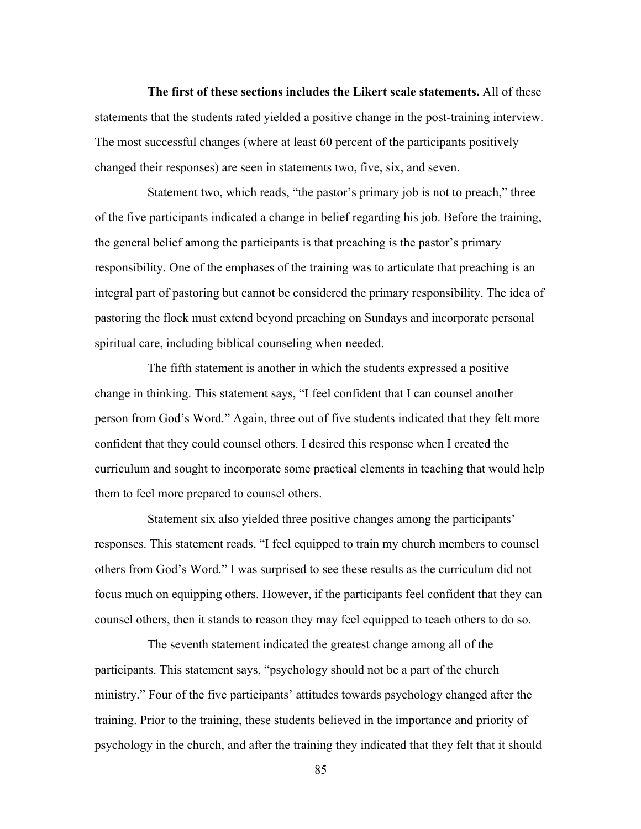**The first of these sections includes the Likert scale statements.** All of these statements that the students rated yielded a positive change in the post-training interview. The most successful changes (where at least 60 percent of the participants positively changed their responses) are seen in statements two, five, six, and seven.

Statement two, which reads, "the pastor's primary job is not to preach," three of the five participants indicated a change in belief regarding his job. Before the training, the general belief among the participants is that preaching is the pastor's primary responsibility. One of the emphases of the training was to articulate that preaching is an integral part of pastoring but cannot be considered the primary responsibility. The idea of pastoring the flock must extend beyond preaching on Sundays and incorporate personal spiritual care, including biblical counseling when needed.

The fifth statement is another in which the students expressed a positive change in thinking. This statement says, "I feel confident that I can counsel another person from God's Word." Again, three out of five students indicated that they felt more confident that they could counsel others. I desired this response when I created the curriculum and sought to incorporate some practical elements in teaching that would help them to feel more prepared to counsel others.

Statement six also yielded three positive changes among the participants' responses. This statement reads, "I feel equipped to train my church members to counsel others from God's Word." I was surprised to see these results as the curriculum did not focus much on equipping others. However, if the participants feel confident that they can counsel others, then it stands to reason they may feel equipped to teach others to do so.

The seventh statement indicated the greatest change among all of the participants. This statement says, "psychology should not be a part of the church ministry." Four of the five participants' attitudes towards psychology changed after the training. Prior to the training, these students believed in the importance and priority of psychology in the church, and after the training they indicated that they felt that it should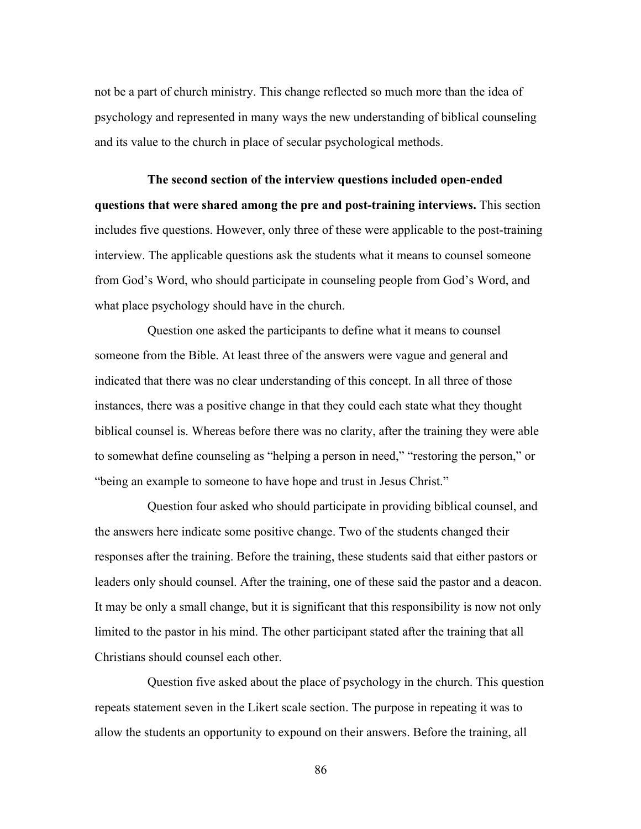not be a part of church ministry. This change reflected so much more than the idea of psychology and represented in many ways the new understanding of biblical counseling and its value to the church in place of secular psychological methods.

**The second section of the interview questions included open-ended questions that were shared among the pre and post-training interviews.** This section includes five questions. However, only three of these were applicable to the post-training interview. The applicable questions ask the students what it means to counsel someone from God's Word, who should participate in counseling people from God's Word, and what place psychology should have in the church.

Question one asked the participants to define what it means to counsel someone from the Bible. At least three of the answers were vague and general and indicated that there was no clear understanding of this concept. In all three of those instances, there was a positive change in that they could each state what they thought biblical counsel is. Whereas before there was no clarity, after the training they were able to somewhat define counseling as "helping a person in need," "restoring the person," or "being an example to someone to have hope and trust in Jesus Christ."

Question four asked who should participate in providing biblical counsel, and the answers here indicate some positive change. Two of the students changed their responses after the training. Before the training, these students said that either pastors or leaders only should counsel. After the training, one of these said the pastor and a deacon. It may be only a small change, but it is significant that this responsibility is now not only limited to the pastor in his mind. The other participant stated after the training that all Christians should counsel each other.

Question five asked about the place of psychology in the church. This question repeats statement seven in the Likert scale section. The purpose in repeating it was to allow the students an opportunity to expound on their answers. Before the training, all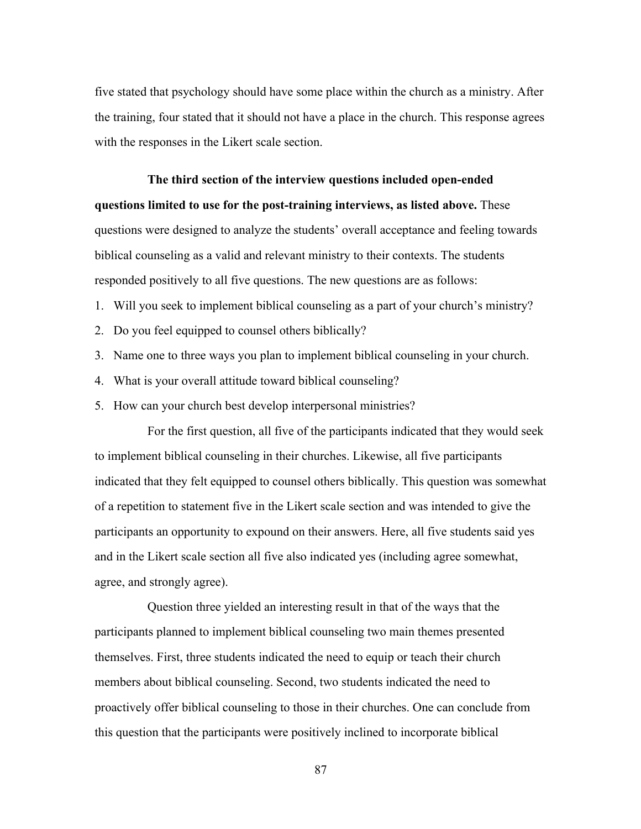five stated that psychology should have some place within the church as a ministry. After the training, four stated that it should not have a place in the church. This response agrees with the responses in the Likert scale section.

**The third section of the interview questions included open-ended questions limited to use for the post-training interviews, as listed above.** These questions were designed to analyze the students' overall acceptance and feeling towards biblical counseling as a valid and relevant ministry to their contexts. The students responded positively to all five questions. The new questions are as follows:

1. Will you seek to implement biblical counseling as a part of your church's ministry?

- 2. Do you feel equipped to counsel others biblically?
- 3. Name one to three ways you plan to implement biblical counseling in your church.
- 4. What is your overall attitude toward biblical counseling?
- 5. How can your church best develop interpersonal ministries?

For the first question, all five of the participants indicated that they would seek to implement biblical counseling in their churches. Likewise, all five participants indicated that they felt equipped to counsel others biblically. This question was somewhat of a repetition to statement five in the Likert scale section and was intended to give the participants an opportunity to expound on their answers. Here, all five students said yes and in the Likert scale section all five also indicated yes (including agree somewhat, agree, and strongly agree).

Question three yielded an interesting result in that of the ways that the participants planned to implement biblical counseling two main themes presented themselves. First, three students indicated the need to equip or teach their church members about biblical counseling. Second, two students indicated the need to proactively offer biblical counseling to those in their churches. One can conclude from this question that the participants were positively inclined to incorporate biblical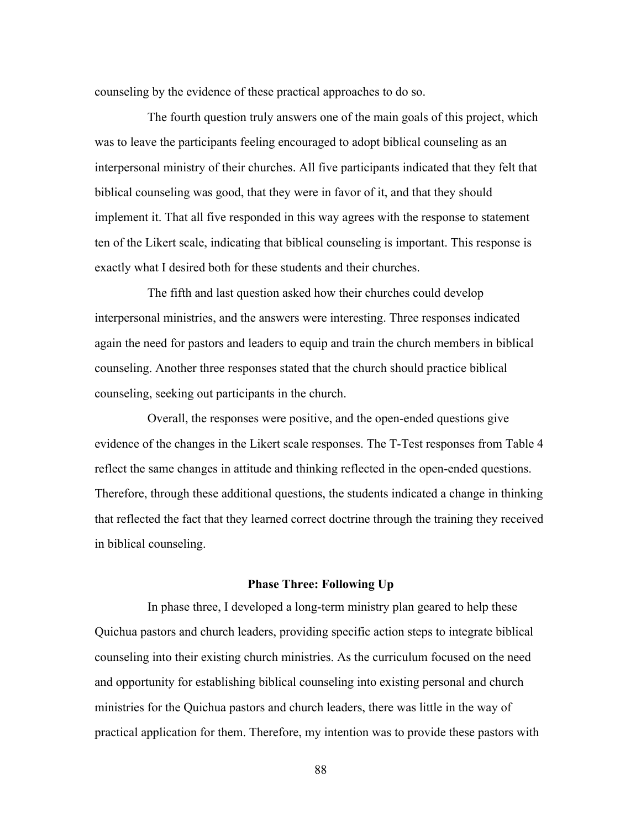counseling by the evidence of these practical approaches to do so.

The fourth question truly answers one of the main goals of this project, which was to leave the participants feeling encouraged to adopt biblical counseling as an interpersonal ministry of their churches. All five participants indicated that they felt that biblical counseling was good, that they were in favor of it, and that they should implement it. That all five responded in this way agrees with the response to statement ten of the Likert scale, indicating that biblical counseling is important. This response is exactly what I desired both for these students and their churches.

The fifth and last question asked how their churches could develop interpersonal ministries, and the answers were interesting. Three responses indicated again the need for pastors and leaders to equip and train the church members in biblical counseling. Another three responses stated that the church should practice biblical counseling, seeking out participants in the church.

Overall, the responses were positive, and the open-ended questions give evidence of the changes in the Likert scale responses. The T-Test responses from Table 4 reflect the same changes in attitude and thinking reflected in the open-ended questions. Therefore, through these additional questions, the students indicated a change in thinking that reflected the fact that they learned correct doctrine through the training they received in biblical counseling.

#### **Phase Three: Following Up**

In phase three, I developed a long-term ministry plan geared to help these Quichua pastors and church leaders, providing specific action steps to integrate biblical counseling into their existing church ministries. As the curriculum focused on the need and opportunity for establishing biblical counseling into existing personal and church ministries for the Quichua pastors and church leaders, there was little in the way of practical application for them. Therefore, my intention was to provide these pastors with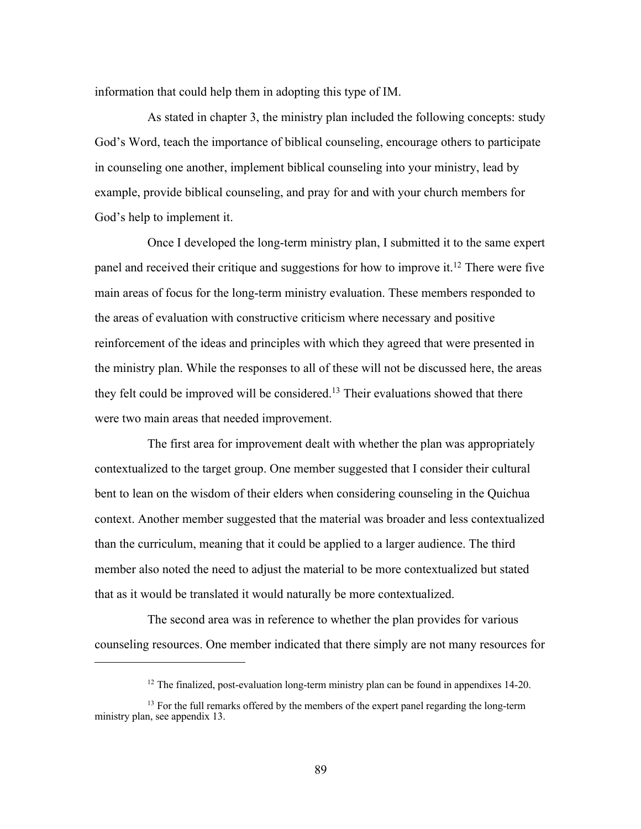information that could help them in adopting this type of IM.

As stated in chapter 3, the ministry plan included the following concepts: study God's Word, teach the importance of biblical counseling, encourage others to participate in counseling one another, implement biblical counseling into your ministry, lead by example, provide biblical counseling, and pray for and with your church members for God's help to implement it.

Once I developed the long-term ministry plan, I submitted it to the same expert panel and received their critique and suggestions for how to improve it.12 There were five main areas of focus for the long-term ministry evaluation. These members responded to the areas of evaluation with constructive criticism where necessary and positive reinforcement of the ideas and principles with which they agreed that were presented in the ministry plan. While the responses to all of these will not be discussed here, the areas they felt could be improved will be considered.<sup>13</sup> Their evaluations showed that there were two main areas that needed improvement.

The first area for improvement dealt with whether the plan was appropriately contextualized to the target group. One member suggested that I consider their cultural bent to lean on the wisdom of their elders when considering counseling in the Quichua context. Another member suggested that the material was broader and less contextualized than the curriculum, meaning that it could be applied to a larger audience. The third member also noted the need to adjust the material to be more contextualized but stated that as it would be translated it would naturally be more contextualized.

The second area was in reference to whether the plan provides for various counseling resources. One member indicated that there simply are not many resources for

 $12$  The finalized, post-evaluation long-term ministry plan can be found in appendixes 14-20.

<sup>&</sup>lt;sup>13</sup> For the full remarks offered by the members of the expert panel regarding the long-term ministry plan, see appendix 13.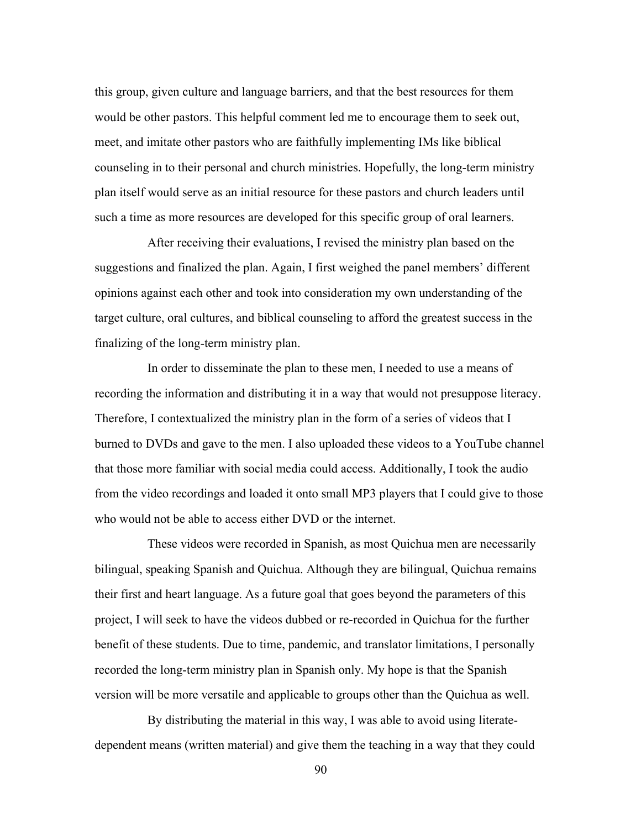this group, given culture and language barriers, and that the best resources for them would be other pastors. This helpful comment led me to encourage them to seek out, meet, and imitate other pastors who are faithfully implementing IMs like biblical counseling in to their personal and church ministries. Hopefully, the long-term ministry plan itself would serve as an initial resource for these pastors and church leaders until such a time as more resources are developed for this specific group of oral learners.

After receiving their evaluations, I revised the ministry plan based on the suggestions and finalized the plan. Again, I first weighed the panel members' different opinions against each other and took into consideration my own understanding of the target culture, oral cultures, and biblical counseling to afford the greatest success in the finalizing of the long-term ministry plan.

In order to disseminate the plan to these men, I needed to use a means of recording the information and distributing it in a way that would not presuppose literacy. Therefore, I contextualized the ministry plan in the form of a series of videos that I burned to DVDs and gave to the men. I also uploaded these videos to a YouTube channel that those more familiar with social media could access. Additionally, I took the audio from the video recordings and loaded it onto small MP3 players that I could give to those who would not be able to access either DVD or the internet.

These videos were recorded in Spanish, as most Quichua men are necessarily bilingual, speaking Spanish and Quichua. Although they are bilingual, Quichua remains their first and heart language. As a future goal that goes beyond the parameters of this project, I will seek to have the videos dubbed or re-recorded in Quichua for the further benefit of these students. Due to time, pandemic, and translator limitations, I personally recorded the long-term ministry plan in Spanish only. My hope is that the Spanish version will be more versatile and applicable to groups other than the Quichua as well.

By distributing the material in this way, I was able to avoid using literatedependent means (written material) and give them the teaching in a way that they could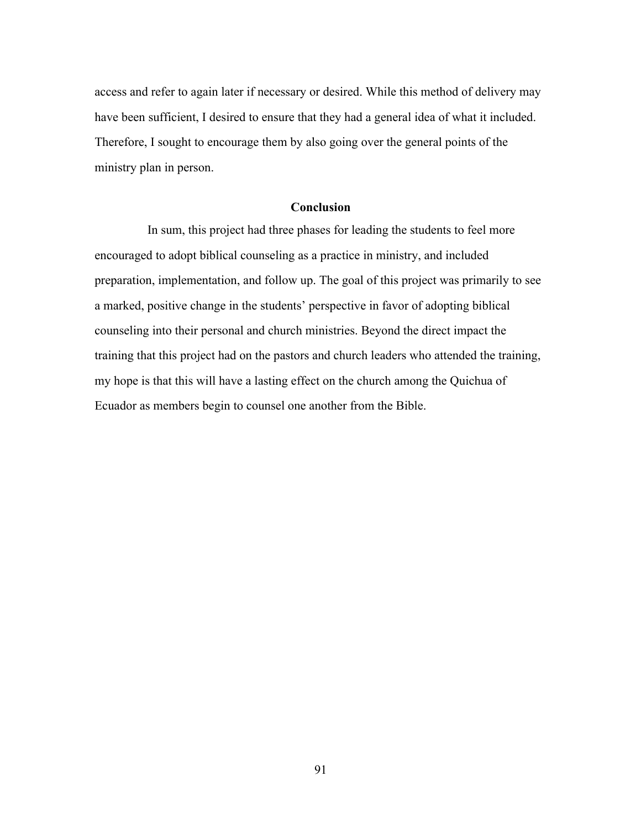access and refer to again later if necessary or desired. While this method of delivery may have been sufficient, I desired to ensure that they had a general idea of what it included. Therefore, I sought to encourage them by also going over the general points of the ministry plan in person.

# **Conclusion**

In sum, this project had three phases for leading the students to feel more encouraged to adopt biblical counseling as a practice in ministry, and included preparation, implementation, and follow up. The goal of this project was primarily to see a marked, positive change in the students' perspective in favor of adopting biblical counseling into their personal and church ministries. Beyond the direct impact the training that this project had on the pastors and church leaders who attended the training, my hope is that this will have a lasting effect on the church among the Quichua of Ecuador as members begin to counsel one another from the Bible.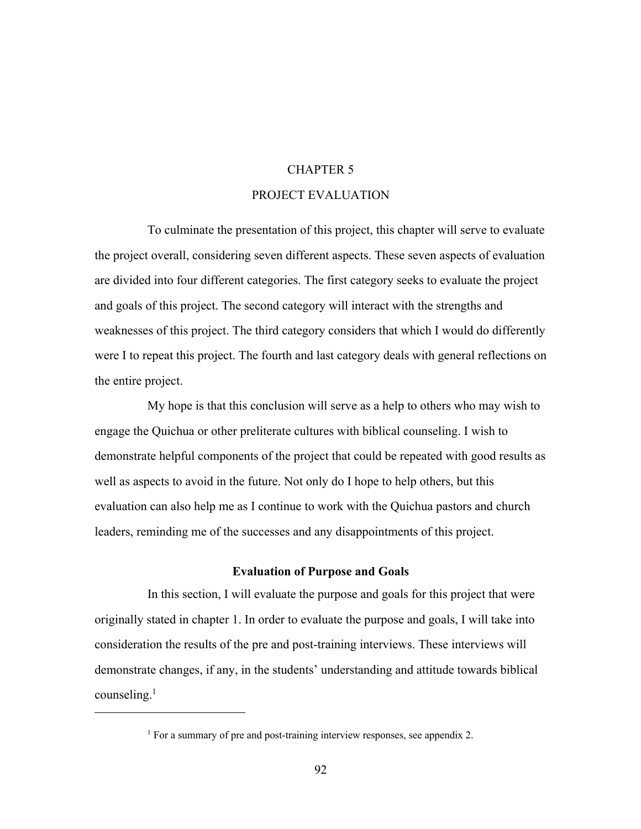### CHAPTER 5

#### PROJECT EVALUATION

To culminate the presentation of this project, this chapter will serve to evaluate the project overall, considering seven different aspects. These seven aspects of evaluation are divided into four different categories. The first category seeks to evaluate the project and goals of this project. The second category will interact with the strengths and weaknesses of this project. The third category considers that which I would do differently were I to repeat this project. The fourth and last category deals with general reflections on the entire project.

My hope is that this conclusion will serve as a help to others who may wish to engage the Quichua or other preliterate cultures with biblical counseling. I wish to demonstrate helpful components of the project that could be repeated with good results as well as aspects to avoid in the future. Not only do I hope to help others, but this evaluation can also help me as I continue to work with the Quichua pastors and church leaders, reminding me of the successes and any disappointments of this project.

# **Evaluation of Purpose and Goals**

In this section, I will evaluate the purpose and goals for this project that were originally stated in chapter 1. In order to evaluate the purpose and goals, I will take into consideration the results of the pre and post-training interviews. These interviews will demonstrate changes, if any, in the students' understanding and attitude towards biblical counseling.1

<sup>&</sup>lt;sup>1</sup> For a summary of pre and post-training interview responses, see appendix 2.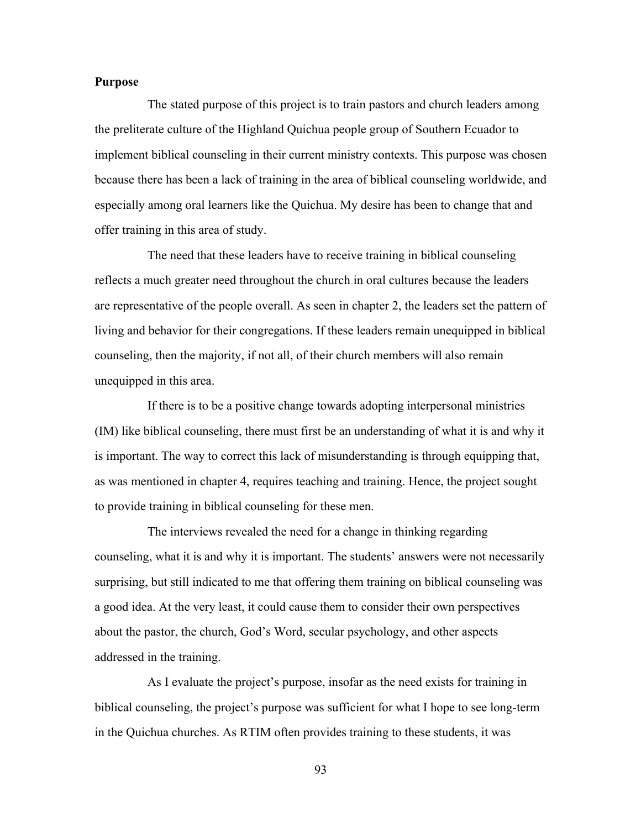# **Purpose**

The stated purpose of this project is to train pastors and church leaders among the preliterate culture of the Highland Quichua people group of Southern Ecuador to implement biblical counseling in their current ministry contexts. This purpose was chosen because there has been a lack of training in the area of biblical counseling worldwide, and especially among oral learners like the Quichua. My desire has been to change that and offer training in this area of study.

The need that these leaders have to receive training in biblical counseling reflects a much greater need throughout the church in oral cultures because the leaders are representative of the people overall. As seen in chapter 2, the leaders set the pattern of living and behavior for their congregations. If these leaders remain unequipped in biblical counseling, then the majority, if not all, of their church members will also remain unequipped in this area.

If there is to be a positive change towards adopting interpersonal ministries (IM) like biblical counseling, there must first be an understanding of what it is and why it is important. The way to correct this lack of misunderstanding is through equipping that, as was mentioned in chapter 4, requires teaching and training. Hence, the project sought to provide training in biblical counseling for these men.

The interviews revealed the need for a change in thinking regarding counseling, what it is and why it is important. The students' answers were not necessarily surprising, but still indicated to me that offering them training on biblical counseling was a good idea. At the very least, it could cause them to consider their own perspectives about the pastor, the church, God's Word, secular psychology, and other aspects addressed in the training.

As I evaluate the project's purpose, insofar as the need exists for training in biblical counseling, the project's purpose was sufficient for what I hope to see long-term in the Quichua churches. As RTIM often provides training to these students, it was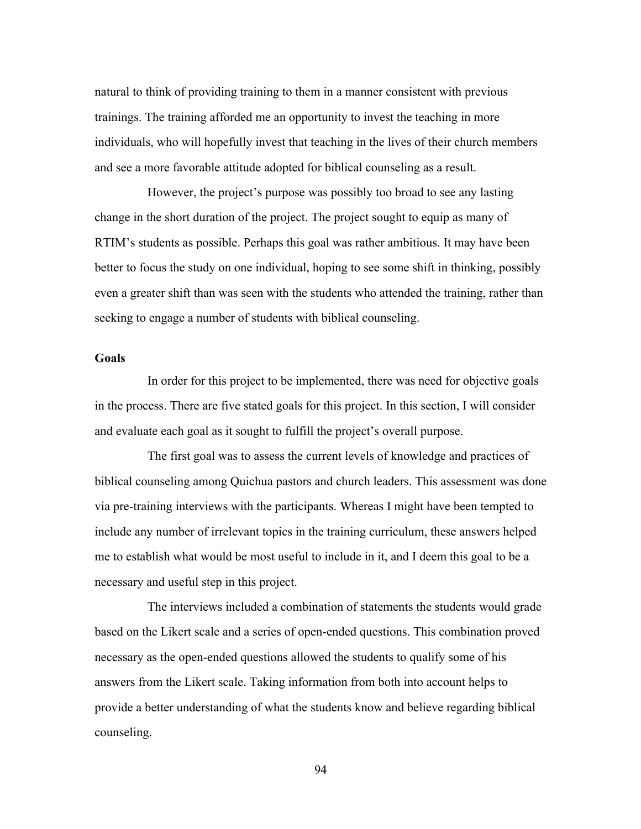natural to think of providing training to them in a manner consistent with previous trainings. The training afforded me an opportunity to invest the teaching in more individuals, who will hopefully invest that teaching in the lives of their church members and see a more favorable attitude adopted for biblical counseling as a result.

However, the project's purpose was possibly too broad to see any lasting change in the short duration of the project. The project sought to equip as many of RTIM's students as possible. Perhaps this goal was rather ambitious. It may have been better to focus the study on one individual, hoping to see some shift in thinking, possibly even a greater shift than was seen with the students who attended the training, rather than seeking to engage a number of students with biblical counseling.

# **Goals**

In order for this project to be implemented, there was need for objective goals in the process. There are five stated goals for this project. In this section, I will consider and evaluate each goal as it sought to fulfill the project's overall purpose.

The first goal was to assess the current levels of knowledge and practices of biblical counseling among Quichua pastors and church leaders. This assessment was done via pre-training interviews with the participants. Whereas I might have been tempted to include any number of irrelevant topics in the training curriculum, these answers helped me to establish what would be most useful to include in it, and I deem this goal to be a necessary and useful step in this project.

The interviews included a combination of statements the students would grade based on the Likert scale and a series of open-ended questions. This combination proved necessary as the open-ended questions allowed the students to qualify some of his answers from the Likert scale. Taking information from both into account helps to provide a better understanding of what the students know and believe regarding biblical counseling.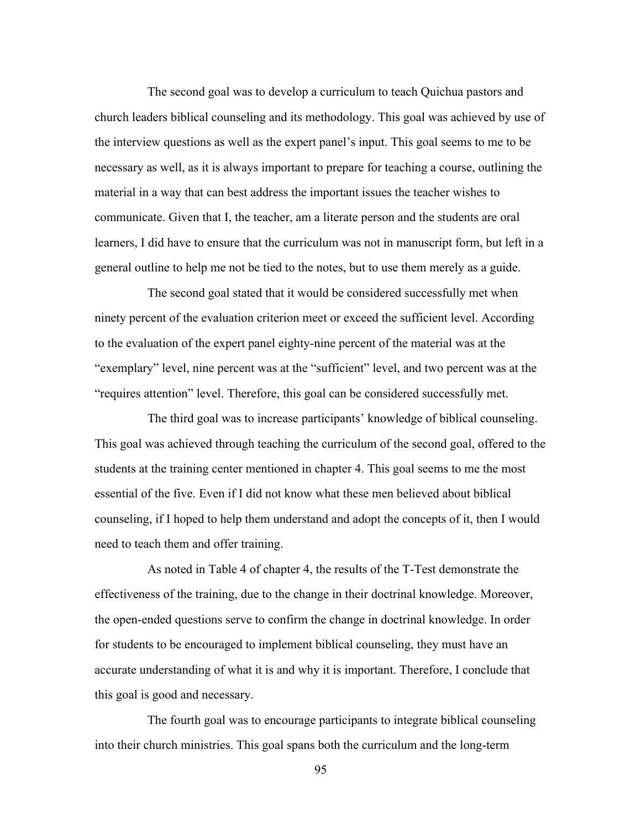The second goal was to develop a curriculum to teach Quichua pastors and church leaders biblical counseling and its methodology. This goal was achieved by use of the interview questions as well as the expert panel's input. This goal seems to me to be necessary as well, as it is always important to prepare for teaching a course, outlining the material in a way that can best address the important issues the teacher wishes to communicate. Given that I, the teacher, am a literate person and the students are oral learners, I did have to ensure that the curriculum was not in manuscript form, but left in a general outline to help me not be tied to the notes, but to use them merely as a guide.

The second goal stated that it would be considered successfully met when ninety percent of the evaluation criterion meet or exceed the sufficient level. According to the evaluation of the expert panel eighty-nine percent of the material was at the "exemplary" level, nine percent was at the "sufficient" level, and two percent was at the "requires attention" level. Therefore, this goal can be considered successfully met.

The third goal was to increase participants' knowledge of biblical counseling. This goal was achieved through teaching the curriculum of the second goal, offered to the students at the training center mentioned in chapter 4. This goal seems to me the most essential of the five. Even if I did not know what these men believed about biblical counseling, if I hoped to help them understand and adopt the concepts of it, then I would need to teach them and offer training.

As noted in Table 4 of chapter 4, the results of the T-Test demonstrate the effectiveness of the training, due to the change in their doctrinal knowledge. Moreover, the open-ended questions serve to confirm the change in doctrinal knowledge. In order for students to be encouraged to implement biblical counseling, they must have an accurate understanding of what it is and why it is important. Therefore, I conclude that this goal is good and necessary.

The fourth goal was to encourage participants to integrate biblical counseling into their church ministries. This goal spans both the curriculum and the long-term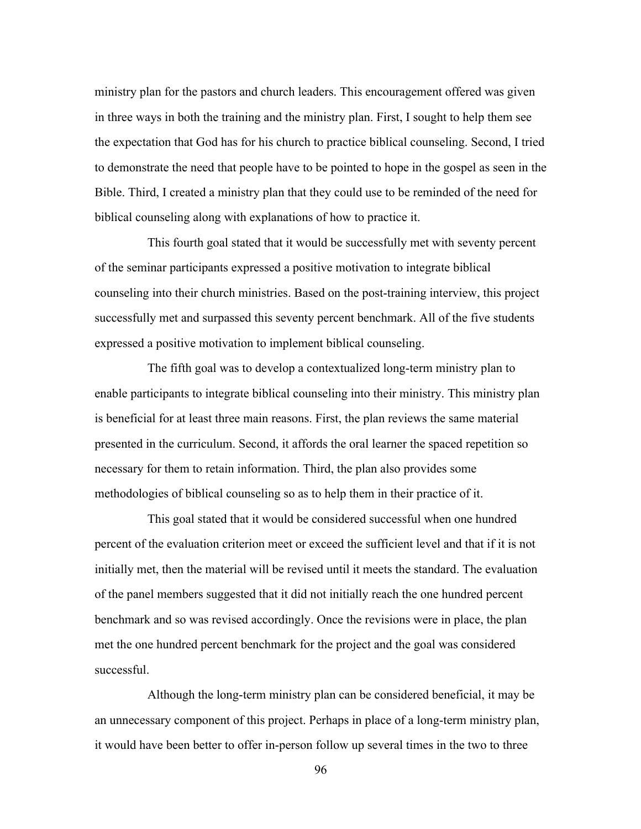ministry plan for the pastors and church leaders. This encouragement offered was given in three ways in both the training and the ministry plan. First, I sought to help them see the expectation that God has for his church to practice biblical counseling. Second, I tried to demonstrate the need that people have to be pointed to hope in the gospel as seen in the Bible. Third, I created a ministry plan that they could use to be reminded of the need for biblical counseling along with explanations of how to practice it.

This fourth goal stated that it would be successfully met with seventy percent of the seminar participants expressed a positive motivation to integrate biblical counseling into their church ministries. Based on the post-training interview, this project successfully met and surpassed this seventy percent benchmark. All of the five students expressed a positive motivation to implement biblical counseling.

The fifth goal was to develop a contextualized long-term ministry plan to enable participants to integrate biblical counseling into their ministry. This ministry plan is beneficial for at least three main reasons. First, the plan reviews the same material presented in the curriculum. Second, it affords the oral learner the spaced repetition so necessary for them to retain information. Third, the plan also provides some methodologies of biblical counseling so as to help them in their practice of it.

This goal stated that it would be considered successful when one hundred percent of the evaluation criterion meet or exceed the sufficient level and that if it is not initially met, then the material will be revised until it meets the standard. The evaluation of the panel members suggested that it did not initially reach the one hundred percent benchmark and so was revised accordingly. Once the revisions were in place, the plan met the one hundred percent benchmark for the project and the goal was considered successful.

Although the long-term ministry plan can be considered beneficial, it may be an unnecessary component of this project. Perhaps in place of a long-term ministry plan, it would have been better to offer in-person follow up several times in the two to three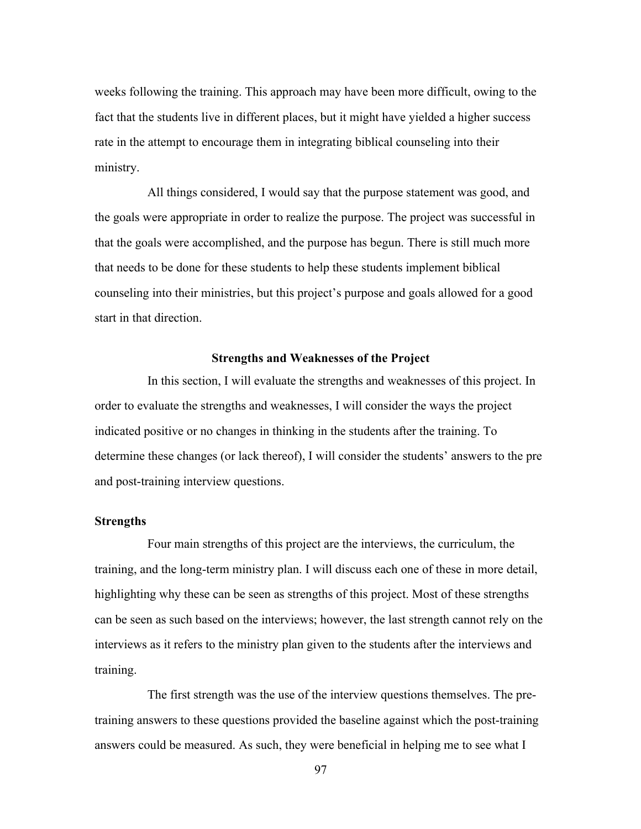weeks following the training. This approach may have been more difficult, owing to the fact that the students live in different places, but it might have yielded a higher success rate in the attempt to encourage them in integrating biblical counseling into their ministry.

All things considered, I would say that the purpose statement was good, and the goals were appropriate in order to realize the purpose. The project was successful in that the goals were accomplished, and the purpose has begun. There is still much more that needs to be done for these students to help these students implement biblical counseling into their ministries, but this project's purpose and goals allowed for a good start in that direction.

### **Strengths and Weaknesses of the Project**

In this section, I will evaluate the strengths and weaknesses of this project. In order to evaluate the strengths and weaknesses, I will consider the ways the project indicated positive or no changes in thinking in the students after the training. To determine these changes (or lack thereof), I will consider the students' answers to the pre and post-training interview questions.

# **Strengths**

Four main strengths of this project are the interviews, the curriculum, the training, and the long-term ministry plan. I will discuss each one of these in more detail, highlighting why these can be seen as strengths of this project. Most of these strengths can be seen as such based on the interviews; however, the last strength cannot rely on the interviews as it refers to the ministry plan given to the students after the interviews and training.

The first strength was the use of the interview questions themselves. The pretraining answers to these questions provided the baseline against which the post-training answers could be measured. As such, they were beneficial in helping me to see what I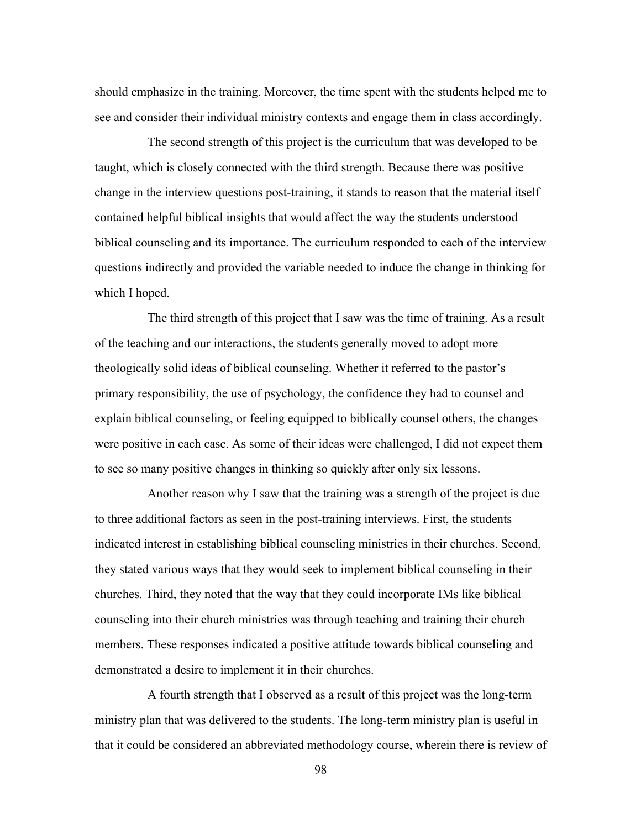should emphasize in the training. Moreover, the time spent with the students helped me to see and consider their individual ministry contexts and engage them in class accordingly.

The second strength of this project is the curriculum that was developed to be taught, which is closely connected with the third strength. Because there was positive change in the interview questions post-training, it stands to reason that the material itself contained helpful biblical insights that would affect the way the students understood biblical counseling and its importance. The curriculum responded to each of the interview questions indirectly and provided the variable needed to induce the change in thinking for which I hoped.

The third strength of this project that I saw was the time of training. As a result of the teaching and our interactions, the students generally moved to adopt more theologically solid ideas of biblical counseling. Whether it referred to the pastor's primary responsibility, the use of psychology, the confidence they had to counsel and explain biblical counseling, or feeling equipped to biblically counsel others, the changes were positive in each case. As some of their ideas were challenged, I did not expect them to see so many positive changes in thinking so quickly after only six lessons.

Another reason why I saw that the training was a strength of the project is due to three additional factors as seen in the post-training interviews. First, the students indicated interest in establishing biblical counseling ministries in their churches. Second, they stated various ways that they would seek to implement biblical counseling in their churches. Third, they noted that the way that they could incorporate IMs like biblical counseling into their church ministries was through teaching and training their church members. These responses indicated a positive attitude towards biblical counseling and demonstrated a desire to implement it in their churches.

A fourth strength that I observed as a result of this project was the long-term ministry plan that was delivered to the students. The long-term ministry plan is useful in that it could be considered an abbreviated methodology course, wherein there is review of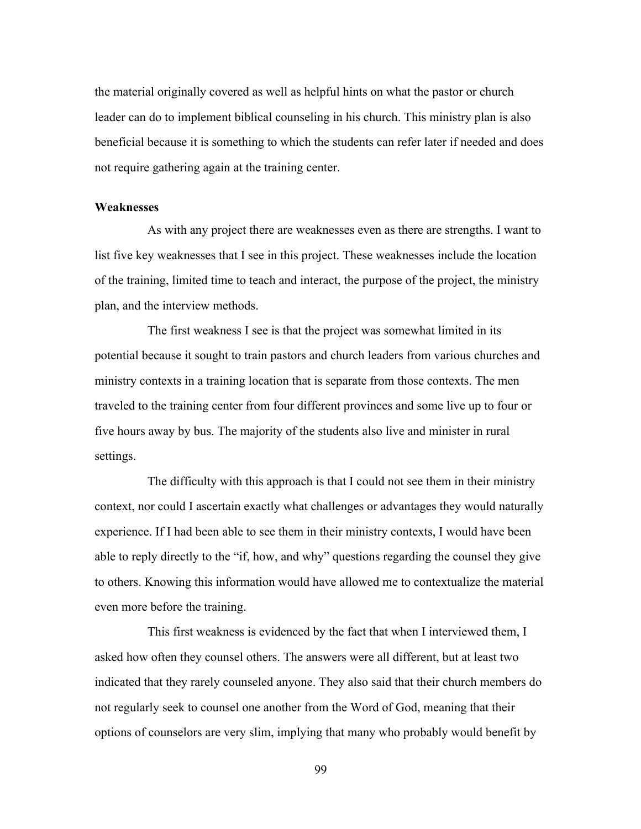the material originally covered as well as helpful hints on what the pastor or church leader can do to implement biblical counseling in his church. This ministry plan is also beneficial because it is something to which the students can refer later if needed and does not require gathering again at the training center.

#### **Weaknesses**

As with any project there are weaknesses even as there are strengths. I want to list five key weaknesses that I see in this project. These weaknesses include the location of the training, limited time to teach and interact, the purpose of the project, the ministry plan, and the interview methods.

The first weakness I see is that the project was somewhat limited in its potential because it sought to train pastors and church leaders from various churches and ministry contexts in a training location that is separate from those contexts. The men traveled to the training center from four different provinces and some live up to four or five hours away by bus. The majority of the students also live and minister in rural settings.

The difficulty with this approach is that I could not see them in their ministry context, nor could I ascertain exactly what challenges or advantages they would naturally experience. If I had been able to see them in their ministry contexts, I would have been able to reply directly to the "if, how, and why" questions regarding the counsel they give to others. Knowing this information would have allowed me to contextualize the material even more before the training.

This first weakness is evidenced by the fact that when I interviewed them, I asked how often they counsel others. The answers were all different, but at least two indicated that they rarely counseled anyone. They also said that their church members do not regularly seek to counsel one another from the Word of God, meaning that their options of counselors are very slim, implying that many who probably would benefit by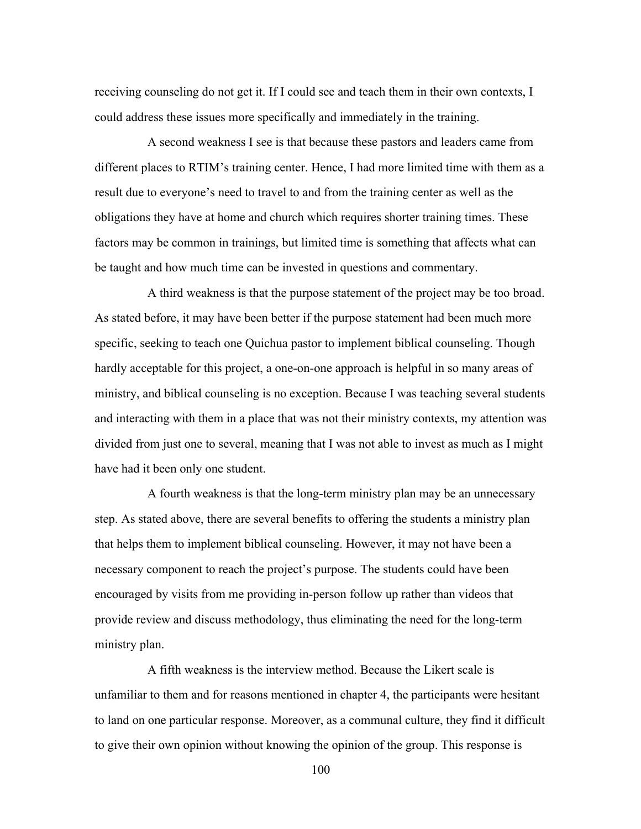receiving counseling do not get it. If I could see and teach them in their own contexts, I could address these issues more specifically and immediately in the training.

A second weakness I see is that because these pastors and leaders came from different places to RTIM's training center. Hence, I had more limited time with them as a result due to everyone's need to travel to and from the training center as well as the obligations they have at home and church which requires shorter training times. These factors may be common in trainings, but limited time is something that affects what can be taught and how much time can be invested in questions and commentary.

A third weakness is that the purpose statement of the project may be too broad. As stated before, it may have been better if the purpose statement had been much more specific, seeking to teach one Quichua pastor to implement biblical counseling. Though hardly acceptable for this project, a one-on-one approach is helpful in so many areas of ministry, and biblical counseling is no exception. Because I was teaching several students and interacting with them in a place that was not their ministry contexts, my attention was divided from just one to several, meaning that I was not able to invest as much as I might have had it been only one student.

A fourth weakness is that the long-term ministry plan may be an unnecessary step. As stated above, there are several benefits to offering the students a ministry plan that helps them to implement biblical counseling. However, it may not have been a necessary component to reach the project's purpose. The students could have been encouraged by visits from me providing in-person follow up rather than videos that provide review and discuss methodology, thus eliminating the need for the long-term ministry plan.

A fifth weakness is the interview method. Because the Likert scale is unfamiliar to them and for reasons mentioned in chapter 4, the participants were hesitant to land on one particular response. Moreover, as a communal culture, they find it difficult to give their own opinion without knowing the opinion of the group. This response is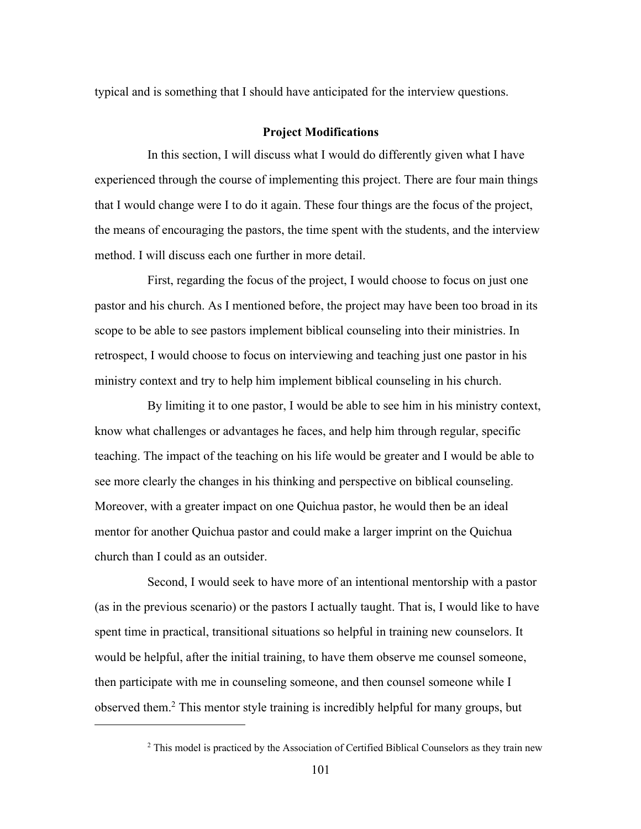typical and is something that I should have anticipated for the interview questions.

#### **Project Modifications**

In this section, I will discuss what I would do differently given what I have experienced through the course of implementing this project. There are four main things that I would change were I to do it again. These four things are the focus of the project, the means of encouraging the pastors, the time spent with the students, and the interview method. I will discuss each one further in more detail.

First, regarding the focus of the project, I would choose to focus on just one pastor and his church. As I mentioned before, the project may have been too broad in its scope to be able to see pastors implement biblical counseling into their ministries. In retrospect, I would choose to focus on interviewing and teaching just one pastor in his ministry context and try to help him implement biblical counseling in his church.

By limiting it to one pastor, I would be able to see him in his ministry context, know what challenges or advantages he faces, and help him through regular, specific teaching. The impact of the teaching on his life would be greater and I would be able to see more clearly the changes in his thinking and perspective on biblical counseling. Moreover, with a greater impact on one Quichua pastor, he would then be an ideal mentor for another Quichua pastor and could make a larger imprint on the Quichua church than I could as an outsider.

Second, I would seek to have more of an intentional mentorship with a pastor (as in the previous scenario) or the pastors I actually taught. That is, I would like to have spent time in practical, transitional situations so helpful in training new counselors. It would be helpful, after the initial training, to have them observe me counsel someone, then participate with me in counseling someone, and then counsel someone while I observed them.2 This mentor style training is incredibly helpful for many groups, but

<sup>&</sup>lt;sup>2</sup> This model is practiced by the Association of Certified Biblical Counselors as they train new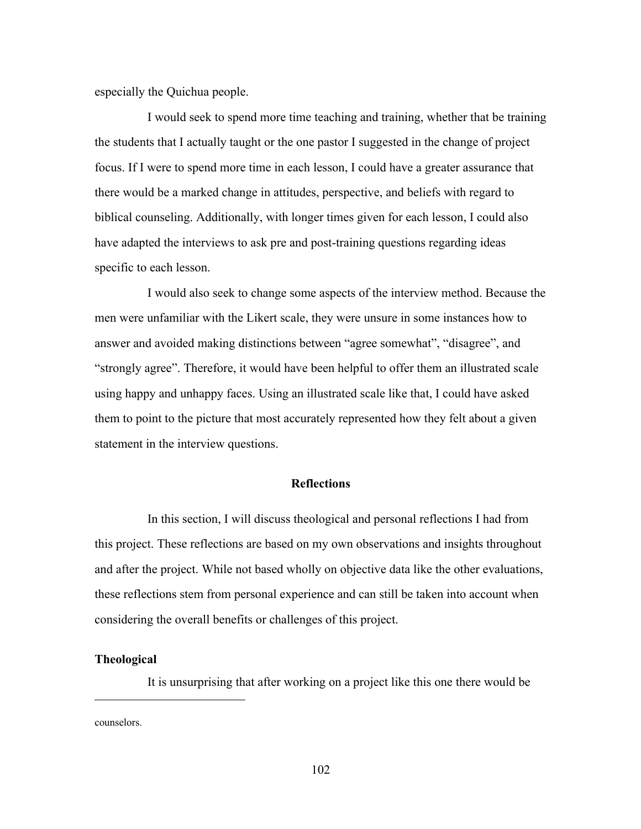especially the Quichua people.

I would seek to spend more time teaching and training, whether that be training the students that I actually taught or the one pastor I suggested in the change of project focus. If I were to spend more time in each lesson, I could have a greater assurance that there would be a marked change in attitudes, perspective, and beliefs with regard to biblical counseling. Additionally, with longer times given for each lesson, I could also have adapted the interviews to ask pre and post-training questions regarding ideas specific to each lesson.

I would also seek to change some aspects of the interview method. Because the men were unfamiliar with the Likert scale, they were unsure in some instances how to answer and avoided making distinctions between "agree somewhat", "disagree", and "strongly agree". Therefore, it would have been helpful to offer them an illustrated scale using happy and unhappy faces. Using an illustrated scale like that, I could have asked them to point to the picture that most accurately represented how they felt about a given statement in the interview questions.

### **Reflections**

In this section, I will discuss theological and personal reflections I had from this project. These reflections are based on my own observations and insights throughout and after the project. While not based wholly on objective data like the other evaluations, these reflections stem from personal experience and can still be taken into account when considering the overall benefits or challenges of this project.

#### **Theological**

It is unsurprising that after working on a project like this one there would be

counselors.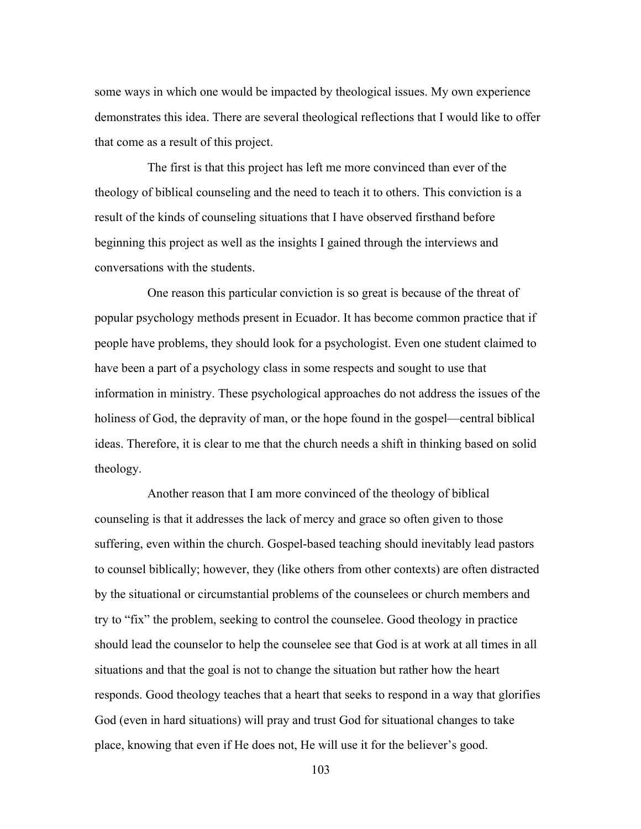some ways in which one would be impacted by theological issues. My own experience demonstrates this idea. There are several theological reflections that I would like to offer that come as a result of this project.

The first is that this project has left me more convinced than ever of the theology of biblical counseling and the need to teach it to others. This conviction is a result of the kinds of counseling situations that I have observed firsthand before beginning this project as well as the insights I gained through the interviews and conversations with the students.

One reason this particular conviction is so great is because of the threat of popular psychology methods present in Ecuador. It has become common practice that if people have problems, they should look for a psychologist. Even one student claimed to have been a part of a psychology class in some respects and sought to use that information in ministry. These psychological approaches do not address the issues of the holiness of God, the depravity of man, or the hope found in the gospel—central biblical ideas. Therefore, it is clear to me that the church needs a shift in thinking based on solid theology.

Another reason that I am more convinced of the theology of biblical counseling is that it addresses the lack of mercy and grace so often given to those suffering, even within the church. Gospel-based teaching should inevitably lead pastors to counsel biblically; however, they (like others from other contexts) are often distracted by the situational or circumstantial problems of the counselees or church members and try to "fix" the problem, seeking to control the counselee. Good theology in practice should lead the counselor to help the counselee see that God is at work at all times in all situations and that the goal is not to change the situation but rather how the heart responds. Good theology teaches that a heart that seeks to respond in a way that glorifies God (even in hard situations) will pray and trust God for situational changes to take place, knowing that even if He does not, He will use it for the believer's good.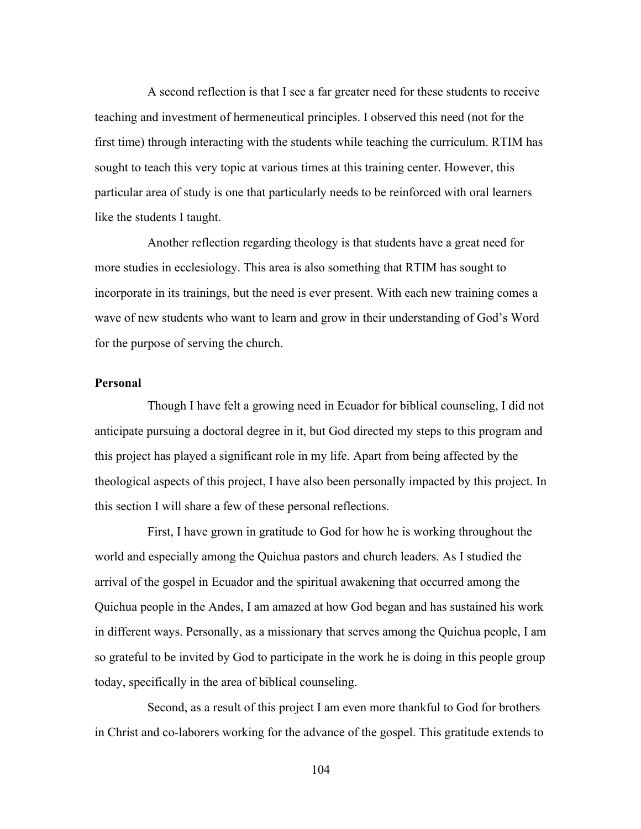A second reflection is that I see a far greater need for these students to receive teaching and investment of hermeneutical principles. I observed this need (not for the first time) through interacting with the students while teaching the curriculum. RTIM has sought to teach this very topic at various times at this training center. However, this particular area of study is one that particularly needs to be reinforced with oral learners like the students I taught.

Another reflection regarding theology is that students have a great need for more studies in ecclesiology. This area is also something that RTIM has sought to incorporate in its trainings, but the need is ever present. With each new training comes a wave of new students who want to learn and grow in their understanding of God's Word for the purpose of serving the church.

### **Personal**

Though I have felt a growing need in Ecuador for biblical counseling, I did not anticipate pursuing a doctoral degree in it, but God directed my steps to this program and this project has played a significant role in my life. Apart from being affected by the theological aspects of this project, I have also been personally impacted by this project. In this section I will share a few of these personal reflections.

First, I have grown in gratitude to God for how he is working throughout the world and especially among the Quichua pastors and church leaders. As I studied the arrival of the gospel in Ecuador and the spiritual awakening that occurred among the Quichua people in the Andes, I am amazed at how God began and has sustained his work in different ways. Personally, as a missionary that serves among the Quichua people, I am so grateful to be invited by God to participate in the work he is doing in this people group today, specifically in the area of biblical counseling.

Second, as a result of this project I am even more thankful to God for brothers in Christ and co-laborers working for the advance of the gospel. This gratitude extends to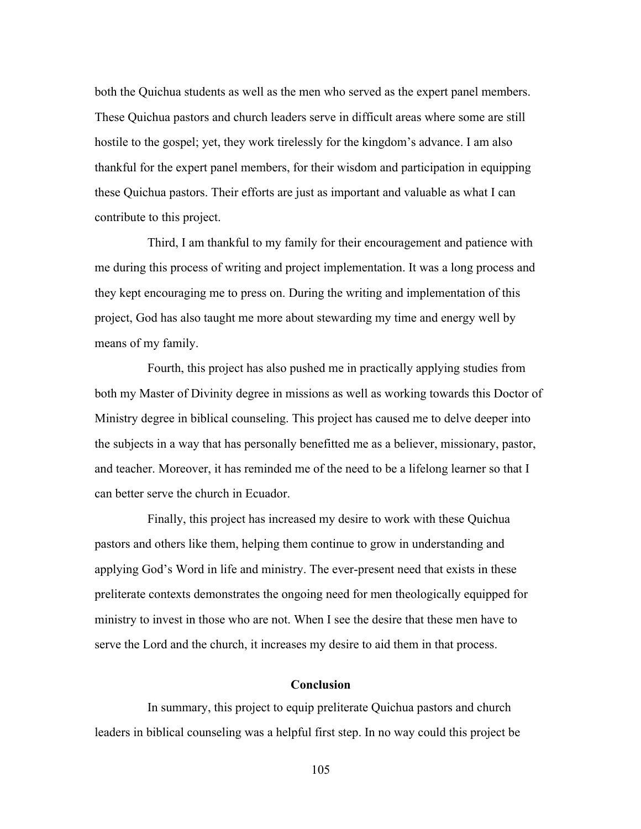both the Quichua students as well as the men who served as the expert panel members. These Quichua pastors and church leaders serve in difficult areas where some are still hostile to the gospel; yet, they work tirelessly for the kingdom's advance. I am also thankful for the expert panel members, for their wisdom and participation in equipping these Quichua pastors. Their efforts are just as important and valuable as what I can contribute to this project.

Third, I am thankful to my family for their encouragement and patience with me during this process of writing and project implementation. It was a long process and they kept encouraging me to press on. During the writing and implementation of this project, God has also taught me more about stewarding my time and energy well by means of my family.

Fourth, this project has also pushed me in practically applying studies from both my Master of Divinity degree in missions as well as working towards this Doctor of Ministry degree in biblical counseling. This project has caused me to delve deeper into the subjects in a way that has personally benefitted me as a believer, missionary, pastor, and teacher. Moreover, it has reminded me of the need to be a lifelong learner so that I can better serve the church in Ecuador.

Finally, this project has increased my desire to work with these Quichua pastors and others like them, helping them continue to grow in understanding and applying God's Word in life and ministry. The ever-present need that exists in these preliterate contexts demonstrates the ongoing need for men theologically equipped for ministry to invest in those who are not. When I see the desire that these men have to serve the Lord and the church, it increases my desire to aid them in that process.

#### **Conclusion**

In summary, this project to equip preliterate Quichua pastors and church leaders in biblical counseling was a helpful first step. In no way could this project be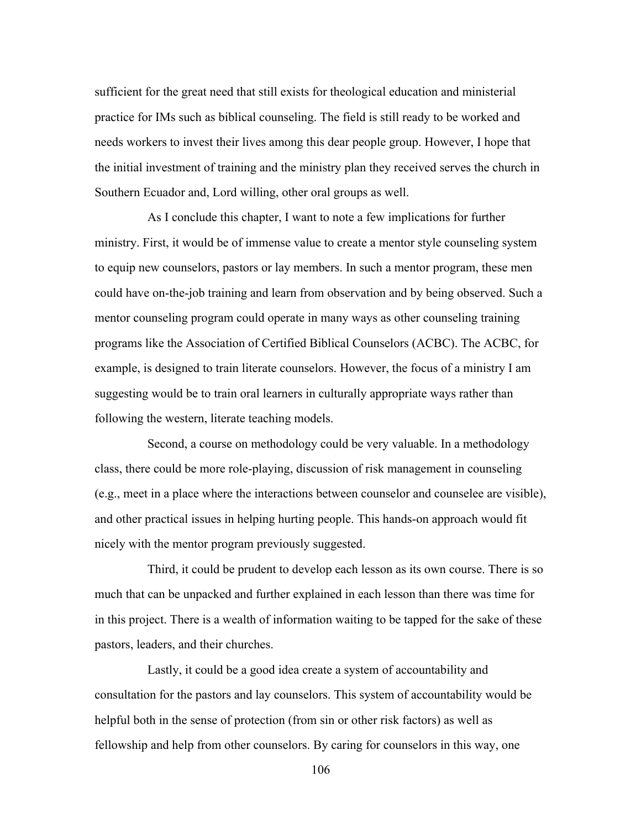sufficient for the great need that still exists for theological education and ministerial practice for IMs such as biblical counseling. The field is still ready to be worked and needs workers to invest their lives among this dear people group. However, I hope that the initial investment of training and the ministry plan they received serves the church in Southern Ecuador and, Lord willing, other oral groups as well.

As I conclude this chapter, I want to note a few implications for further ministry. First, it would be of immense value to create a mentor style counseling system to equip new counselors, pastors or lay members. In such a mentor program, these men could have on-the-job training and learn from observation and by being observed. Such a mentor counseling program could operate in many ways as other counseling training programs like the Association of Certified Biblical Counselors (ACBC). The ACBC, for example, is designed to train literate counselors. However, the focus of a ministry I am suggesting would be to train oral learners in culturally appropriate ways rather than following the western, literate teaching models.

Second, a course on methodology could be very valuable. In a methodology class, there could be more role-playing, discussion of risk management in counseling (e.g., meet in a place where the interactions between counselor and counselee are visible), and other practical issues in helping hurting people. This hands-on approach would fit nicely with the mentor program previously suggested.

Third, it could be prudent to develop each lesson as its own course. There is so much that can be unpacked and further explained in each lesson than there was time for in this project. There is a wealth of information waiting to be tapped for the sake of these pastors, leaders, and their churches.

Lastly, it could be a good idea create a system of accountability and consultation for the pastors and lay counselors. This system of accountability would be helpful both in the sense of protection (from sin or other risk factors) as well as fellowship and help from other counselors. By caring for counselors in this way, one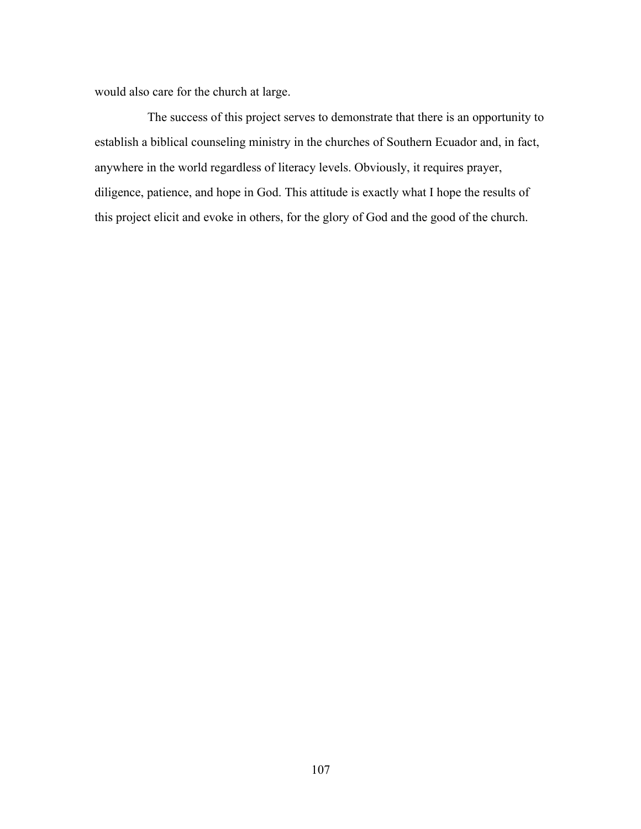would also care for the church at large.

The success of this project serves to demonstrate that there is an opportunity to establish a biblical counseling ministry in the churches of Southern Ecuador and, in fact, anywhere in the world regardless of literacy levels. Obviously, it requires prayer, diligence, patience, and hope in God. This attitude is exactly what I hope the results of this project elicit and evoke in others, for the glory of God and the good of the church.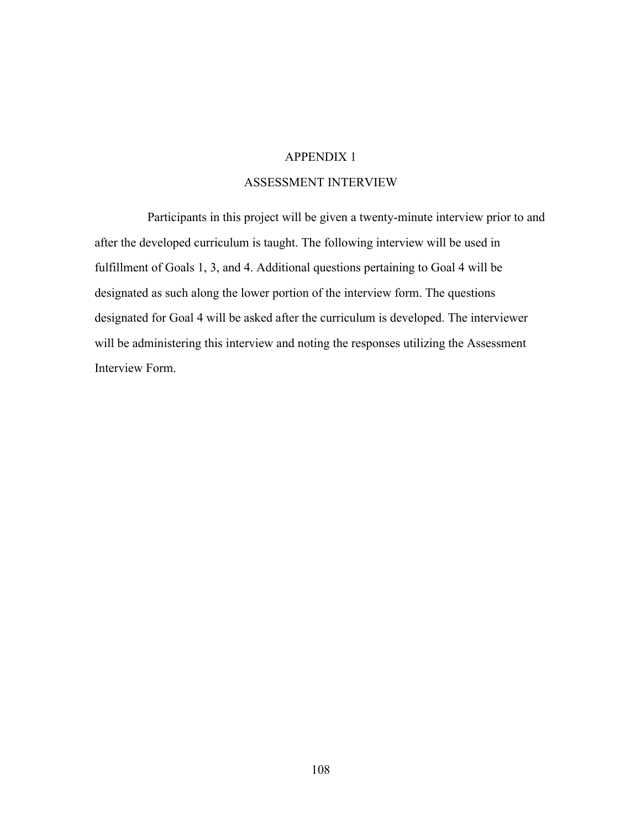## ASSESSMENT INTERVIEW

Participants in this project will be given a twenty-minute interview prior to and after the developed curriculum is taught. The following interview will be used in fulfillment of Goals 1, 3, and 4. Additional questions pertaining to Goal 4 will be designated as such along the lower portion of the interview form. The questions designated for Goal 4 will be asked after the curriculum is developed. The interviewer will be administering this interview and noting the responses utilizing the Assessment Interview Form.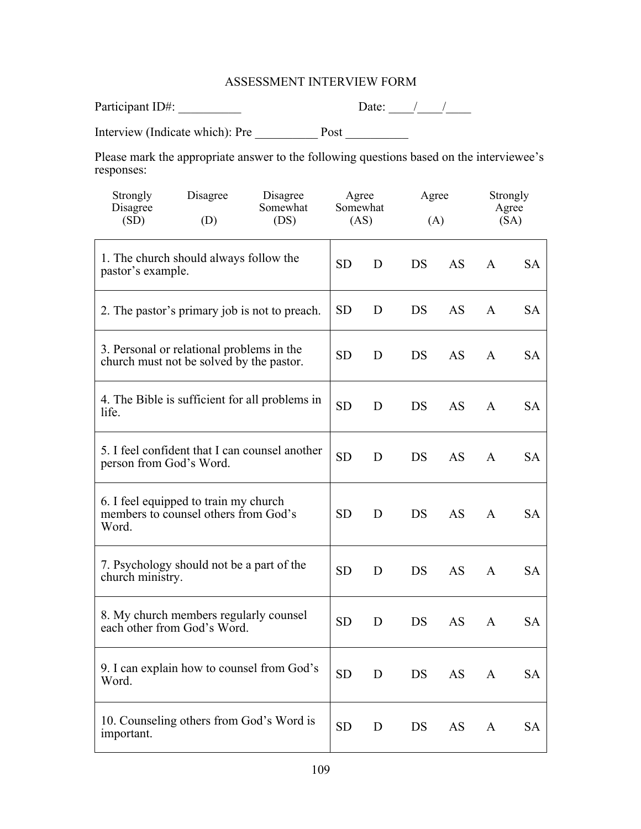## ASSESSMENT INTERVIEW FORM

| Participant ID#: |  |
|------------------|--|
|                  |  |

Interview (Indicate which): Pre \_\_\_\_\_\_\_\_\_\_ Post \_\_\_\_\_\_\_\_\_\_

Please mark the appropriate answer to the following questions based on the interviewee's responses:

| Strongly<br>Disagree<br>(SD) | Disagree<br>(D)                                                                       | Disagree<br>Somewhat<br>(DS)                   | Agree<br>Somewhat | Agree<br>(AS)<br>(A) |           |           | Strongly<br>Agree<br>(SA) |           |
|------------------------------|---------------------------------------------------------------------------------------|------------------------------------------------|-------------------|----------------------|-----------|-----------|---------------------------|-----------|
|                              |                                                                                       |                                                |                   |                      |           |           |                           |           |
| pastor's example.            | 1. The church should always follow the                                                |                                                | <b>SD</b>         | D                    | DS        | AS        | A                         | SА        |
|                              |                                                                                       | 2. The pastor's primary job is not to preach.  | <b>SD</b>         | D                    | DS        | AS        | $\mathsf{A}$              | SA        |
|                              | 3. Personal or relational problems in the<br>church must not be solved by the pastor. |                                                | <b>SD</b>         | D                    | DS        | AS        | $\mathsf{A}$              | <b>SA</b> |
| life.                        |                                                                                       | 4. The Bible is sufficient for all problems in | <b>SD</b>         | D                    | <b>DS</b> | AS        | A                         | <b>SA</b> |
| person from God's Word.      |                                                                                       | 5. I feel confident that I can counsel another | <b>SD</b>         | D                    | DS        | AS        | A                         | <b>SA</b> |
| Word.                        | 6. I feel equipped to train my church<br>members to counsel others from God's         |                                                | <b>SD</b>         | D                    | <b>DS</b> | <b>AS</b> | $\mathsf{A}$              | SA        |
| church ministry.             | 7. Psychology should not be a part of the                                             |                                                | <b>SD</b>         | D                    | DS        | <b>AS</b> | A                         | SA        |
|                              | 8. My church members regularly counsel<br>each other from God's Word.                 |                                                | <b>SD</b>         | D                    | DS        | AS        | $\mathsf{A}$              | SA        |
| Word.                        |                                                                                       | 9. I can explain how to counsel from God's     | <b>SD</b>         | D                    | DS        | AS        | A                         | SA        |
| important.                   | 10. Counseling others from God's Word is                                              |                                                | <b>SD</b>         | D                    | DS        | AS        | $\mathbf{A}$              | SA        |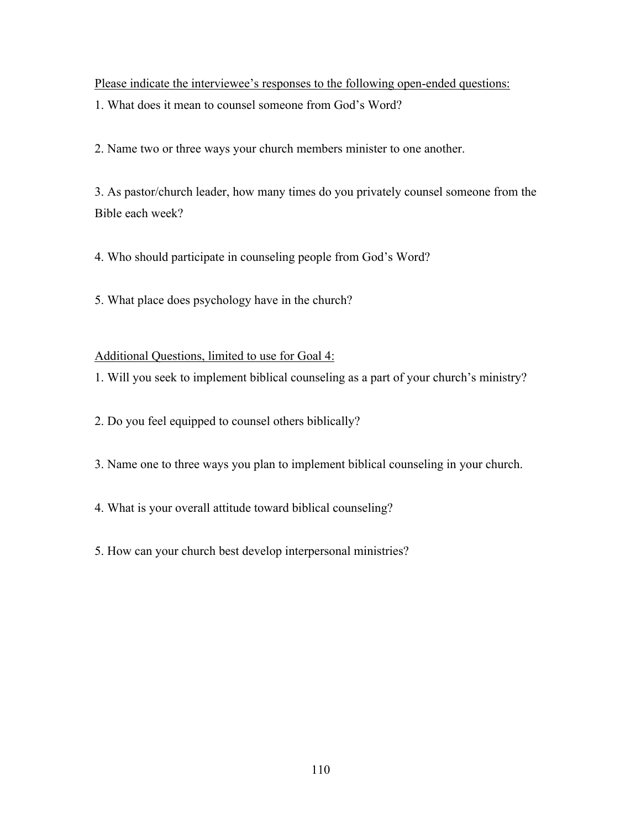Please indicate the interviewee's responses to the following open-ended questions:

1. What does it mean to counsel someone from God's Word?

2. Name two or three ways your church members minister to one another.

3. As pastor/church leader, how many times do you privately counsel someone from the Bible each week?

4. Who should participate in counseling people from God's Word?

5. What place does psychology have in the church?

Additional Questions, limited to use for Goal 4:

1. Will you seek to implement biblical counseling as a part of your church's ministry?

2. Do you feel equipped to counsel others biblically?

3. Name one to three ways you plan to implement biblical counseling in your church.

4. What is your overall attitude toward biblical counseling?

5. How can your church best develop interpersonal ministries?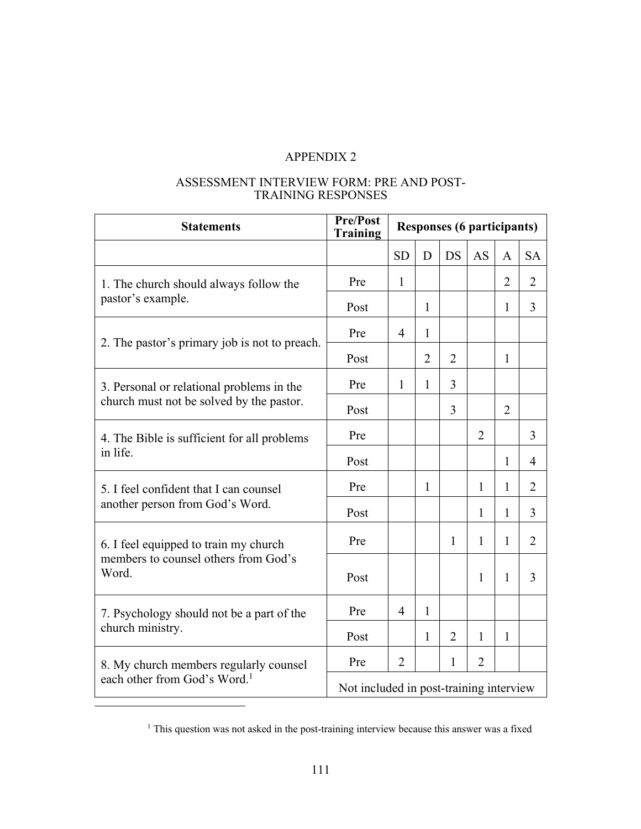#### ASSESSMENT INTERVIEW FORM: PRE AND POST-TRAINING RESPONSES

| <b>Statements</b>                             | Pre/Post<br><b>Training</b>             | <b>Responses (6 participants)</b> |                |                |                |                |                |
|-----------------------------------------------|-----------------------------------------|-----------------------------------|----------------|----------------|----------------|----------------|----------------|
|                                               |                                         | <b>SD</b>                         | D              | <b>DS</b>      | AS             | A              | <b>SA</b>      |
| 1. The church should always follow the        | Pre                                     | $\mathbf{1}$                      |                |                |                | $\overline{2}$ | $\overline{2}$ |
| pastor's example.                             | Post                                    |                                   | 1              |                |                | $\mathbf{1}$   | 3              |
|                                               | Pre                                     | 4                                 | 1              |                |                |                |                |
| 2. The pastor's primary job is not to preach. | Post                                    |                                   | $\overline{2}$ | $\overline{2}$ |                | $\mathbf{1}$   |                |
| 3. Personal or relational problems in the     | Pre                                     | $\mathbf{1}$                      | 1              | 3              |                |                |                |
| church must not be solved by the pastor.      | Post                                    |                                   |                | 3              |                | $\overline{2}$ |                |
| 4. The Bible is sufficient for all problems   | Pre                                     |                                   |                |                | $\overline{2}$ |                | 3              |
| in life.                                      | Post                                    |                                   |                |                |                | $\mathbf{1}$   | $\overline{4}$ |
| 5. I feel confident that I can counsel        | Pre                                     |                                   | 1              |                | $\mathbf{1}$   | $\mathbf{1}$   | $\overline{2}$ |
| another person from God's Word.               | Post                                    |                                   |                |                | $\mathbf{1}$   | $\mathbf{1}$   | 3              |
| 6. I feel equipped to train my church         | Pre                                     |                                   |                | 1              | $\mathbf{1}$   | $\mathbf{1}$   | $\overline{2}$ |
| members to counsel others from God's<br>Word. | Post                                    |                                   |                |                | $\mathbf{1}$   | $\mathbf{1}$   | 3              |
| 7. Psychology should not be a part of the     | Pre                                     | 4                                 | 1              |                |                |                |                |
| church ministry.                              | Post                                    |                                   | 1              | 2              | $\mathbf{1}$   | $\mathbf{1}$   |                |
| 8. My church members regularly counsel        | Pre                                     | $\overline{2}$                    |                | 1              | $\overline{2}$ |                |                |
| each other from God's Word. <sup>1</sup>      | Not included in post-training interview |                                   |                |                |                |                |                |

<sup>&</sup>lt;sup>1</sup> This question was not asked in the post-training interview because this answer was a fixed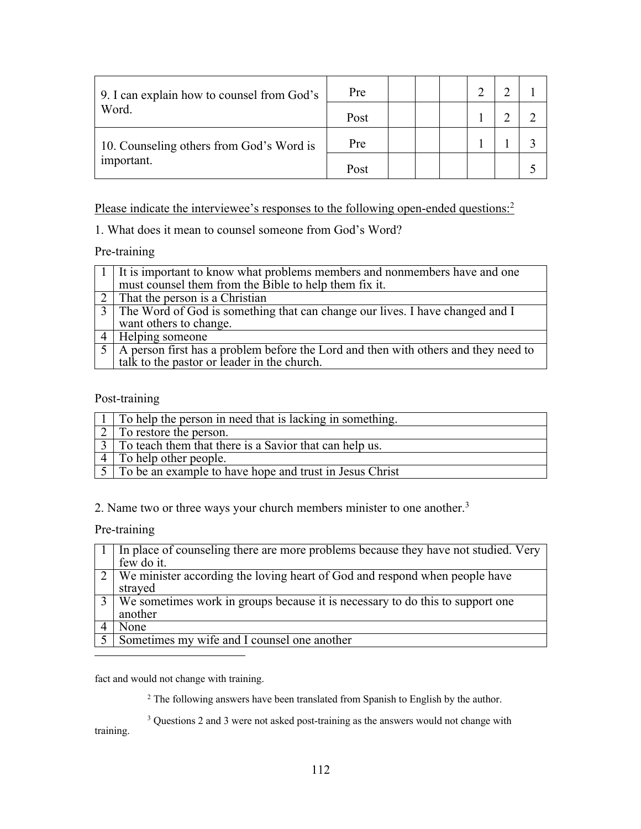| 9. I can explain how to counsel from God's | Pre  |  |  |  |
|--------------------------------------------|------|--|--|--|
| Word.                                      | Post |  |  |  |
| 10. Counseling others from God's Word is   | Pre  |  |  |  |
| important.                                 | Post |  |  |  |

Please indicate the interviewee's responses to the following open-ended questions:<sup>2</sup>

1. What does it mean to counsel someone from God's Word?

# Pre-training

| $\lceil 1 \rceil$ It is important to know what problems members and nonmembers have and one |
|---------------------------------------------------------------------------------------------|
| must counsel them from the Bible to help them fix it.                                       |
| $\vert$ 2   That the person is a Christian                                                  |
| 3 The Word of God is something that can change our lives. I have changed and I              |
| want others to change.                                                                      |
| 4   Helping someone                                                                         |
| $5$   A person first has a problem before the Lord and then with others and they need to    |
| talk to the pastor or leader in the church.                                                 |

Post-training

| 1 To help the person in need that is lacking in something.                    |
|-------------------------------------------------------------------------------|
| To restore the person.                                                        |
| $\overline{3}$ To teach them that there is a Savior that can help us.         |
| $\lceil$ To help other people.                                                |
| $\sqrt{5}$ $\sqrt{7}$ To be an example to have hope and trust in Jesus Christ |

2. Name two or three ways your church members minister to one another.3

Pre-training

| 1   In place of counseling there are more problems because they have not studied. Very |
|----------------------------------------------------------------------------------------|
| few do it.                                                                             |
| $\boxed{2}$ We minister according the loving heart of God and respond when people have |
| strayed                                                                                |
| 3 We sometimes work in groups because it is necessary to do this to support one        |
| another                                                                                |
| None                                                                                   |
| Sometimes my wife and I counsel one another                                            |

fact and would not change with training.

<sup>2</sup> The following answers have been translated from Spanish to English by the author.

<sup>3</sup> Questions 2 and 3 were not asked post-training as the answers would not change with training.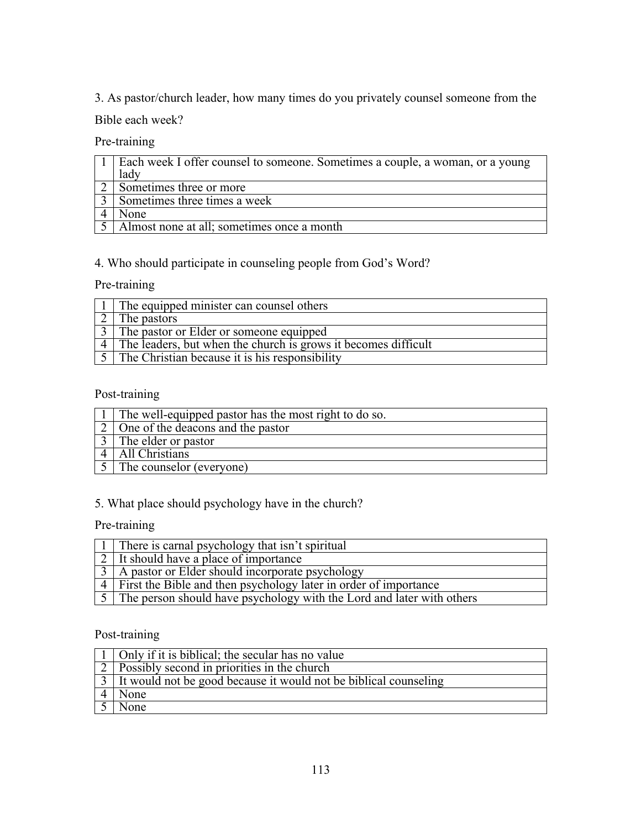3. As pastor/church leader, how many times do you privately counsel someone from the

# Bible each week?

Pre-training

| 1   Each week I offer counsel to someone. Sometimes a couple, a woman, or a young |
|-----------------------------------------------------------------------------------|
| lady                                                                              |
| Sometimes three or more                                                           |
| Sometimes three times a week                                                      |
| None                                                                              |
| 5   Almost none at all; sometimes once a month                                    |

# 4. Who should participate in counseling people from God's Word?

# Pre-training

| The equipped minister can counsel others                       |
|----------------------------------------------------------------|
| The pastors                                                    |
| The pastor or Elder or someone equipped                        |
| The leaders, but when the church is grows it becomes difficult |
| The Christian because it is his responsibility                 |

# Post-training

| The well-equipped pastor has the most right to do so. |
|-------------------------------------------------------|
| 2 One of the deacons and the pastor                   |
| I The elder or pastor                                 |
| All Christians                                        |
| The counselor (everyone)                              |

# 5. What place should psychology have in the church?

# Pre-training

| 1   There is carnal psychology that isn't spiritual                                     |
|-----------------------------------------------------------------------------------------|
| 2 It should have a place of importance                                                  |
| $\vert$ 3   A pastor or Elder should incorporate psychology                             |
| $\overline{4}$ First the Bible and then psychology later in order of importance         |
| $\lceil 5 \rceil$ The person should have psychology with the Lord and later with others |

# Post-training

| 1   Only if it is biblical; the secular has no value                         |
|------------------------------------------------------------------------------|
| $\vert$ 2   Possibly second in priorities in the church                      |
| $\vert$ 3   It would not be good because it would not be biblical counseling |
| None                                                                         |
| None                                                                         |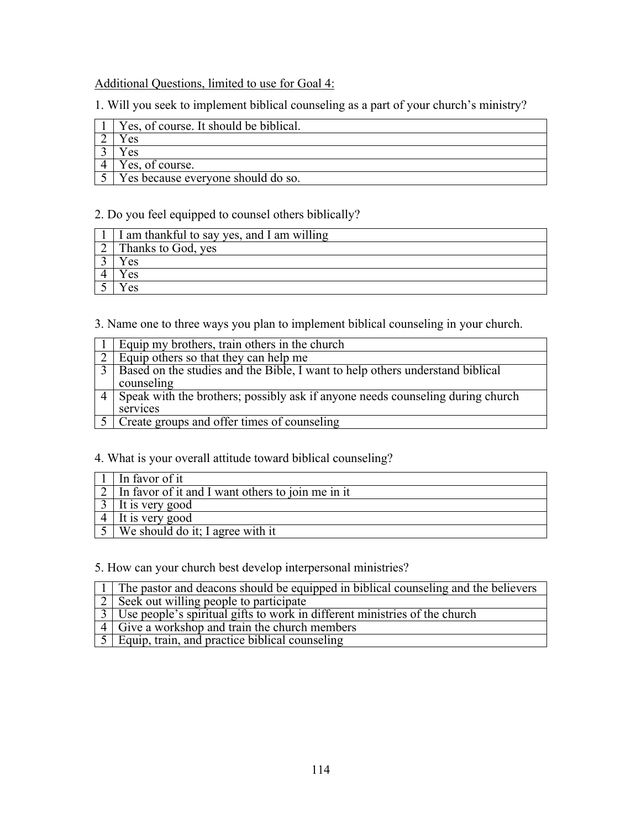# Additional Questions, limited to use for Goal 4:

1. Will you seek to implement biblical counseling as a part of your church's ministry?

| Yes, of course. It should be biblical. |
|----------------------------------------|
| es                                     |
| e <sub>s</sub>                         |
| Yes, of course.                        |
| Yes because everyone should do so.     |

## 2. Do you feel equipped to counsel others biblically?

| I am thankful to say yes, and I am willing |
|--------------------------------------------|
| Thanks to God, yes                         |
| es                                         |
| e <sub>s</sub>                             |
| es                                         |

3. Name one to three ways you plan to implement biblical counseling in your church.

| Equip my brothers, train others in the church                                     |
|-----------------------------------------------------------------------------------|
| 2   Equip others so that they can help me                                         |
| 3   Based on the studies and the Bible, I want to help others understand biblical |
| counseling                                                                        |
| 4 Speak with the brothers; possibly ask if anyone needs counseling during church  |
| services                                                                          |
| Create groups and offer times of counseling                                       |

# 4. What is your overall attitude toward biblical counseling?

| In favor of it                                      |
|-----------------------------------------------------|
| 2 In favor of it and I want others to join me in it |
| $3$   It is very good                               |
| It is very good                                     |
| We should do it; I agree with it                    |

# 5. How can your church best develop interpersonal ministries?

| 1 The pastor and deacons should be equipped in biblical counseling and the believers |
|--------------------------------------------------------------------------------------|
| $\vert$ 2   Seek out willing people to participate                                   |
| 3   Use people's spiritual gifts to work in different ministries of the church       |
| 4 Give a workshop and train the church members                                       |
| $\sqrt{5}$ Equip, train, and practice biblical counseling                            |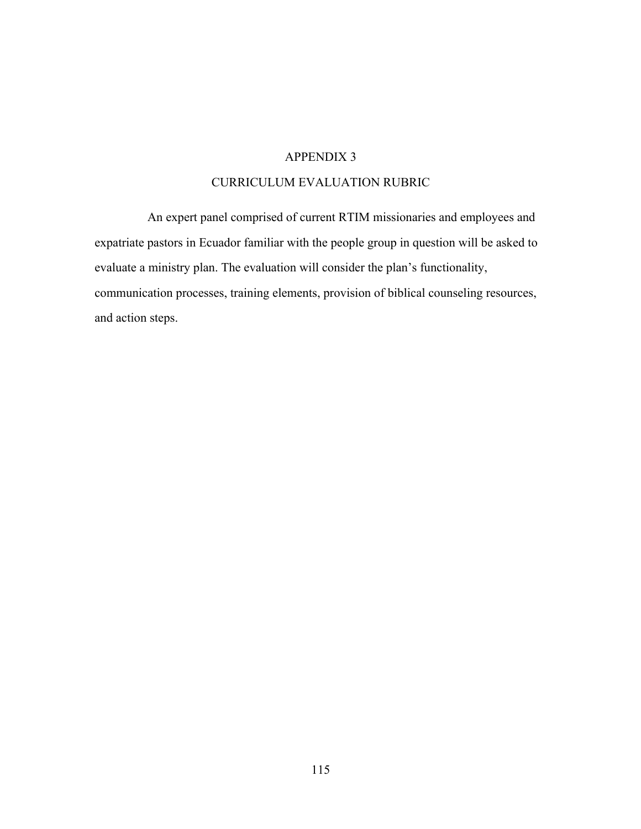### CURRICULUM EVALUATION RUBRIC

An expert panel comprised of current RTIM missionaries and employees and expatriate pastors in Ecuador familiar with the people group in question will be asked to evaluate a ministry plan. The evaluation will consider the plan's functionality, communication processes, training elements, provision of biblical counseling resources, and action steps.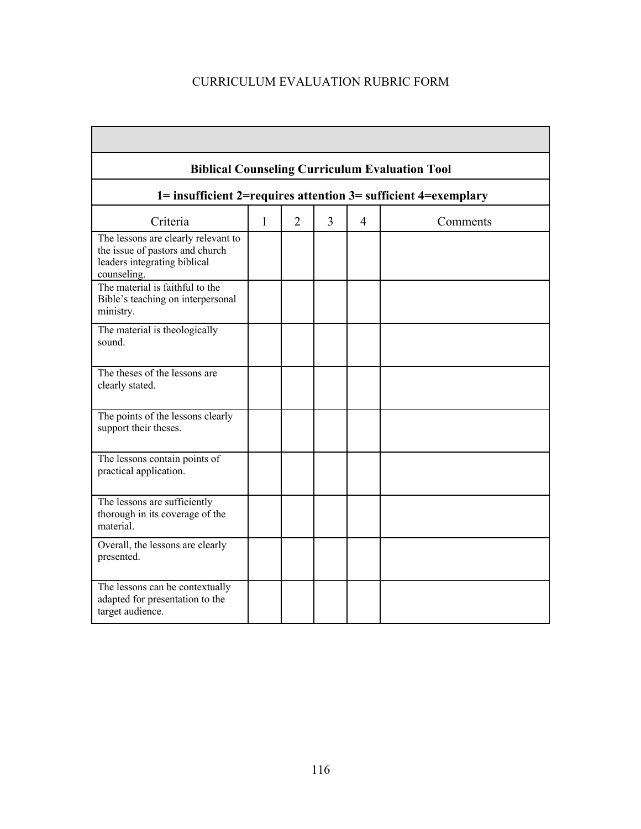# CURRICULUM EVALUATION RUBRIC FORM

| <b>Biblical Counseling Curriculum Evaluation Tool</b>                                                                 |              |                |                |                |          |
|-----------------------------------------------------------------------------------------------------------------------|--------------|----------------|----------------|----------------|----------|
| 1= insufficient 2=requires attention 3= sufficient 4=exemplary                                                        |              |                |                |                |          |
| Criteria                                                                                                              | $\mathbf{1}$ | $\overline{2}$ | $\overline{3}$ | $\overline{4}$ | Comments |
| The lessons are clearly relevant to<br>the issue of pastors and church<br>leaders integrating biblical<br>counseling. |              |                |                |                |          |
| The material is faithful to the<br>Bible's teaching on interpersonal<br>ministry.                                     |              |                |                |                |          |
| The material is theologically<br>sound.                                                                               |              |                |                |                |          |
| The theses of the lessons are<br>clearly stated.                                                                      |              |                |                |                |          |
| The points of the lessons clearly<br>support their theses.                                                            |              |                |                |                |          |
| The lessons contain points of<br>practical application.                                                               |              |                |                |                |          |
| The lessons are sufficiently<br>thorough in its coverage of the<br>material.                                          |              |                |                |                |          |
| Overall, the lessons are clearly<br>presented.                                                                        |              |                |                |                |          |
| The lessons can be contextually<br>adapted for presentation to the<br>target audience.                                |              |                |                |                |          |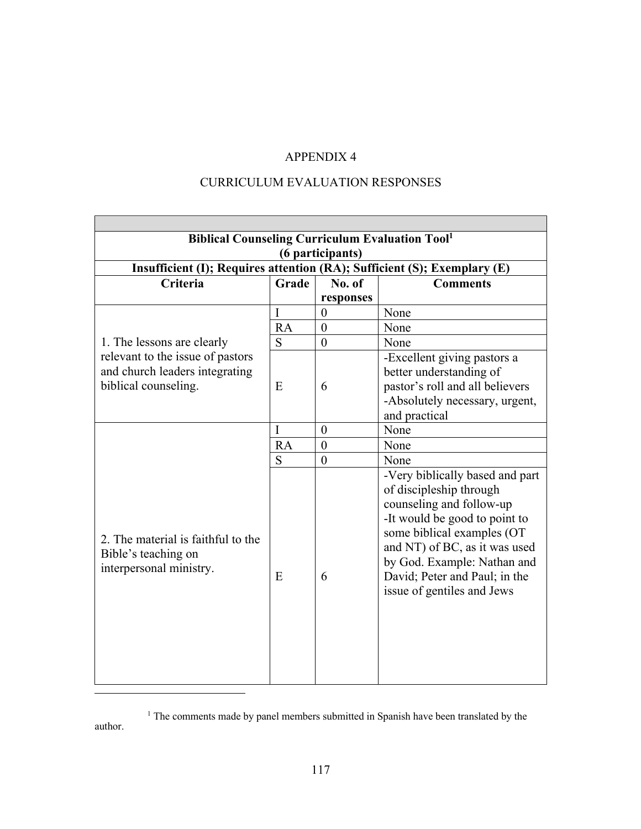# CURRICULUM EVALUATION RESPONSES

| <b>Biblical Counseling Curriculum Evaluation Tool1</b>                   |           |                  |                                                            |  |  |  |
|--------------------------------------------------------------------------|-----------|------------------|------------------------------------------------------------|--|--|--|
| (6 participants)                                                         |           |                  |                                                            |  |  |  |
| Insufficient (I); Requires attention (RA); Sufficient (S); Exemplary (E) |           |                  |                                                            |  |  |  |
| <b>Criteria</b>                                                          | Grade     | No. of           | <b>Comments</b>                                            |  |  |  |
|                                                                          |           | responses        |                                                            |  |  |  |
|                                                                          | I         | $\overline{0}$   | None                                                       |  |  |  |
|                                                                          | <b>RA</b> | $\overline{0}$   | None                                                       |  |  |  |
| 1. The lessons are clearly                                               | S         | $\theta$         | None                                                       |  |  |  |
| relevant to the issue of pastors                                         |           |                  | -Excellent giving pastors a                                |  |  |  |
| and church leaders integrating                                           |           |                  | better understanding of                                    |  |  |  |
| biblical counseling.                                                     | E         | 6                | pastor's roll and all believers                            |  |  |  |
|                                                                          |           |                  | -Absolutely necessary, urgent,                             |  |  |  |
|                                                                          |           |                  | and practical                                              |  |  |  |
|                                                                          | I         | $\overline{0}$   | None                                                       |  |  |  |
|                                                                          | <b>RA</b> | $\boldsymbol{0}$ | None                                                       |  |  |  |
|                                                                          | S         | $\overline{0}$   | None                                                       |  |  |  |
|                                                                          |           |                  | -Very biblically based and part<br>of discipleship through |  |  |  |
|                                                                          |           |                  | counseling and follow-up                                   |  |  |  |
|                                                                          |           |                  | -It would be good to point to                              |  |  |  |
|                                                                          |           |                  | some biblical examples (OT                                 |  |  |  |
| 2. The material is faithful to the                                       |           |                  | and NT) of BC, as it was used                              |  |  |  |
| Bible's teaching on                                                      |           |                  | by God. Example: Nathan and                                |  |  |  |
| interpersonal ministry.                                                  | E         | 6                | David; Peter and Paul; in the                              |  |  |  |
|                                                                          |           |                  |                                                            |  |  |  |
|                                                                          |           |                  | issue of gentiles and Jews                                 |  |  |  |
|                                                                          |           |                  |                                                            |  |  |  |
|                                                                          |           |                  |                                                            |  |  |  |
|                                                                          |           |                  |                                                            |  |  |  |
|                                                                          |           |                  |                                                            |  |  |  |
|                                                                          |           |                  |                                                            |  |  |  |
|                                                                          |           |                  |                                                            |  |  |  |

<sup>&</sup>lt;sup>1</sup> The comments made by panel members submitted in Spanish have been translated by the author.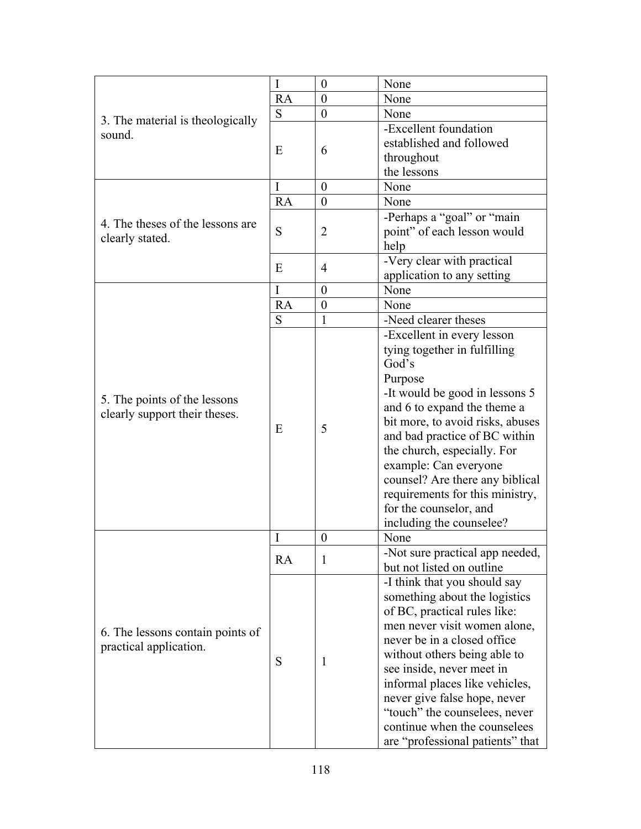|                                                                                                                                                                    | I         | $\boldsymbol{0}$ | None                                                          |
|--------------------------------------------------------------------------------------------------------------------------------------------------------------------|-----------|------------------|---------------------------------------------------------------|
|                                                                                                                                                                    | <b>RA</b> | $\theta$         | None                                                          |
|                                                                                                                                                                    | S         | $\boldsymbol{0}$ | None                                                          |
|                                                                                                                                                                    |           |                  | -Excellent foundation                                         |
| 3. The material is theologically<br>sound.<br>4. The theses of the lessons are<br>clearly stated.<br>5. The points of the lessons<br>clearly support their theses. |           |                  | established and followed                                      |
|                                                                                                                                                                    | E         | 6                | throughout                                                    |
|                                                                                                                                                                    |           |                  | the lessons                                                   |
|                                                                                                                                                                    | I         | $\overline{0}$   | None                                                          |
|                                                                                                                                                                    | RA        | $\boldsymbol{0}$ | None                                                          |
|                                                                                                                                                                    |           |                  | -Perhaps a "goal" or "main                                    |
|                                                                                                                                                                    | S         | 2                | point" of each lesson would                                   |
|                                                                                                                                                                    |           |                  | help                                                          |
|                                                                                                                                                                    |           |                  | -Very clear with practical                                    |
|                                                                                                                                                                    | E         | 4                | application to any setting                                    |
|                                                                                                                                                                    | I         | $\theta$         | None                                                          |
|                                                                                                                                                                    | <b>RA</b> | $\boldsymbol{0}$ | None                                                          |
|                                                                                                                                                                    | S         | 1                | -Need clearer theses                                          |
|                                                                                                                                                                    |           |                  | -Excellent in every lesson                                    |
|                                                                                                                                                                    |           |                  | tying together in fulfilling                                  |
|                                                                                                                                                                    |           |                  | God's                                                         |
|                                                                                                                                                                    |           |                  | Purpose                                                       |
|                                                                                                                                                                    |           |                  | -It would be good in lessons 5                                |
|                                                                                                                                                                    | E         |                  | and 6 to expand the theme a                                   |
|                                                                                                                                                                    |           | 5                | bit more, to avoid risks, abuses                              |
|                                                                                                                                                                    |           |                  | and bad practice of BC within                                 |
|                                                                                                                                                                    |           |                  | the church, especially. For                                   |
|                                                                                                                                                                    |           |                  | example: Can everyone                                         |
|                                                                                                                                                                    |           |                  | counsel? Are there any biblical                               |
|                                                                                                                                                                    |           |                  | requirements for this ministry,                               |
|                                                                                                                                                                    |           |                  | for the counselor, and                                        |
|                                                                                                                                                                    |           |                  | including the counselee?                                      |
|                                                                                                                                                                    | I         | $\theta$         | None                                                          |
|                                                                                                                                                                    |           |                  | -Not sure practical app needed,                               |
|                                                                                                                                                                    | <b>RA</b> | 1                | but not listed on outline                                     |
|                                                                                                                                                                    |           |                  | -I think that you should say                                  |
|                                                                                                                                                                    |           |                  | something about the logistics                                 |
|                                                                                                                                                                    |           |                  | of BC, practical rules like:                                  |
|                                                                                                                                                                    |           |                  | men never visit women alone,                                  |
| 6. The lessons contain points of                                                                                                                                   |           |                  | never be in a closed office                                   |
| practical application.                                                                                                                                             |           |                  | without others being able to                                  |
|                                                                                                                                                                    | S         | 1                | see inside, never meet in                                     |
|                                                                                                                                                                    |           |                  |                                                               |
|                                                                                                                                                                    |           |                  | informal places like vehicles,                                |
|                                                                                                                                                                    |           |                  | never give false hope, never                                  |
|                                                                                                                                                                    |           |                  | "touch" the counselees, never<br>continue when the counselees |
|                                                                                                                                                                    |           |                  |                                                               |
|                                                                                                                                                                    |           |                  | are "professional patients" that                              |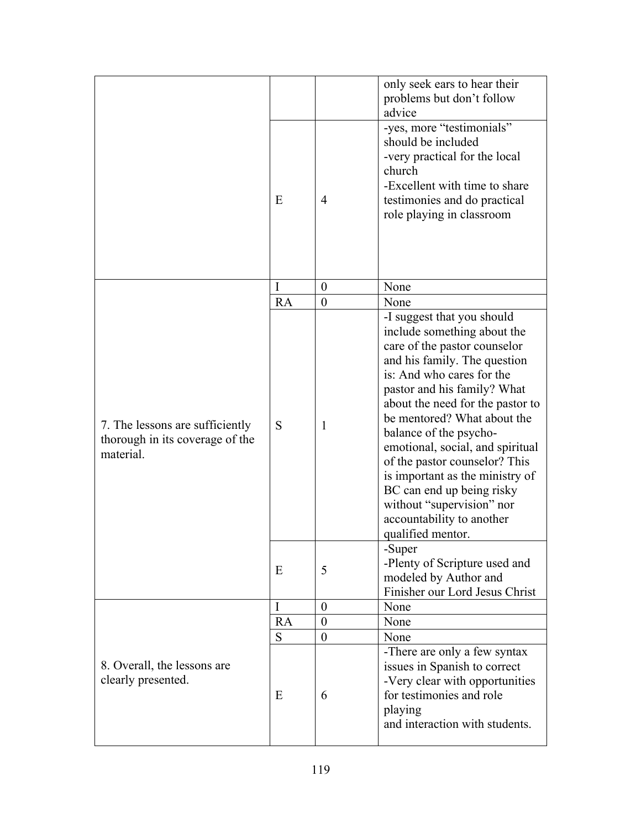|                                                                                 |    |                  | only seek ears to hear their<br>problems but don't follow<br>advice                                                                                                                                                                                                                                                                                                                                                                                                                                    |
|---------------------------------------------------------------------------------|----|------------------|--------------------------------------------------------------------------------------------------------------------------------------------------------------------------------------------------------------------------------------------------------------------------------------------------------------------------------------------------------------------------------------------------------------------------------------------------------------------------------------------------------|
|                                                                                 | E  | $\overline{4}$   | -yes, more "testimonials"<br>should be included<br>-very practical for the local<br>church<br>-Excellent with time to share<br>testimonies and do practical<br>role playing in classroom                                                                                                                                                                                                                                                                                                               |
|                                                                                 | I  | $\theta$         | None                                                                                                                                                                                                                                                                                                                                                                                                                                                                                                   |
|                                                                                 | RA | $\boldsymbol{0}$ | None                                                                                                                                                                                                                                                                                                                                                                                                                                                                                                   |
| 7. The lessons are sufficiently<br>thorough in its coverage of the<br>material. | S  | 1                | -I suggest that you should<br>include something about the<br>care of the pastor counselor<br>and his family. The question<br>is: And who cares for the<br>pastor and his family? What<br>about the need for the pastor to<br>be mentored? What about the<br>balance of the psycho-<br>emotional, social, and spiritual<br>of the pastor counselor? This<br>is important as the ministry of<br>BC can end up being risky<br>without "supervision" nor<br>accountability to another<br>qualified mentor. |
|                                                                                 | Ε  | 5                | -Super<br>-Plenty of Scripture used and<br>modeled by Author and<br>Finisher our Lord Jesus Christ                                                                                                                                                                                                                                                                                                                                                                                                     |
|                                                                                 | I  | $\overline{0}$   | None                                                                                                                                                                                                                                                                                                                                                                                                                                                                                                   |
|                                                                                 | RA | $\boldsymbol{0}$ | None                                                                                                                                                                                                                                                                                                                                                                                                                                                                                                   |
|                                                                                 | S  | $\boldsymbol{0}$ | None                                                                                                                                                                                                                                                                                                                                                                                                                                                                                                   |
| 8. Overall, the lessons are<br>clearly presented.                               | E  | 6                | -There are only a few syntax<br>issues in Spanish to correct<br>-Very clear with opportunities<br>for testimonies and role<br>playing<br>and interaction with students.                                                                                                                                                                                                                                                                                                                                |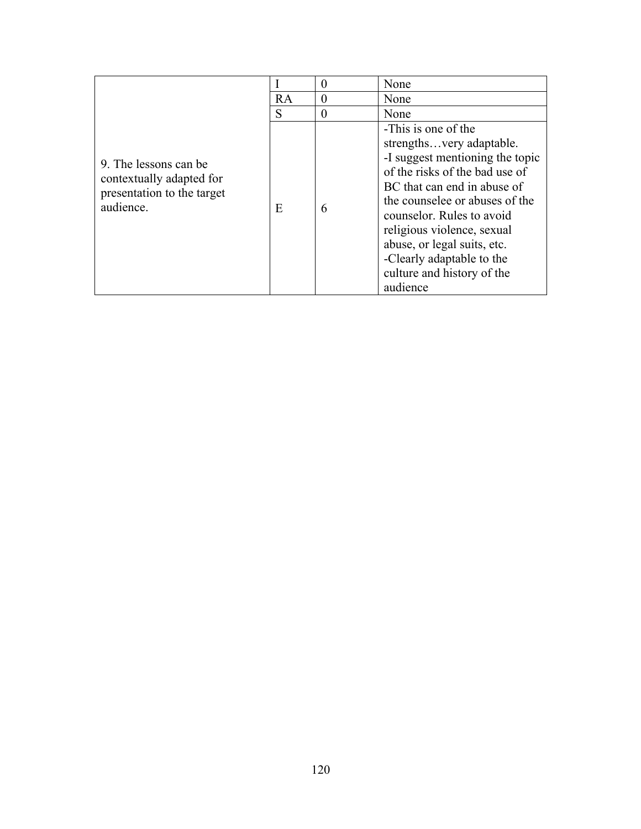|                                                                                              |    | 0 | None                                                                                                                                                                                                                                                                                                                                                   |
|----------------------------------------------------------------------------------------------|----|---|--------------------------------------------------------------------------------------------------------------------------------------------------------------------------------------------------------------------------------------------------------------------------------------------------------------------------------------------------------|
|                                                                                              | RA | 0 | None                                                                                                                                                                                                                                                                                                                                                   |
|                                                                                              | S  | 0 | None                                                                                                                                                                                                                                                                                                                                                   |
| 9. The lessons can be<br>contextually adapted for<br>presentation to the target<br>audience. | E  | 6 | -This is one of the<br>strengthsvery adaptable.<br>-I suggest mentioning the topic<br>of the risks of the bad use of<br>BC that can end in abuse of<br>the counselee or abuses of the<br>counselor. Rules to avoid<br>religious violence, sexual<br>abuse, or legal suits, etc.<br>-Clearly adaptable to the<br>culture and history of the<br>audience |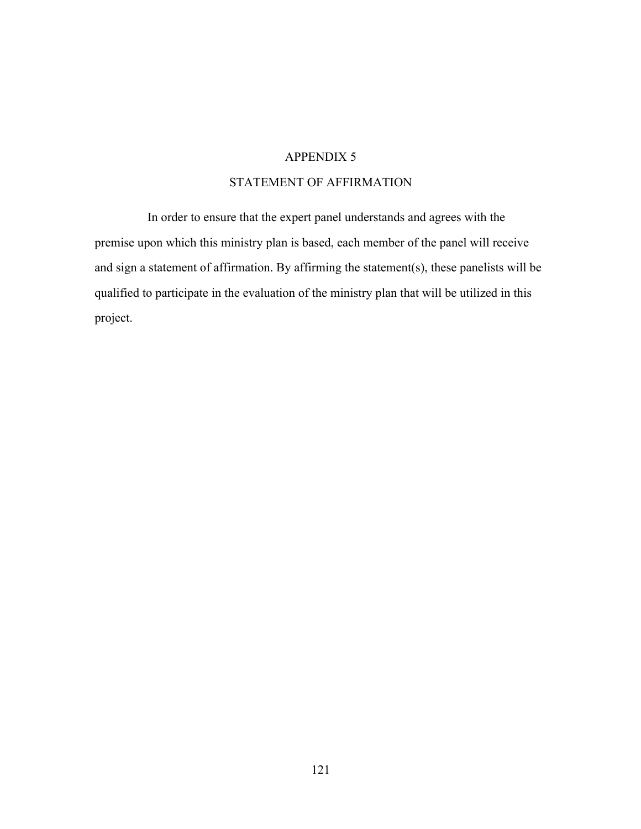## STATEMENT OF AFFIRMATION

In order to ensure that the expert panel understands and agrees with the premise upon which this ministry plan is based, each member of the panel will receive and sign a statement of affirmation. By affirming the statement(s), these panelists will be qualified to participate in the evaluation of the ministry plan that will be utilized in this project.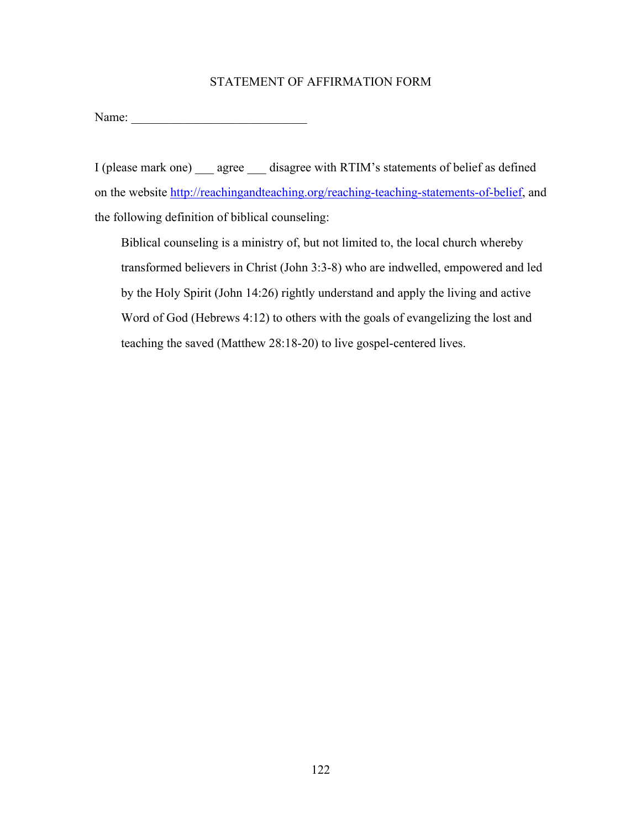### STATEMENT OF AFFIRMATION FORM

Name: \_\_\_\_\_\_\_\_\_\_\_\_\_\_\_\_\_\_\_\_\_\_\_\_\_\_\_\_

I (please mark one) \_\_\_ agree \_\_\_ disagree with RTIM's statements of belief as defined on the website http://reachingandteaching.org/reaching-teaching-statements-of-belief, and the following definition of biblical counseling:

Biblical counseling is a ministry of, but not limited to, the local church whereby transformed believers in Christ (John 3:3-8) who are indwelled, empowered and led by the Holy Spirit (John 14:26) rightly understand and apply the living and active Word of God (Hebrews 4:12) to others with the goals of evangelizing the lost and teaching the saved (Matthew 28:18-20) to live gospel-centered lives.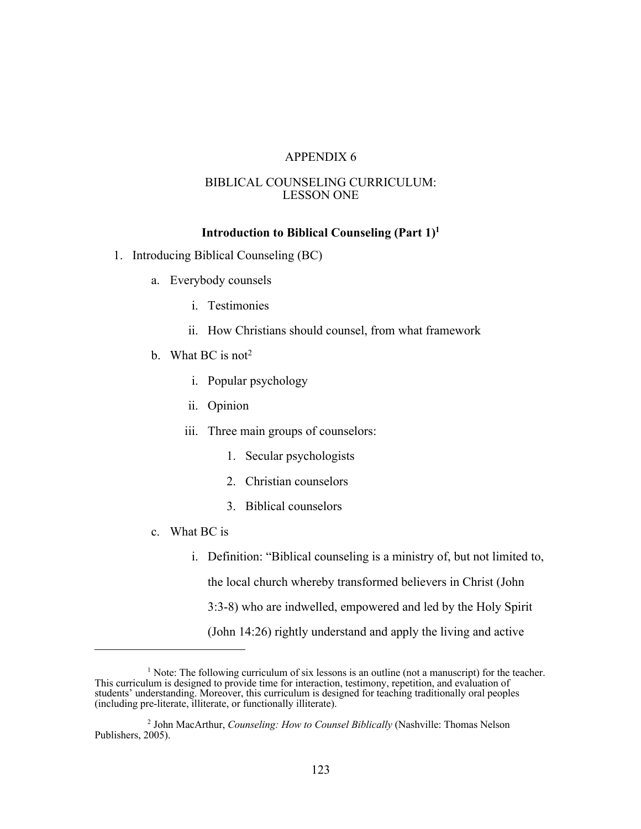#### BIBLICAL COUNSELING CURRICULUM: LESSON ONE

### **Introduction to Biblical Counseling (Part 1)1**

- 1. Introducing Biblical Counseling (BC)
	- a. Everybody counsels
		- i. Testimonies
		- ii. How Christians should counsel, from what framework
	- b. What BC is not<sup>2</sup>
		- i. Popular psychology
		- ii. Opinion
		- iii. Three main groups of counselors:
			- 1. Secular psychologists
			- 2. Christian counselors
			- 3. Biblical counselors
	- c. What BC is
		- i. Definition: "Biblical counseling is a ministry of, but not limited to, the local church whereby transformed believers in Christ (John 3:3-8) who are indwelled, empowered and led by the Holy Spirit (John 14:26) rightly understand and apply the living and active

<sup>&</sup>lt;sup>1</sup> Note: The following curriculum of six lessons is an outline (not a manuscript) for the teacher. This curriculum is designed to provide time for interaction, testimony, repetition, and evaluation of students' understanding. Moreover, this curriculum is designed for teaching traditionally oral peoples (including pre-literate, illiterate, or functionally illiterate).

<sup>2</sup> John MacArthur, *Counseling: How to Counsel Biblically* (Nashville: Thomas Nelson Publishers, 2005).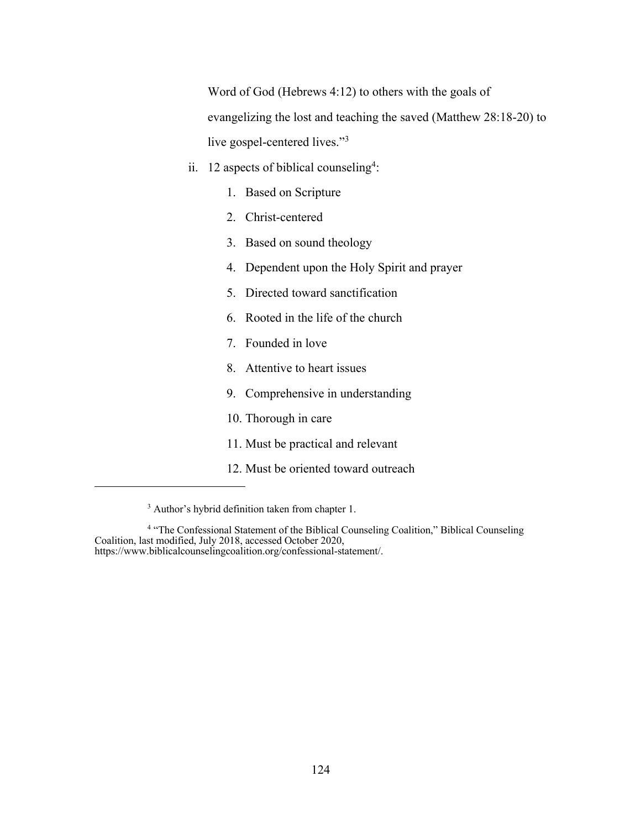Word of God (Hebrews 4:12) to others with the goals of evangelizing the lost and teaching the saved (Matthew 28:18-20) to live gospel-centered lives."3

- ii. 12 aspects of biblical counseling<sup>4</sup>:
	- 1. Based on Scripture
	- 2. Christ-centered
	- 3. Based on sound theology
	- 4. Dependent upon the Holy Spirit and prayer
	- 5. Directed toward sanctification
	- 6. Rooted in the life of the church
	- 7. Founded in love
	- 8. Attentive to heart issues
	- 9. Comprehensive in understanding
	- 10. Thorough in care
	- 11. Must be practical and relevant
	- 12. Must be oriented toward outreach

<sup>&</sup>lt;sup>3</sup> Author's hybrid definition taken from chapter 1.

<sup>&</sup>lt;sup>4</sup> "The Confessional Statement of the Biblical Counseling Coalition," Biblical Counseling Coalition, last modified, July 2018, accessed October 2020, https://www.biblicalcounselingcoalition.org/confessional-statement/.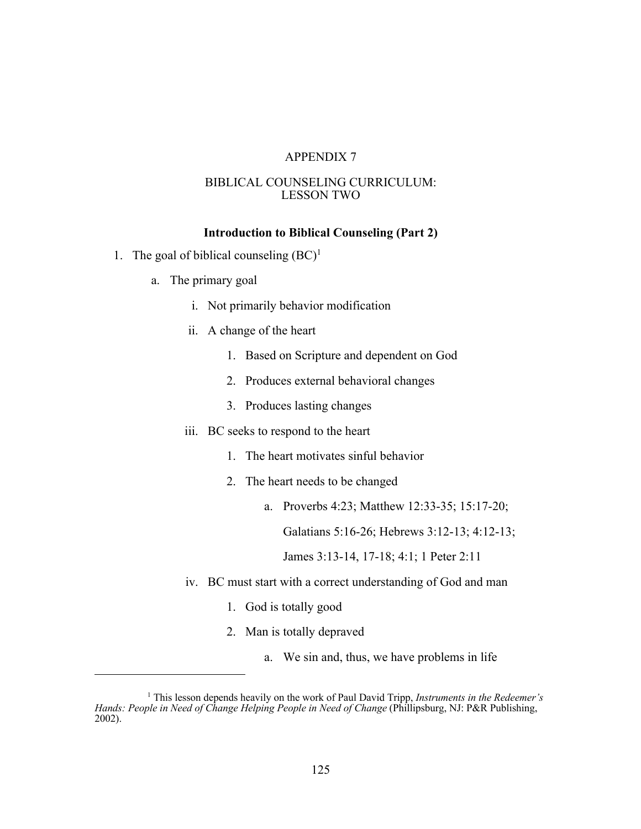#### BIBLICAL COUNSELING CURRICULUM: LESSON TWO

#### **Introduction to Biblical Counseling (Part 2)**

- 1. The goal of biblical counseling  $(BC)^1$ 
	- a. The primary goal
		- i. Not primarily behavior modification
		- ii. A change of the heart
			- 1. Based on Scripture and dependent on God
			- 2. Produces external behavioral changes
			- 3. Produces lasting changes
		- iii. BC seeks to respond to the heart
			- 1. The heart motivates sinful behavior
			- 2. The heart needs to be changed
				- a. Proverbs 4:23; Matthew 12:33-35; 15:17-20;

Galatians 5:16-26; Hebrews 3:12-13; 4:12-13;

James 3:13-14, 17-18; 4:1; 1 Peter 2:11

- iv. BC must start with a correct understanding of God and man
	- 1. God is totally good
	- 2. Man is totally depraved
		- a. We sin and, thus, we have problems in life

<sup>1</sup> This lesson depends heavily on the work of Paul David Tripp, *Instruments in the Redeemer's Hands: People in Need of Change Helping People in Need of Change* (Phillipsburg, NJ: P&R Publishing, 2002).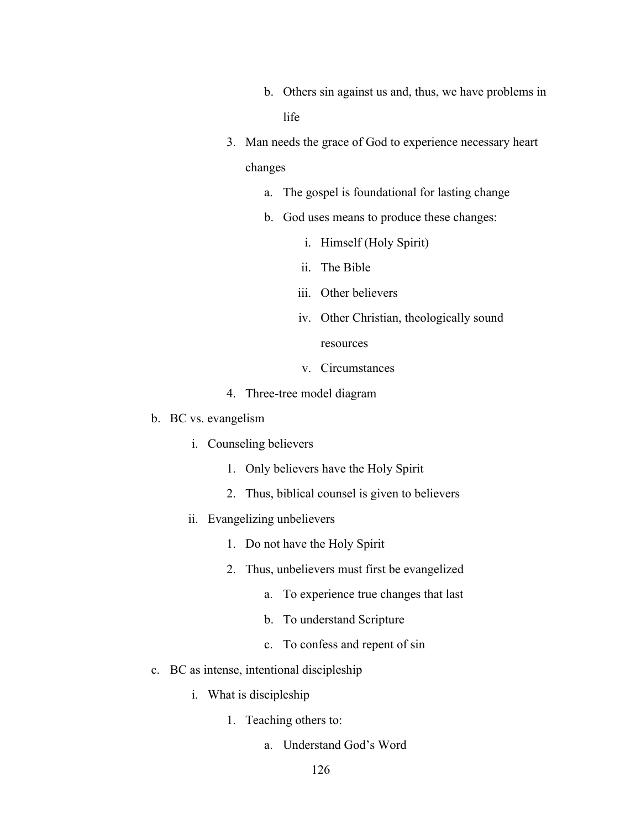- b. Others sin against us and, thus, we have problems in life
- 3. Man needs the grace of God to experience necessary heart changes
	- a. The gospel is foundational for lasting change
	- b. God uses means to produce these changes:
		- i. Himself (Holy Spirit)
		- ii. The Bible
		- iii. Other believers
		- iv. Other Christian, theologically sound resources
		- v. Circumstances
- 4. Three-tree model diagram
- b. BC vs. evangelism
	- i. Counseling believers
		- 1. Only believers have the Holy Spirit
		- 2. Thus, biblical counsel is given to believers
	- ii. Evangelizing unbelievers
		- 1. Do not have the Holy Spirit
		- 2. Thus, unbelievers must first be evangelized
			- a. To experience true changes that last
			- b. To understand Scripture
			- c. To confess and repent of sin
- c. BC as intense, intentional discipleship
	- i. What is discipleship
		- 1. Teaching others to:
			- a. Understand God's Word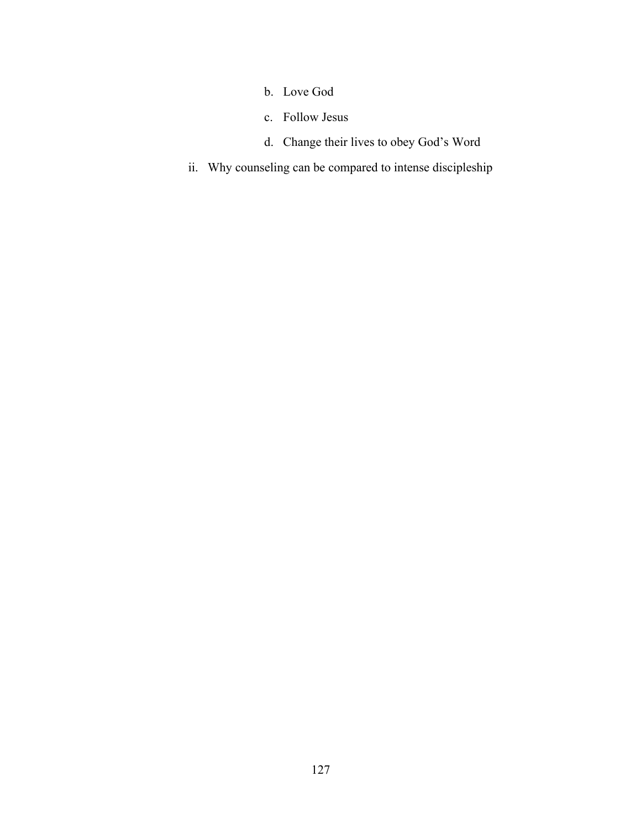- b. Love God
- c. Follow Jesus
- d. Change their lives to obey God's Word
- ii. Why counseling can be compared to intense discipleship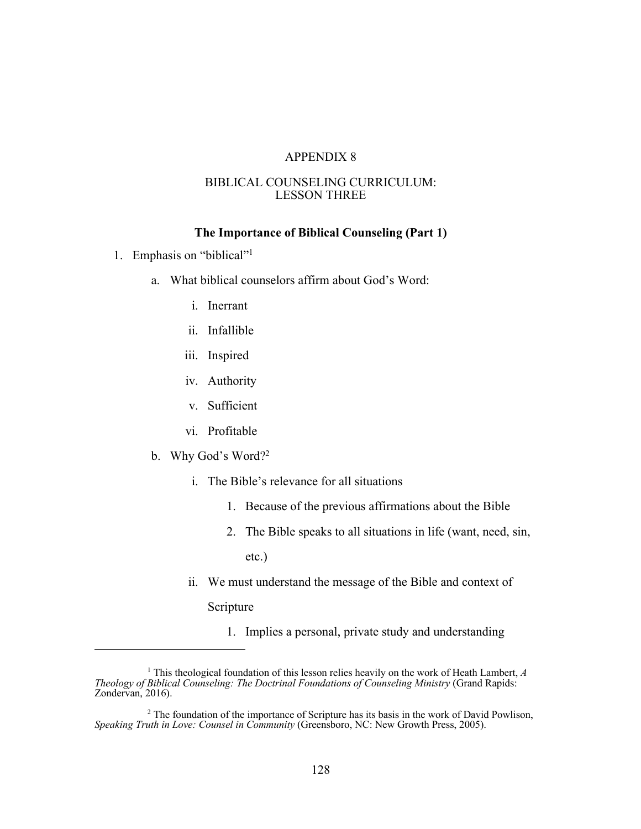#### BIBLICAL COUNSELING CURRICULUM: LESSON THREE

#### **The Importance of Biblical Counseling (Part 1)**

- 1. Emphasis on "biblical"1
	- a. What biblical counselors affirm about God's Word:
		- i. Inerrant
		- ii. Infallible
		- iii. Inspired
		- iv. Authority
		- v. Sufficient
		- vi. Profitable
	- b. Why God's Word?2
		- i. The Bible's relevance for all situations
			- 1. Because of the previous affirmations about the Bible
			- 2. The Bible speaks to all situations in life (want, need, sin, etc.)
		- ii. We must understand the message of the Bible and context of

Scripture

1. Implies a personal, private study and understanding

<sup>1</sup> This theological foundation of this lesson relies heavily on the work of Heath Lambert, *A Theology of Biblical Counseling: The Doctrinal Foundations of Counseling Ministry* (Grand Rapids: Zondervan, 2016).

 $2$  The foundation of the importance of Scripture has its basis in the work of David Powlison, *Speaking Truth in Love: Counsel in Community* (Greensboro, NC: New Growth Press, 2005).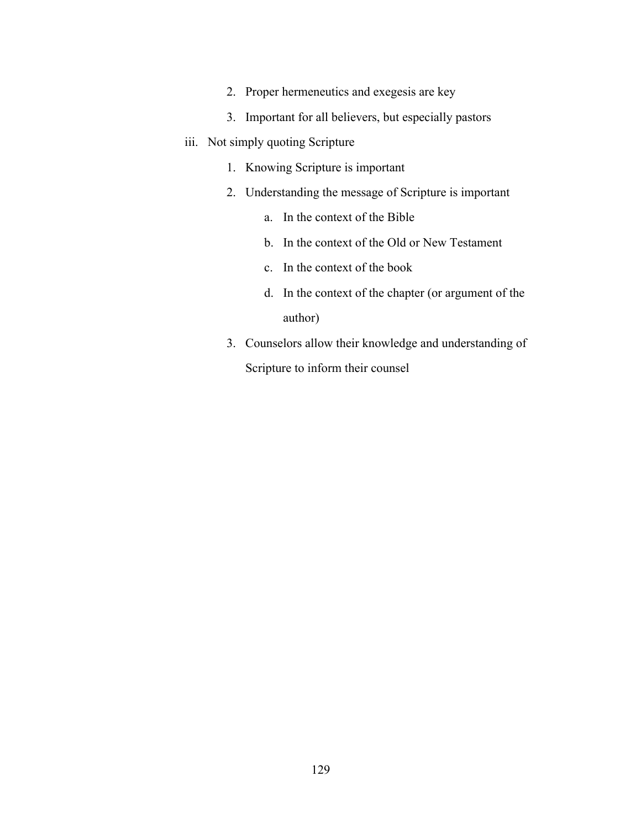- 2. Proper hermeneutics and exegesis are key
- 3. Important for all believers, but especially pastors
- iii. Not simply quoting Scripture
	- 1. Knowing Scripture is important
	- 2. Understanding the message of Scripture is important
		- a. In the context of the Bible
		- b. In the context of the Old or New Testament
		- c. In the context of the book
		- d. In the context of the chapter (or argument of the author)
	- 3. Counselors allow their knowledge and understanding of Scripture to inform their counsel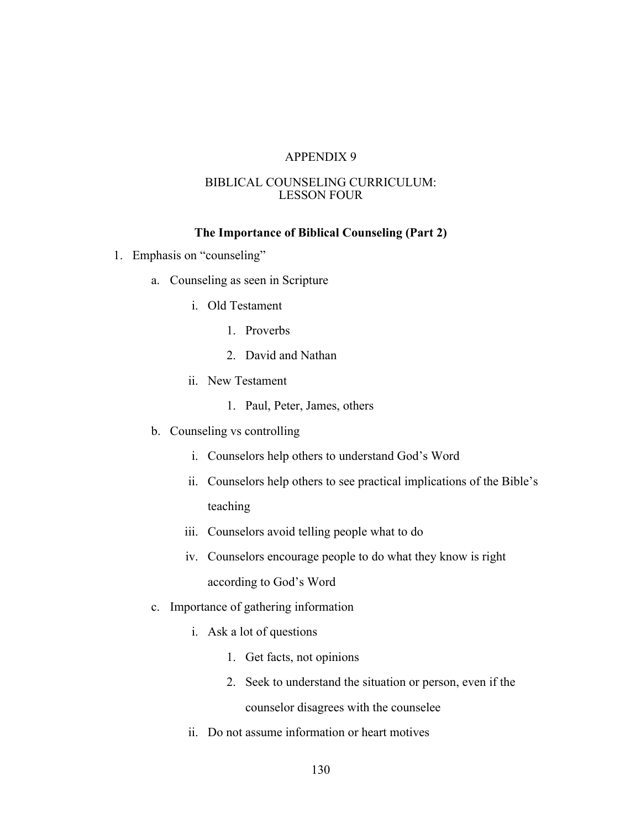#### BIBLICAL COUNSELING CURRICULUM: LESSON FOUR

#### **The Importance of Biblical Counseling (Part 2)**

- 1. Emphasis on "counseling"
	- a. Counseling as seen in Scripture
		- i. Old Testament
			- 1. Proverbs
			- 2. David and Nathan
		- ii. New Testament
			- 1. Paul, Peter, James, others
	- b. Counseling vs controlling
		- i. Counselors help others to understand God's Word
		- ii. Counselors help others to see practical implications of the Bible's teaching
		- iii. Counselors avoid telling people what to do
		- iv. Counselors encourage people to do what they know is right according to God's Word
	- c. Importance of gathering information
		- i. Ask a lot of questions
			- 1. Get facts, not opinions
			- 2. Seek to understand the situation or person, even if the counselor disagrees with the counselee
		- ii. Do not assume information or heart motives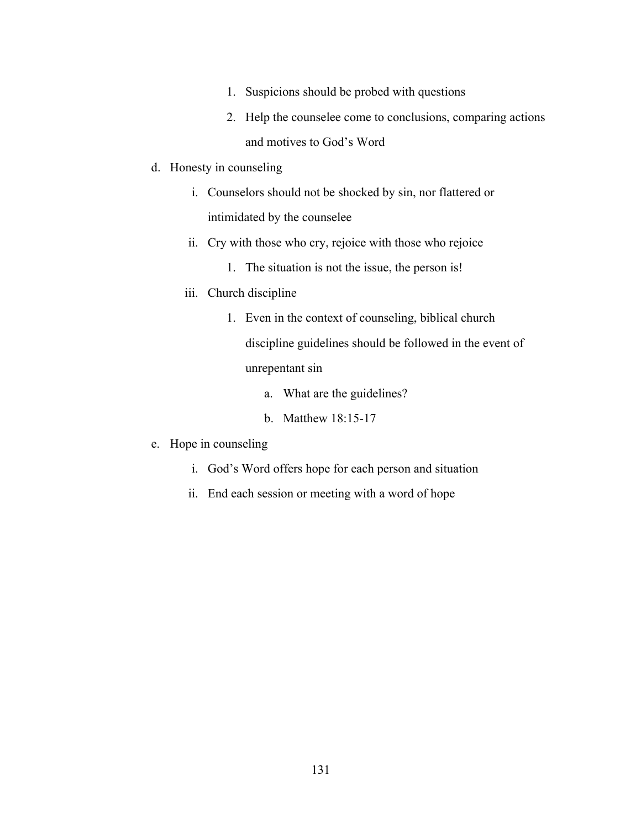- 1. Suspicions should be probed with questions
- 2. Help the counselee come to conclusions, comparing actions and motives to God's Word
- d. Honesty in counseling
	- i. Counselors should not be shocked by sin, nor flattered or intimidated by the counselee
	- ii. Cry with those who cry, rejoice with those who rejoice
		- 1. The situation is not the issue, the person is!
	- iii. Church discipline
		- 1. Even in the context of counseling, biblical church discipline guidelines should be followed in the event of unrepentant sin
			- a. What are the guidelines?
			- b. Matthew 18:15-17
- e. Hope in counseling
	- i. God's Word offers hope for each person and situation
	- ii. End each session or meeting with a word of hope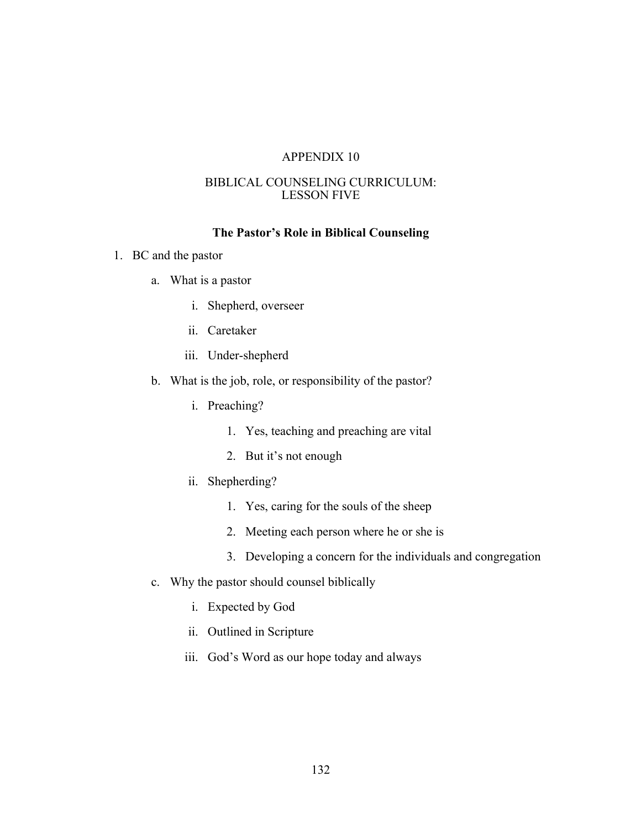#### BIBLICAL COUNSELING CURRICULUM: LESSON FIVE

#### **The Pastor's Role in Biblical Counseling**

- 1. BC and the pastor
	- a. What is a pastor
		- i. Shepherd, overseer
		- ii. Caretaker
		- iii. Under-shepherd
	- b. What is the job, role, or responsibility of the pastor?
		- i. Preaching?
			- 1. Yes, teaching and preaching are vital
			- 2. But it's not enough
		- ii. Shepherding?
			- 1. Yes, caring for the souls of the sheep
			- 2. Meeting each person where he or she is
			- 3. Developing a concern for the individuals and congregation
	- c. Why the pastor should counsel biblically
		- i. Expected by God
		- ii. Outlined in Scripture
		- iii. God's Word as our hope today and always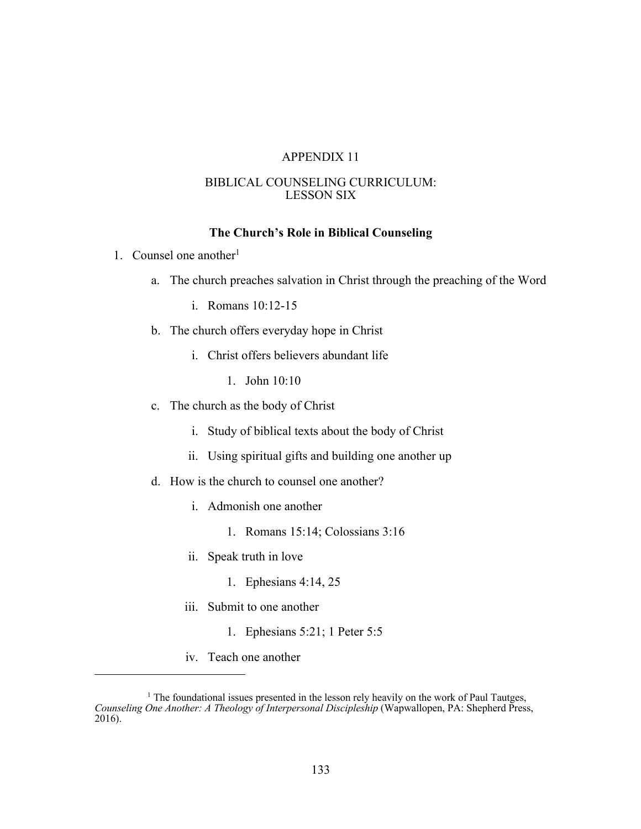#### BIBLICAL COUNSELING CURRICULUM: LESSON SIX

#### **The Church's Role in Biblical Counseling**

- 1. Counsel one another $1$ 
	- a. The church preaches salvation in Christ through the preaching of the Word
		- i. Romans 10:12-15
	- b. The church offers everyday hope in Christ
		- i. Christ offers believers abundant life
			- 1. John 10:10
	- c. The church as the body of Christ
		- i. Study of biblical texts about the body of Christ
		- ii. Using spiritual gifts and building one another up
	- d. How is the church to counsel one another?
		- i. Admonish one another
			- 1. Romans 15:14; Colossians 3:16
		- ii. Speak truth in love
			- 1. Ephesians 4:14, 25
		- iii. Submit to one another
			- 1. Ephesians 5:21; 1 Peter 5:5
		- iv. Teach one another

<sup>&</sup>lt;sup>1</sup> The foundational issues presented in the lesson rely heavily on the work of Paul Tautges, *Counseling One Another: A Theology of Interpersonal Discipleship* (Wapwallopen, PA: Shepherd Press, 2016).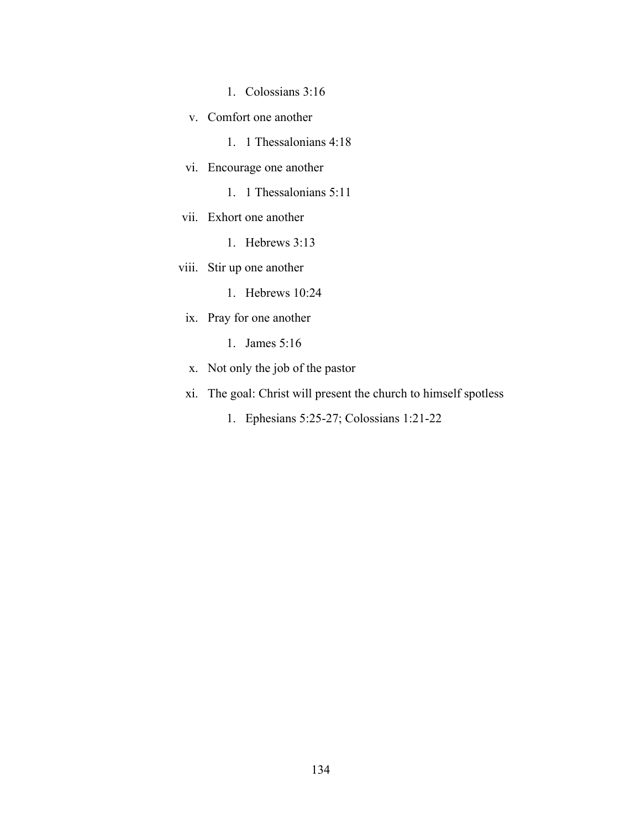- 1. Colossians 3:16
- v. Comfort one another
	- 1. 1 Thessalonians 4:18
- vi. Encourage one another
	- 1. 1 Thessalonians 5:11
- vii. Exhort one another
	- 1. Hebrews 3:13
- viii. Stir up one another
	- 1. Hebrews 10:24
	- ix. Pray for one another
		- 1. James 5:16
	- x. Not only the job of the pastor
	- xi. The goal: Christ will present the church to himself spotless
		- 1. Ephesians 5:25-27; Colossians 1:21-22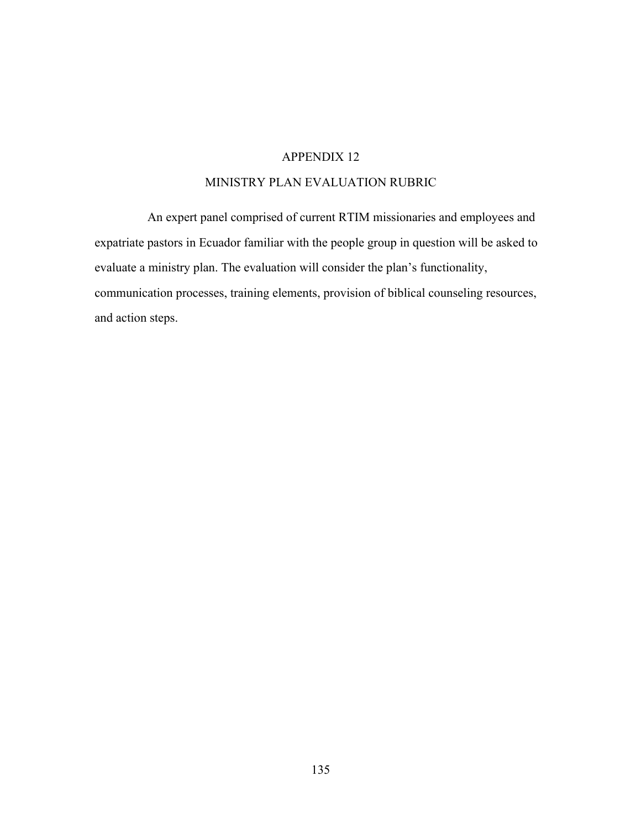## MINISTRY PLAN EVALUATION RUBRIC

An expert panel comprised of current RTIM missionaries and employees and expatriate pastors in Ecuador familiar with the people group in question will be asked to evaluate a ministry plan. The evaluation will consider the plan's functionality, communication processes, training elements, provision of biblical counseling resources, and action steps.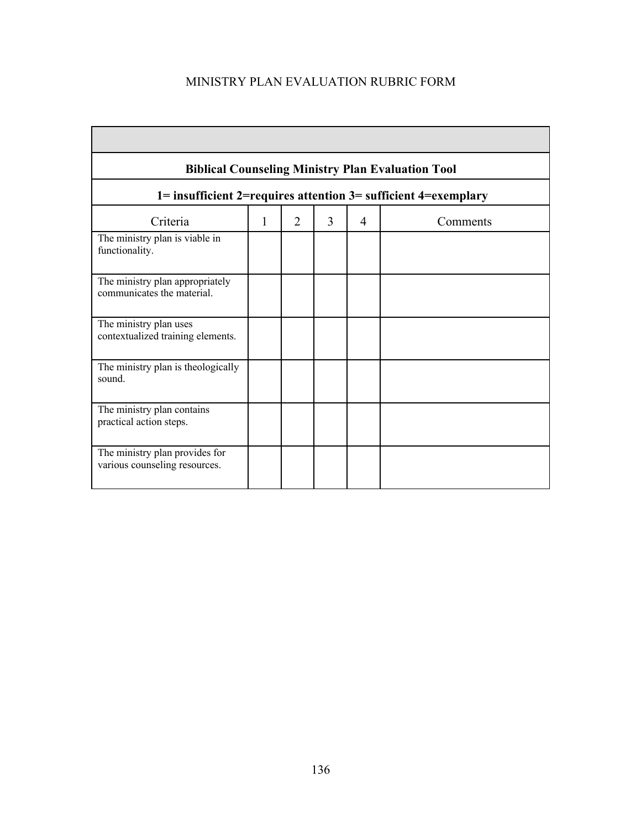# MINISTRY PLAN EVALUATION RUBRIC FORM

| <b>Biblical Counseling Ministry Plan Evaluation Tool</b>        |   |                |   |   |          |  |
|-----------------------------------------------------------------|---|----------------|---|---|----------|--|
| 1= insufficient 2=requires attention 3= sufficient 4=exemplary  |   |                |   |   |          |  |
| Criteria                                                        | 1 | $\overline{2}$ | 3 | 4 | Comments |  |
| The ministry plan is viable in<br>functionality.                |   |                |   |   |          |  |
| The ministry plan appropriately<br>communicates the material.   |   |                |   |   |          |  |
| The ministry plan uses<br>contextualized training elements.     |   |                |   |   |          |  |
| The ministry plan is theologically<br>sound.                    |   |                |   |   |          |  |
| The ministry plan contains<br>practical action steps.           |   |                |   |   |          |  |
| The ministry plan provides for<br>various counseling resources. |   |                |   |   |          |  |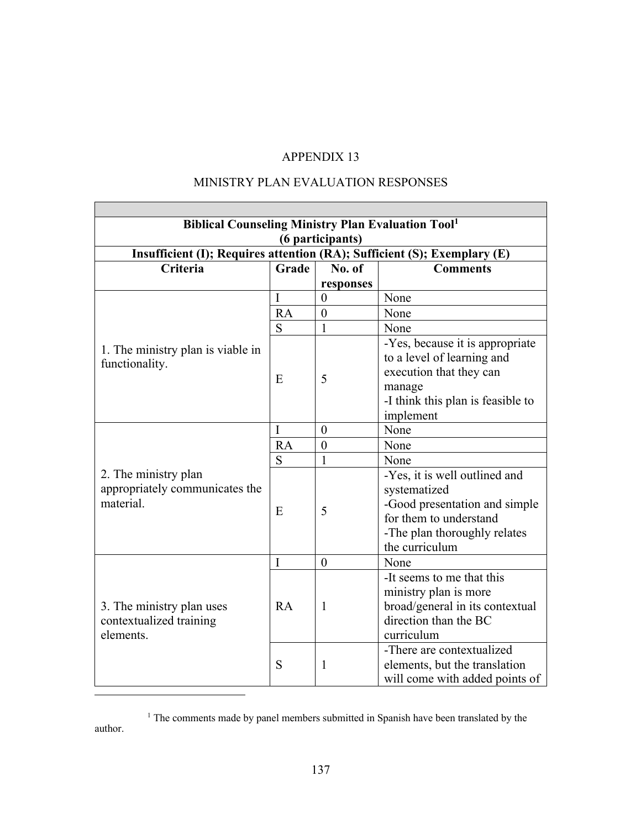# MINISTRY PLAN EVALUATION RESPONSES

| <b>Biblical Counseling Ministry Plan Evaluation Tool1</b>                |       |                  |                                                                                                                                                            |  |  |  |
|--------------------------------------------------------------------------|-------|------------------|------------------------------------------------------------------------------------------------------------------------------------------------------------|--|--|--|
| (6 participants)                                                         |       |                  |                                                                                                                                                            |  |  |  |
| Insufficient (I); Requires attention (RA); Sufficient (S); Exemplary (E) |       |                  |                                                                                                                                                            |  |  |  |
| Criteria                                                                 | Grade | No. of           | <b>Comments</b>                                                                                                                                            |  |  |  |
|                                                                          |       | responses        |                                                                                                                                                            |  |  |  |
| 1. The ministry plan is viable in<br>functionality.                      | I     | $\overline{0}$   | None                                                                                                                                                       |  |  |  |
|                                                                          | RA    | $\boldsymbol{0}$ | None                                                                                                                                                       |  |  |  |
|                                                                          | S     | 1                | None                                                                                                                                                       |  |  |  |
|                                                                          | E     | 5                | -Yes, because it is appropriate<br>to a level of learning and<br>execution that they can<br>manage<br>-I think this plan is feasible to<br>implement       |  |  |  |
|                                                                          | I     | $\theta$         | None                                                                                                                                                       |  |  |  |
|                                                                          | RA    | $\boldsymbol{0}$ | None                                                                                                                                                       |  |  |  |
|                                                                          | S     | $\mathbf{1}$     | None                                                                                                                                                       |  |  |  |
| 2. The ministry plan<br>appropriately communicates the<br>material.      | E     | 5                | -Yes, it is well outlined and<br>systematized<br>-Good presentation and simple<br>for them to understand<br>-The plan thoroughly relates<br>the curriculum |  |  |  |
| 3. The ministry plan uses<br>contextualized training<br>elements.        | I     | $\theta$         | None                                                                                                                                                       |  |  |  |
|                                                                          | RA    | $\mathbf{1}$     | -It seems to me that this<br>ministry plan is more<br>broad/general in its contextual<br>direction than the BC<br>curriculum                               |  |  |  |
|                                                                          | S     | $\mathbf{1}$     | -There are contextualized<br>elements, but the translation<br>will come with added points of                                                               |  |  |  |

<sup>&</sup>lt;sup>1</sup> The comments made by panel members submitted in Spanish have been translated by the author.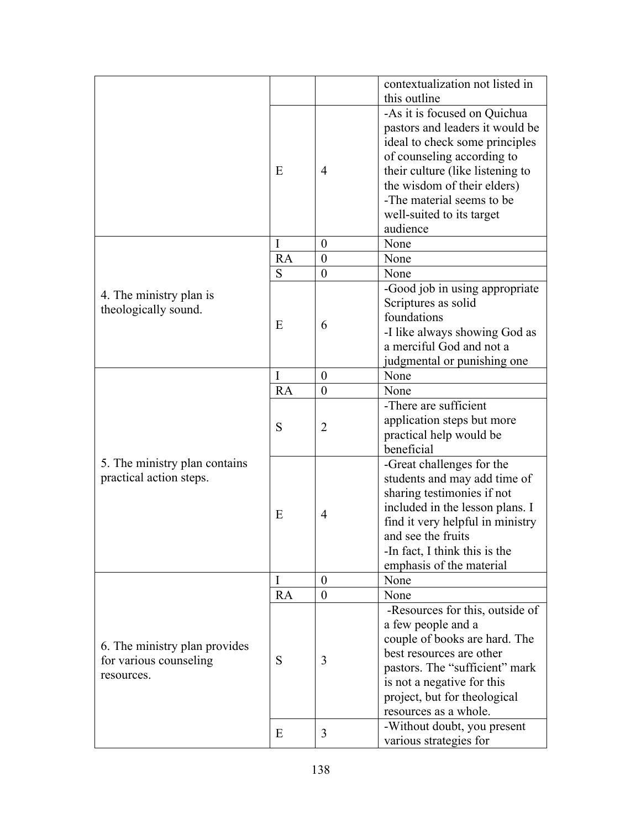|                                                                       |    |                  | contextualization not listed in<br>this outline |
|-----------------------------------------------------------------------|----|------------------|-------------------------------------------------|
|                                                                       |    |                  | -As it is focused on Quichua                    |
|                                                                       | E  |                  |                                                 |
|                                                                       |    |                  | pastors and leaders it would be                 |
|                                                                       |    | $\overline{4}$   | ideal to check some principles                  |
|                                                                       |    |                  | of counseling according to                      |
|                                                                       |    |                  | their culture (like listening to                |
|                                                                       |    |                  | the wisdom of their elders)                     |
|                                                                       |    |                  | -The material seems to be                       |
|                                                                       |    |                  | well-suited to its target                       |
|                                                                       |    |                  | audience                                        |
|                                                                       | I  | $\boldsymbol{0}$ | None                                            |
|                                                                       | RA | $\boldsymbol{0}$ | None                                            |
|                                                                       | S  | $\boldsymbol{0}$ | None                                            |
| 4. The ministry plan is                                               |    |                  | -Good job in using appropriate                  |
| theologically sound.                                                  |    |                  | Scriptures as solid                             |
|                                                                       | E  |                  | foundations                                     |
|                                                                       |    | 6                | -I like always showing God as                   |
|                                                                       |    |                  | a merciful God and not a                        |
|                                                                       |    |                  | judgmental or punishing one                     |
|                                                                       | I  | $\boldsymbol{0}$ | None                                            |
|                                                                       | RA | $\boldsymbol{0}$ | None                                            |
|                                                                       |    |                  | -There are sufficient                           |
|                                                                       | S  | $\overline{2}$   | application steps but more                      |
|                                                                       |    |                  | practical help would be                         |
|                                                                       |    |                  | beneficial                                      |
| 5. The ministry plan contains                                         |    |                  | -Great challenges for the                       |
| practical action steps.                                               |    | $\overline{4}$   | students and may add time of                    |
|                                                                       |    |                  | sharing testimonies if not                      |
|                                                                       |    |                  | included in the lesson plans. I                 |
|                                                                       | E  |                  | find it very helpful in ministry                |
|                                                                       |    |                  | and see the fruits                              |
|                                                                       |    |                  |                                                 |
|                                                                       |    |                  | -In fact, I think this is the                   |
|                                                                       |    |                  | emphasis of the material                        |
| 6. The ministry plan provides<br>for various counseling<br>resources. | I  | $\theta$         | None                                            |
|                                                                       | RA | $\theta$         | None                                            |
|                                                                       | S  |                  | -Resources for this, outside of                 |
|                                                                       |    | 3                | a few people and a                              |
|                                                                       |    |                  | couple of books are hard. The                   |
|                                                                       |    |                  | best resources are other                        |
|                                                                       |    |                  | pastors. The "sufficient" mark                  |
|                                                                       |    |                  | is not a negative for this                      |
|                                                                       |    |                  | project, but for theological                    |
|                                                                       |    |                  | resources as a whole.                           |
|                                                                       | E  | 3                | -Without doubt, you present                     |
|                                                                       |    |                  | various strategies for                          |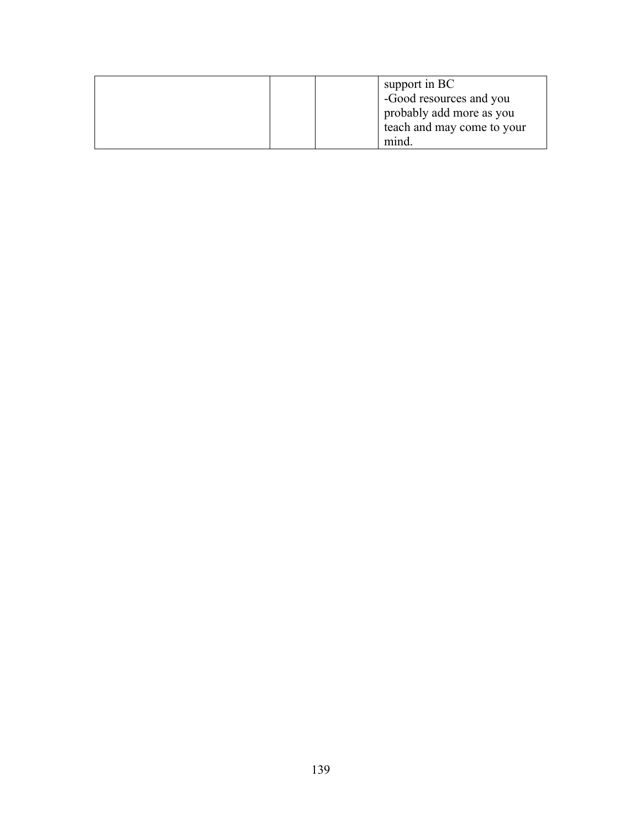| support in BC<br>-Good resources and you |
|------------------------------------------|
|                                          |
| probably add more as you                 |
| teach and may come to your               |
| mind                                     |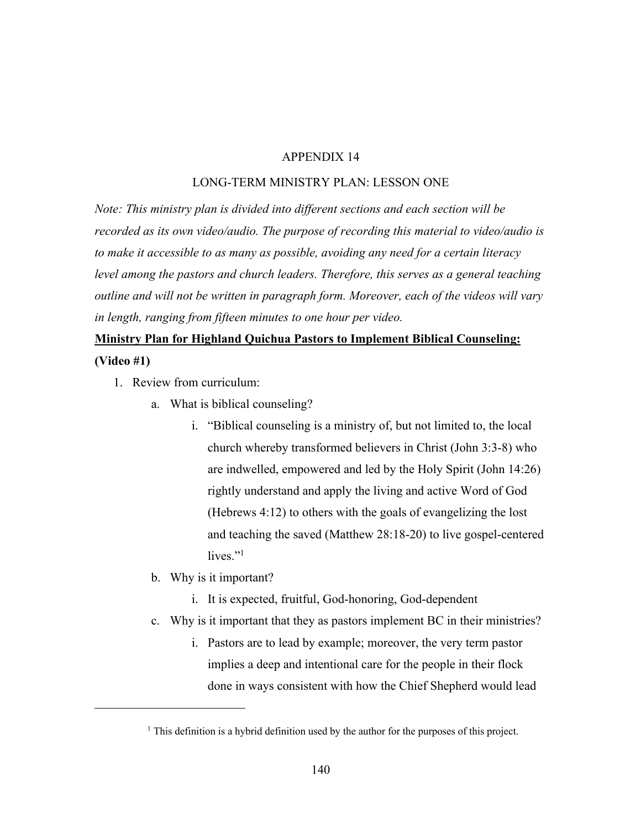#### LONG-TERM MINISTRY PLAN: LESSON ONE

*Note: This ministry plan is divided into different sections and each section will be recorded as its own video/audio. The purpose of recording this material to video/audio is to make it accessible to as many as possible, avoiding any need for a certain literacy level among the pastors and church leaders. Therefore, this serves as a general teaching outline and will not be written in paragraph form. Moreover, each of the videos will vary in length, ranging from fifteen minutes to one hour per video.* 

# **Ministry Plan for Highland Quichua Pastors to Implement Biblical Counseling:**

**(Video #1)**

- 1. Review from curriculum:
	- a. What is biblical counseling?
		- i. "Biblical counseling is a ministry of, but not limited to, the local church whereby transformed believers in Christ (John 3:3-8) who are indwelled, empowered and led by the Holy Spirit (John 14:26) rightly understand and apply the living and active Word of God (Hebrews 4:12) to others with the goals of evangelizing the lost and teaching the saved (Matthew 28:18-20) to live gospel-centered lives."<sup>1</sup>
	- b. Why is it important?
		- i. It is expected, fruitful, God-honoring, God-dependent
	- c. Why is it important that they as pastors implement BC in their ministries?
		- i. Pastors are to lead by example; moreover, the very term pastor implies a deep and intentional care for the people in their flock done in ways consistent with how the Chief Shepherd would lead

<sup>&</sup>lt;sup>1</sup> This definition is a hybrid definition used by the author for the purposes of this project.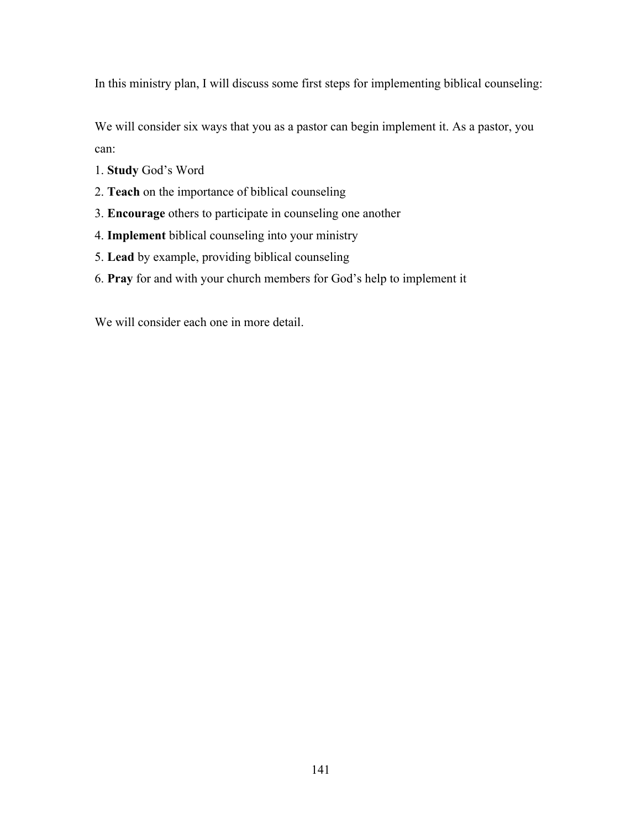In this ministry plan, I will discuss some first steps for implementing biblical counseling:

We will consider six ways that you as a pastor can begin implement it. As a pastor, you can:

- 1. **Study** God's Word
- 2. **Teach** on the importance of biblical counseling
- 3. **Encourage** others to participate in counseling one another
- 4. **Implement** biblical counseling into your ministry
- 5. **Lead** by example, providing biblical counseling
- 6. **Pray** for and with your church members for God's help to implement it

We will consider each one in more detail.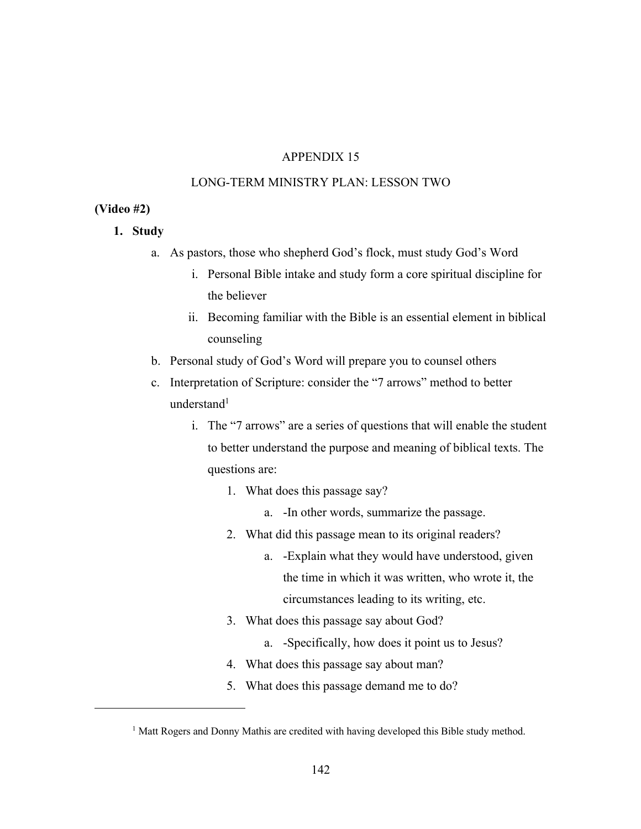## LONG-TERM MINISTRY PLAN: LESSON TWO

#### **(Video #2)**

- **1. Study**
	- a. As pastors, those who shepherd God's flock, must study God's Word
		- i. Personal Bible intake and study form a core spiritual discipline for the believer
		- ii. Becoming familiar with the Bible is an essential element in biblical counseling
	- b. Personal study of God's Word will prepare you to counsel others
	- c. Interpretation of Scripture: consider the "7 arrows" method to better understand<sup>1</sup>
		- i. The "7 arrows" are a series of questions that will enable the student to better understand the purpose and meaning of biblical texts. The questions are:
			- 1. What does this passage say?
				- a. -In other words, summarize the passage.
			- 2. What did this passage mean to its original readers?
				- a. -Explain what they would have understood, given the time in which it was written, who wrote it, the circumstances leading to its writing, etc.
			- 3. What does this passage say about God?
				- a. -Specifically, how does it point us to Jesus?
			- 4. What does this passage say about man?
			- 5. What does this passage demand me to do?

<sup>&</sup>lt;sup>1</sup> Matt Rogers and Donny Mathis are credited with having developed this Bible study method.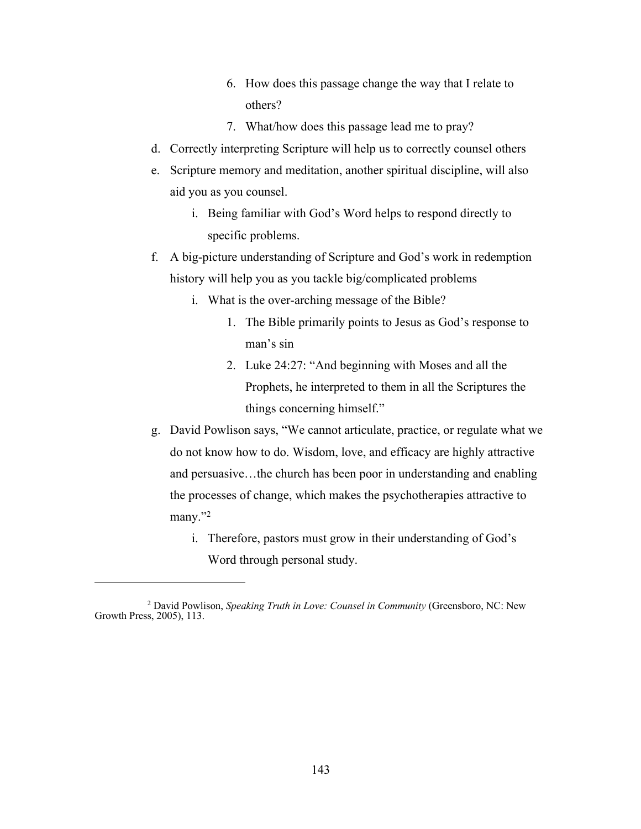- 6. How does this passage change the way that I relate to others?
- 7. What/how does this passage lead me to pray?
- d. Correctly interpreting Scripture will help us to correctly counsel others
- e. Scripture memory and meditation, another spiritual discipline, will also aid you as you counsel.
	- i. Being familiar with God's Word helps to respond directly to specific problems.
- f. A big-picture understanding of Scripture and God's work in redemption history will help you as you tackle big/complicated problems
	- i. What is the over-arching message of the Bible?
		- 1. The Bible primarily points to Jesus as God's response to man's sin
		- 2. Luke 24:27: "And beginning with Moses and all the Prophets, he interpreted to them in all the Scriptures the things concerning himself."
- g. David Powlison says, "We cannot articulate, practice, or regulate what we do not know how to do. Wisdom, love, and efficacy are highly attractive and persuasive…the church has been poor in understanding and enabling the processes of change, which makes the psychotherapies attractive to many."2
	- i. Therefore, pastors must grow in their understanding of God's Word through personal study.

<sup>2</sup> David Powlison, *Speaking Truth in Love: Counsel in Community* (Greensboro, NC: New Growth Press, 2005), 113.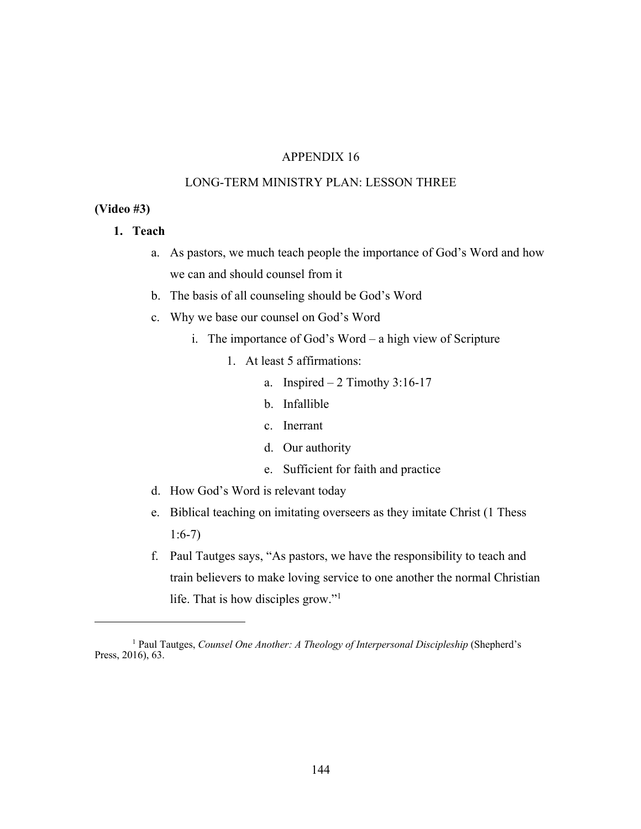## LONG-TERM MINISTRY PLAN: LESSON THREE

#### **(Video #3)**

- **1. Teach**
	- a. As pastors, we much teach people the importance of God's Word and how we can and should counsel from it
	- b. The basis of all counseling should be God's Word
	- c. Why we base our counsel on God's Word
		- i. The importance of God's Word a high view of Scripture
			- 1. At least 5 affirmations:
				- a. Inspired  $-2$  Timothy 3:16-17
				- b. Infallible
				- c. Inerrant
				- d. Our authority
				- e. Sufficient for faith and practice
	- d. How God's Word is relevant today
	- e. Biblical teaching on imitating overseers as they imitate Christ (1 Thess 1:6-7)
	- f. Paul Tautges says, "As pastors, we have the responsibility to teach and train believers to make loving service to one another the normal Christian life. That is how disciples grow."1

<sup>1</sup> Paul Tautges, *Counsel One Another: A Theology of Interpersonal Discipleship* (Shepherd's Press, 2016), 63.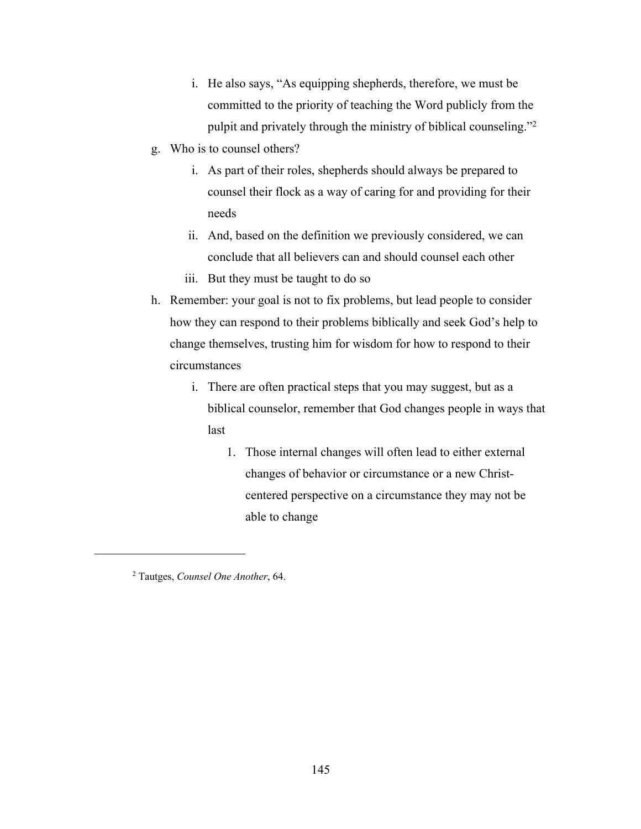- i. He also says, "As equipping shepherds, therefore, we must be committed to the priority of teaching the Word publicly from the pulpit and privately through the ministry of biblical counseling."2
- g. Who is to counsel others?
	- i. As part of their roles, shepherds should always be prepared to counsel their flock as a way of caring for and providing for their needs
	- ii. And, based on the definition we previously considered, we can conclude that all believers can and should counsel each other
	- iii. But they must be taught to do so
- h. Remember: your goal is not to fix problems, but lead people to consider how they can respond to their problems biblically and seek God's help to change themselves, trusting him for wisdom for how to respond to their circumstances
	- i. There are often practical steps that you may suggest, but as a biblical counselor, remember that God changes people in ways that last
		- 1. Those internal changes will often lead to either external changes of behavior or circumstance or a new Christcentered perspective on a circumstance they may not be able to change

<sup>2</sup> Tautges, *Counsel One Another*, 64.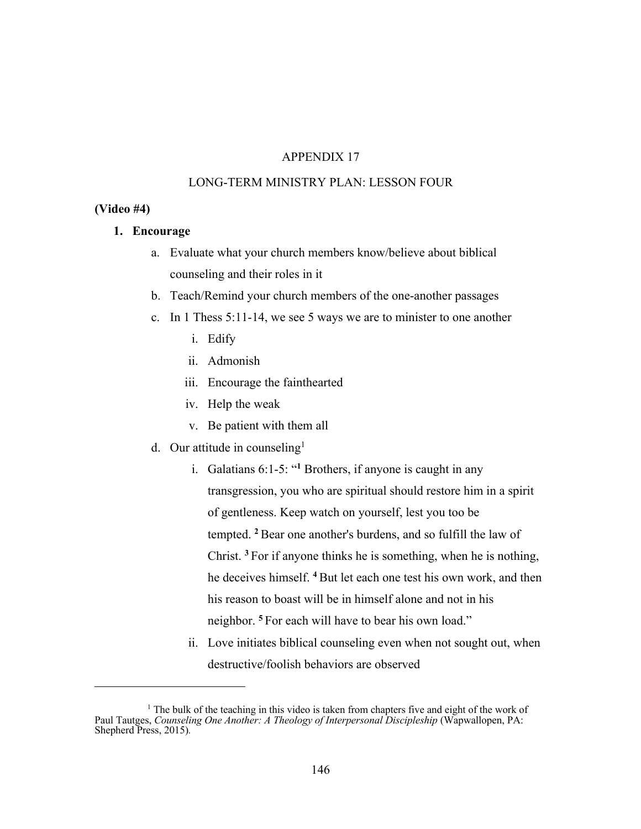## LONG-TERM MINISTRY PLAN: LESSON FOUR

#### **(Video #4)**

#### **1. Encourage**

- a. Evaluate what your church members know/believe about biblical counseling and their roles in it
- b. Teach/Remind your church members of the one-another passages
- c. In 1 Thess 5:11-14, we see 5 ways we are to minister to one another
	- i. Edify
	- ii. Admonish
	- iii. Encourage the fainthearted
	- iv. Help the weak
	- v. Be patient with them all
- d. Our attitude in counseling<sup>1</sup>
	- i. Galatians 6:1-5: "**<sup>1</sup>** Brothers, if anyone is caught in any transgression, you who are spiritual should restore him in a spirit of gentleness. Keep watch on yourself, lest you too be tempted. **<sup>2</sup>** Bear one another's burdens, and so fulfill the law of Christ. **<sup>3</sup>** For if anyone thinks he is something, when he is nothing, he deceives himself. **<sup>4</sup>** But let each one test his own work, and then his reason to boast will be in himself alone and not in his neighbor. **<sup>5</sup>** For each will have to bear his own load."
	- ii. Love initiates biblical counseling even when not sought out, when destructive/foolish behaviors are observed

<sup>&</sup>lt;sup>1</sup> The bulk of the teaching in this video is taken from chapters five and eight of the work of Paul Tautges, *Counseling One Another: A Theology of Interpersonal Discipleship* (Wapwallopen, PA: Shepherd Press, 2015)*.*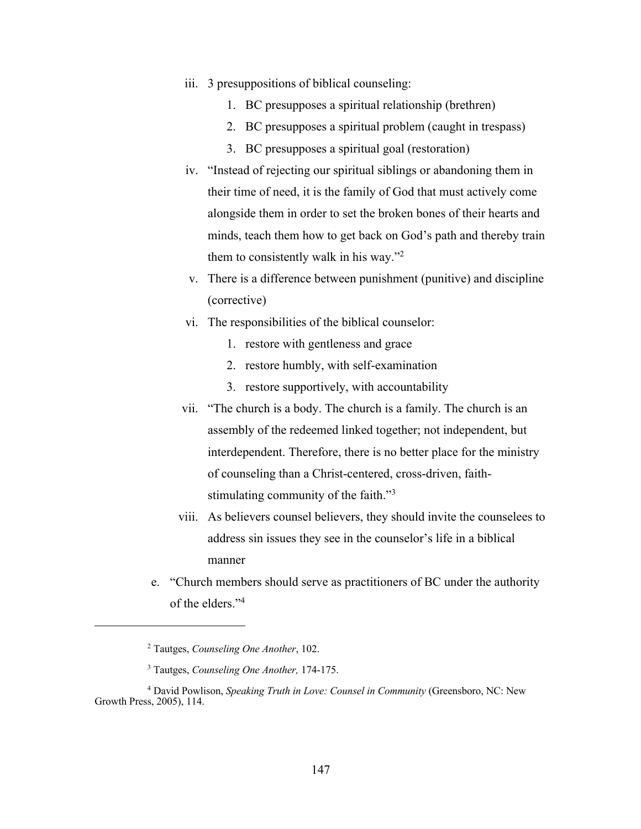- iii. 3 presuppositions of biblical counseling:
	- 1. BC presupposes a spiritual relationship (brethren)
	- 2. BC presupposes a spiritual problem (caught in trespass)
	- 3. BC presupposes a spiritual goal (restoration)
- iv. "Instead of rejecting our spiritual siblings or abandoning them in their time of need, it is the family of God that must actively come alongside them in order to set the broken bones of their hearts and minds, teach them how to get back on God's path and thereby train them to consistently walk in his way."2
- v. There is a difference between punishment (punitive) and discipline (corrective)
- vi. The responsibilities of the biblical counselor:
	- 1. restore with gentleness and grace
	- 2. restore humbly, with self-examination
	- 3. restore supportively, with accountability
- vii. "The church is a body. The church is a family. The church is an assembly of the redeemed linked together; not independent, but interdependent. Therefore, there is no better place for the ministry of counseling than a Christ-centered, cross-driven, faithstimulating community of the faith."3
- viii. As believers counsel believers, they should invite the counselees to address sin issues they see in the counselor's life in a biblical manner
- e. "Church members should serve as practitioners of BC under the authority of the elders."4

<sup>2</sup> Tautges, *Counseling One Another*, 102.

<sup>3</sup> Tautges, *Counseling One Another,* 174-175.

<sup>4</sup> David Powlison, *Speaking Truth in Love: Counsel in Community* (Greensboro, NC: New Growth Press, 2005), 114.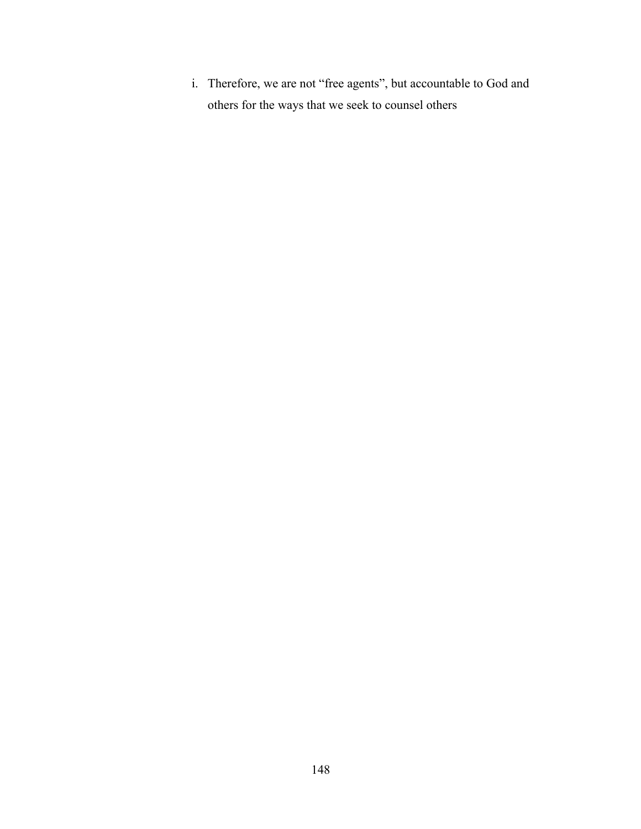i. Therefore, we are not "free agents", but accountable to God and others for the ways that we seek to counsel others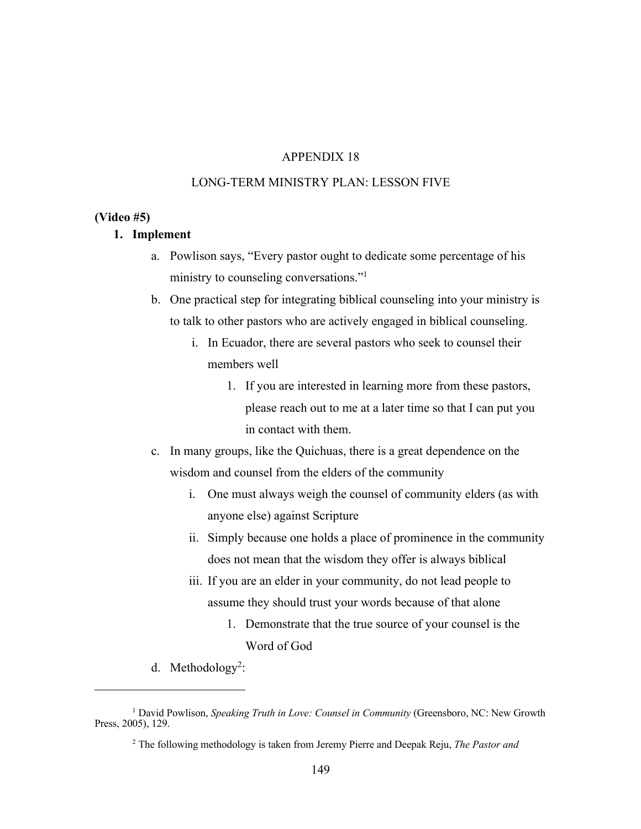## LONG-TERM MINISTRY PLAN: LESSON FIVE

#### **(Video #5)**

#### **1. Implement**

- a. Powlison says, "Every pastor ought to dedicate some percentage of his ministry to counseling conversations."1
- b. One practical step for integrating biblical counseling into your ministry is to talk to other pastors who are actively engaged in biblical counseling.
	- i. In Ecuador, there are several pastors who seek to counsel their members well
		- 1. If you are interested in learning more from these pastors, please reach out to me at a later time so that I can put you in contact with them.
- c. In many groups, like the Quichuas, there is a great dependence on the wisdom and counsel from the elders of the community
	- i. One must always weigh the counsel of community elders (as with anyone else) against Scripture
	- ii. Simply because one holds a place of prominence in the community does not mean that the wisdom they offer is always biblical
	- iii. If you are an elder in your community, do not lead people to assume they should trust your words because of that alone
		- 1. Demonstrate that the true source of your counsel is the Word of God
- d. Methodology<sup>2</sup>:

<sup>&</sup>lt;sup>1</sup> David Powlison, Speaking Truth in Love: Counsel in Community (Greensboro, NC: New Growth Press, 2005), 129.

<sup>2</sup> The following methodology is taken from Jeremy Pierre and Deepak Reju, *The Pastor and*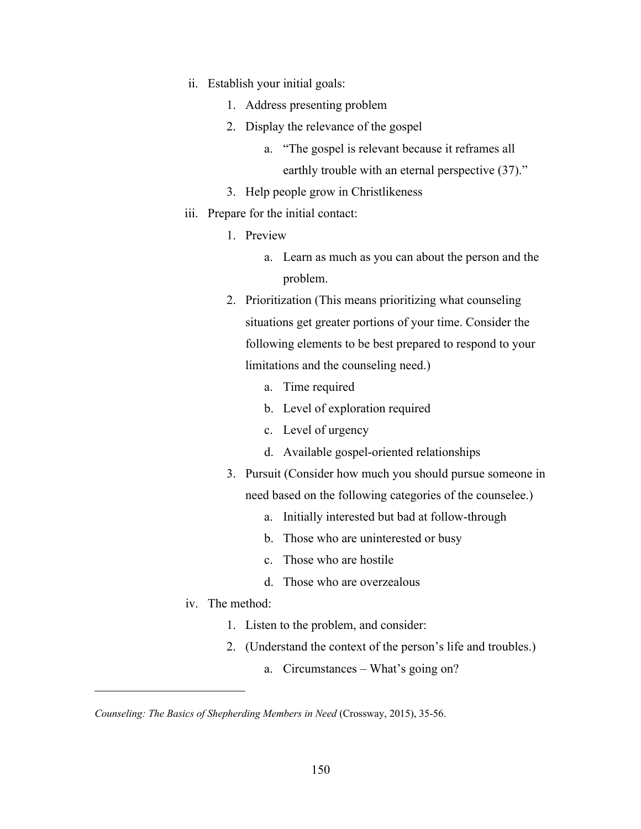- ii. Establish your initial goals:
	- 1. Address presenting problem
	- 2. Display the relevance of the gospel
		- a. "The gospel is relevant because it reframes all earthly trouble with an eternal perspective (37)."
	- 3. Help people grow in Christlikeness
- iii. Prepare for the initial contact:
	- 1. Preview
		- a. Learn as much as you can about the person and the problem.
	- 2. Prioritization (This means prioritizing what counseling situations get greater portions of your time. Consider the following elements to be best prepared to respond to your limitations and the counseling need.)
		- a. Time required
		- b. Level of exploration required
		- c. Level of urgency
		- d. Available gospel-oriented relationships
	- 3. Pursuit (Consider how much you should pursue someone in need based on the following categories of the counselee.)
		- a. Initially interested but bad at follow-through
		- b. Those who are uninterested or busy
		- c. Those who are hostile
		- d. Those who are overzealous
- iv. The method:
	- 1. Listen to the problem, and consider:
	- 2. (Understand the context of the person's life and troubles.)
		- a. Circumstances What's going on?

*Counseling: The Basics of Shepherding Members in Need* (Crossway, 2015), 35-56.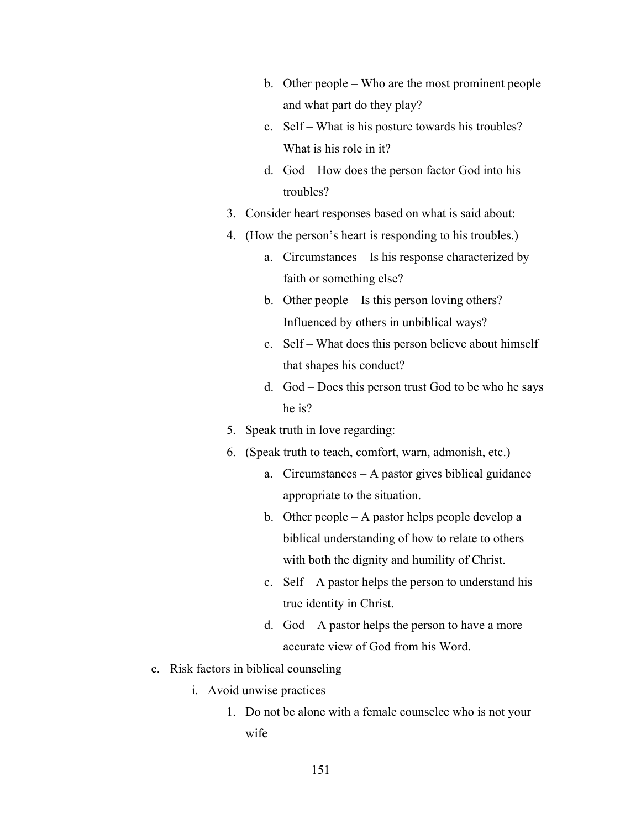- b. Other people Who are the most prominent people and what part do they play?
- c. Self What is his posture towards his troubles? What is his role in it?
- d. God How does the person factor God into his troubles?
- 3. Consider heart responses based on what is said about:
- 4. (How the person's heart is responding to his troubles.)
	- a. Circumstances Is his response characterized by faith or something else?
	- b. Other people Is this person loving others? Influenced by others in unbiblical ways?
	- c. Self What does this person believe about himself that shapes his conduct?
	- d. God Does this person trust God to be who he says he is?
- 5. Speak truth in love regarding:
- 6. (Speak truth to teach, comfort, warn, admonish, etc.)
	- a. Circumstances A pastor gives biblical guidance appropriate to the situation.
	- b. Other people A pastor helps people develop a biblical understanding of how to relate to others with both the dignity and humility of Christ.
	- c. Self A pastor helps the person to understand his true identity in Christ.
	- d. God A pastor helps the person to have a more accurate view of God from his Word.
- e. Risk factors in biblical counseling
	- i. Avoid unwise practices
		- 1. Do not be alone with a female counselee who is not your wife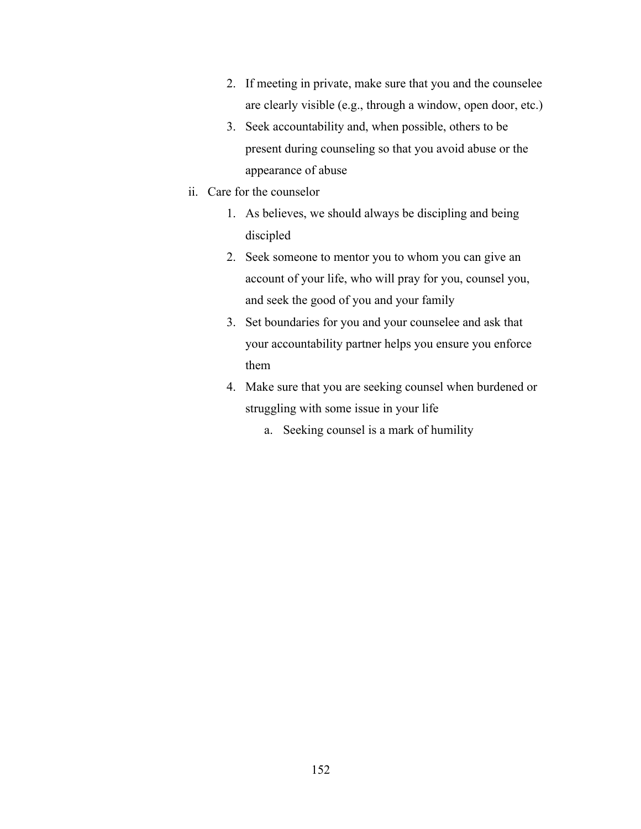- 2. If meeting in private, make sure that you and the counselee are clearly visible (e.g., through a window, open door, etc.)
- 3. Seek accountability and, when possible, others to be present during counseling so that you avoid abuse or the appearance of abuse
- ii. Care for the counselor
	- 1. As believes, we should always be discipling and being discipled
	- 2. Seek someone to mentor you to whom you can give an account of your life, who will pray for you, counsel you, and seek the good of you and your family
	- 3. Set boundaries for you and your counselee and ask that your accountability partner helps you ensure you enforce them
	- 4. Make sure that you are seeking counsel when burdened or struggling with some issue in your life
		- a. Seeking counsel is a mark of humility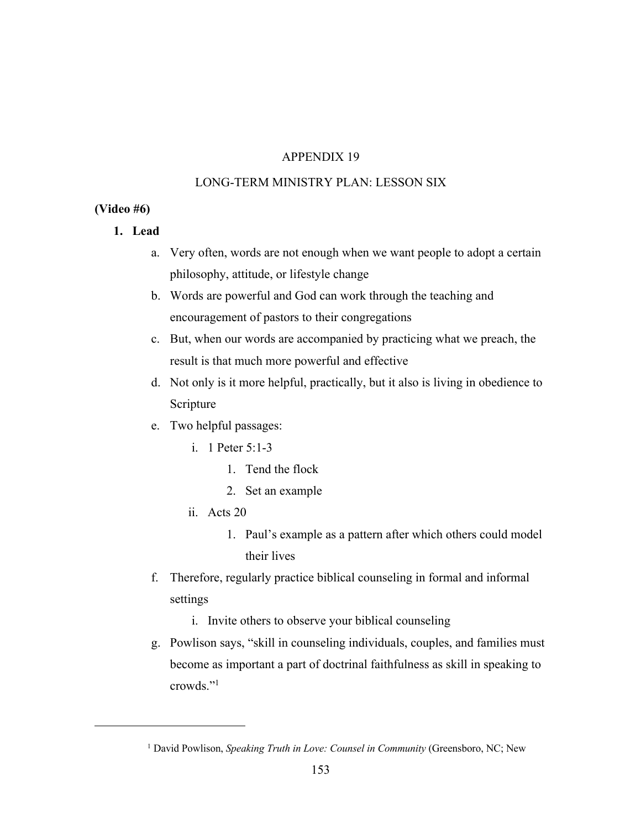## LONG-TERM MINISTRY PLAN: LESSON SIX

#### **(Video #6)**

- **1. Lead** 
	- a. Very often, words are not enough when we want people to adopt a certain philosophy, attitude, or lifestyle change
	- b. Words are powerful and God can work through the teaching and encouragement of pastors to their congregations
	- c. But, when our words are accompanied by practicing what we preach, the result is that much more powerful and effective
	- d. Not only is it more helpful, practically, but it also is living in obedience to Scripture
	- e. Two helpful passages:
		- i. 1 Peter 5:1-3
			- 1. Tend the flock
			- 2. Set an example
		- ii. Acts 20
			- 1. Paul's example as a pattern after which others could model their lives
	- f. Therefore, regularly practice biblical counseling in formal and informal settings
		- i. Invite others to observe your biblical counseling
	- g. Powlison says, "skill in counseling individuals, couples, and families must become as important a part of doctrinal faithfulness as skill in speaking to crowds."1

<sup>&</sup>lt;sup>1</sup> David Powlison, *Speaking Truth in Love: Counsel in Community* (Greensboro, NC; New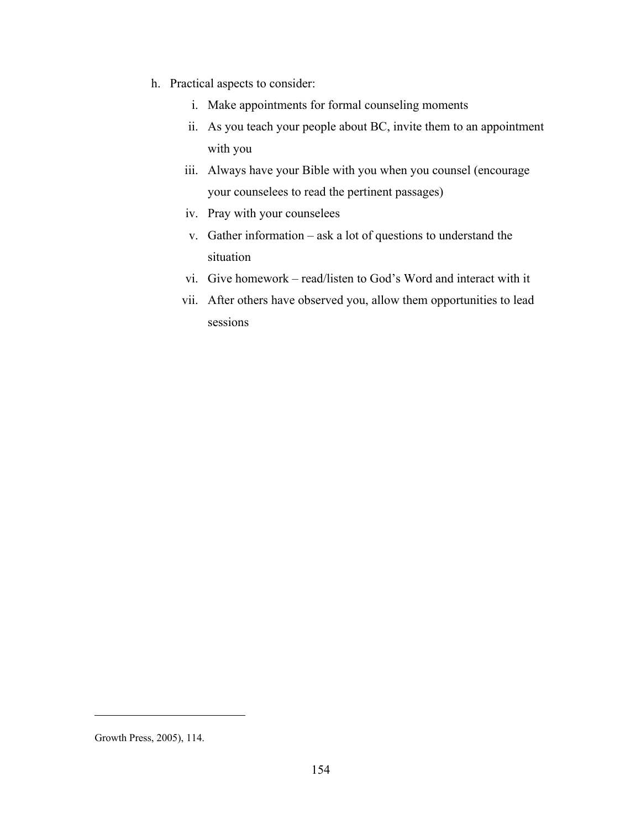- h. Practical aspects to consider:
	- i. Make appointments for formal counseling moments
	- ii. As you teach your people about BC, invite them to an appointment with you
	- iii. Always have your Bible with you when you counsel (encourage your counselees to read the pertinent passages)
	- iv. Pray with your counselees
	- v. Gather information ask a lot of questions to understand the situation
	- vi. Give homework read/listen to God's Word and interact with it
	- vii. After others have observed you, allow them opportunities to lead sessions

Growth Press, 2005), 114.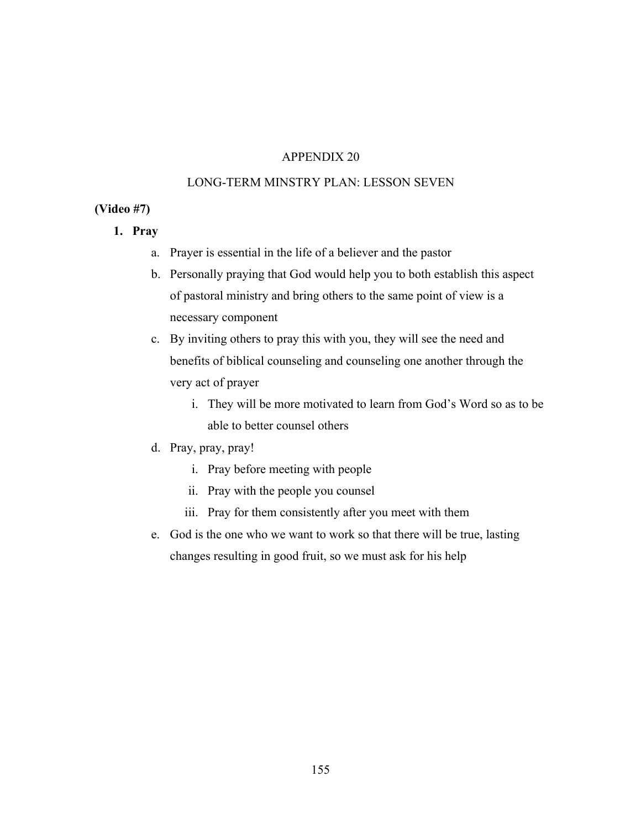## LONG-TERM MINSTRY PLAN: LESSON SEVEN

#### **(Video #7)**

- **1. Pray**
	- a. Prayer is essential in the life of a believer and the pastor
	- b. Personally praying that God would help you to both establish this aspect of pastoral ministry and bring others to the same point of view is a necessary component
	- c. By inviting others to pray this with you, they will see the need and benefits of biblical counseling and counseling one another through the very act of prayer
		- i. They will be more motivated to learn from God's Word so as to be able to better counsel others

# d. Pray, pray, pray!

- i. Pray before meeting with people
- ii. Pray with the people you counsel
- iii. Pray for them consistently after you meet with them
- e. God is the one who we want to work so that there will be true, lasting changes resulting in good fruit, so we must ask for his help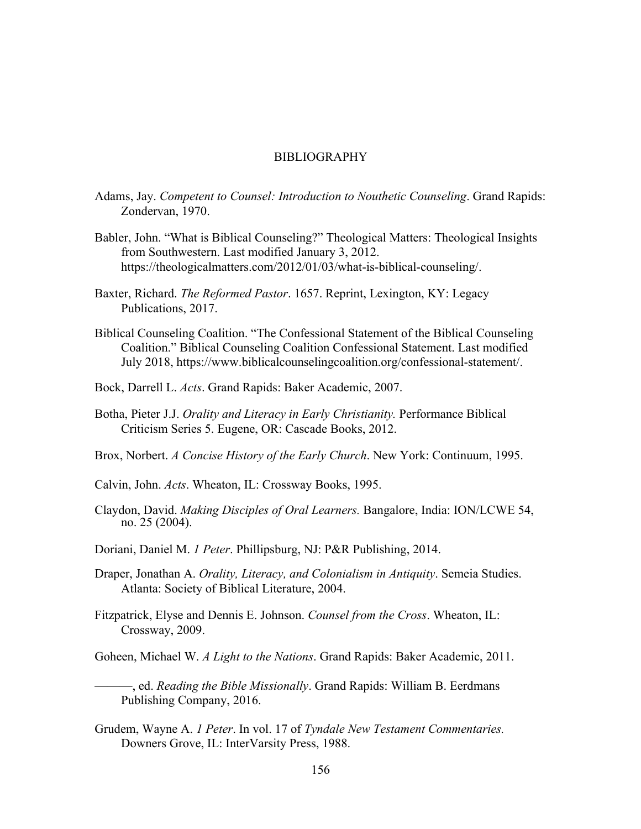#### BIBLIOGRAPHY

- Adams, Jay. *Competent to Counsel: Introduction to Nouthetic Counseling*. Grand Rapids: Zondervan, 1970.
- Babler, John. "What is Biblical Counseling?" Theological Matters: Theological Insights from Southwestern. Last modified January 3, 2012. https://theologicalmatters.com/2012/01/03/what-is-biblical-counseling/.
- Baxter, Richard. *The Reformed Pastor*. 1657. Reprint, Lexington, KY: Legacy Publications, 2017.
- Biblical Counseling Coalition. "The Confessional Statement of the Biblical Counseling Coalition." Biblical Counseling Coalition Confessional Statement. Last modified July 2018, https://www.biblicalcounselingcoalition.org/confessional-statement/.
- Bock, Darrell L. *Acts*. Grand Rapids: Baker Academic, 2007.
- Botha, Pieter J.J. *Orality and Literacy in Early Christianity.* Performance Biblical Criticism Series 5. Eugene, OR: Cascade Books, 2012.
- Brox, Norbert. *A Concise History of the Early Church*. New York: Continuum, 1995.
- Calvin, John. *Acts*. Wheaton, IL: Crossway Books, 1995.
- Claydon, David. *Making Disciples of Oral Learners.* Bangalore, India: ION/LCWE 54, no. 25 (2004).
- Doriani, Daniel M. *1 Peter*. Phillipsburg, NJ: P&R Publishing, 2014.
- Draper, Jonathan A. *Orality, Literacy, and Colonialism in Antiquity*. Semeia Studies. Atlanta: Society of Biblical Literature, 2004.
- Fitzpatrick, Elyse and Dennis E. Johnson. *Counsel from the Cross*. Wheaton, IL: Crossway, 2009.

Goheen, Michael W. *A Light to the Nations*. Grand Rapids: Baker Academic, 2011.

- ———, ed. *Reading the Bible Missionally*. Grand Rapids: William B. Eerdmans Publishing Company, 2016.
- Grudem, Wayne A. *1 Peter*. In vol. 17 of *Tyndale New Testament Commentaries.*  Downers Grove, IL: InterVarsity Press, 1988.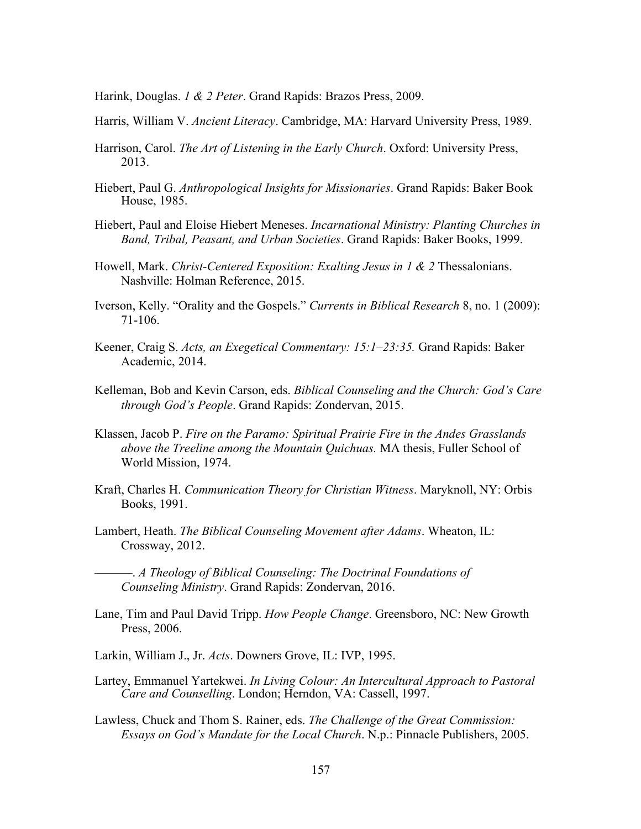Harink, Douglas. *1 & 2 Peter*. Grand Rapids: Brazos Press, 2009.

- Harris, William V. *Ancient Literacy*. Cambridge, MA: Harvard University Press, 1989.
- Harrison, Carol. *The Art of Listening in the Early Church*. Oxford: University Press, 2013.
- Hiebert, Paul G. *Anthropological Insights for Missionaries*. Grand Rapids: Baker Book House, 1985.
- Hiebert, Paul and Eloise Hiebert Meneses. *Incarnational Ministry: Planting Churches in Band, Tribal, Peasant, and Urban Societies*. Grand Rapids: Baker Books, 1999.
- Howell, Mark. *Christ-Centered Exposition: Exalting Jesus in 1 & 2* Thessalonians. Nashville: Holman Reference, 2015.
- Iverson, Kelly. "Orality and the Gospels." *Currents in Biblical Research* 8, no. 1 (2009): 71-106.
- Keener, Craig S. *Acts, an Exegetical Commentary: 15:1–23:35.* Grand Rapids: Baker Academic, 2014.
- Kelleman, Bob and Kevin Carson, eds. *Biblical Counseling and the Church: God's Care through God's People*. Grand Rapids: Zondervan, 2015.
- Klassen, Jacob P. *Fire on the Paramo: Spiritual Prairie Fire in the Andes Grasslands above the Treeline among the Mountain Quichuas.* MA thesis, Fuller School of World Mission, 1974.
- Kraft, Charles H. *Communication Theory for Christian Witness*. Maryknoll, NY: Orbis Books, 1991.
- Lambert, Heath. *The Biblical Counseling Movement after Adams*. Wheaton, IL: Crossway, 2012.

———. *A Theology of Biblical Counseling: The Doctrinal Foundations of Counseling Ministry*. Grand Rapids: Zondervan, 2016.

- Lane, Tim and Paul David Tripp. *How People Change*. Greensboro, NC: New Growth Press, 2006.
- Larkin, William J., Jr. *Acts*. Downers Grove, IL: IVP, 1995.
- Lartey, Emmanuel Yartekwei. *In Living Colour: An Intercultural Approach to Pastoral Care and Counselling*. London; Herndon, VA: Cassell, 1997.
- Lawless, Chuck and Thom S. Rainer, eds. *The Challenge of the Great Commission: Essays on God's Mandate for the Local Church*. N.p.: Pinnacle Publishers, 2005.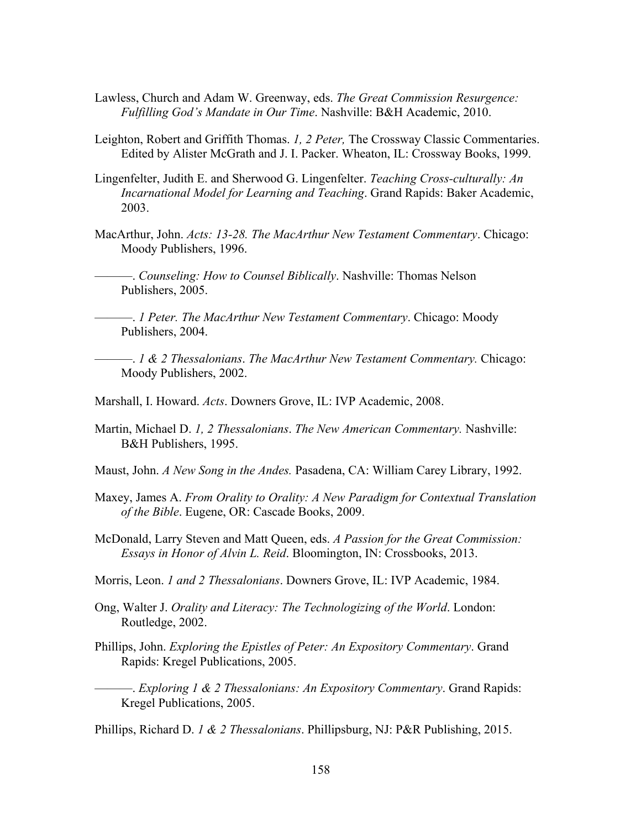- Lawless, Church and Adam W. Greenway, eds. *The Great Commission Resurgence: Fulfilling God's Mandate in Our Time*. Nashville: B&H Academic, 2010.
- Leighton, Robert and Griffith Thomas. *1, 2 Peter,* The Crossway Classic Commentaries. Edited by Alister McGrath and J. I. Packer. Wheaton, IL: Crossway Books, 1999.
- Lingenfelter, Judith E. and Sherwood G. Lingenfelter. *Teaching Cross-culturally: An Incarnational Model for Learning and Teaching*. Grand Rapids: Baker Academic, 2003.
- MacArthur, John. *Acts: 13-28. The MacArthur New Testament Commentary*. Chicago: Moody Publishers, 1996.
	- ———. *Counseling: How to Counsel Biblically*. Nashville: Thomas Nelson Publishers, 2005.

———. *1 Peter. The MacArthur New Testament Commentary*. Chicago: Moody Publishers, 2004.

- ———. *1 & 2 Thessalonians*. *The MacArthur New Testament Commentary.* Chicago: Moody Publishers, 2002.
- Marshall, I. Howard. *Acts*. Downers Grove, IL: IVP Academic, 2008.
- Martin, Michael D. *1, 2 Thessalonians*. *The New American Commentary.* Nashville: B&H Publishers, 1995.
- Maust, John. *A New Song in the Andes.* Pasadena, CA: William Carey Library, 1992.
- Maxey, James A. *From Orality to Orality: A New Paradigm for Contextual Translation of the Bible*. Eugene, OR: Cascade Books, 2009.
- McDonald, Larry Steven and Matt Queen, eds. *A Passion for the Great Commission: Essays in Honor of Alvin L. Reid*. Bloomington, IN: Crossbooks, 2013.
- Morris, Leon. *1 and 2 Thessalonians*. Downers Grove, IL: IVP Academic, 1984.
- Ong, Walter J. *Orality and Literacy: The Technologizing of the World*. London: Routledge, 2002.
- Phillips, John. *Exploring the Epistles of Peter: An Expository Commentary*. Grand Rapids: Kregel Publications, 2005.
	- ———. *Exploring 1 & 2 Thessalonians: An Expository Commentary*. Grand Rapids: Kregel Publications, 2005.

Phillips, Richard D. *1 & 2 Thessalonians*. Phillipsburg, NJ: P&R Publishing, 2015.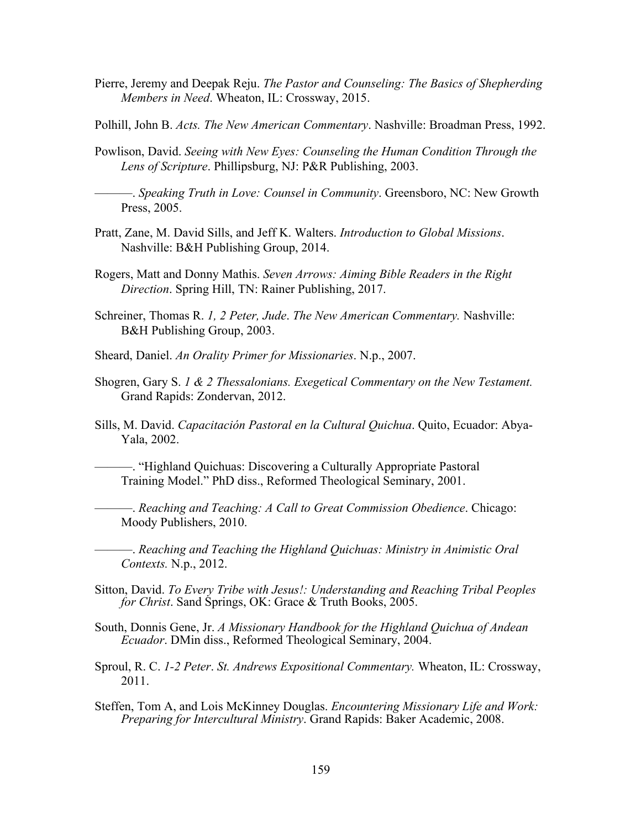- Pierre, Jeremy and Deepak Reju. *The Pastor and Counseling: The Basics of Shepherding Members in Need*. Wheaton, IL: Crossway, 2015.
- Polhill, John B. *Acts. The New American Commentary*. Nashville: Broadman Press, 1992.
- Powlison, David. *Seeing with New Eyes: Counseling the Human Condition Through the Lens of Scripture*. Phillipsburg, NJ: P&R Publishing, 2003.

———. *Speaking Truth in Love: Counsel in Community*. Greensboro, NC: New Growth Press, 2005.

- Pratt, Zane, M. David Sills, and Jeff K. Walters. *Introduction to Global Missions*. Nashville: B&H Publishing Group, 2014.
- Rogers, Matt and Donny Mathis. *Seven Arrows: Aiming Bible Readers in the Right Direction*. Spring Hill, TN: Rainer Publishing, 2017.
- Schreiner, Thomas R. *1, 2 Peter, Jude*. *The New American Commentary.* Nashville: B&H Publishing Group, 2003.
- Sheard, Daniel. *An Orality Primer for Missionaries*. N.p., 2007.
- Shogren, Gary S. *1 & 2 Thessalonians. Exegetical Commentary on the New Testament.* Grand Rapids: Zondervan, 2012.
- Sills, M. David. *Capacitación Pastoral en la Cultural Quichua*. Quito, Ecuador: Abya-Yala, 2002.
	- ———. "Highland Quichuas: Discovering a Culturally Appropriate Pastoral Training Model." PhD diss., Reformed Theological Seminary, 2001.

———. *Reaching and Teaching: A Call to Great Commission Obedience*. Chicago: Moody Publishers, 2010.

———. *Reaching and Teaching the Highland Quichuas: Ministry in Animistic Oral Contexts.* N.p., 2012.

- Sitton, David. *To Every Tribe with Jesus!: Understanding and Reaching Tribal Peoples for Christ*. Sand Springs, OK: Grace & Truth Books, 2005.
- South, Donnis Gene, Jr. *A Missionary Handbook for the Highland Quichua of Andean Ecuador*. DMin diss., Reformed Theological Seminary, 2004.
- Sproul, R. C. *1-2 Peter*. *St. Andrews Expositional Commentary.* Wheaton, IL: Crossway, 2011.
- Steffen, Tom A, and Lois McKinney Douglas. *Encountering Missionary Life and Work: Preparing for Intercultural Ministry*. Grand Rapids: Baker Academic, 2008.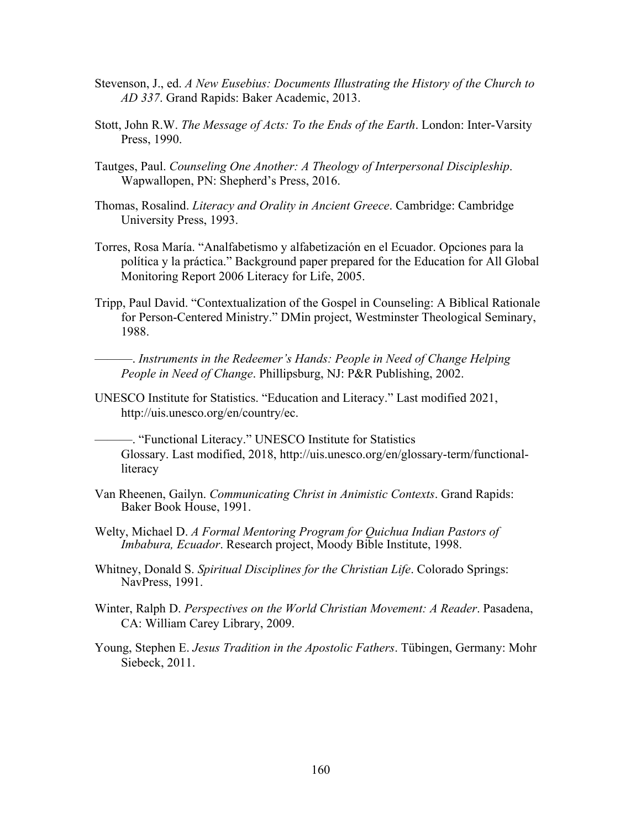- Stevenson, J., ed. *A New Eusebius: Documents Illustrating the History of the Church to AD 337*. Grand Rapids: Baker Academic, 2013.
- Stott, John R.W. *The Message of Acts: To the Ends of the Earth*. London: Inter-Varsity Press, 1990.
- Tautges, Paul. *Counseling One Another: A Theology of Interpersonal Discipleship*. Wapwallopen, PN: Shepherd's Press, 2016.
- Thomas, Rosalind. *Literacy and Orality in Ancient Greece*. Cambridge: Cambridge University Press, 1993.
- Torres, Rosa María. "Analfabetismo y alfabetización en el Ecuador. Opciones para la política y la práctica." Background paper prepared for the Education for All Global Monitoring Report 2006 Literacy for Life, 2005.
- Tripp, Paul David. "Contextualization of the Gospel in Counseling: A Biblical Rationale for Person-Centered Ministry." DMin project, Westminster Theological Seminary, 1988.

———. *Instruments in the Redeemer's Hands: People in Need of Change Helping People in Need of Change*. Phillipsburg, NJ: P&R Publishing, 2002.

UNESCO Institute for Statistics. "Education and Literacy." Last modified 2021, http://uis.unesco.org/en/country/ec.

———. "Functional Literacy." UNESCO Institute for Statistics Glossary. Last modified, 2018, http://uis.unesco.org/en/glossary-term/functionalliteracy

- Van Rheenen, Gailyn. *Communicating Christ in Animistic Contexts*. Grand Rapids: Baker Book House, 1991.
- Welty, Michael D. *A Formal Mentoring Program for Quichua Indian Pastors of Imbabura, Ecuador*. Research project, Moody Bible Institute, 1998.
- Whitney, Donald S. *Spiritual Disciplines for the Christian Life*. Colorado Springs: NavPress, 1991.
- Winter, Ralph D. *Perspectives on the World Christian Movement: A Reader*. Pasadena, CA: William Carey Library, 2009.
- Young, Stephen E. *Jesus Tradition in the Apostolic Fathers*. Tübingen, Germany: Mohr Siebeck, 2011.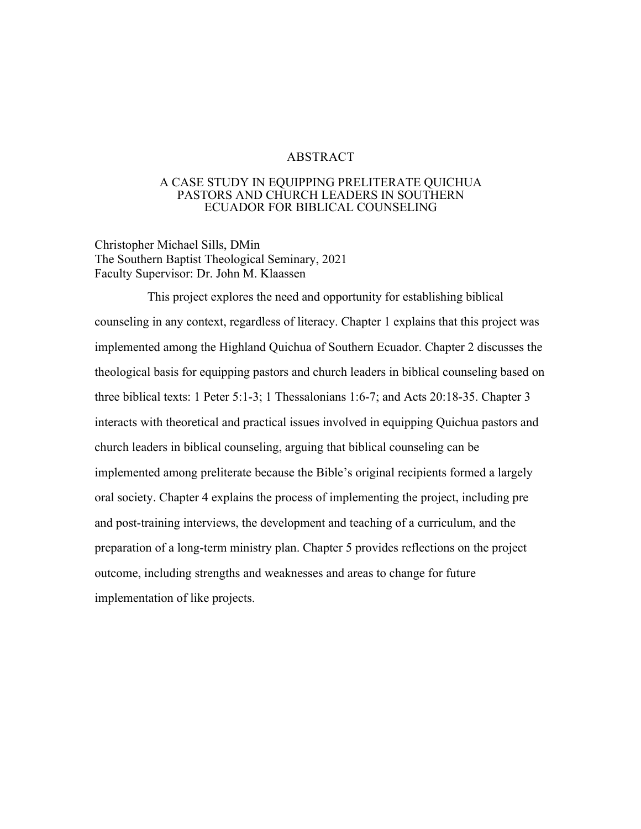#### ABSTRACT

#### A CASE STUDY IN EQUIPPING PRELITERATE QUICHUA PASTORS AND CHURCH LEADERS IN SOUTHERN ECUADOR FOR BIBLICAL COUNSELING

Christopher Michael Sills, DMin The Southern Baptist Theological Seminary, 2021 Faculty Supervisor: Dr. John M. Klaassen

This project explores the need and opportunity for establishing biblical counseling in any context, regardless of literacy. Chapter 1 explains that this project was implemented among the Highland Quichua of Southern Ecuador. Chapter 2 discusses the theological basis for equipping pastors and church leaders in biblical counseling based on three biblical texts: 1 Peter 5:1-3; 1 Thessalonians 1:6-7; and Acts 20:18-35. Chapter 3 interacts with theoretical and practical issues involved in equipping Quichua pastors and church leaders in biblical counseling, arguing that biblical counseling can be implemented among preliterate because the Bible's original recipients formed a largely oral society. Chapter 4 explains the process of implementing the project, including pre and post-training interviews, the development and teaching of a curriculum, and the preparation of a long-term ministry plan. Chapter 5 provides reflections on the project outcome, including strengths and weaknesses and areas to change for future implementation of like projects.